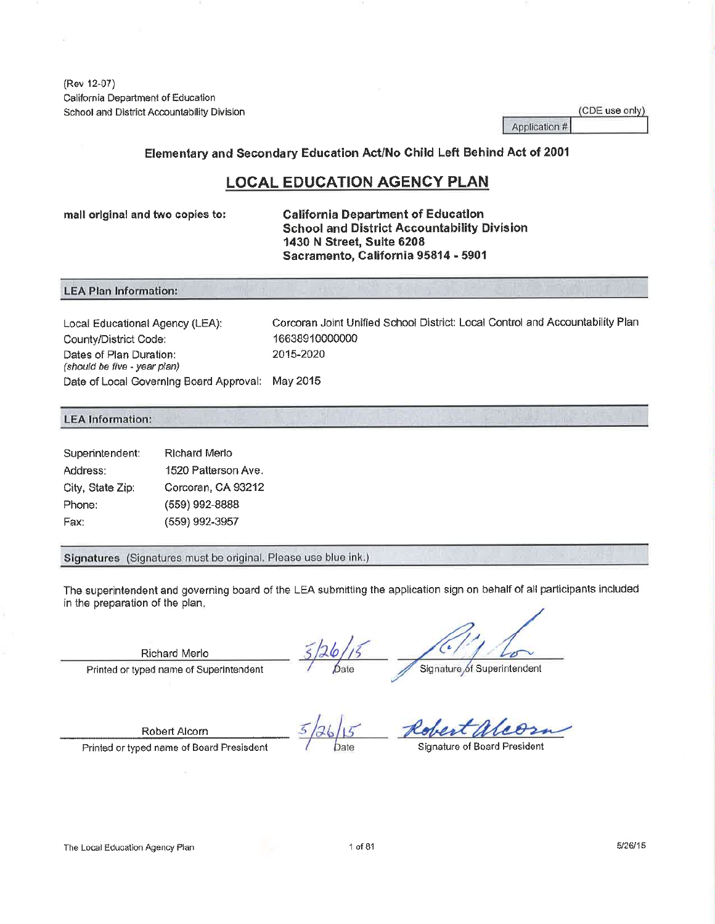(Rev 12-07) California Department of Education School and District Accountability Division

|               | (CDE use only) |  |
|---------------|----------------|--|
| Application # |                |  |

Elementary and Secondary Education Act/No Child Left Behind Act of 2001

## **LOCAL EDUCATION AGENCY PLAN**

mall original and two copies to:

**California Department of Education School and District Accountability Division** 1430 N Street, Suite 6208 Sacramento, California 95814 - 5901

#### **LEA Plan Information:**

Corcoran Joint Unified School District: Local Control and Accountability Plan Local Educational Agency (LEA): 16638910000000 County/District Code: Dates of Plan Duration: 2015-2020 (should be five - year plan) Date of Local Governing Board Approval: May 2015

#### **LEA** Information:

| Superintendent:  | <b>Richard Merlo</b> |
|------------------|----------------------|
| Address:         | 1520 Patterson Ave.  |
| City, State Zip: | Corcoran, CA 93212   |
| Phone:           | (559) 992-8888       |
| Fax:             | (559) 992-3957       |

Signatures (Signatures must be original. Please use blue ink.)

The superintendent and governing board of the LEA submitting the application sign on behalf of all participants included in the preparation of the plan.

Richard Merlo

Printed or typed name of Superintendent

Signature of Superintendent

Robert Alcorn

Printed or typed name of Board Presisdent

Date

**Signature of Board President** 

The Local Education Agency Plan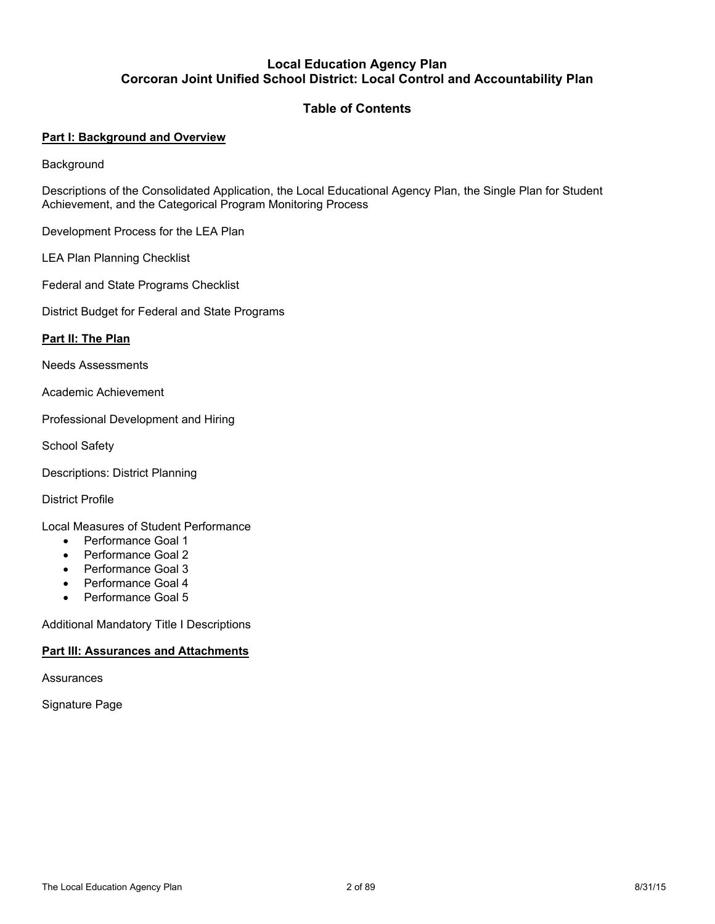#### **Local Education Agency Plan Corcoran Joint Unified School District: Local Control and Accountability Plan**

## **Table of Contents**

### **Part I: Background and Overview**

**Background** 

Descriptions of the Consolidated Application, the Local Educational Agency Plan, the Single Plan for Student Achievement, and the Categorical Program Monitoring Process

Development Process for the LEA Plan

LEA Plan Planning Checklist

Federal and State Programs Checklist

District Budget for Federal and State Programs

#### **Part II: The Plan**

Needs Assessments

Academic Achievement

Professional Development and Hiring

School Safety

Descriptions: District Planning

District Profile

Local Measures of Student Performance

- Performance Goal 1
- Performance Goal 2
- Performance Goal 3
- Performance Goal 4
- Performance Goal 5

Additional Mandatory Title I Descriptions

#### **Part III: Assurances and Attachments**

**Assurances** 

Signature Page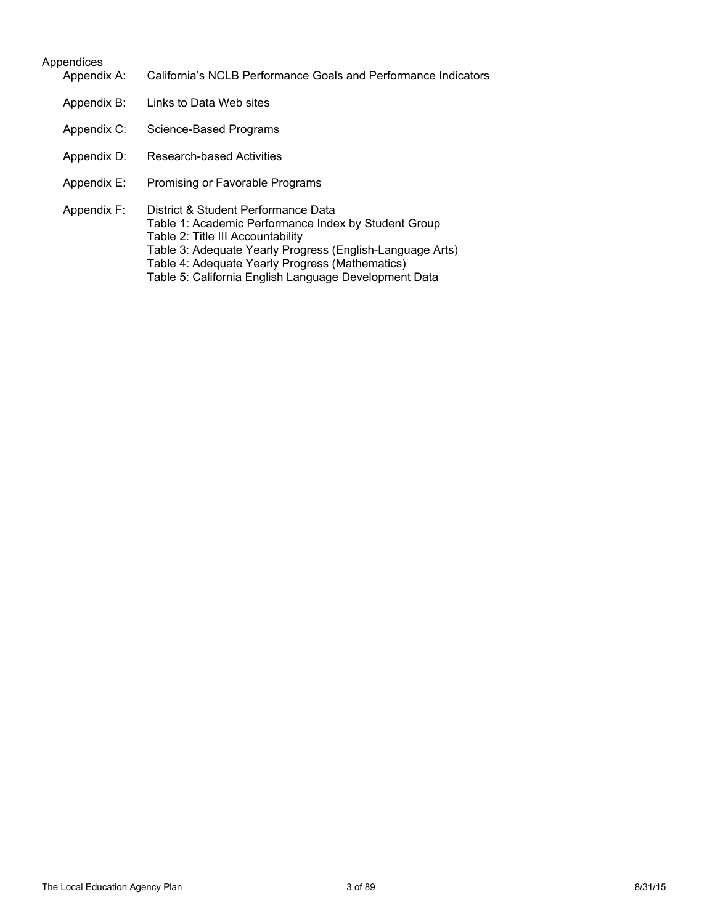#### Appendices

- Appendix A: California's NCLB Performance Goals and Performance Indicators
- Appendix B: Links to Data Web sites
- Appendix C: Science-Based Programs
- Appendix D: Research-based Activities
- Appendix E: Promising or Favorable Programs
- Appendix F: District & Student Performance Data Table 1: Academic Performance Index by Student Group Table 2: Title III Accountability Table 3: Adequate Yearly Progress (English-Language Arts) Table 4: Adequate Yearly Progress (Mathematics) Table 5: California English Language Development Data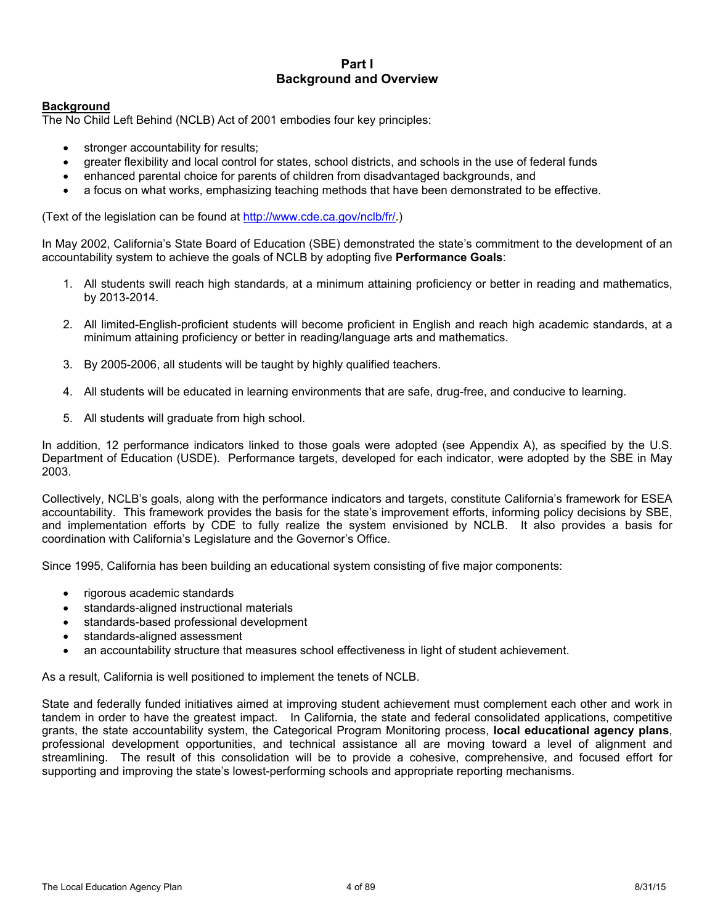#### **Part I Background and Overview**

#### **Background**

The No Child Left Behind (NCLB) Act of 2001 embodies four key principles:

- stronger accountability for results;
- greater flexibility and local control for states, school districts, and schools in the use of federal funds
- enhanced parental choice for parents of children from disadvantaged backgrounds, and
- a focus on what works, emphasizing teaching methods that have been demonstrated to be effective.

(Text of the legislation can be found at http://www.cde.ca.gov/nclb/fr/.)

In May 2002, California's State Board of Education (SBE) demonstrated the state's commitment to the development of an accountability system to achieve the goals of NCLB by adopting five **Performance Goals**:

- 1. All students swill reach high standards, at a minimum attaining proficiency or better in reading and mathematics, by 2013-2014.
- 2. All limited-English-proficient students will become proficient in English and reach high academic standards, at a minimum attaining proficiency or better in reading/language arts and mathematics.
- 3. By 2005-2006, all students will be taught by highly qualified teachers.
- 4. All students will be educated in learning environments that are safe, drug-free, and conducive to learning.
- 5. All students will graduate from high school.

In addition, 12 performance indicators linked to those goals were adopted (see Appendix A), as specified by the U.S. Department of Education (USDE). Performance targets, developed for each indicator, were adopted by the SBE in May 2003.

Collectively, NCLB's goals, along with the performance indicators and targets, constitute California's framework for ESEA accountability. This framework provides the basis for the state's improvement efforts, informing policy decisions by SBE, and implementation efforts by CDE to fully realize the system envisioned by NCLB. It also provides a basis for coordination with California's Legislature and the Governor's Office.

Since 1995, California has been building an educational system consisting of five major components:

- rigorous academic standards
- standards-aligned instructional materials
- standards-based professional development
- standards-aligned assessment
- an accountability structure that measures school effectiveness in light of student achievement.

As a result, California is well positioned to implement the tenets of NCLB.

State and federally funded initiatives aimed at improving student achievement must complement each other and work in tandem in order to have the greatest impact. In California, the state and federal consolidated applications, competitive grants, the state accountability system, the Categorical Program Monitoring process, **local educational agency plans**, professional development opportunities, and technical assistance all are moving toward a level of alignment and streamlining. The result of this consolidation will be to provide a cohesive, comprehensive, and focused effort for supporting and improving the state's lowest-performing schools and appropriate reporting mechanisms.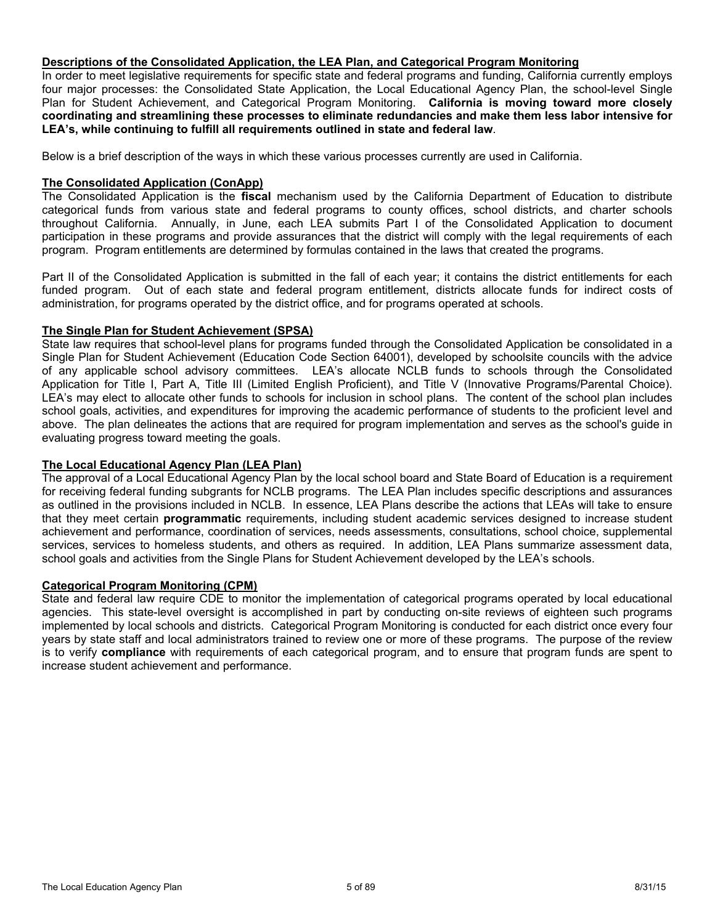#### **Descriptions of the Consolidated Application, the LEA Plan, and Categorical Program Monitoring**

In order to meet legislative requirements for specific state and federal programs and funding, California currently employs four major processes: the Consolidated State Application, the Local Educational Agency Plan, the school-level Single Plan for Student Achievement, and Categorical Program Monitoring. **California is moving toward more closely coordinating and streamlining these processes to eliminate redundancies and make them less labor intensive for LEA's, while continuing to fulfill all requirements outlined in state and federal law**.

Below is a brief description of the ways in which these various processes currently are used in California.

#### **The Consolidated Application (ConApp)**

The Consolidated Application is the **fiscal** mechanism used by the California Department of Education to distribute categorical funds from various state and federal programs to county offices, school districts, and charter schools throughout California. Annually, in June, each LEA submits Part I of the Consolidated Application to document participation in these programs and provide assurances that the district will comply with the legal requirements of each program. Program entitlements are determined by formulas contained in the laws that created the programs.

Part II of the Consolidated Application is submitted in the fall of each year; it contains the district entitlements for each funded program. Out of each state and federal program entitlement, districts allocate funds for indirect costs of administration, for programs operated by the district office, and for programs operated at schools.

#### **The Single Plan for Student Achievement (SPSA)**

State law requires that school-level plans for programs funded through the Consolidated Application be consolidated in a Single Plan for Student Achievement (Education Code Section 64001), developed by schoolsite councils with the advice of any applicable school advisory committees. LEA's allocate NCLB funds to schools through the Consolidated Application for Title I, Part A, Title III (Limited English Proficient), and Title V (Innovative Programs/Parental Choice). LEA's may elect to allocate other funds to schools for inclusion in school plans. The content of the school plan includes school goals, activities, and expenditures for improving the academic performance of students to the proficient level and above. The plan delineates the actions that are required for program implementation and serves as the school's guide in evaluating progress toward meeting the goals.

#### **The Local Educational Agency Plan (LEA Plan)**

The approval of a Local Educational Agency Plan by the local school board and State Board of Education is a requirement for receiving federal funding subgrants for NCLB programs. The LEA Plan includes specific descriptions and assurances as outlined in the provisions included in NCLB. In essence, LEA Plans describe the actions that LEAs will take to ensure that they meet certain **programmatic** requirements, including student academic services designed to increase student achievement and performance, coordination of services, needs assessments, consultations, school choice, supplemental services, services to homeless students, and others as required. In addition, LEA Plans summarize assessment data, school goals and activities from the Single Plans for Student Achievement developed by the LEA's schools.

#### **Categorical Program Monitoring (CPM)**

State and federal law require CDE to monitor the implementation of categorical programs operated by local educational agencies. This state-level oversight is accomplished in part by conducting on-site reviews of eighteen such programs implemented by local schools and districts. Categorical Program Monitoring is conducted for each district once every four years by state staff and local administrators trained to review one or more of these programs. The purpose of the review is to verify **compliance** with requirements of each categorical program, and to ensure that program funds are spent to increase student achievement and performance.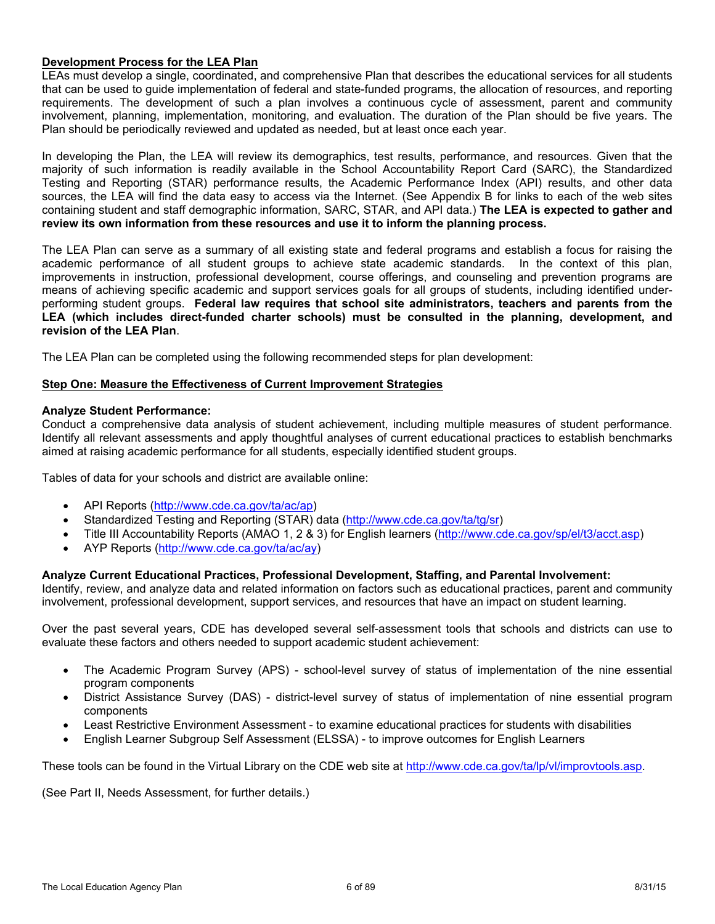#### **Development Process for the LEA Plan**

LEAs must develop a single, coordinated, and comprehensive Plan that describes the educational services for all students that can be used to guide implementation of federal and state-funded programs, the allocation of resources, and reporting requirements. The development of such a plan involves a continuous cycle of assessment, parent and community involvement, planning, implementation, monitoring, and evaluation. The duration of the Plan should be five years. The Plan should be periodically reviewed and updated as needed, but at least once each year.

In developing the Plan, the LEA will review its demographics, test results, performance, and resources. Given that the majority of such information is readily available in the School Accountability Report Card (SARC), the Standardized Testing and Reporting (STAR) performance results, the Academic Performance Index (API) results, and other data sources, the LEA will find the data easy to access via the Internet. (See Appendix B for links to each of the web sites containing student and staff demographic information, SARC, STAR, and API data.) **The LEA is expected to gather and review its own information from these resources and use it to inform the planning process.**

The LEA Plan can serve as a summary of all existing state and federal programs and establish a focus for raising the academic performance of all student groups to achieve state academic standards. In the context of this plan, improvements in instruction, professional development, course offerings, and counseling and prevention programs are means of achieving specific academic and support services goals for all groups of students, including identified underperforming student groups. **Federal law requires that school site administrators, teachers and parents from the LEA (which includes direct-funded charter schools) must be consulted in the planning, development, and revision of the LEA Plan**.

The LEA Plan can be completed using the following recommended steps for plan development:

#### **Step One: Measure the Effectiveness of Current Improvement Strategies**

#### **Analyze Student Performance:**

Conduct a comprehensive data analysis of student achievement, including multiple measures of student performance. Identify all relevant assessments and apply thoughtful analyses of current educational practices to establish benchmarks aimed at raising academic performance for all students, especially identified student groups.

Tables of data for your schools and district are available online:

- API Reports (http://www.cde.ca.gov/ta/ac/ap)
- Standardized Testing and Reporting (STAR) data (http://www.cde.ca.gov/ta/tg/sr)
- Title III Accountability Reports (AMAO 1, 2 & 3) for English learners (http://www.cde.ca.gov/sp/el/t3/acct.asp)
- AYP Reports (http://www.cde.ca.gov/ta/ac/ay)

#### **Analyze Current Educational Practices, Professional Development, Staffing, and Parental Involvement:**

Identify, review, and analyze data and related information on factors such as educational practices, parent and community involvement, professional development, support services, and resources that have an impact on student learning.

Over the past several years, CDE has developed several self-assessment tools that schools and districts can use to evaluate these factors and others needed to support academic student achievement:

- The Academic Program Survey (APS) school-level survey of status of implementation of the nine essential program components
- District Assistance Survey (DAS) district-level survey of status of implementation of nine essential program components
- Least Restrictive Environment Assessment to examine educational practices for students with disabilities
- English Learner Subgroup Self Assessment (ELSSA) to improve outcomes for English Learners

These tools can be found in the Virtual Library on the CDE web site at http://www.cde.ca.gov/ta/lp/vl/improvtools.asp.

(See Part II, Needs Assessment, for further details.)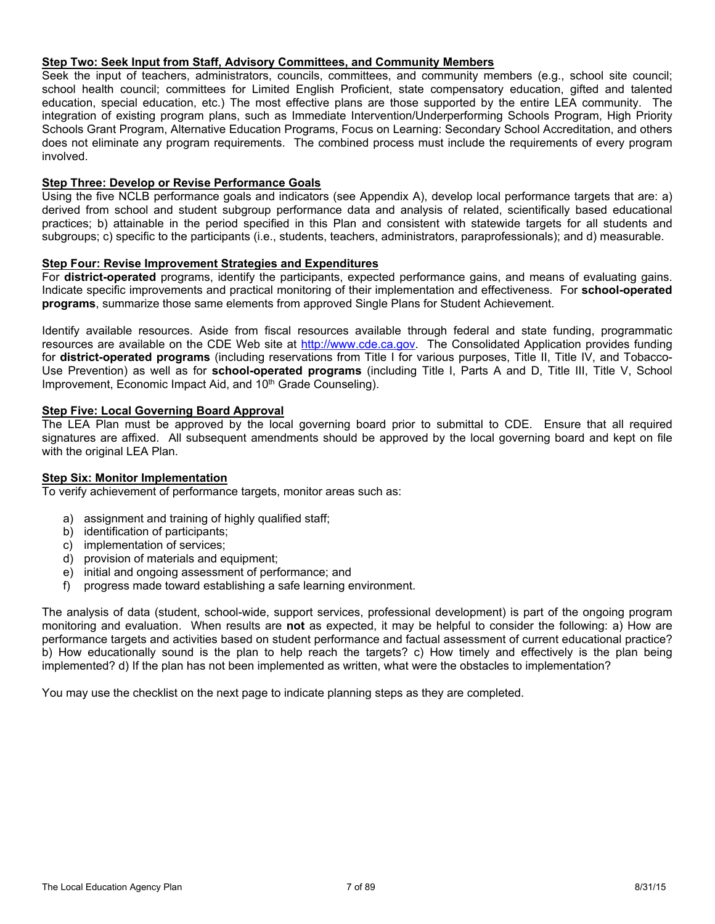#### **Step Two: Seek Input from Staff, Advisory Committees, and Community Members**

Seek the input of teachers, administrators, councils, committees, and community members (e.g., school site council; school health council; committees for Limited English Proficient, state compensatory education, gifted and talented education, special education, etc.) The most effective plans are those supported by the entire LEA community. The integration of existing program plans, such as Immediate Intervention/Underperforming Schools Program, High Priority Schools Grant Program, Alternative Education Programs, Focus on Learning: Secondary School Accreditation, and others does not eliminate any program requirements. The combined process must include the requirements of every program involved.

#### **Step Three: Develop or Revise Performance Goals**

Using the five NCLB performance goals and indicators (see Appendix A), develop local performance targets that are: a) derived from school and student subgroup performance data and analysis of related, scientifically based educational practices; b) attainable in the period specified in this Plan and consistent with statewide targets for all students and subgroups; c) specific to the participants (i.e., students, teachers, administrators, paraprofessionals); and d) measurable.

#### **Step Four: Revise Improvement Strategies and Expenditures**

For **district-operated** programs, identify the participants, expected performance gains, and means of evaluating gains. Indicate specific improvements and practical monitoring of their implementation and effectiveness. For **school-operated programs**, summarize those same elements from approved Single Plans for Student Achievement.

Identify available resources. Aside from fiscal resources available through federal and state funding, programmatic resources are available on the CDE Web site at http://www.cde.ca.gov. The Consolidated Application provides funding for **district-operated programs** (including reservations from Title I for various purposes, Title II, Title IV, and Tobacco-Use Prevention) as well as for **school-operated programs** (including Title I, Parts A and D, Title III, Title V, School Improvement, Economic Impact Aid, and 10<sup>th</sup> Grade Counseling).

#### **Step Five: Local Governing Board Approval**

The LEA Plan must be approved by the local governing board prior to submittal to CDE. Ensure that all required signatures are affixed. All subsequent amendments should be approved by the local governing board and kept on file with the original LEA Plan.

#### **Step Six: Monitor Implementation**

To verify achievement of performance targets, monitor areas such as:

- a) assignment and training of highly qualified staff;
- b) identification of participants;
- c) implementation of services;
- d) provision of materials and equipment;
- e) initial and ongoing assessment of performance; and
- f) progress made toward establishing a safe learning environment.

The analysis of data (student, school-wide, support services, professional development) is part of the ongoing program monitoring and evaluation. When results are **not** as expected, it may be helpful to consider the following: a) How are performance targets and activities based on student performance and factual assessment of current educational practice? b) How educationally sound is the plan to help reach the targets? c) How timely and effectively is the plan being implemented? d) If the plan has not been implemented as written, what were the obstacles to implementation?

You may use the checklist on the next page to indicate planning steps as they are completed.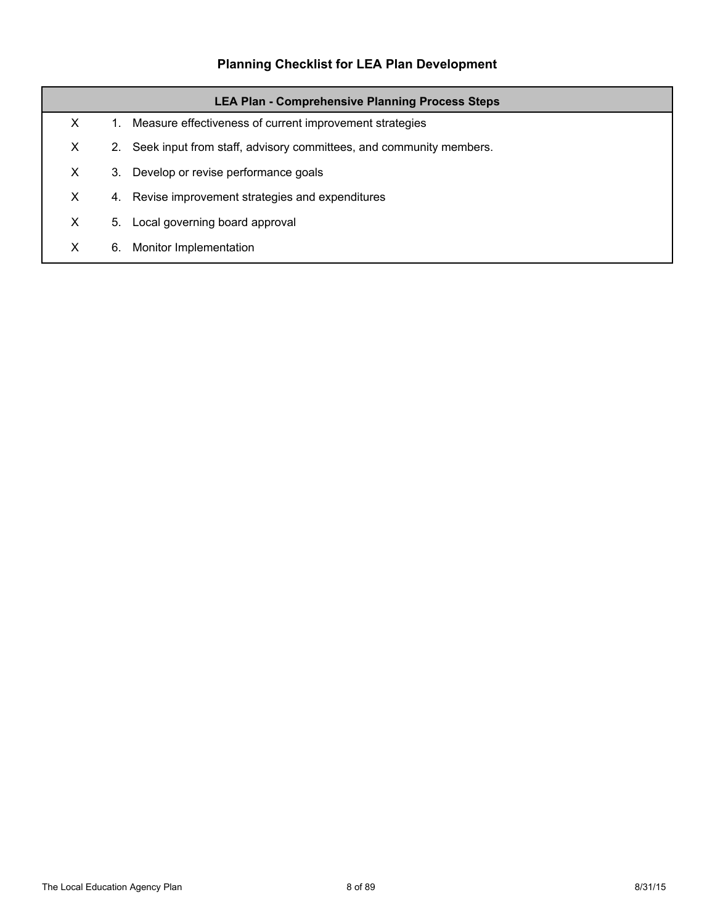# **Planning Checklist for LEA Plan Development**

|    | <b>LEA Plan - Comprehensive Planning Process Steps</b> |                                                                    |  |  |  |  |
|----|--------------------------------------------------------|--------------------------------------------------------------------|--|--|--|--|
| X  | 1.                                                     | Measure effectiveness of current improvement strategies            |  |  |  |  |
| X  | 2.                                                     | Seek input from staff, advisory committees, and community members. |  |  |  |  |
| X. | 3.                                                     | Develop or revise performance goals                                |  |  |  |  |
| X. | 4.                                                     | Revise improvement strategies and expenditures                     |  |  |  |  |
| X  | 5.                                                     | Local governing board approval                                     |  |  |  |  |
| X  | 6.                                                     | Monitor Implementation                                             |  |  |  |  |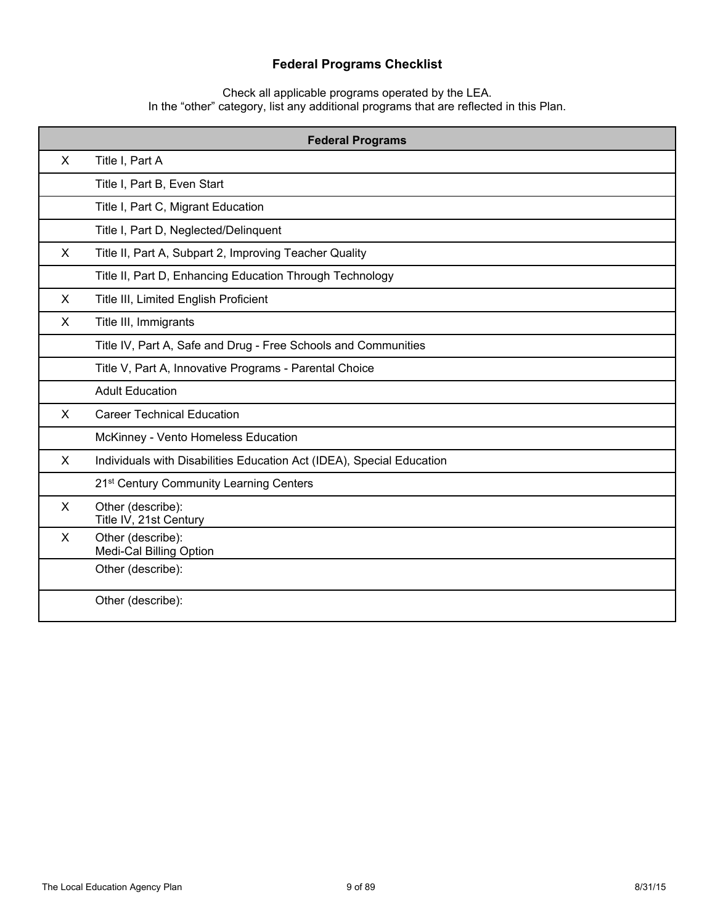## **Federal Programs Checklist**

Check all applicable programs operated by the LEA. In the "other" category, list any additional programs that are reflected in this Plan.

|              | <b>Federal Programs</b>                                               |  |  |  |  |
|--------------|-----------------------------------------------------------------------|--|--|--|--|
| X            | Title I, Part A                                                       |  |  |  |  |
|              | Title I, Part B, Even Start                                           |  |  |  |  |
|              | Title I, Part C, Migrant Education                                    |  |  |  |  |
|              | Title I, Part D, Neglected/Delinquent                                 |  |  |  |  |
| X            | Title II, Part A, Subpart 2, Improving Teacher Quality                |  |  |  |  |
|              | Title II, Part D, Enhancing Education Through Technology              |  |  |  |  |
| X            | Title III, Limited English Proficient                                 |  |  |  |  |
| X            | Title III, Immigrants                                                 |  |  |  |  |
|              | Title IV, Part A, Safe and Drug - Free Schools and Communities        |  |  |  |  |
|              | Title V, Part A, Innovative Programs - Parental Choice                |  |  |  |  |
|              | <b>Adult Education</b>                                                |  |  |  |  |
| $\mathsf{X}$ | <b>Career Technical Education</b>                                     |  |  |  |  |
|              | McKinney - Vento Homeless Education                                   |  |  |  |  |
| $\mathsf{X}$ | Individuals with Disabilities Education Act (IDEA), Special Education |  |  |  |  |
|              | 21 <sup>st</sup> Century Community Learning Centers                   |  |  |  |  |
| X            | Other (describe):<br>Title IV, 21st Century                           |  |  |  |  |
| X            | Other (describe):<br>Medi-Cal Billing Option                          |  |  |  |  |
|              | Other (describe):                                                     |  |  |  |  |
|              | Other (describe):                                                     |  |  |  |  |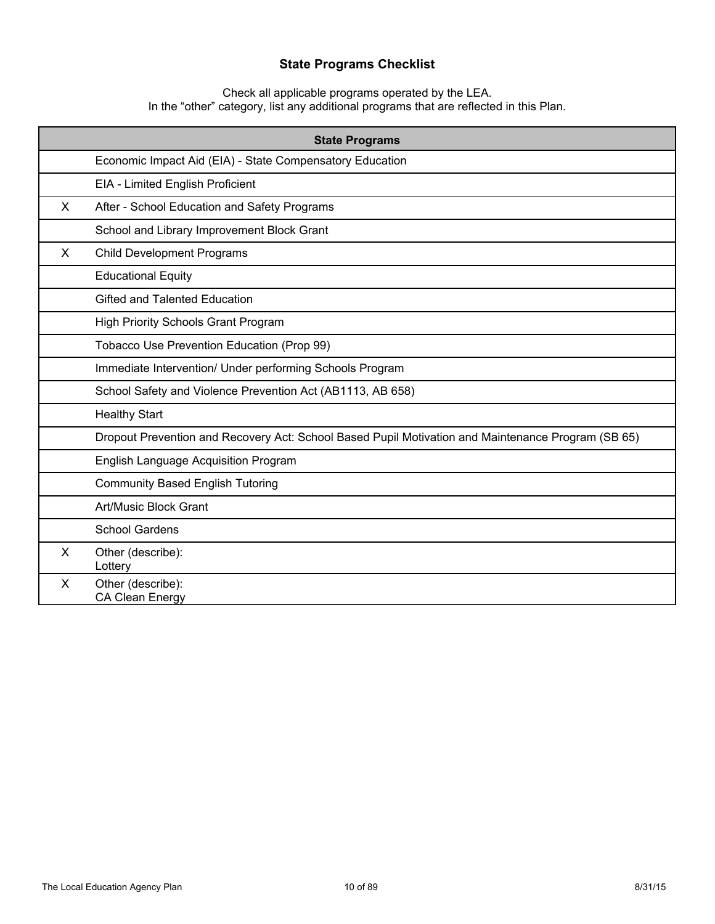## **State Programs Checklist**

Check all applicable programs operated by the LEA. In the "other" category, list any additional programs that are reflected in this Plan.

|    | <b>State Programs</b>                                                                              |  |  |  |  |
|----|----------------------------------------------------------------------------------------------------|--|--|--|--|
|    | Economic Impact Aid (EIA) - State Compensatory Education                                           |  |  |  |  |
|    | EIA - Limited English Proficient                                                                   |  |  |  |  |
| X. | After - School Education and Safety Programs                                                       |  |  |  |  |
|    | School and Library Improvement Block Grant                                                         |  |  |  |  |
| X  | <b>Child Development Programs</b>                                                                  |  |  |  |  |
|    | <b>Educational Equity</b>                                                                          |  |  |  |  |
|    | Gifted and Talented Education                                                                      |  |  |  |  |
|    | <b>High Priority Schools Grant Program</b>                                                         |  |  |  |  |
|    | Tobacco Use Prevention Education (Prop 99)                                                         |  |  |  |  |
|    | Immediate Intervention/ Under performing Schools Program                                           |  |  |  |  |
|    | School Safety and Violence Prevention Act (AB1113, AB 658)                                         |  |  |  |  |
|    | <b>Healthy Start</b>                                                                               |  |  |  |  |
|    | Dropout Prevention and Recovery Act: School Based Pupil Motivation and Maintenance Program (SB 65) |  |  |  |  |
|    | <b>English Language Acquisition Program</b>                                                        |  |  |  |  |
|    | <b>Community Based English Tutoring</b>                                                            |  |  |  |  |
|    | Art/Music Block Grant                                                                              |  |  |  |  |
|    | <b>School Gardens</b>                                                                              |  |  |  |  |
| X  | Other (describe):<br>Lottery                                                                       |  |  |  |  |
| X  | Other (describe):<br><b>CA Clean Energy</b>                                                        |  |  |  |  |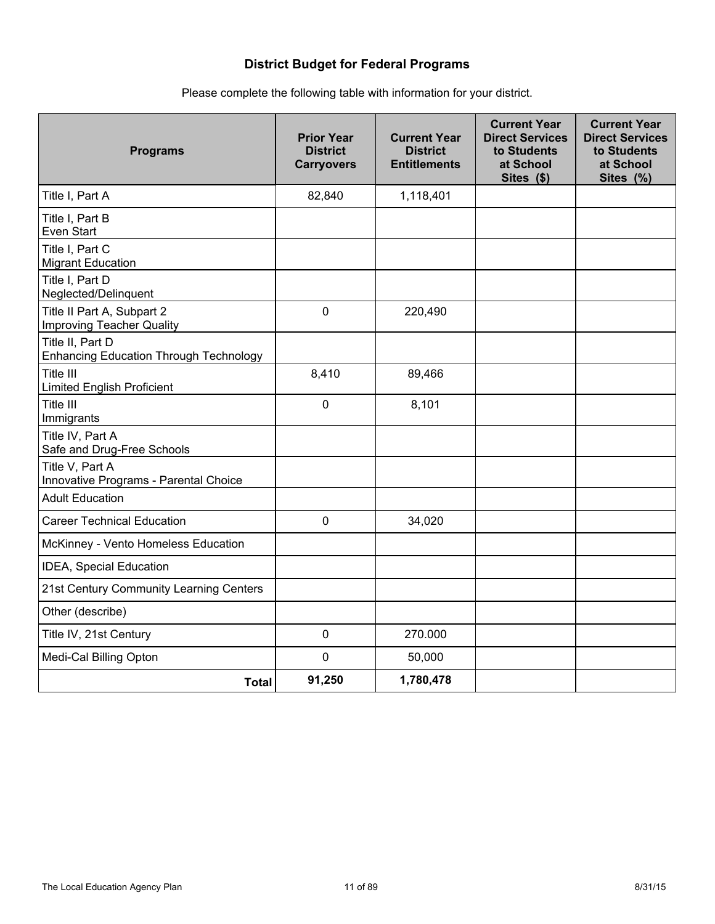## **District Budget for Federal Programs**

| <b>Programs</b>                                                   | <b>Prior Year</b><br><b>District</b><br><b>Carryovers</b> | <b>Current Year</b><br><b>District</b><br><b>Entitlements</b> | <b>Current Year</b><br><b>Direct Services</b><br>to Students<br>at School<br>Sites (\$) | <b>Current Year</b><br><b>Direct Services</b><br>to Students<br>at School<br>Sites (%) |
|-------------------------------------------------------------------|-----------------------------------------------------------|---------------------------------------------------------------|-----------------------------------------------------------------------------------------|----------------------------------------------------------------------------------------|
| Title I, Part A                                                   | 82,840                                                    | 1,118,401                                                     |                                                                                         |                                                                                        |
| Title I, Part B<br>Even Start                                     |                                                           |                                                               |                                                                                         |                                                                                        |
| Title I, Part C<br><b>Migrant Education</b>                       |                                                           |                                                               |                                                                                         |                                                                                        |
| Title I, Part D<br>Neglected/Delinquent                           |                                                           |                                                               |                                                                                         |                                                                                        |
| Title II Part A, Subpart 2<br>Improving Teacher Quality           | $\mathbf 0$                                               | 220,490                                                       |                                                                                         |                                                                                        |
| Title II, Part D<br><b>Enhancing Education Through Technology</b> |                                                           |                                                               |                                                                                         |                                                                                        |
| Title III<br><b>Limited English Proficient</b>                    | 8,410                                                     | 89,466                                                        |                                                                                         |                                                                                        |
| Title III<br>Immigrants                                           | $\mathbf 0$                                               | 8,101                                                         |                                                                                         |                                                                                        |
| Title IV, Part A<br>Safe and Drug-Free Schools                    |                                                           |                                                               |                                                                                         |                                                                                        |
| Title V, Part A<br>Innovative Programs - Parental Choice          |                                                           |                                                               |                                                                                         |                                                                                        |
| <b>Adult Education</b>                                            |                                                           |                                                               |                                                                                         |                                                                                        |
| <b>Career Technical Education</b>                                 | 0                                                         | 34,020                                                        |                                                                                         |                                                                                        |
| McKinney - Vento Homeless Education                               |                                                           |                                                               |                                                                                         |                                                                                        |
| IDEA, Special Education                                           |                                                           |                                                               |                                                                                         |                                                                                        |
| 21st Century Community Learning Centers                           |                                                           |                                                               |                                                                                         |                                                                                        |
| Other (describe)                                                  |                                                           |                                                               |                                                                                         |                                                                                        |
| Title IV, 21st Century                                            | $\mathbf 0$                                               | 270.000                                                       |                                                                                         |                                                                                        |
| Medi-Cal Billing Opton                                            | $\mathbf 0$                                               | 50,000                                                        |                                                                                         |                                                                                        |
| <b>Total</b>                                                      | 91,250                                                    | 1,780,478                                                     |                                                                                         |                                                                                        |

## Please complete the following table with information for your district.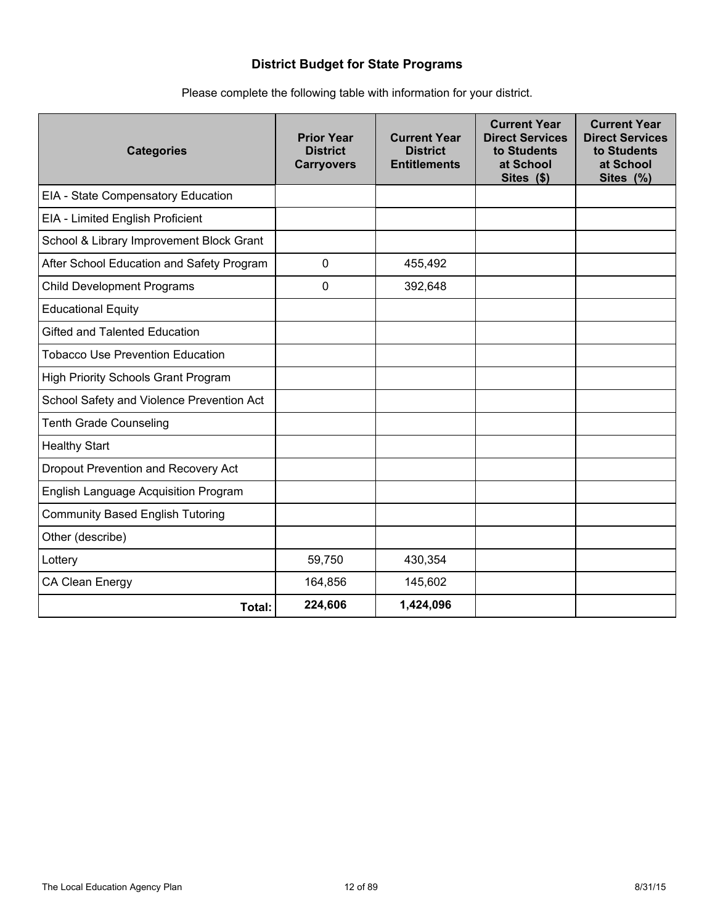## **District Budget for State Programs**

|  | Please complete the following table with information for your district. |  |  |  |  |  |
|--|-------------------------------------------------------------------------|--|--|--|--|--|
|--|-------------------------------------------------------------------------|--|--|--|--|--|

| <b>Categories</b>                           | <b>Prior Year</b><br><b>District</b><br><b>Carryovers</b> | <b>Current Year</b><br><b>District</b><br><b>Entitlements</b> | <b>Current Year</b><br><b>Direct Services</b><br>to Students<br>at School<br>Sites (\$) | <b>Current Year</b><br><b>Direct Services</b><br>to Students<br>at School<br>Sites (%) |
|---------------------------------------------|-----------------------------------------------------------|---------------------------------------------------------------|-----------------------------------------------------------------------------------------|----------------------------------------------------------------------------------------|
| EIA - State Compensatory Education          |                                                           |                                                               |                                                                                         |                                                                                        |
| EIA - Limited English Proficient            |                                                           |                                                               |                                                                                         |                                                                                        |
| School & Library Improvement Block Grant    |                                                           |                                                               |                                                                                         |                                                                                        |
| After School Education and Safety Program   | 0                                                         | 455,492                                                       |                                                                                         |                                                                                        |
| <b>Child Development Programs</b>           | $\mathbf 0$                                               | 392,648                                                       |                                                                                         |                                                                                        |
| <b>Educational Equity</b>                   |                                                           |                                                               |                                                                                         |                                                                                        |
| <b>Gifted and Talented Education</b>        |                                                           |                                                               |                                                                                         |                                                                                        |
| <b>Tobacco Use Prevention Education</b>     |                                                           |                                                               |                                                                                         |                                                                                        |
| <b>High Priority Schools Grant Program</b>  |                                                           |                                                               |                                                                                         |                                                                                        |
| School Safety and Violence Prevention Act   |                                                           |                                                               |                                                                                         |                                                                                        |
| <b>Tenth Grade Counseling</b>               |                                                           |                                                               |                                                                                         |                                                                                        |
| <b>Healthy Start</b>                        |                                                           |                                                               |                                                                                         |                                                                                        |
| Dropout Prevention and Recovery Act         |                                                           |                                                               |                                                                                         |                                                                                        |
| <b>English Language Acquisition Program</b> |                                                           |                                                               |                                                                                         |                                                                                        |
| <b>Community Based English Tutoring</b>     |                                                           |                                                               |                                                                                         |                                                                                        |
| Other (describe)                            |                                                           |                                                               |                                                                                         |                                                                                        |
| Lottery                                     | 59,750                                                    | 430,354                                                       |                                                                                         |                                                                                        |
| CA Clean Energy                             | 164,856                                                   | 145,602                                                       |                                                                                         |                                                                                        |
| Total:                                      | 224,606                                                   | 1,424,096                                                     |                                                                                         |                                                                                        |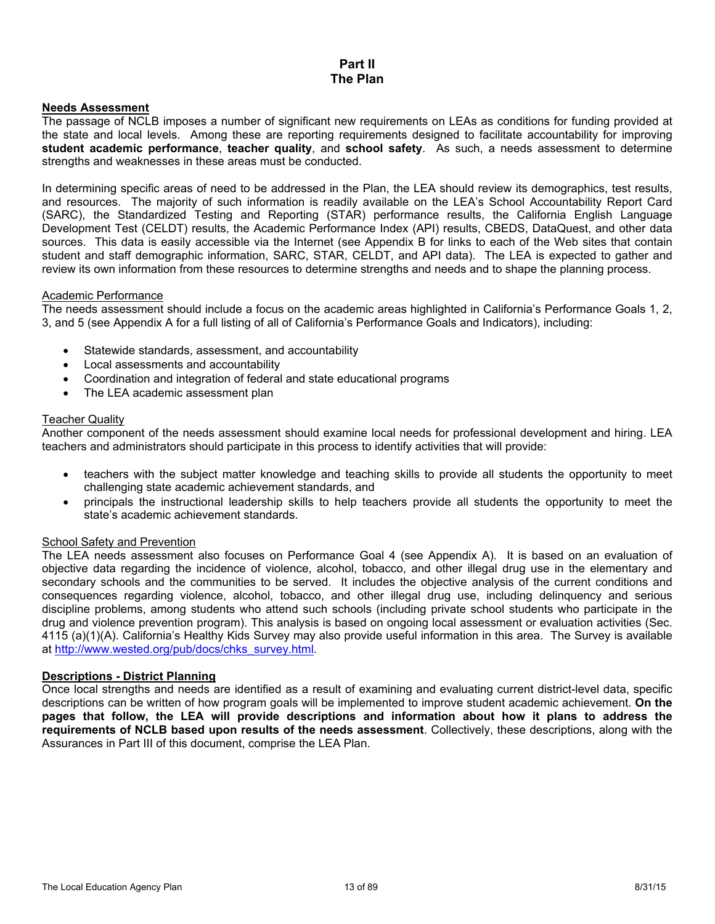#### **Part II The Plan**

#### **Needs Assessment**

The passage of NCLB imposes a number of significant new requirements on LEAs as conditions for funding provided at the state and local levels. Among these are reporting requirements designed to facilitate accountability for improving **student academic performance**, **teacher quality**, and **school safety**. As such, a needs assessment to determine strengths and weaknesses in these areas must be conducted.

In determining specific areas of need to be addressed in the Plan, the LEA should review its demographics, test results, and resources. The majority of such information is readily available on the LEA's School Accountability Report Card (SARC), the Standardized Testing and Reporting (STAR) performance results, the California English Language Development Test (CELDT) results, the Academic Performance Index (API) results, CBEDS, DataQuest, and other data sources. This data is easily accessible via the Internet (see Appendix B for links to each of the Web sites that contain student and staff demographic information, SARC, STAR, CELDT, and API data). The LEA is expected to gather and review its own information from these resources to determine strengths and needs and to shape the planning process.

#### Academic Performance

The needs assessment should include a focus on the academic areas highlighted in California's Performance Goals 1, 2, 3, and 5 (see Appendix A for a full listing of all of California's Performance Goals and Indicators), including:

- Statewide standards, assessment, and accountability
- Local assessments and accountability
- Coordination and integration of federal and state educational programs
- The LEA academic assessment plan

#### Teacher Quality

Another component of the needs assessment should examine local needs for professional development and hiring. LEA teachers and administrators should participate in this process to identify activities that will provide:

- teachers with the subject matter knowledge and teaching skills to provide all students the opportunity to meet challenging state academic achievement standards, and
- principals the instructional leadership skills to help teachers provide all students the opportunity to meet the state's academic achievement standards.

#### School Safety and Prevention

The LEA needs assessment also focuses on Performance Goal 4 (see Appendix A). It is based on an evaluation of objective data regarding the incidence of violence, alcohol, tobacco, and other illegal drug use in the elementary and secondary schools and the communities to be served. It includes the objective analysis of the current conditions and consequences regarding violence, alcohol, tobacco, and other illegal drug use, including delinquency and serious discipline problems, among students who attend such schools (including private school students who participate in the drug and violence prevention program). This analysis is based on ongoing local assessment or evaluation activities (Sec. 4115 (a)(1)(A). California's Healthy Kids Survey may also provide useful information in this area. The Survey is available at http://www.wested.org/pub/docs/chks\_survey.html.

#### **Descriptions - District Planning**

Once local strengths and needs are identified as a result of examining and evaluating current district-level data, specific descriptions can be written of how program goals will be implemented to improve student academic achievement. **On the pages that follow, the LEA will provide descriptions and information about how it plans to address the requirements of NCLB based upon results of the needs assessment**. Collectively, these descriptions, along with the Assurances in Part III of this document, comprise the LEA Plan.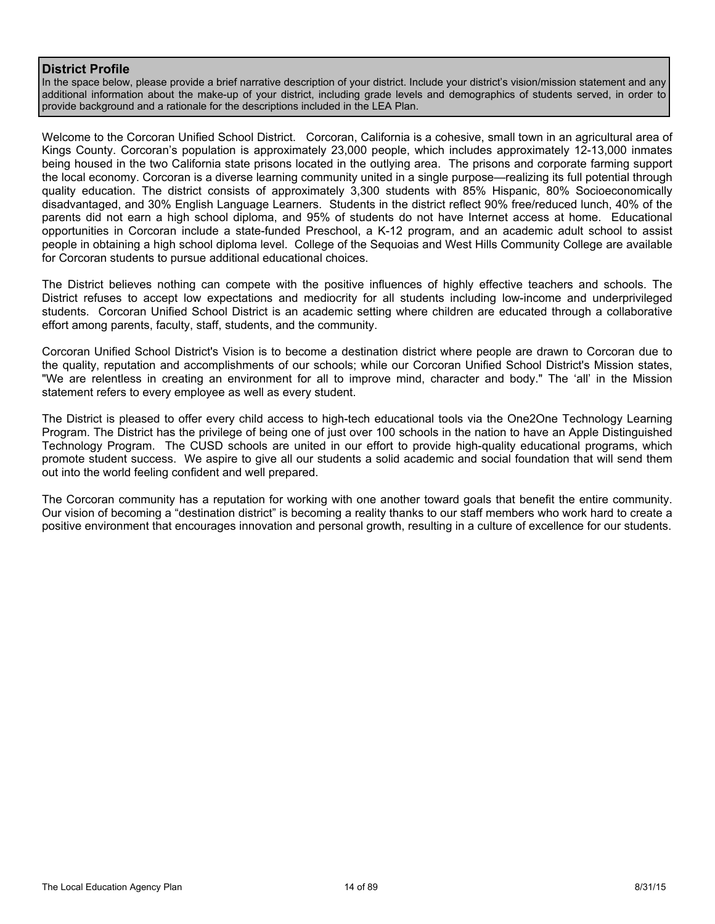#### **District Profile**

In the space below, please provide a brief narrative description of your district. Include your district's vision/mission statement and any additional information about the make-up of your district, including grade levels and demographics of students served, in order to provide background and a rationale for the descriptions included in the LEA Plan.

Welcome to the Corcoran Unified School District. Corcoran, California is a cohesive, small town in an agricultural area of Kings County. Corcoran's population is approximately 23,000 people, which includes approximately 12-13,000 inmates being housed in the two California state prisons located in the outlying area. The prisons and corporate farming support the local economy. Corcoran is a diverse learning community united in a single purpose—realizing its full potential through quality education. The district consists of approximately 3,300 students with 85% Hispanic, 80% Socioeconomically disadvantaged, and 30% English Language Learners. Students in the district reflect 90% free/reduced lunch, 40% of the parents did not earn a high school diploma, and 95% of students do not have Internet access at home. Educational opportunities in Corcoran include a state-funded Preschool, a K-12 program, and an academic adult school to assist people in obtaining a high school diploma level. College of the Sequoias and West Hills Community College are available for Corcoran students to pursue additional educational choices.

The District believes nothing can compete with the positive influences of highly effective teachers and schools. The District refuses to accept low expectations and mediocrity for all students including low-income and underprivileged students. Corcoran Unified School District is an academic setting where children are educated through a collaborative effort among parents, faculty, staff, students, and the community.

Corcoran Unified School District's Vision is to become a destination district where people are drawn to Corcoran due to the quality, reputation and accomplishments of our schools; while our Corcoran Unified School District's Mission states, "We are relentless in creating an environment for all to improve mind, character and body." The 'all' in the Mission statement refers to every employee as well as every student.

The District is pleased to offer every child access to high-tech educational tools via the One2One Technology Learning Program. The District has the privilege of being one of just over 100 schools in the nation to have an Apple Distinguished Technology Program. The CUSD schools are united in our effort to provide high-quality educational programs, which promote student success. We aspire to give all our students a solid academic and social foundation that will send them out into the world feeling confident and well prepared.

The Corcoran community has a reputation for working with one another toward goals that benefit the entire community. Our vision of becoming a "destination district" is becoming a reality thanks to our staff members who work hard to create a positive environment that encourages innovation and personal growth, resulting in a culture of excellence for our students.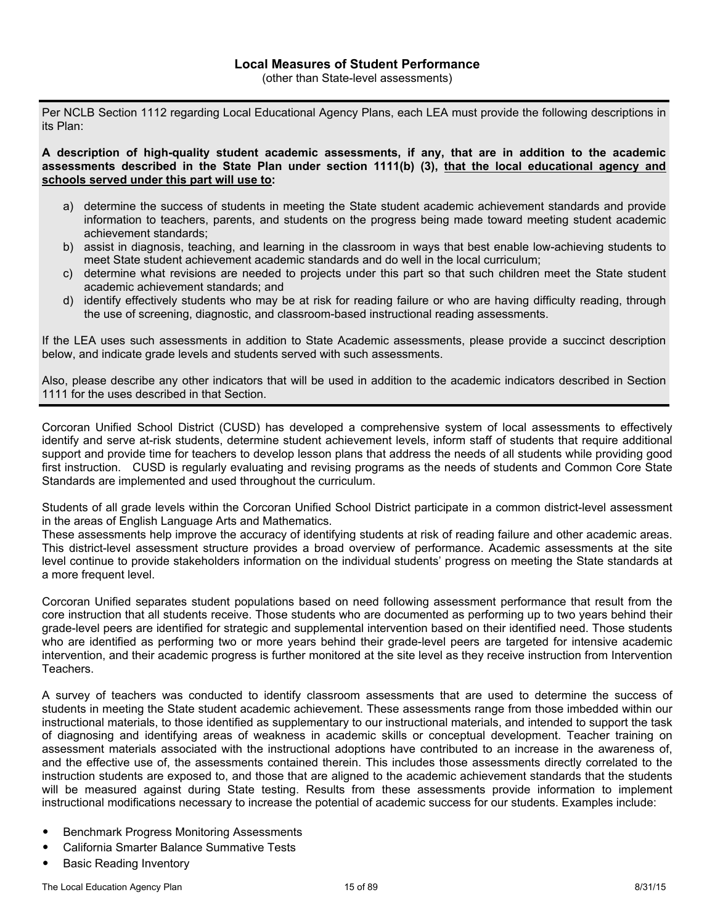Per NCLB Section 1112 regarding Local Educational Agency Plans, each LEA must provide the following descriptions in its Plan:

**A description of high-quality student academic assessments, if any, that are in addition to the academic assessments described in the State Plan under section 1111(b) (3), that the local educational agency and schools served under this part will use to:**

- a) determine the success of students in meeting the State student academic achievement standards and provide information to teachers, parents, and students on the progress being made toward meeting student academic achievement standards;
- b) assist in diagnosis, teaching, and learning in the classroom in ways that best enable low-achieving students to meet State student achievement academic standards and do well in the local curriculum;
- c) determine what revisions are needed to projects under this part so that such children meet the State student academic achievement standards; and
- d) identify effectively students who may be at risk for reading failure or who are having difficulty reading, through the use of screening, diagnostic, and classroom-based instructional reading assessments.

If the LEA uses such assessments in addition to State Academic assessments, please provide a succinct description below, and indicate grade levels and students served with such assessments.

Also, please describe any other indicators that will be used in addition to the academic indicators described in Section 1111 for the uses described in that Section.

Corcoran Unified School District (CUSD) has developed a comprehensive system of local assessments to effectively identify and serve at-risk students, determine student achievement levels, inform staff of students that require additional support and provide time for teachers to develop lesson plans that address the needs of all students while providing good first instruction. CUSD is regularly evaluating and revising programs as the needs of students and Common Core State Standards are implemented and used throughout the curriculum.

Students of all grade levels within the Corcoran Unified School District participate in a common district-level assessment in the areas of English Language Arts and Mathematics.

These assessments help improve the accuracy of identifying students at risk of reading failure and other academic areas. This district-level assessment structure provides a broad overview of performance. Academic assessments at the site level continue to provide stakeholders information on the individual students' progress on meeting the State standards at a more frequent level.

Corcoran Unified separates student populations based on need following assessment performance that result from the core instruction that all students receive. Those students who are documented as performing up to two years behind their grade-level peers are identified for strategic and supplemental intervention based on their identified need. Those students who are identified as performing two or more years behind their grade-level peers are targeted for intensive academic intervention, and their academic progress is further monitored at the site level as they receive instruction from Intervention Teachers.

A survey of teachers was conducted to identify classroom assessments that are used to determine the success of students in meeting the State student academic achievement. These assessments range from those imbedded within our instructional materials, to those identified as supplementary to our instructional materials, and intended to support the task of diagnosing and identifying areas of weakness in academic skills or conceptual development. Teacher training on assessment materials associated with the instructional adoptions have contributed to an increase in the awareness of, and the effective use of, the assessments contained therein. This includes those assessments directly correlated to the instruction students are exposed to, and those that are aligned to the academic achievement standards that the students will be measured against during State testing. Results from these assessments provide information to implement instructional modifications necessary to increase the potential of academic success for our students. Examples include:

- Benchmark Progress Monitoring Assessments
- California Smarter Balance Summative Tests
- **Basic Reading Inventory**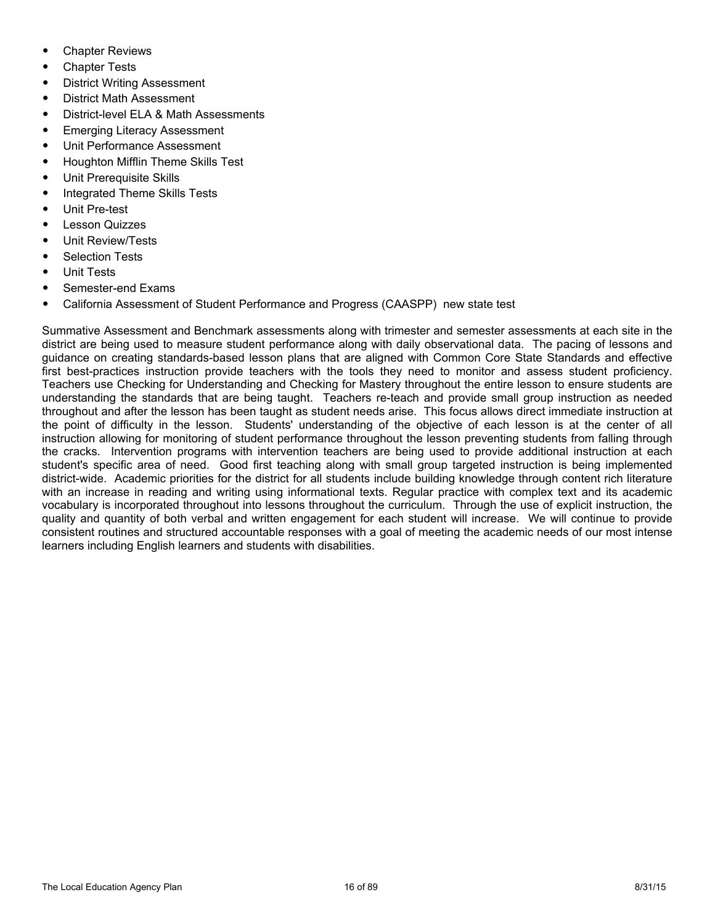- **Chapter Reviews**
- **Chapter Tests**
- District Writing Assessment
- District Math Assessment
- District-level ELA & Math Assessments
- Emerging Literacy Assessment
- Unit Performance Assessment
- Houghton Mifflin Theme Skills Test
- Unit Prerequisite Skills
- Integrated Theme Skills Tests
- Unit Pre-test
- **Lesson Quizzes**
- Unit Review/Tests
- Selection Tests
- Unit Tests
- Semester-end Exams
- California Assessment of Student Performance and Progress (CAASPP) new state test

Summative Assessment and Benchmark assessments along with trimester and semester assessments at each site in the district are being used to measure student performance along with daily observational data. The pacing of lessons and guidance on creating standards-based lesson plans that are aligned with Common Core State Standards and effective first best-practices instruction provide teachers with the tools they need to monitor and assess student proficiency. Teachers use Checking for Understanding and Checking for Mastery throughout the entire lesson to ensure students are understanding the standards that are being taught. Teachers re-teach and provide small group instruction as needed throughout and after the lesson has been taught as student needs arise. This focus allows direct immediate instruction at the point of difficulty in the lesson. Students' understanding of the objective of each lesson is at the center of all instruction allowing for monitoring of student performance throughout the lesson preventing students from falling through the cracks. Intervention programs with intervention teachers are being used to provide additional instruction at each student's specific area of need. Good first teaching along with small group targeted instruction is being implemented district-wide. Academic priorities for the district for all students include building knowledge through content rich literature with an increase in reading and writing using informational texts. Regular practice with complex text and its academic vocabulary is incorporated throughout into lessons throughout the curriculum. Through the use of explicit instruction, the quality and quantity of both verbal and written engagement for each student will increase. We will continue to provide consistent routines and structured accountable responses with a goal of meeting the academic needs of our most intense learners including English learners and students with disabilities.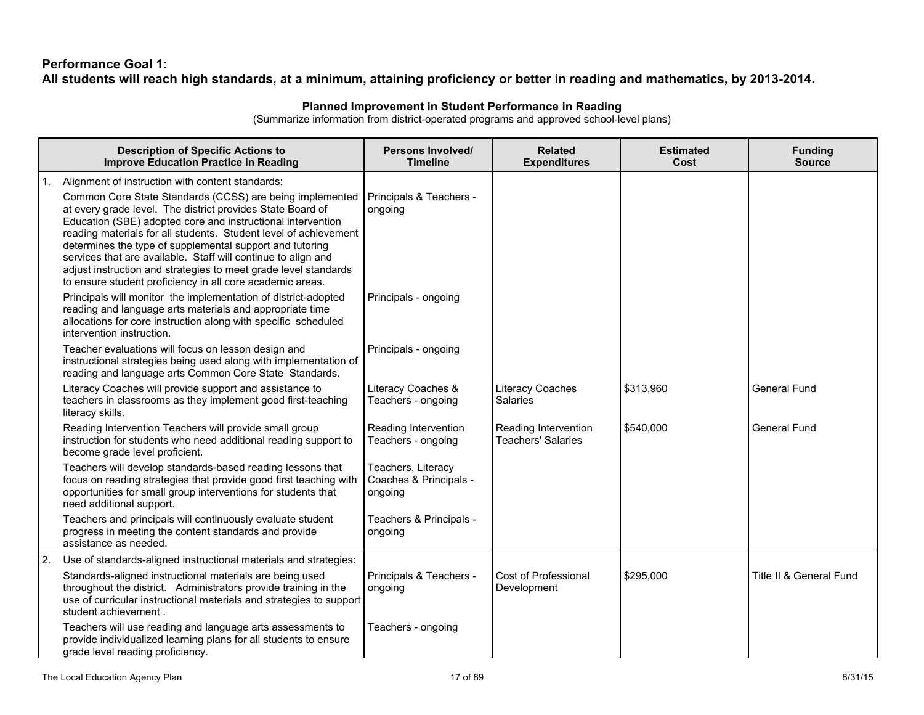## **Performance Goal 1:** All students will reach high standards, at a minimum, attaining proficiency or better in reading and mathematics, by 2013-2014.

#### **Planned Improvement in Student Performance in Reading**

(Summarize information from district-operated programs and approved school-level plans)

|    | <b>Description of Specific Actions to</b><br><b>Improve Education Practice in Reading</b>                                                                                                                                                                                                                                                                                                                                                                                                                                                                                  | Persons Involved/<br><b>Timeline</b>                    | <b>Related</b><br><b>Expenditures</b>             | <b>Estimated</b><br>Cost | <b>Funding</b><br><b>Source</b> |
|----|----------------------------------------------------------------------------------------------------------------------------------------------------------------------------------------------------------------------------------------------------------------------------------------------------------------------------------------------------------------------------------------------------------------------------------------------------------------------------------------------------------------------------------------------------------------------------|---------------------------------------------------------|---------------------------------------------------|--------------------------|---------------------------------|
| 1. | Alignment of instruction with content standards:<br>Common Core State Standards (CCSS) are being implemented<br>at every grade level. The district provides State Board of<br>Education (SBE) adopted core and instructional intervention<br>reading materials for all students. Student level of achievement<br>determines the type of supplemental support and tutoring<br>services that are available. Staff will continue to align and<br>adjust instruction and strategies to meet grade level standards<br>to ensure student proficiency in all core academic areas. | Principals & Teachers -<br>ongoing                      |                                                   |                          |                                 |
|    | Principals will monitor the implementation of district-adopted<br>reading and language arts materials and appropriate time<br>allocations for core instruction along with specific scheduled<br>intervention instruction.                                                                                                                                                                                                                                                                                                                                                  | Principals - ongoing                                    |                                                   |                          |                                 |
|    | Teacher evaluations will focus on lesson design and<br>instructional strategies being used along with implementation of<br>reading and language arts Common Core State Standards.                                                                                                                                                                                                                                                                                                                                                                                          | Principals - ongoing                                    |                                                   |                          |                                 |
|    | Literacy Coaches will provide support and assistance to<br>teachers in classrooms as they implement good first-teaching<br>literacy skills.                                                                                                                                                                                                                                                                                                                                                                                                                                | Literacy Coaches &<br>Teachers - ongoing                | Literacy Coaches<br><b>Salaries</b>               | \$313,960                | <b>General Fund</b>             |
|    | Reading Intervention Teachers will provide small group<br>instruction for students who need additional reading support to<br>become grade level proficient.                                                                                                                                                                                                                                                                                                                                                                                                                | Reading Intervention<br>Teachers - ongoing              | Reading Intervention<br><b>Teachers' Salaries</b> | \$540,000                | <b>General Fund</b>             |
|    | Teachers will develop standards-based reading lessons that<br>focus on reading strategies that provide good first teaching with<br>opportunities for small group interventions for students that<br>need additional support.                                                                                                                                                                                                                                                                                                                                               | Teachers, Literacy<br>Coaches & Principals -<br>ongoing |                                                   |                          |                                 |
|    | Teachers and principals will continuously evaluate student<br>progress in meeting the content standards and provide<br>assistance as needed.                                                                                                                                                                                                                                                                                                                                                                                                                               | Teachers & Principals -<br>ongoing                      |                                                   |                          |                                 |
| 2. | Use of standards-aligned instructional materials and strategies:                                                                                                                                                                                                                                                                                                                                                                                                                                                                                                           |                                                         |                                                   |                          |                                 |
|    | Standards-aligned instructional materials are being used<br>throughout the district. Administrators provide training in the<br>use of curricular instructional materials and strategies to support<br>student achievement.                                                                                                                                                                                                                                                                                                                                                 | Principals & Teachers -<br>ongoing                      | Cost of Professional<br>Development               | \$295,000                | Title II & General Fund         |
|    | Teachers will use reading and language arts assessments to<br>provide individualized learning plans for all students to ensure<br>grade level reading proficiency.                                                                                                                                                                                                                                                                                                                                                                                                         | Teachers - ongoing                                      |                                                   |                          |                                 |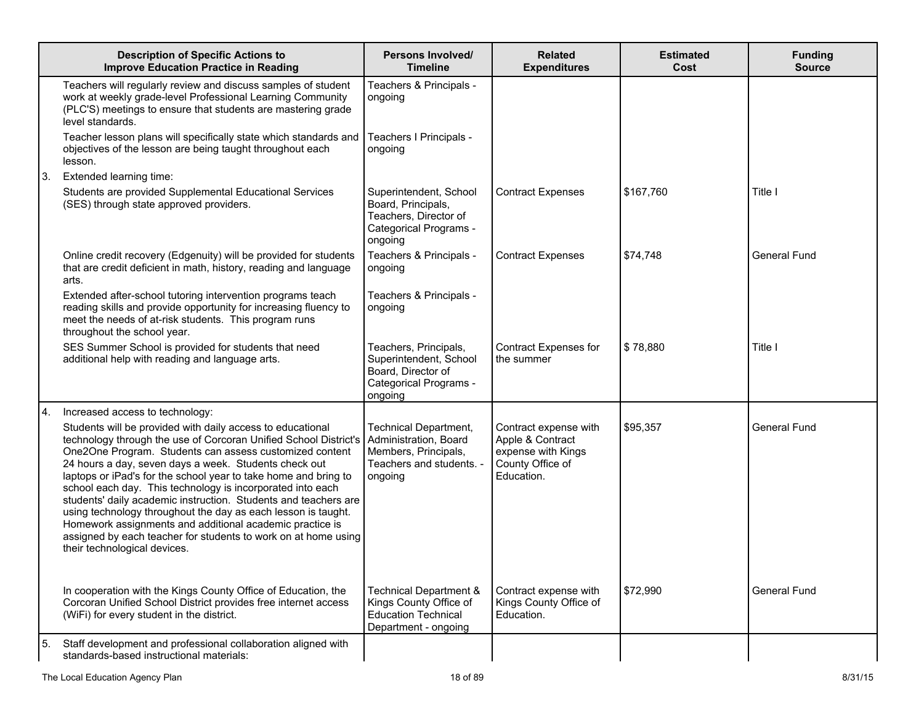|    | <b>Description of Specific Actions to</b><br><b>Improve Education Practice in Reading</b>                                                                                                                                                                                                                                                                                                                                                                                                                                                                                                                                                                                                                   | Persons Involved/<br><b>Timeline</b>                                                                       | <b>Related</b><br><b>Expenditures</b>                                                             | <b>Estimated</b><br>Cost | <b>Funding</b><br><b>Source</b> |
|----|-------------------------------------------------------------------------------------------------------------------------------------------------------------------------------------------------------------------------------------------------------------------------------------------------------------------------------------------------------------------------------------------------------------------------------------------------------------------------------------------------------------------------------------------------------------------------------------------------------------------------------------------------------------------------------------------------------------|------------------------------------------------------------------------------------------------------------|---------------------------------------------------------------------------------------------------|--------------------------|---------------------------------|
|    | Teachers will regularly review and discuss samples of student<br>work at weekly grade-level Professional Learning Community<br>(PLC'S) meetings to ensure that students are mastering grade<br>level standards.                                                                                                                                                                                                                                                                                                                                                                                                                                                                                             | Teachers & Principals -<br>ongoing                                                                         |                                                                                                   |                          |                                 |
|    | Teacher lesson plans will specifically state which standards and<br>objectives of the lesson are being taught throughout each<br>lesson.                                                                                                                                                                                                                                                                                                                                                                                                                                                                                                                                                                    | Teachers I Principals -<br>ongoing                                                                         |                                                                                                   |                          |                                 |
| 3. | Extended learning time:                                                                                                                                                                                                                                                                                                                                                                                                                                                                                                                                                                                                                                                                                     |                                                                                                            |                                                                                                   |                          |                                 |
|    | Students are provided Supplemental Educational Services<br>(SES) through state approved providers.                                                                                                                                                                                                                                                                                                                                                                                                                                                                                                                                                                                                          | Superintendent, School<br>Board, Principals,<br>Teachers, Director of<br>Categorical Programs -<br>ongoing | <b>Contract Expenses</b>                                                                          | \$167,760                | Title I                         |
|    | Online credit recovery (Edgenuity) will be provided for students<br>that are credit deficient in math, history, reading and language<br>arts.                                                                                                                                                                                                                                                                                                                                                                                                                                                                                                                                                               | Teachers & Principals -<br>ongoing                                                                         | <b>Contract Expenses</b>                                                                          | \$74,748                 | <b>General Fund</b>             |
|    | Extended after-school tutoring intervention programs teach<br>reading skills and provide opportunity for increasing fluency to<br>meet the needs of at-risk students. This program runs<br>throughout the school year.                                                                                                                                                                                                                                                                                                                                                                                                                                                                                      | Teachers & Principals -<br>ongoing                                                                         |                                                                                                   |                          |                                 |
|    | SES Summer School is provided for students that need<br>additional help with reading and language arts.                                                                                                                                                                                                                                                                                                                                                                                                                                                                                                                                                                                                     | Teachers, Principals,<br>Superintendent, School<br>Board, Director of<br>Categorical Programs -<br>ongoing | <b>Contract Expenses for</b><br>the summer                                                        | \$78,880                 | Title I                         |
| 4. | Increased access to technology:                                                                                                                                                                                                                                                                                                                                                                                                                                                                                                                                                                                                                                                                             |                                                                                                            |                                                                                                   |                          |                                 |
|    | Students will be provided with daily access to educational<br>technology through the use of Corcoran Unified School District's Administration, Board<br>One2One Program. Students can assess customized content<br>24 hours a day, seven days a week. Students check out<br>laptops or iPad's for the school year to take home and bring to<br>school each day. This technology is incorporated into each<br>students' daily academic instruction. Students and teachers are<br>using technology throughout the day as each lesson is taught.<br>Homework assignments and additional academic practice is<br>assigned by each teacher for students to work on at home using<br>their technological devices. | <b>Technical Department,</b><br>Members, Principals,<br>Teachers and students. -<br>ongoing                | Contract expense with<br>Apple & Contract<br>expense with Kings<br>County Office of<br>Education. | \$95,357                 | <b>General Fund</b>             |
|    | In cooperation with the Kings County Office of Education, the<br>Corcoran Unified School District provides free internet access<br>(WiFi) for every student in the district.                                                                                                                                                                                                                                                                                                                                                                                                                                                                                                                                | Technical Department &<br>Kings County Office of<br><b>Education Technical</b><br>Department - ongoing     | Contract expense with<br>Kings County Office of<br>Education.                                     | \$72,990                 | General Fund                    |
| 5. | Staff development and professional collaboration aligned with<br>standards-based instructional materials:                                                                                                                                                                                                                                                                                                                                                                                                                                                                                                                                                                                                   |                                                                                                            |                                                                                                   |                          |                                 |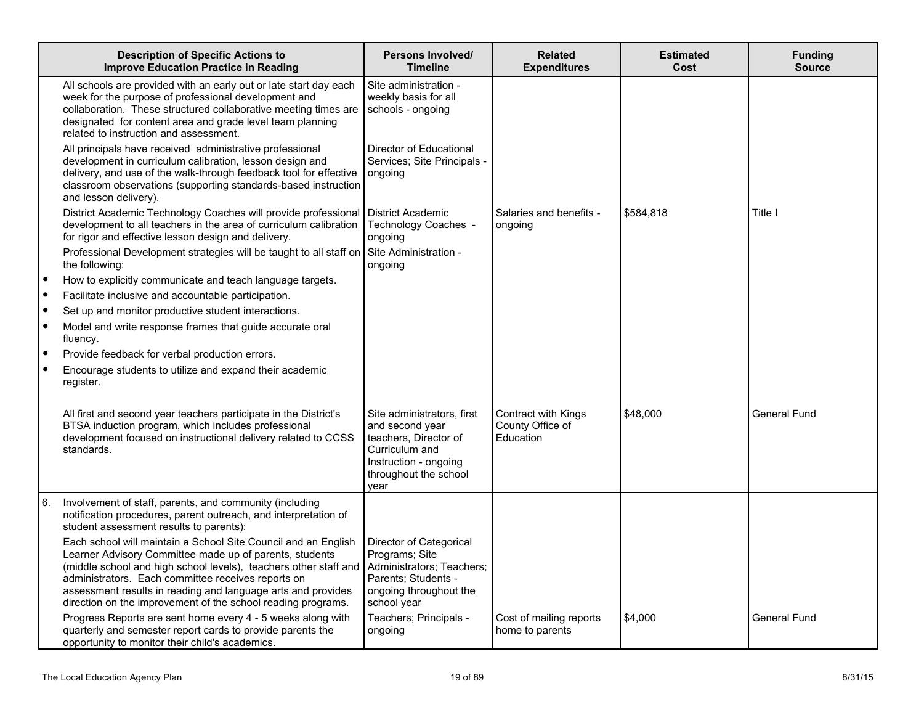|    | <b>Description of Specific Actions to</b><br><b>Improve Education Practice in Reading</b>                                                                                                                                                                                                                                                                                           | Persons Involved/<br><b>Timeline</b>                                                                                                               | <b>Related</b><br><b>Expenditures</b>                | <b>Estimated</b><br>Cost | <b>Funding</b><br><b>Source</b> |
|----|-------------------------------------------------------------------------------------------------------------------------------------------------------------------------------------------------------------------------------------------------------------------------------------------------------------------------------------------------------------------------------------|----------------------------------------------------------------------------------------------------------------------------------------------------|------------------------------------------------------|--------------------------|---------------------------------|
|    | All schools are provided with an early out or late start day each<br>week for the purpose of professional development and<br>collaboration. These structured collaborative meeting times are<br>designated for content area and grade level team planning<br>related to instruction and assessment.                                                                                 | Site administration -<br>weekly basis for all<br>schools - ongoing                                                                                 |                                                      |                          |                                 |
|    | All principals have received administrative professional<br>development in curriculum calibration, lesson design and<br>delivery, and use of the walk-through feedback tool for effective<br>classroom observations (supporting standards-based instruction<br>and lesson delivery).                                                                                                | Director of Educational<br>Services; Site Principals -<br>ongoing                                                                                  |                                                      |                          |                                 |
|    | District Academic Technology Coaches will provide professional<br>development to all teachers in the area of curriculum calibration<br>for rigor and effective lesson design and delivery.                                                                                                                                                                                          | <b>District Academic</b><br>Technology Coaches -<br>ongoing                                                                                        | Salaries and benefits -<br>ongoing                   | \$584,818                | Title I                         |
|    | Professional Development strategies will be taught to all staff on Site Administration -<br>the following:                                                                                                                                                                                                                                                                          | ongoing                                                                                                                                            |                                                      |                          |                                 |
|    | How to explicitly communicate and teach language targets.                                                                                                                                                                                                                                                                                                                           |                                                                                                                                                    |                                                      |                          |                                 |
|    | Facilitate inclusive and accountable participation.                                                                                                                                                                                                                                                                                                                                 |                                                                                                                                                    |                                                      |                          |                                 |
|    | Set up and monitor productive student interactions.                                                                                                                                                                                                                                                                                                                                 |                                                                                                                                                    |                                                      |                          |                                 |
|    | Model and write response frames that guide accurate oral<br>fluency.                                                                                                                                                                                                                                                                                                                |                                                                                                                                                    |                                                      |                          |                                 |
|    | Provide feedback for verbal production errors.                                                                                                                                                                                                                                                                                                                                      |                                                                                                                                                    |                                                      |                          |                                 |
|    | Encourage students to utilize and expand their academic<br>register.                                                                                                                                                                                                                                                                                                                |                                                                                                                                                    |                                                      |                          |                                 |
|    | All first and second year teachers participate in the District's<br>BTSA induction program, which includes professional<br>development focused on instructional delivery related to CCSS<br>standards.                                                                                                                                                                              | Site administrators, first<br>and second year<br>teachers, Director of<br>Curriculum and<br>Instruction - ongoing<br>throughout the school<br>vear | Contract with Kings<br>County Office of<br>Education | \$48,000                 | General Fund                    |
| 6. | Involvement of staff, parents, and community (including<br>notification procedures, parent outreach, and interpretation of<br>student assessment results to parents):                                                                                                                                                                                                               |                                                                                                                                                    |                                                      |                          |                                 |
|    | Each school will maintain a School Site Council and an English<br>Learner Advisory Committee made up of parents, students<br>(middle school and high school levels), teachers other staff and<br>administrators. Each committee receives reports on<br>assessment results in reading and language arts and provides<br>direction on the improvement of the school reading programs. | Director of Categorical<br>Programs; Site<br>Administrators; Teachers;<br>Parents; Students -<br>ongoing throughout the<br>school year             |                                                      |                          |                                 |
|    | Progress Reports are sent home every 4 - 5 weeks along with<br>quarterly and semester report cards to provide parents the<br>opportunity to monitor their child's academics.                                                                                                                                                                                                        | Teachers; Principals -<br>ongoing                                                                                                                  | Cost of mailing reports<br>home to parents           | \$4,000                  | General Fund                    |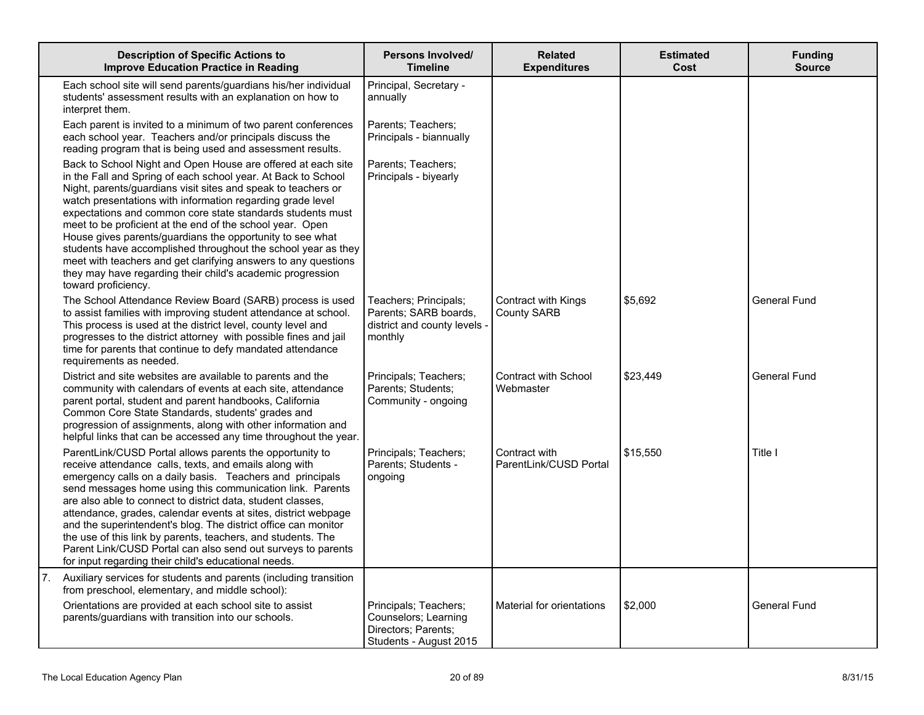|    | <b>Description of Specific Actions to</b><br><b>Improve Education Practice in Reading</b>                                                                                                                                                                                                                                                                                                                                                                                                                                                                                                                                                                                    | Persons Involved/<br><b>Timeline</b>                                                      | <b>Related</b><br><b>Expenditures</b>     | <b>Estimated</b><br>Cost | <b>Funding</b><br><b>Source</b> |
|----|------------------------------------------------------------------------------------------------------------------------------------------------------------------------------------------------------------------------------------------------------------------------------------------------------------------------------------------------------------------------------------------------------------------------------------------------------------------------------------------------------------------------------------------------------------------------------------------------------------------------------------------------------------------------------|-------------------------------------------------------------------------------------------|-------------------------------------------|--------------------------|---------------------------------|
|    | Each school site will send parents/guardians his/her individual<br>students' assessment results with an explanation on how to<br>interpret them.                                                                                                                                                                                                                                                                                                                                                                                                                                                                                                                             | Principal, Secretary -<br>annually                                                        |                                           |                          |                                 |
|    | Each parent is invited to a minimum of two parent conferences<br>each school year. Teachers and/or principals discuss the<br>reading program that is being used and assessment results.                                                                                                                                                                                                                                                                                                                                                                                                                                                                                      | Parents: Teachers:<br>Principals - biannually                                             |                                           |                          |                                 |
|    | Back to School Night and Open House are offered at each site<br>in the Fall and Spring of each school year. At Back to School<br>Night, parents/guardians visit sites and speak to teachers or<br>watch presentations with information regarding grade level<br>expectations and common core state standards students must<br>meet to be proficient at the end of the school year. Open<br>House gives parents/guardians the opportunity to see what<br>students have accomplished throughout the school year as they<br>meet with teachers and get clarifying answers to any questions<br>they may have regarding their child's academic progression<br>toward proficiency. | Parents; Teachers;<br>Principals - biyearly                                               |                                           |                          |                                 |
|    | The School Attendance Review Board (SARB) process is used<br>to assist families with improving student attendance at school.<br>This process is used at the district level, county level and<br>progresses to the district attorney with possible fines and jail<br>time for parents that continue to defy mandated attendance<br>requirements as needed.                                                                                                                                                                                                                                                                                                                    | Teachers; Principals;<br>Parents; SARB boards,<br>district and county levels -<br>monthly | Contract with Kings<br><b>County SARB</b> | \$5,692                  | <b>General Fund</b>             |
|    | District and site websites are available to parents and the<br>community with calendars of events at each site, attendance<br>parent portal, student and parent handbooks, California<br>Common Core State Standards, students' grades and<br>progression of assignments, along with other information and<br>helpful links that can be accessed any time throughout the year.                                                                                                                                                                                                                                                                                               | Principals; Teachers;<br>Parents; Students;<br>Community - ongoing                        | <b>Contract with School</b><br>Webmaster  | \$23,449                 | <b>General Fund</b>             |
|    | ParentLink/CUSD Portal allows parents the opportunity to<br>receive attendance calls, texts, and emails along with<br>emergency calls on a daily basis. Teachers and principals<br>send messages home using this communication link. Parents<br>are also able to connect to district data, student classes,<br>attendance, grades, calendar events at sites, district webpage<br>and the superintendent's blog. The district office can monitor<br>the use of this link by parents, teachers, and students. The<br>Parent Link/CUSD Portal can also send out surveys to parents<br>for input regarding their child's educational needs.                                      | Principals; Teachers;<br>Parents; Students -<br>ongoing                                   | Contract with<br>ParentLink/CUSD Portal   | \$15,550                 | Title I                         |
| 7. | Auxiliary services for students and parents (including transition<br>from preschool, elementary, and middle school):<br>Orientations are provided at each school site to assist                                                                                                                                                                                                                                                                                                                                                                                                                                                                                              | Principals; Teachers;                                                                     | Material for orientations                 | \$2,000                  | General Fund                    |
|    | parents/guardians with transition into our schools.                                                                                                                                                                                                                                                                                                                                                                                                                                                                                                                                                                                                                          | Counselors; Learning<br>Directors; Parents;<br>Students - August 2015                     |                                           |                          |                                 |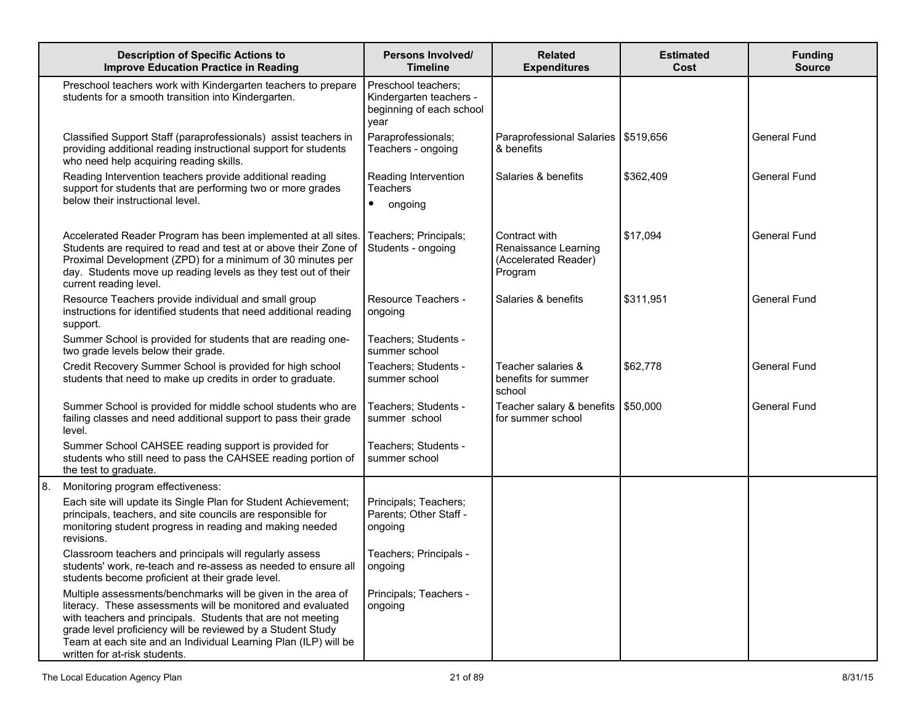|    | <b>Description of Specific Actions to</b><br><b>Improve Education Practice in Reading</b>                                                                                                                                                                                                                                                                     | Persons Involved/<br><b>Timeline</b>                                               | <b>Related</b><br><b>Expenditures</b>                                    | <b>Estimated</b><br>Cost | <b>Funding</b><br><b>Source</b> |
|----|---------------------------------------------------------------------------------------------------------------------------------------------------------------------------------------------------------------------------------------------------------------------------------------------------------------------------------------------------------------|------------------------------------------------------------------------------------|--------------------------------------------------------------------------|--------------------------|---------------------------------|
|    | Preschool teachers work with Kindergarten teachers to prepare<br>students for a smooth transition into Kindergarten.                                                                                                                                                                                                                                          | Preschool teachers;<br>Kindergarten teachers -<br>beginning of each school<br>year |                                                                          |                          |                                 |
|    | Classified Support Staff (paraprofessionals) assist teachers in<br>providing additional reading instructional support for students<br>who need help acquiring reading skills.                                                                                                                                                                                 | Paraprofessionals;<br>Teachers - ongoing                                           | Paraprofessional Salaries   \$519,656<br>& benefits                      |                          | <b>General Fund</b>             |
|    | Reading Intervention teachers provide additional reading<br>support for students that are performing two or more grades<br>below their instructional level.                                                                                                                                                                                                   | Reading Intervention<br>Teachers<br>ongoing<br>٠                                   | Salaries & benefits                                                      | \$362,409                | General Fund                    |
|    | Accelerated Reader Program has been implemented at all sites.<br>Students are required to read and test at or above their Zone of<br>Proximal Development (ZPD) for a minimum of 30 minutes per<br>day. Students move up reading levels as they test out of their<br>current reading level.                                                                   | Teachers; Principals;<br>Students - ongoing                                        | Contract with<br>Renaissance Learning<br>(Accelerated Reader)<br>Program | \$17,094                 | <b>General Fund</b>             |
|    | Resource Teachers provide individual and small group<br>instructions for identified students that need additional reading<br>support.                                                                                                                                                                                                                         | Resource Teachers -<br>ongoing                                                     | Salaries & benefits                                                      | \$311,951                | <b>General Fund</b>             |
|    | Summer School is provided for students that are reading one-<br>two grade levels below their grade.                                                                                                                                                                                                                                                           | Teachers; Students -<br>summer school                                              |                                                                          |                          |                                 |
|    | Credit Recovery Summer School is provided for high school<br>students that need to make up credits in order to graduate.                                                                                                                                                                                                                                      | Teachers; Students -<br>summer school                                              | Teacher salaries &<br>benefits for summer<br>school                      | \$62,778                 | <b>General Fund</b>             |
|    | Summer School is provided for middle school students who are<br>failing classes and need additional support to pass their grade<br>level.                                                                                                                                                                                                                     | Teachers; Students -<br>summer school                                              | Teacher salary & benefits<br>for summer school                           | \$50,000                 | <b>General Fund</b>             |
|    | Summer School CAHSEE reading support is provided for<br>students who still need to pass the CAHSEE reading portion of<br>the test to graduate.                                                                                                                                                                                                                | Teachers; Students -<br>summer school                                              |                                                                          |                          |                                 |
| 8. | Monitoring program effectiveness:                                                                                                                                                                                                                                                                                                                             |                                                                                    |                                                                          |                          |                                 |
|    | Each site will update its Single Plan for Student Achievement;<br>principals, teachers, and site councils are responsible for<br>monitoring student progress in reading and making needed<br>revisions.                                                                                                                                                       | Principals; Teachers;<br>Parents; Other Staff -<br>ongoing                         |                                                                          |                          |                                 |
|    | Classroom teachers and principals will regularly assess<br>students' work, re-teach and re-assess as needed to ensure all<br>students become proficient at their grade level.                                                                                                                                                                                 | Teachers; Principals -<br>ongoing                                                  |                                                                          |                          |                                 |
|    | Multiple assessments/benchmarks will be given in the area of<br>literacy. These assessments will be monitored and evaluated<br>with teachers and principals. Students that are not meeting<br>grade level proficiency will be reviewed by a Student Study<br>Team at each site and an Individual Learning Plan (ILP) will be<br>written for at-risk students. | Principals; Teachers -<br>ongoing                                                  |                                                                          |                          |                                 |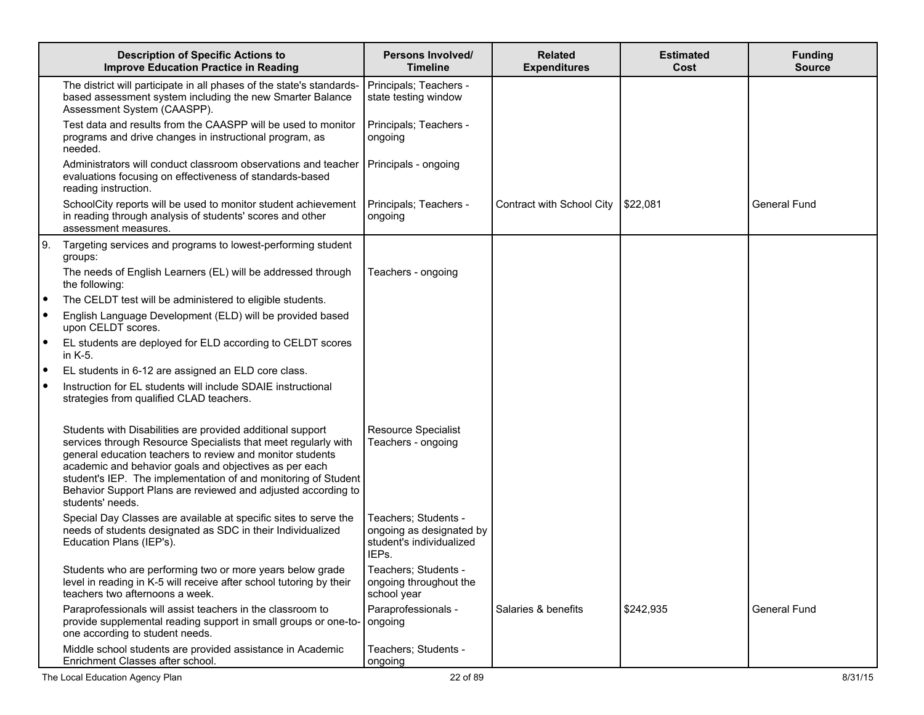|           | <b>Description of Specific Actions to</b><br><b>Improve Education Practice in Reading</b>                                                                                                                                                                                                                                                                                                                  | <b>Persons Involved/</b><br><b>Timeline</b>                                           | <b>Related</b><br><b>Expenditures</b> | <b>Estimated</b><br>Cost | <b>Funding</b><br><b>Source</b> |
|-----------|------------------------------------------------------------------------------------------------------------------------------------------------------------------------------------------------------------------------------------------------------------------------------------------------------------------------------------------------------------------------------------------------------------|---------------------------------------------------------------------------------------|---------------------------------------|--------------------------|---------------------------------|
|           | The district will participate in all phases of the state's standards-<br>based assessment system including the new Smarter Balance<br>Assessment System (CAASPP).                                                                                                                                                                                                                                          | Principals; Teachers -<br>state testing window                                        |                                       |                          |                                 |
|           | Test data and results from the CAASPP will be used to monitor<br>programs and drive changes in instructional program, as<br>needed.                                                                                                                                                                                                                                                                        | Principals; Teachers -<br>ongoing                                                     |                                       |                          |                                 |
|           | Administrators will conduct classroom observations and teacher<br>evaluations focusing on effectiveness of standards-based<br>reading instruction.                                                                                                                                                                                                                                                         | Principals - ongoing                                                                  |                                       |                          |                                 |
|           | SchoolCity reports will be used to monitor student achievement<br>in reading through analysis of students' scores and other<br>assessment measures.                                                                                                                                                                                                                                                        | Principals; Teachers -<br>ongoing                                                     | Contract with School City             | \$22,081                 | <b>General Fund</b>             |
| 9.        | Targeting services and programs to lowest-performing student<br>groups:                                                                                                                                                                                                                                                                                                                                    |                                                                                       |                                       |                          |                                 |
|           | The needs of English Learners (EL) will be addressed through<br>the following:                                                                                                                                                                                                                                                                                                                             | Teachers - ongoing                                                                    |                                       |                          |                                 |
| $\bullet$ | The CELDT test will be administered to eligible students.                                                                                                                                                                                                                                                                                                                                                  |                                                                                       |                                       |                          |                                 |
| $\bullet$ | English Language Development (ELD) will be provided based<br>upon CELDT scores.                                                                                                                                                                                                                                                                                                                            |                                                                                       |                                       |                          |                                 |
| ٠         | EL students are deployed for ELD according to CELDT scores<br>in K-5.                                                                                                                                                                                                                                                                                                                                      |                                                                                       |                                       |                          |                                 |
| ٠         | EL students in 6-12 are assigned an ELD core class.                                                                                                                                                                                                                                                                                                                                                        |                                                                                       |                                       |                          |                                 |
|           | Instruction for EL students will include SDAIE instructional<br>strategies from qualified CLAD teachers.                                                                                                                                                                                                                                                                                                   |                                                                                       |                                       |                          |                                 |
|           | Students with Disabilities are provided additional support<br>services through Resource Specialists that meet regularly with<br>general education teachers to review and monitor students<br>academic and behavior goals and objectives as per each<br>student's IEP. The implementation of and monitoring of Student<br>Behavior Support Plans are reviewed and adjusted according to<br>students' needs. | <b>Resource Specialist</b><br>Teachers - ongoing                                      |                                       |                          |                                 |
|           | Special Day Classes are available at specific sites to serve the<br>needs of students designated as SDC in their Individualized<br>Education Plans (IEP's).                                                                                                                                                                                                                                                | Teachers; Students -<br>ongoing as designated by<br>student's individualized<br>IEPs. |                                       |                          |                                 |
|           | Students who are performing two or more years below grade<br>level in reading in K-5 will receive after school tutoring by their<br>teachers two afternoons a week.                                                                                                                                                                                                                                        | Teachers; Students -<br>ongoing throughout the<br>school year                         |                                       |                          |                                 |
|           | Paraprofessionals will assist teachers in the classroom to<br>provide supplemental reading support in small groups or one-to-<br>one according to student needs.                                                                                                                                                                                                                                           | Paraprofessionals -<br>ongoing                                                        | Salaries & benefits                   | \$242,935                | <b>General Fund</b>             |
|           | Middle school students are provided assistance in Academic<br>Enrichment Classes after school.                                                                                                                                                                                                                                                                                                             | Teachers; Students -<br>ongoing                                                       |                                       |                          |                                 |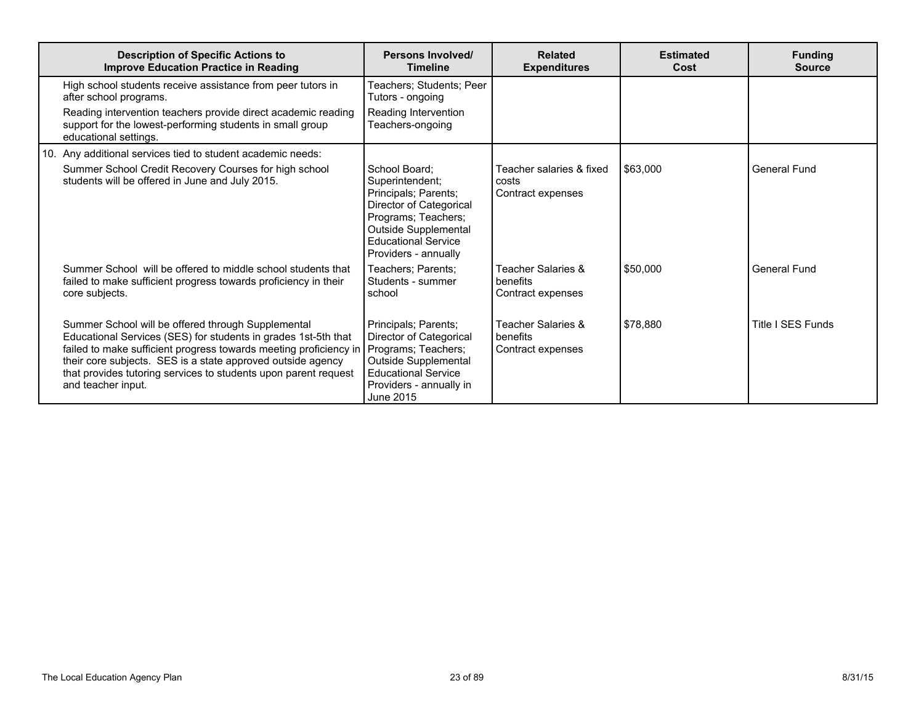| <b>Description of Specific Actions to</b><br><b>Improve Education Practice in Reading</b>                                                                                                                                                                                                                                                                             | Persons Involved/<br><b>Timeline</b>                                                                                                                                                     | <b>Related</b><br><b>Expenditures</b>                  | <b>Estimated</b><br>Cost | <b>Funding</b><br><b>Source</b> |
|-----------------------------------------------------------------------------------------------------------------------------------------------------------------------------------------------------------------------------------------------------------------------------------------------------------------------------------------------------------------------|------------------------------------------------------------------------------------------------------------------------------------------------------------------------------------------|--------------------------------------------------------|--------------------------|---------------------------------|
| High school students receive assistance from peer tutors in<br>after school programs.<br>Reading intervention teachers provide direct academic reading                                                                                                                                                                                                                | Teachers; Students; Peer<br>Tutors - ongoing<br>Reading Intervention                                                                                                                     |                                                        |                          |                                 |
| support for the lowest-performing students in small group<br>educational settings.                                                                                                                                                                                                                                                                                    | Teachers-ongoing                                                                                                                                                                         |                                                        |                          |                                 |
| 10. Any additional services tied to student academic needs:                                                                                                                                                                                                                                                                                                           |                                                                                                                                                                                          |                                                        |                          |                                 |
| Summer School Credit Recovery Courses for high school<br>students will be offered in June and July 2015.                                                                                                                                                                                                                                                              | School Board:<br>Superintendent;<br>Principals; Parents;<br>Director of Categorical<br>Programs; Teachers;<br>Outside Supplemental<br><b>Educational Service</b><br>Providers - annually | Teacher salaries & fixed<br>costs<br>Contract expenses | \$63,000                 | General Fund                    |
| Summer School will be offered to middle school students that<br>failed to make sufficient progress towards proficiency in their<br>core subjects.                                                                                                                                                                                                                     | Teachers; Parents;<br>Students - summer<br>school                                                                                                                                        | Teacher Salaries &<br>benefits<br>Contract expenses    | \$50,000                 | General Fund                    |
| Summer School will be offered through Supplemental<br>Educational Services (SES) for students in grades 1st-5th that<br>failed to make sufficient progress towards meeting proficiency in Programs; Teachers;<br>their core subjects. SES is a state approved outside agency<br>that provides tutoring services to students upon parent request<br>and teacher input. | Principals; Parents;<br>Director of Categorical<br>Outside Supplemental<br><b>Educational Service</b><br>Providers - annually in<br>June 2015                                            | Teacher Salaries &<br>benefits<br>Contract expenses    | \$78,880                 | Title I SES Funds               |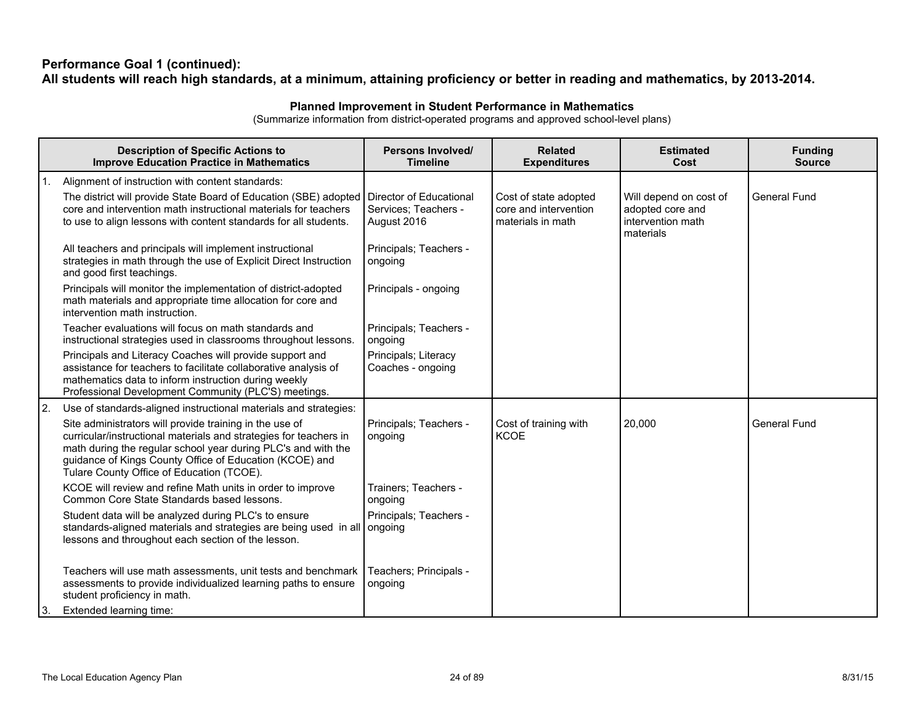### **Performance Goal 1 (continued):** All students will reach high standards, at a minimum, attaining proficiency or better in reading and mathematics, by 2013-2014.

## **Planned Improvement in Student Performance in Mathematics**

(Summarize information from district-operated programs and approved school-level plans)

|    | <b>Description of Specific Actions to</b><br><b>Improve Education Practice in Mathematics</b>                                                                                                                                                                                                         | <b>Persons Involved/</b><br><b>Timeline</b>                    | <b>Related</b><br><b>Expenditures</b>                               | <b>Estimated</b><br>Cost                                                     | <b>Funding</b><br><b>Source</b> |
|----|-------------------------------------------------------------------------------------------------------------------------------------------------------------------------------------------------------------------------------------------------------------------------------------------------------|----------------------------------------------------------------|---------------------------------------------------------------------|------------------------------------------------------------------------------|---------------------------------|
| 1. | Alignment of instruction with content standards:                                                                                                                                                                                                                                                      |                                                                |                                                                     |                                                                              |                                 |
|    | The district will provide State Board of Education (SBE) adopted<br>core and intervention math instructional materials for teachers<br>to use to align lessons with content standards for all students.                                                                                               | Director of Educational<br>Services: Teachers -<br>August 2016 | Cost of state adopted<br>core and intervention<br>materials in math | Will depend on cost of<br>adopted core and<br>intervention math<br>materials | <b>General Fund</b>             |
|    | All teachers and principals will implement instructional<br>strategies in math through the use of Explicit Direct Instruction<br>and good first teachings.                                                                                                                                            | Principals; Teachers -<br>ongoing                              |                                                                     |                                                                              |                                 |
|    | Principals will monitor the implementation of district-adopted<br>math materials and appropriate time allocation for core and<br>intervention math instruction.                                                                                                                                       | Principals - ongoing                                           |                                                                     |                                                                              |                                 |
|    | Teacher evaluations will focus on math standards and<br>instructional strategies used in classrooms throughout lessons.                                                                                                                                                                               | Principals; Teachers -<br>ongoing                              |                                                                     |                                                                              |                                 |
|    | Principals and Literacy Coaches will provide support and<br>assistance for teachers to facilitate collaborative analysis of<br>mathematics data to inform instruction during weekly<br>Professional Development Community (PLC'S) meetings.                                                           | Principals; Literacy<br>Coaches - ongoing                      |                                                                     |                                                                              |                                 |
| 2. | Use of standards-aligned instructional materials and strategies:                                                                                                                                                                                                                                      |                                                                |                                                                     |                                                                              |                                 |
|    | Site administrators will provide training in the use of<br>curricular/instructional materials and strategies for teachers in<br>math during the regular school year during PLC's and with the<br>guidance of Kings County Office of Education (KCOE) and<br>Tulare County Office of Education (TCOE). | Principals; Teachers -<br>ongoing                              | Cost of training with<br><b>KCOE</b>                                | 20,000                                                                       | <b>General Fund</b>             |
|    | KCOE will review and refine Math units in order to improve<br>Common Core State Standards based lessons.                                                                                                                                                                                              | Trainers; Teachers -<br>ongoing                                |                                                                     |                                                                              |                                 |
|    | Student data will be analyzed during PLC's to ensure<br>standards-aligned materials and strategies are being used in all ongoing<br>lessons and throughout each section of the lesson.                                                                                                                | Principals; Teachers -                                         |                                                                     |                                                                              |                                 |
|    | Teachers will use math assessments, unit tests and benchmark<br>assessments to provide individualized learning paths to ensure<br>student proficiency in math.                                                                                                                                        | Teachers; Principals -<br>ongoing                              |                                                                     |                                                                              |                                 |
| 3. | Extended learning time:                                                                                                                                                                                                                                                                               |                                                                |                                                                     |                                                                              |                                 |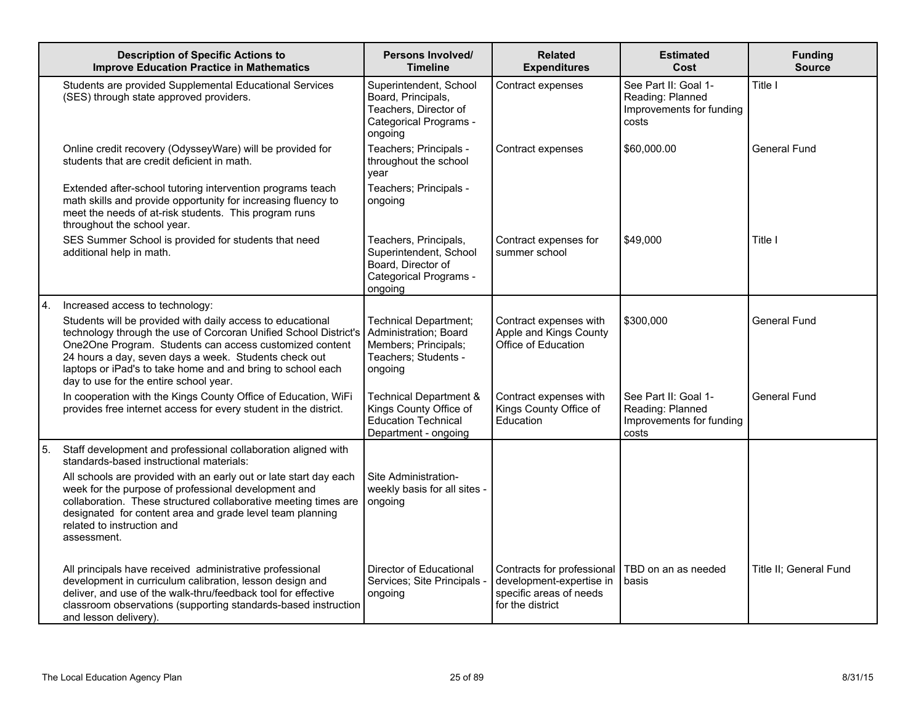|    | <b>Description of Specific Actions to</b><br><b>Improve Education Practice in Mathematics</b>                                                                                                                                                                                                                                                               | Persons Involved/<br><b>Timeline</b>                                                                             | <b>Related</b><br><b>Expenditures</b>                                                                 | <b>Estimated</b><br>Cost                                                      | <b>Funding</b><br>Source |
|----|-------------------------------------------------------------------------------------------------------------------------------------------------------------------------------------------------------------------------------------------------------------------------------------------------------------------------------------------------------------|------------------------------------------------------------------------------------------------------------------|-------------------------------------------------------------------------------------------------------|-------------------------------------------------------------------------------|--------------------------|
|    | Students are provided Supplemental Educational Services<br>(SES) through state approved providers.                                                                                                                                                                                                                                                          | Superintendent, School<br>Board, Principals,<br>Teachers, Director of<br>Categorical Programs -<br>ongoing       | Contract expenses                                                                                     | See Part II: Goal 1-<br>Reading: Planned<br>Improvements for funding<br>costs | Title I                  |
|    | Online credit recovery (OdysseyWare) will be provided for<br>students that are credit deficient in math.                                                                                                                                                                                                                                                    | Teachers; Principals -<br>throughout the school<br>year                                                          | Contract expenses                                                                                     | \$60,000.00                                                                   | General Fund             |
|    | Extended after-school tutoring intervention programs teach<br>math skills and provide opportunity for increasing fluency to<br>meet the needs of at-risk students. This program runs<br>throughout the school year.                                                                                                                                         | Teachers; Principals -<br>ongoing                                                                                |                                                                                                       |                                                                               |                          |
|    | SES Summer School is provided for students that need<br>additional help in math.                                                                                                                                                                                                                                                                            | Teachers, Principals,<br>Superintendent, School<br>Board, Director of<br>Categorical Programs -<br>ongoing       | Contract expenses for<br>summer school                                                                | \$49,000                                                                      | Title I                  |
|    | Increased access to technology:                                                                                                                                                                                                                                                                                                                             |                                                                                                                  |                                                                                                       |                                                                               |                          |
|    | Students will be provided with daily access to educational<br>technology through the use of Corcoran Unified School District's<br>One2One Program. Students can access customized content<br>24 hours a day, seven days a week. Students check out<br>laptops or iPad's to take home and and bring to school each<br>day to use for the entire school year. | <b>Technical Department;</b><br>Administration; Board<br>Members; Principals;<br>Teachers; Students -<br>ongoing | Contract expenses with<br>Apple and Kings County<br>Office of Education                               | \$300,000                                                                     | General Fund             |
|    | In cooperation with the Kings County Office of Education, WiFi<br>provides free internet access for every student in the district.                                                                                                                                                                                                                          | <b>Technical Department &amp;</b><br>Kings County Office of<br>Education Technical<br>Department - ongoing       | Contract expenses with<br>Kings County Office of<br>Education                                         | See Part II: Goal 1-<br>Reading: Planned<br>Improvements for funding<br>costs | General Fund             |
| 5. | Staff development and professional collaboration aligned with<br>standards-based instructional materials:                                                                                                                                                                                                                                                   |                                                                                                                  |                                                                                                       |                                                                               |                          |
|    | All schools are provided with an early out or late start day each<br>week for the purpose of professional development and<br>collaboration. These structured collaborative meeting times are<br>designated for content area and grade level team planning<br>related to instruction and<br>assessment.                                                      | Site Administration-<br>weekly basis for all sites -<br>ongoing                                                  |                                                                                                       |                                                                               |                          |
|    | All principals have received administrative professional<br>development in curriculum calibration, lesson design and<br>deliver, and use of the walk-thru/feedback tool for effective<br>classroom observations (supporting standards-based instruction<br>and lesson delivery).                                                                            | Director of Educational<br>Services; Site Principals -<br>ongoing                                                | Contracts for professional<br>development-expertise in<br>specific areas of needs<br>for the district | TBD on an as needed<br>basis                                                  | Title II: General Fund   |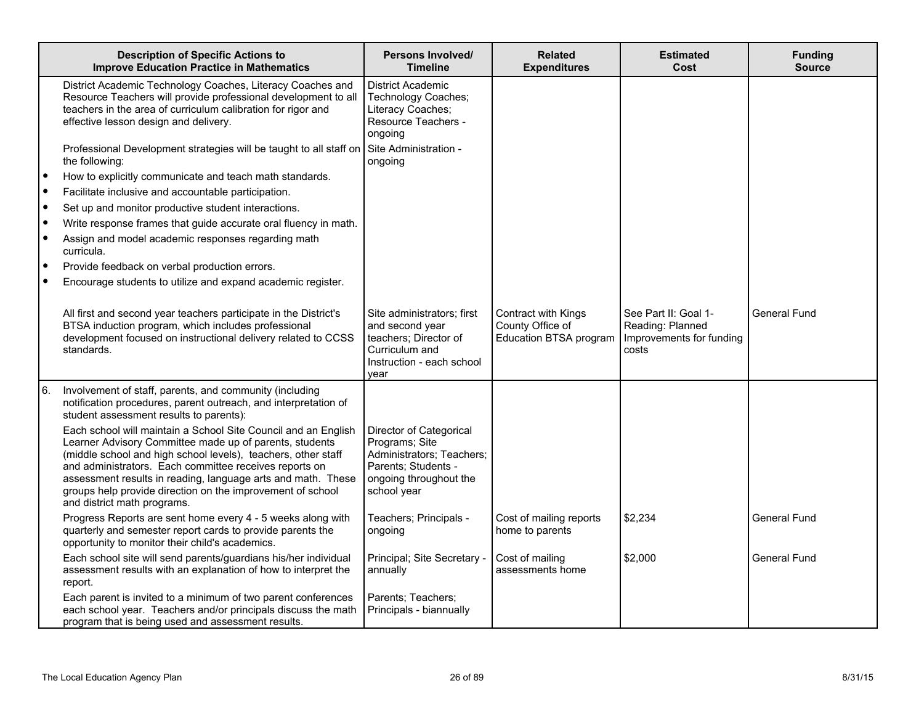|           | <b>Description of Specific Actions to</b><br><b>Improve Education Practice in Mathematics</b>                                                                                                                                                                                                                                                                                                                     | Persons Involved/<br><b>Timeline</b>                                                                                                   | <b>Related</b><br><b>Expenditures</b>                             | <b>Estimated</b><br>Cost                                                      | <b>Funding</b><br><b>Source</b> |
|-----------|-------------------------------------------------------------------------------------------------------------------------------------------------------------------------------------------------------------------------------------------------------------------------------------------------------------------------------------------------------------------------------------------------------------------|----------------------------------------------------------------------------------------------------------------------------------------|-------------------------------------------------------------------|-------------------------------------------------------------------------------|---------------------------------|
|           | District Academic Technology Coaches, Literacy Coaches and<br>Resource Teachers will provide professional development to all<br>teachers in the area of curriculum calibration for rigor and<br>effective lesson design and delivery.                                                                                                                                                                             | <b>District Academic</b><br>Technology Coaches;<br>Literacy Coaches;<br>Resource Teachers -<br>ongoing                                 |                                                                   |                                                                               |                                 |
|           | Professional Development strategies will be taught to all staff on<br>the following:                                                                                                                                                                                                                                                                                                                              | Site Administration -<br>ongoing                                                                                                       |                                                                   |                                                                               |                                 |
| $\bullet$ | How to explicitly communicate and teach math standards.                                                                                                                                                                                                                                                                                                                                                           |                                                                                                                                        |                                                                   |                                                                               |                                 |
|           | Facilitate inclusive and accountable participation.                                                                                                                                                                                                                                                                                                                                                               |                                                                                                                                        |                                                                   |                                                                               |                                 |
|           | Set up and monitor productive student interactions.                                                                                                                                                                                                                                                                                                                                                               |                                                                                                                                        |                                                                   |                                                                               |                                 |
|           | Write response frames that guide accurate oral fluency in math.                                                                                                                                                                                                                                                                                                                                                   |                                                                                                                                        |                                                                   |                                                                               |                                 |
|           | Assign and model academic responses regarding math<br>curricula.                                                                                                                                                                                                                                                                                                                                                  |                                                                                                                                        |                                                                   |                                                                               |                                 |
|           | Provide feedback on verbal production errors.                                                                                                                                                                                                                                                                                                                                                                     |                                                                                                                                        |                                                                   |                                                                               |                                 |
|           | Encourage students to utilize and expand academic register.                                                                                                                                                                                                                                                                                                                                                       |                                                                                                                                        |                                                                   |                                                                               |                                 |
|           | All first and second year teachers participate in the District's<br>BTSA induction program, which includes professional<br>development focused on instructional delivery related to CCSS<br>standards.                                                                                                                                                                                                            | Site administrators; first<br>and second year<br>teachers; Director of<br>Curriculum and<br>Instruction - each school<br>year          | Contract with Kings<br>County Office of<br>Education BTSA program | See Part II: Goal 1-<br>Reading: Planned<br>Improvements for funding<br>costs | General Fund                    |
| 6.        | Involvement of staff, parents, and community (including<br>notification procedures, parent outreach, and interpretation of<br>student assessment results to parents):                                                                                                                                                                                                                                             |                                                                                                                                        |                                                                   |                                                                               |                                 |
|           | Each school will maintain a School Site Council and an English<br>Learner Advisory Committee made up of parents, students<br>(middle school and high school levels), teachers, other staff<br>and administrators. Each committee receives reports on<br>assessment results in reading, language arts and math. These<br>groups help provide direction on the improvement of school<br>and district math programs. | Director of Categorical<br>Programs; Site<br>Administrators; Teachers;<br>Parents; Students -<br>ongoing throughout the<br>school year |                                                                   |                                                                               |                                 |
|           | Progress Reports are sent home every 4 - 5 weeks along with<br>quarterly and semester report cards to provide parents the<br>opportunity to monitor their child's academics.                                                                                                                                                                                                                                      | Teachers; Principals -<br>ongoing                                                                                                      | Cost of mailing reports<br>home to parents                        | \$2,234                                                                       | General Fund                    |
|           | Each school site will send parents/guardians his/her individual<br>assessment results with an explanation of how to interpret the<br>report.                                                                                                                                                                                                                                                                      | Principal; Site Secretary -<br>annually                                                                                                | Cost of mailing<br>assessments home                               | \$2,000                                                                       | General Fund                    |
|           | Each parent is invited to a minimum of two parent conferences<br>each school year. Teachers and/or principals discuss the math<br>program that is being used and assessment results.                                                                                                                                                                                                                              | Parents: Teachers:<br>Principals - biannually                                                                                          |                                                                   |                                                                               |                                 |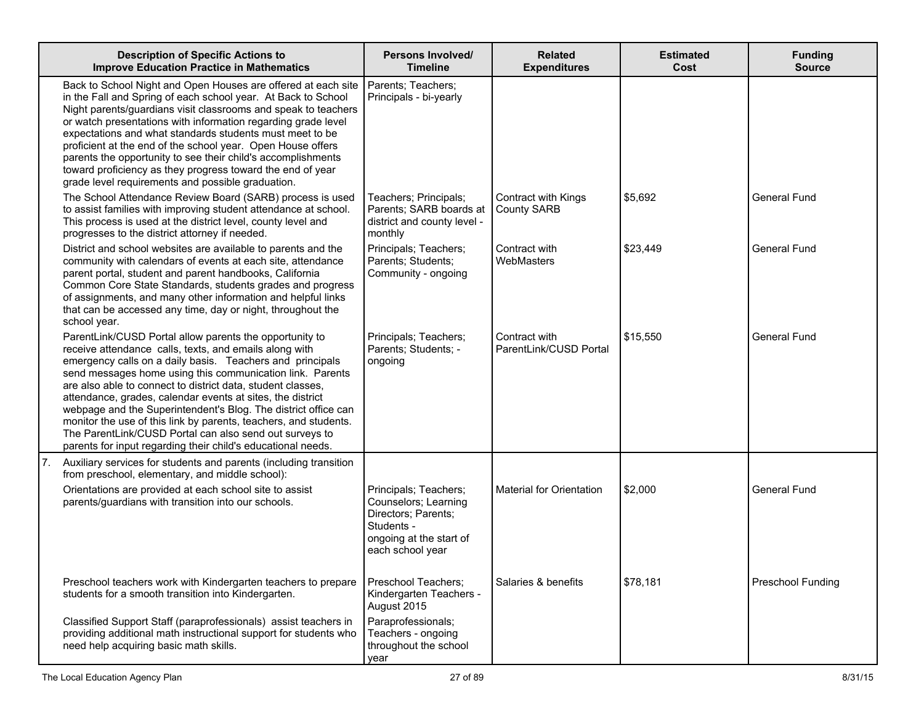| <b>Description of Specific Actions to</b><br><b>Improve Education Practice in Mathematics</b>                                                                                                                                                                                                                                                                                                                                                                                                                                                                                                                                             | <b>Persons Involved/</b><br><b>Timeline</b>                                                                                       | <b>Related</b><br><b>Expenditures</b>     | <b>Estimated</b><br>Cost | <b>Funding</b><br><b>Source</b> |
|-------------------------------------------------------------------------------------------------------------------------------------------------------------------------------------------------------------------------------------------------------------------------------------------------------------------------------------------------------------------------------------------------------------------------------------------------------------------------------------------------------------------------------------------------------------------------------------------------------------------------------------------|-----------------------------------------------------------------------------------------------------------------------------------|-------------------------------------------|--------------------------|---------------------------------|
| Back to School Night and Open Houses are offered at each site<br>in the Fall and Spring of each school year. At Back to School<br>Night parents/guardians visit classrooms and speak to teachers<br>or watch presentations with information regarding grade level<br>expectations and what standards students must meet to be<br>proficient at the end of the school year. Open House offers<br>parents the opportunity to see their child's accomplishments<br>toward proficiency as they progress toward the end of year<br>grade level requirements and possible graduation.                                                           | Parents; Teachers;<br>Principals - bi-yearly                                                                                      |                                           |                          |                                 |
| The School Attendance Review Board (SARB) process is used<br>to assist families with improving student attendance at school.<br>This process is used at the district level, county level and<br>progresses to the district attorney if needed.                                                                                                                                                                                                                                                                                                                                                                                            | Teachers; Principals;<br>Parents; SARB boards at<br>district and county level -<br>monthly                                        | Contract with Kings<br><b>County SARB</b> | \$5,692                  | <b>General Fund</b>             |
| District and school websites are available to parents and the<br>community with calendars of events at each site, attendance<br>parent portal, student and parent handbooks, California<br>Common Core State Standards, students grades and progress<br>of assignments, and many other information and helpful links<br>that can be accessed any time, day or night, throughout the<br>school year.                                                                                                                                                                                                                                       | Principals; Teachers;<br>Parents; Students;<br>Community - ongoing                                                                | Contract with<br>WebMasters               | \$23,449                 | <b>General Fund</b>             |
| ParentLink/CUSD Portal allow parents the opportunity to<br>receive attendance calls, texts, and emails along with<br>emergency calls on a daily basis. Teachers and principals<br>send messages home using this communication link. Parents<br>are also able to connect to district data, student classes,<br>attendance, grades, calendar events at sites, the district<br>webpage and the Superintendent's Blog. The district office can<br>monitor the use of this link by parents, teachers, and students.<br>The ParentLink/CUSD Portal can also send out surveys to<br>parents for input regarding their child's educational needs. | Principals; Teachers;<br>Parents; Students; -<br>ongoing                                                                          | Contract with<br>ParentLink/CUSD Portal   | \$15,550                 | <b>General Fund</b>             |
| Auxiliary services for students and parents (including transition<br>7.<br>from preschool, elementary, and middle school):                                                                                                                                                                                                                                                                                                                                                                                                                                                                                                                |                                                                                                                                   |                                           |                          |                                 |
| Orientations are provided at each school site to assist<br>parents/guardians with transition into our schools.                                                                                                                                                                                                                                                                                                                                                                                                                                                                                                                            | Principals; Teachers;<br>Counselors; Learning<br>Directors; Parents;<br>Students -<br>ongoing at the start of<br>each school year | <b>Material for Orientation</b>           | \$2,000                  | <b>General Fund</b>             |
| Preschool teachers work with Kindergarten teachers to prepare<br>students for a smooth transition into Kindergarten.                                                                                                                                                                                                                                                                                                                                                                                                                                                                                                                      | Preschool Teachers;<br>Kindergarten Teachers -<br>August 2015                                                                     | Salaries & benefits                       | \$78,181                 | Preschool Funding               |
| Classified Support Staff (paraprofessionals) assist teachers in<br>providing additional math instructional support for students who<br>need help acquiring basic math skills.                                                                                                                                                                                                                                                                                                                                                                                                                                                             | Paraprofessionals;<br>Teachers - ongoing<br>throughout the school<br>year                                                         |                                           |                          |                                 |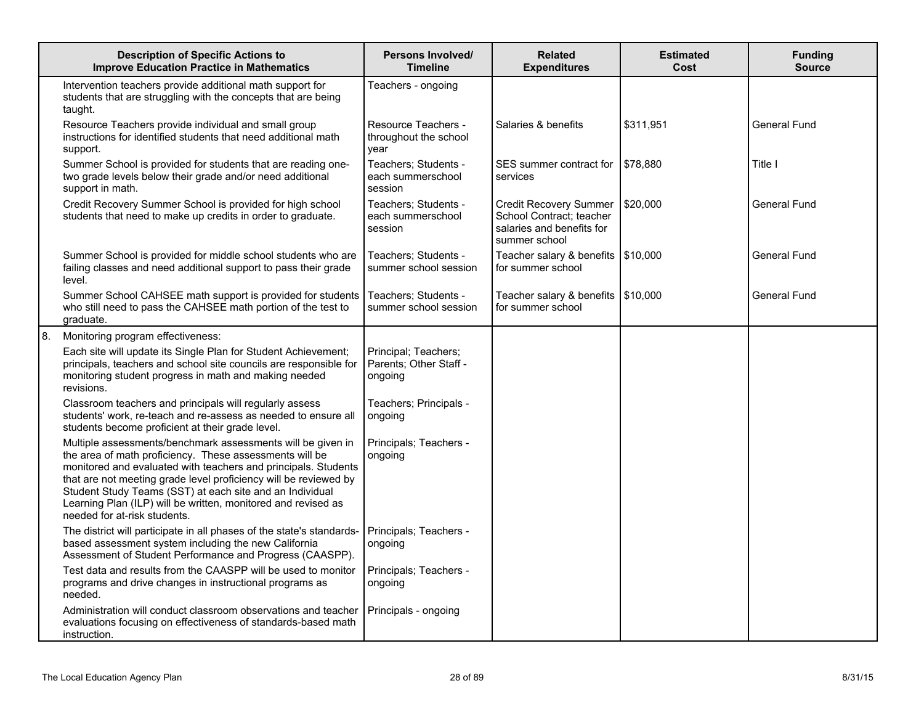|    | <b>Description of Specific Actions to</b><br><b>Improve Education Practice in Mathematics</b>                                                                                                                                                                                                                                                                                                                             | <b>Persons Involved/</b><br><b>Timeline</b>               | <b>Related</b><br><b>Expenditures</b>                                                                   | <b>Estimated</b><br>Cost | <b>Funding</b><br><b>Source</b> |
|----|---------------------------------------------------------------------------------------------------------------------------------------------------------------------------------------------------------------------------------------------------------------------------------------------------------------------------------------------------------------------------------------------------------------------------|-----------------------------------------------------------|---------------------------------------------------------------------------------------------------------|--------------------------|---------------------------------|
|    | Intervention teachers provide additional math support for<br>students that are struggling with the concepts that are being<br>taught.                                                                                                                                                                                                                                                                                     | Teachers - ongoing                                        |                                                                                                         |                          |                                 |
|    | Resource Teachers provide individual and small group<br>instructions for identified students that need additional math<br>support.                                                                                                                                                                                                                                                                                        | Resource Teachers -<br>throughout the school<br>vear      | Salaries & benefits                                                                                     | \$311,951                | General Fund                    |
|    | Summer School is provided for students that are reading one-<br>two grade levels below their grade and/or need additional<br>support in math.                                                                                                                                                                                                                                                                             | Teachers; Students -<br>each summerschool<br>session      | SES summer contract for<br>services                                                                     | \$78,880                 | Title I                         |
|    | Credit Recovery Summer School is provided for high school<br>students that need to make up credits in order to graduate.                                                                                                                                                                                                                                                                                                  | Teachers; Students -<br>each summerschool<br>session      | <b>Credit Recovery Summer</b><br>School Contract; teacher<br>salaries and benefits for<br>summer school | \$20,000                 | General Fund                    |
|    | Summer School is provided for middle school students who are<br>failing classes and need additional support to pass their grade<br>level.                                                                                                                                                                                                                                                                                 | Teachers; Students -<br>summer school session             | Teacher salary & benefits<br>for summer school                                                          | \$10,000                 | General Fund                    |
|    | Summer School CAHSEE math support is provided for students<br>who still need to pass the CAHSEE math portion of the test to<br>graduate.                                                                                                                                                                                                                                                                                  | Teachers; Students -<br>summer school session             | Teacher salary & benefits<br>for summer school                                                          | \$10,000                 | <b>General Fund</b>             |
| 8. | Monitoring program effectiveness:                                                                                                                                                                                                                                                                                                                                                                                         |                                                           |                                                                                                         |                          |                                 |
|    | Each site will update its Single Plan for Student Achievement;<br>principals, teachers and school site councils are responsible for<br>monitoring student progress in math and making needed<br>revisions.                                                                                                                                                                                                                | Principal; Teachers;<br>Parents; Other Staff -<br>ongoing |                                                                                                         |                          |                                 |
|    | Classroom teachers and principals will regularly assess<br>students' work, re-teach and re-assess as needed to ensure all<br>students become proficient at their grade level.                                                                                                                                                                                                                                             | Teachers; Principals -<br>ongoing                         |                                                                                                         |                          |                                 |
|    | Multiple assessments/benchmark assessments will be given in<br>the area of math proficiency. These assessments will be<br>monitored and evaluated with teachers and principals. Students<br>that are not meeting grade level proficiency will be reviewed by<br>Student Study Teams (SST) at each site and an Individual<br>Learning Plan (ILP) will be written, monitored and revised as<br>needed for at-risk students. | Principals; Teachers -<br>ongoing                         |                                                                                                         |                          |                                 |
|    | The district will participate in all phases of the state's standards-<br>based assessment system including the new California<br>Assessment of Student Performance and Progress (CAASPP).                                                                                                                                                                                                                                 | Principals; Teachers -<br>ongoing                         |                                                                                                         |                          |                                 |
|    | Test data and results from the CAASPP will be used to monitor<br>programs and drive changes in instructional programs as<br>needed.                                                                                                                                                                                                                                                                                       | Principals; Teachers -<br>ongoing                         |                                                                                                         |                          |                                 |
|    | Administration will conduct classroom observations and teacher<br>evaluations focusing on effectiveness of standards-based math<br>instruction.                                                                                                                                                                                                                                                                           | Principals - ongoing                                      |                                                                                                         |                          |                                 |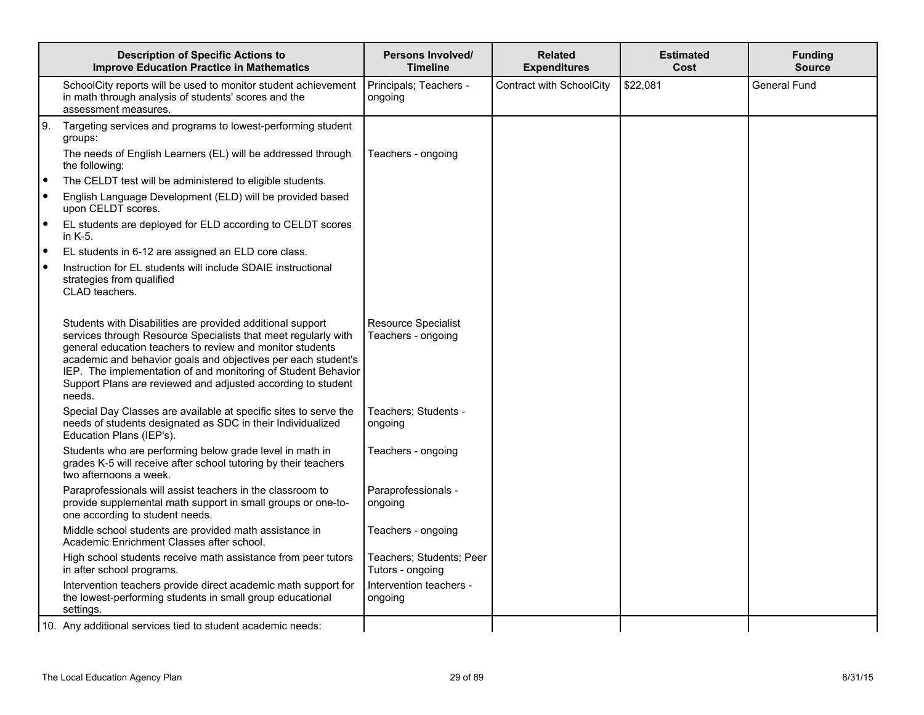|           | <b>Description of Specific Actions to</b><br><b>Improve Education Practice in Mathematics</b>                                                                                                                                                                                                                                                                                                         | Persons Involved/<br><b>Timeline</b>         | <b>Related</b><br><b>Expenditures</b> | <b>Estimated</b><br>Cost | <b>Funding</b><br><b>Source</b> |
|-----------|-------------------------------------------------------------------------------------------------------------------------------------------------------------------------------------------------------------------------------------------------------------------------------------------------------------------------------------------------------------------------------------------------------|----------------------------------------------|---------------------------------------|--------------------------|---------------------------------|
|           | SchoolCity reports will be used to monitor student achievement<br>in math through analysis of students' scores and the<br>assessment measures.                                                                                                                                                                                                                                                        | Principals; Teachers -<br>ongoing            | Contract with SchoolCity              | \$22,081                 | <b>General Fund</b>             |
| <u>g.</u> | Targeting services and programs to lowest-performing student<br>groups:                                                                                                                                                                                                                                                                                                                               |                                              |                                       |                          |                                 |
|           | The needs of English Learners (EL) will be addressed through<br>the following:                                                                                                                                                                                                                                                                                                                        | Teachers - ongoing                           |                                       |                          |                                 |
| ه ا       | The CELDT test will be administered to eligible students.                                                                                                                                                                                                                                                                                                                                             |                                              |                                       |                          |                                 |
| ۰         | English Language Development (ELD) will be provided based<br>upon CELDT scores.                                                                                                                                                                                                                                                                                                                       |                                              |                                       |                          |                                 |
| $\bullet$ | EL students are deployed for ELD according to CELDT scores<br>in $K-5$ .                                                                                                                                                                                                                                                                                                                              |                                              |                                       |                          |                                 |
| $\bullet$ | EL students in 6-12 are assigned an ELD core class.                                                                                                                                                                                                                                                                                                                                                   |                                              |                                       |                          |                                 |
| ۰         | Instruction for EL students will include SDAIE instructional<br>strategies from qualified<br>CLAD teachers.                                                                                                                                                                                                                                                                                           |                                              |                                       |                          |                                 |
|           | Students with Disabilities are provided additional support<br>services through Resource Specialists that meet regularly with<br>general education teachers to review and monitor students<br>academic and behavior goals and objectives per each student's<br>IEP. The implementation of and monitoring of Student Behavior<br>Support Plans are reviewed and adjusted according to student<br>needs. | Resource Specialist<br>Teachers - ongoing    |                                       |                          |                                 |
|           | Special Day Classes are available at specific sites to serve the<br>needs of students designated as SDC in their Individualized<br>Education Plans (IEP's).                                                                                                                                                                                                                                           | Teachers; Students -<br>ongoing              |                                       |                          |                                 |
|           | Students who are performing below grade level in math in<br>grades K-5 will receive after school tutoring by their teachers<br>two afternoons a week.                                                                                                                                                                                                                                                 | Teachers - ongoing                           |                                       |                          |                                 |
|           | Paraprofessionals will assist teachers in the classroom to<br>provide supplemental math support in small groups or one-to-<br>one according to student needs.                                                                                                                                                                                                                                         | Paraprofessionals -<br>ongoing               |                                       |                          |                                 |
|           | Middle school students are provided math assistance in<br>Academic Enrichment Classes after school.                                                                                                                                                                                                                                                                                                   | Teachers - ongoing                           |                                       |                          |                                 |
|           | High school students receive math assistance from peer tutors<br>in after school programs.                                                                                                                                                                                                                                                                                                            | Teachers; Students; Peer<br>Tutors - ongoing |                                       |                          |                                 |
|           | Intervention teachers provide direct academic math support for<br>the lowest-performing students in small group educational<br>settings.                                                                                                                                                                                                                                                              | Intervention teachers -<br>ongoing           |                                       |                          |                                 |
|           | 10. Any additional services tied to student academic needs:                                                                                                                                                                                                                                                                                                                                           |                                              |                                       |                          |                                 |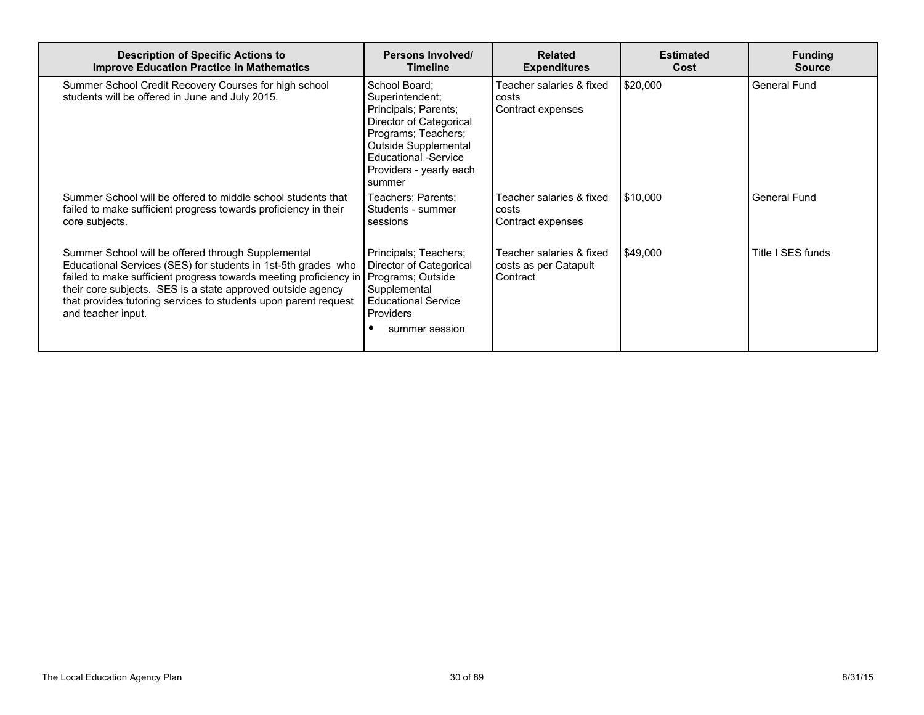| <b>Description of Specific Actions to</b><br><b>Improve Education Practice in Mathematics</b>                                                                                                                                                                                                                                                    | <b>Persons Involved/</b><br><b>Timeline</b>                                                                                                                                                            | <b>Related</b><br><b>Expenditures</b>                         | <b>Estimated</b><br>Cost | <b>Funding</b><br><b>Source</b> |
|--------------------------------------------------------------------------------------------------------------------------------------------------------------------------------------------------------------------------------------------------------------------------------------------------------------------------------------------------|--------------------------------------------------------------------------------------------------------------------------------------------------------------------------------------------------------|---------------------------------------------------------------|--------------------------|---------------------------------|
| Summer School Credit Recovery Courses for high school<br>students will be offered in June and July 2015.                                                                                                                                                                                                                                         | School Board;<br>Superintendent;<br>Principals; Parents;<br>Director of Categorical<br>Programs; Teachers;<br>Outside Supplemental<br><b>Educational -Service</b><br>Providers - yearly each<br>summer | Feacher salaries & fixed<br>costs<br>Contract expenses        | \$20,000                 | <b>General Fund</b>             |
| Summer School will be offered to middle school students that<br>failed to make sufficient progress towards proficiency in their<br>core subjects.                                                                                                                                                                                                | Teachers; Parents;<br>Students - summer<br>sessions                                                                                                                                                    | Teacher salaries & fixed<br>costs<br>Contract expenses        | 510,000                  | General Fund                    |
| Summer School will be offered through Supplemental<br>Educational Services (SES) for students in 1st-5th grades who<br>failed to make sufficient progress towards meeting proficiency in<br>their core subjects. SES is a state approved outside agency<br>that provides tutoring services to students upon parent request<br>and teacher input. | Principals; Teachers;<br>Director of Categorical<br>Programs; Outside<br>Supplemental<br><b>Educational Service</b><br><b>Providers</b><br>summer session                                              | Teacher salaries & fixed<br>costs as per Catapult<br>Contract | 549,000                  | Title I SES funds               |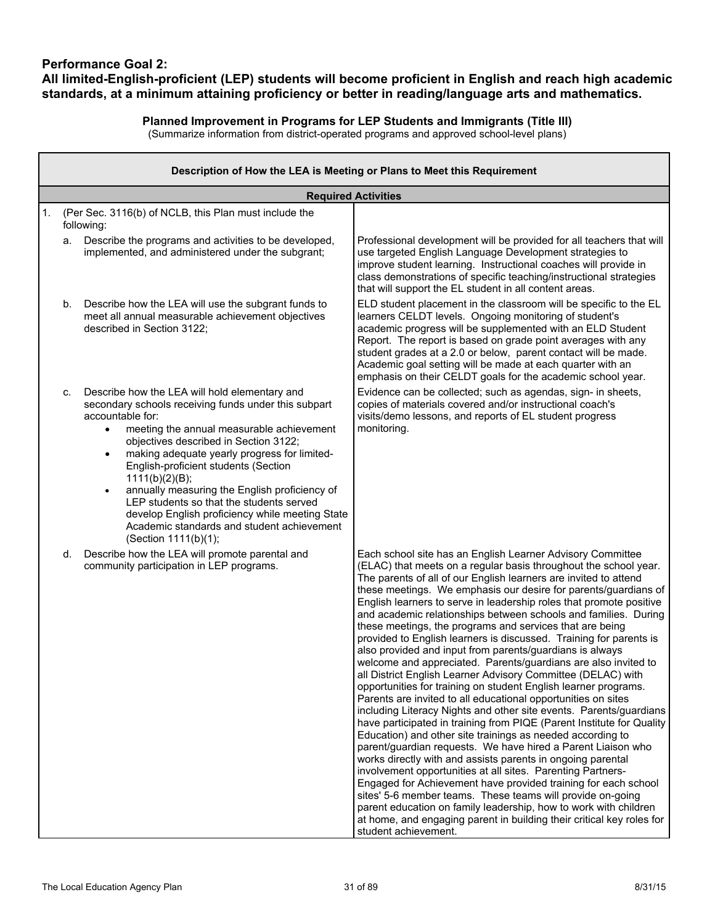### **Performance Goal 2: All limited-English-proficient (LEP) students will become proficient in English and reach high academic standards, at a minimum attaining proficiency or better in reading/language arts and mathematics.**

## **Planned Improvement in Programs for LEP Students and Immigrants (Title III)**

(Summarize information from district-operated programs and approved school-level plans)

|    | Description of How the LEA is Meeting or Plans to Meet this Requirement |                                                                                                                                                                                                                                                                                                                                                                                                                                                                                                                                                                                        |                                                                                                                                                                                                                                                                                                                                                                                                                                                                                                                                                                                                                                                                                                                                                                                                                                                                                                                                                                                                                                                                                                                                                                                                                                                                                                                                                                                                                                                                                                                                                                                                     |  |
|----|-------------------------------------------------------------------------|----------------------------------------------------------------------------------------------------------------------------------------------------------------------------------------------------------------------------------------------------------------------------------------------------------------------------------------------------------------------------------------------------------------------------------------------------------------------------------------------------------------------------------------------------------------------------------------|-----------------------------------------------------------------------------------------------------------------------------------------------------------------------------------------------------------------------------------------------------------------------------------------------------------------------------------------------------------------------------------------------------------------------------------------------------------------------------------------------------------------------------------------------------------------------------------------------------------------------------------------------------------------------------------------------------------------------------------------------------------------------------------------------------------------------------------------------------------------------------------------------------------------------------------------------------------------------------------------------------------------------------------------------------------------------------------------------------------------------------------------------------------------------------------------------------------------------------------------------------------------------------------------------------------------------------------------------------------------------------------------------------------------------------------------------------------------------------------------------------------------------------------------------------------------------------------------------------|--|
|    |                                                                         |                                                                                                                                                                                                                                                                                                                                                                                                                                                                                                                                                                                        | <b>Required Activities</b>                                                                                                                                                                                                                                                                                                                                                                                                                                                                                                                                                                                                                                                                                                                                                                                                                                                                                                                                                                                                                                                                                                                                                                                                                                                                                                                                                                                                                                                                                                                                                                          |  |
| 1. |                                                                         | (Per Sec. 3116(b) of NCLB, this Plan must include the<br>following:                                                                                                                                                                                                                                                                                                                                                                                                                                                                                                                    |                                                                                                                                                                                                                                                                                                                                                                                                                                                                                                                                                                                                                                                                                                                                                                                                                                                                                                                                                                                                                                                                                                                                                                                                                                                                                                                                                                                                                                                                                                                                                                                                     |  |
|    | a.                                                                      | Describe the programs and activities to be developed,<br>implemented, and administered under the subgrant;                                                                                                                                                                                                                                                                                                                                                                                                                                                                             | Professional development will be provided for all teachers that will<br>use targeted English Language Development strategies to<br>improve student learning. Instructional coaches will provide in<br>class demonstrations of specific teaching/instructional strategies<br>that will support the EL student in all content areas.                                                                                                                                                                                                                                                                                                                                                                                                                                                                                                                                                                                                                                                                                                                                                                                                                                                                                                                                                                                                                                                                                                                                                                                                                                                                  |  |
|    | b.                                                                      | Describe how the LEA will use the subgrant funds to<br>meet all annual measurable achievement objectives<br>described in Section 3122;                                                                                                                                                                                                                                                                                                                                                                                                                                                 | ELD student placement in the classroom will be specific to the EL<br>learners CELDT levels. Ongoing monitoring of student's<br>academic progress will be supplemented with an ELD Student<br>Report. The report is based on grade point averages with any<br>student grades at a 2.0 or below, parent contact will be made.<br>Academic goal setting will be made at each quarter with an<br>emphasis on their CELDT goals for the academic school year.                                                                                                                                                                                                                                                                                                                                                                                                                                                                                                                                                                                                                                                                                                                                                                                                                                                                                                                                                                                                                                                                                                                                            |  |
|    | c.                                                                      | Describe how the LEA will hold elementary and<br>secondary schools receiving funds under this subpart<br>accountable for:<br>meeting the annual measurable achievement<br>$\bullet$<br>objectives described in Section 3122;<br>making adequate yearly progress for limited-<br>$\bullet$<br>English-proficient students (Section<br>1111(b)(2)(B);<br>annually measuring the English proficiency of<br>$\bullet$<br>LEP students so that the students served<br>develop English proficiency while meeting State<br>Academic standards and student achievement<br>(Section 1111(b)(1); | Evidence can be collected; such as agendas, sign- in sheets,<br>copies of materials covered and/or instructional coach's<br>visits/demo lessons, and reports of EL student progress<br>monitoring.                                                                                                                                                                                                                                                                                                                                                                                                                                                                                                                                                                                                                                                                                                                                                                                                                                                                                                                                                                                                                                                                                                                                                                                                                                                                                                                                                                                                  |  |
|    | d.                                                                      | Describe how the LEA will promote parental and<br>community participation in LEP programs.                                                                                                                                                                                                                                                                                                                                                                                                                                                                                             | Each school site has an English Learner Advisory Committee<br>(ELAC) that meets on a regular basis throughout the school year.<br>The parents of all of our English learners are invited to attend<br>these meetings. We emphasis our desire for parents/guardians of<br>English learners to serve in leadership roles that promote positive<br>and academic relationships between schools and families. During<br>these meetings, the programs and services that are being<br>provided to English learners is discussed. Training for parents is<br>also provided and input from parents/guardians is always<br>welcome and appreciated. Parents/guardians are also invited to<br>all District English Learner Advisory Committee (DELAC) with<br>opportunities for training on student English learner programs.<br>Parents are invited to all educational opportunities on sites<br>including Literacy Nights and other site events. Parents/guardians<br>have participated in training from PIQE (Parent Institute for Quality<br>Education) and other site trainings as needed according to<br>parent/guardian requests. We have hired a Parent Liaison who<br>works directly with and assists parents in ongoing parental<br>involvement opportunities at all sites. Parenting Partners-<br>Engaged for Achievement have provided training for each school<br>sites' 5-6 member teams. These teams will provide on-going<br>parent education on family leadership, how to work with children<br>at home, and engaging parent in building their critical key roles for<br>student achievement. |  |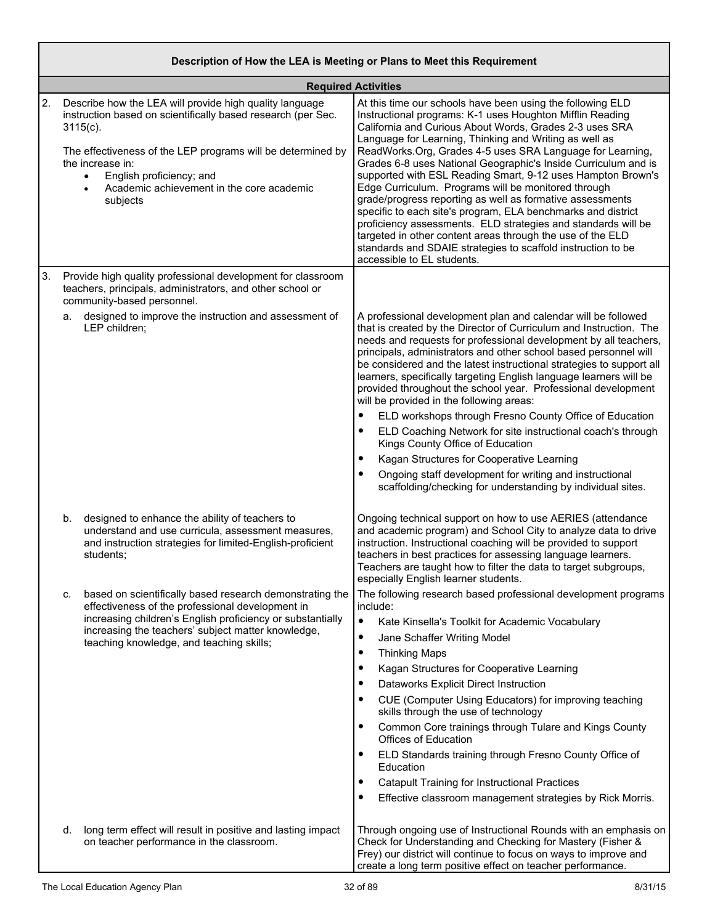|    |                                                                                                                                                                                                                                                                                                                             | Description of How the LEA is Meeting or Plans to Meet this Requirement                                                                                                                                                                                                                                                                                                                                                                                                                                                                                                                                                                                                                                                                                                                                                                                     |
|----|-----------------------------------------------------------------------------------------------------------------------------------------------------------------------------------------------------------------------------------------------------------------------------------------------------------------------------|-------------------------------------------------------------------------------------------------------------------------------------------------------------------------------------------------------------------------------------------------------------------------------------------------------------------------------------------------------------------------------------------------------------------------------------------------------------------------------------------------------------------------------------------------------------------------------------------------------------------------------------------------------------------------------------------------------------------------------------------------------------------------------------------------------------------------------------------------------------|
|    |                                                                                                                                                                                                                                                                                                                             | <b>Required Activities</b>                                                                                                                                                                                                                                                                                                                                                                                                                                                                                                                                                                                                                                                                                                                                                                                                                                  |
| 2. | Describe how the LEA will provide high quality language<br>instruction based on scientifically based research (per Sec.<br>$3115(c)$ .<br>The effectiveness of the LEP programs will be determined by<br>the increase in:<br>English proficiency; and<br>$\bullet$<br>Academic achievement in the core academic<br>subjects | At this time our schools have been using the following ELD<br>Instructional programs: K-1 uses Houghton Mifflin Reading<br>California and Curious About Words, Grades 2-3 uses SRA<br>Language for Learning, Thinking and Writing as well as<br>ReadWorks.Org, Grades 4-5 uses SRA Language for Learning,<br>Grades 6-8 uses National Geographic's Inside Curriculum and is<br>supported with ESL Reading Smart, 9-12 uses Hampton Brown's<br>Edge Curriculum. Programs will be monitored through<br>grade/progress reporting as well as formative assessments<br>specific to each site's program, ELA benchmarks and district<br>proficiency assessments. ELD strategies and standards will be<br>targeted in other content areas through the use of the ELD<br>standards and SDAIE strategies to scaffold instruction to be<br>accessible to EL students. |
| 3. | Provide high quality professional development for classroom<br>teachers, principals, administrators, and other school or<br>community-based personnel.                                                                                                                                                                      |                                                                                                                                                                                                                                                                                                                                                                                                                                                                                                                                                                                                                                                                                                                                                                                                                                                             |
|    | designed to improve the instruction and assessment of<br>a.<br>LEP children;                                                                                                                                                                                                                                                | A professional development plan and calendar will be followed<br>that is created by the Director of Curriculum and Instruction. The<br>needs and requests for professional development by all teachers,<br>principals, administrators and other school based personnel will<br>be considered and the latest instructional strategies to support all<br>learners, specifically targeting English language learners will be<br>provided throughout the school year. Professional development<br>will be provided in the following areas:                                                                                                                                                                                                                                                                                                                      |
|    |                                                                                                                                                                                                                                                                                                                             | $\bullet$<br>ELD workshops through Fresno County Office of Education<br>ELD Coaching Network for site instructional coach's through<br>٠<br>Kings County Office of Education                                                                                                                                                                                                                                                                                                                                                                                                                                                                                                                                                                                                                                                                                |
|    |                                                                                                                                                                                                                                                                                                                             | Kagan Structures for Cooperative Learning<br>$\bullet$                                                                                                                                                                                                                                                                                                                                                                                                                                                                                                                                                                                                                                                                                                                                                                                                      |
|    |                                                                                                                                                                                                                                                                                                                             | Ongoing staff development for writing and instructional<br>$\bullet$<br>scaffolding/checking for understanding by individual sites.                                                                                                                                                                                                                                                                                                                                                                                                                                                                                                                                                                                                                                                                                                                         |
|    | b.<br>designed to enhance the ability of teachers to<br>understand and use curricula, assessment measures,<br>and instruction strategies for limited-English-proficient<br>students;                                                                                                                                        | Ongoing technical support on how to use AERIES (attendance<br>and academic program) and School City to analyze data to drive<br>instruction. Instructional coaching will be provided to support<br>teachers in best practices for assessing language learners.<br>Teachers are taught how to filter the data to target subgroups,<br>especially English learner students.                                                                                                                                                                                                                                                                                                                                                                                                                                                                                   |
|    | based on scientifically based research demonstrating the<br>C.<br>effectiveness of the professional development in                                                                                                                                                                                                          | The following research based professional development programs<br>include:                                                                                                                                                                                                                                                                                                                                                                                                                                                                                                                                                                                                                                                                                                                                                                                  |
|    | increasing children's English proficiency or substantially                                                                                                                                                                                                                                                                  | $\bullet$<br>Kate Kinsella's Toolkit for Academic Vocabulary                                                                                                                                                                                                                                                                                                                                                                                                                                                                                                                                                                                                                                                                                                                                                                                                |
|    | increasing the teachers' subject matter knowledge,<br>teaching knowledge, and teaching skills;                                                                                                                                                                                                                              | Jane Schaffer Writing Model<br>$\bullet$                                                                                                                                                                                                                                                                                                                                                                                                                                                                                                                                                                                                                                                                                                                                                                                                                    |
|    |                                                                                                                                                                                                                                                                                                                             | <b>Thinking Maps</b><br>٠                                                                                                                                                                                                                                                                                                                                                                                                                                                                                                                                                                                                                                                                                                                                                                                                                                   |
|    |                                                                                                                                                                                                                                                                                                                             | Kagan Structures for Cooperative Learning<br>٠                                                                                                                                                                                                                                                                                                                                                                                                                                                                                                                                                                                                                                                                                                                                                                                                              |
|    |                                                                                                                                                                                                                                                                                                                             | Dataworks Explicit Direct Instruction<br>$\bullet$                                                                                                                                                                                                                                                                                                                                                                                                                                                                                                                                                                                                                                                                                                                                                                                                          |
|    |                                                                                                                                                                                                                                                                                                                             | CUE (Computer Using Educators) for improving teaching<br>٠<br>skills through the use of technology                                                                                                                                                                                                                                                                                                                                                                                                                                                                                                                                                                                                                                                                                                                                                          |
|    |                                                                                                                                                                                                                                                                                                                             | Common Core trainings through Tulare and Kings County<br>٠<br>Offices of Education                                                                                                                                                                                                                                                                                                                                                                                                                                                                                                                                                                                                                                                                                                                                                                          |
|    |                                                                                                                                                                                                                                                                                                                             | ELD Standards training through Fresno County Office of<br>٠<br>Education                                                                                                                                                                                                                                                                                                                                                                                                                                                                                                                                                                                                                                                                                                                                                                                    |
|    |                                                                                                                                                                                                                                                                                                                             | <b>Catapult Training for Instructional Practices</b><br>٠                                                                                                                                                                                                                                                                                                                                                                                                                                                                                                                                                                                                                                                                                                                                                                                                   |
|    |                                                                                                                                                                                                                                                                                                                             | Effective classroom management strategies by Rick Morris.                                                                                                                                                                                                                                                                                                                                                                                                                                                                                                                                                                                                                                                                                                                                                                                                   |
|    | long term effect will result in positive and lasting impact<br>d.<br>on teacher performance in the classroom.                                                                                                                                                                                                               | Through ongoing use of Instructional Rounds with an emphasis on<br>Check for Understanding and Checking for Mastery (Fisher &<br>Frey) our district will continue to focus on ways to improve and<br>create a long term positive effect on teacher performance.                                                                                                                                                                                                                                                                                                                                                                                                                                                                                                                                                                                             |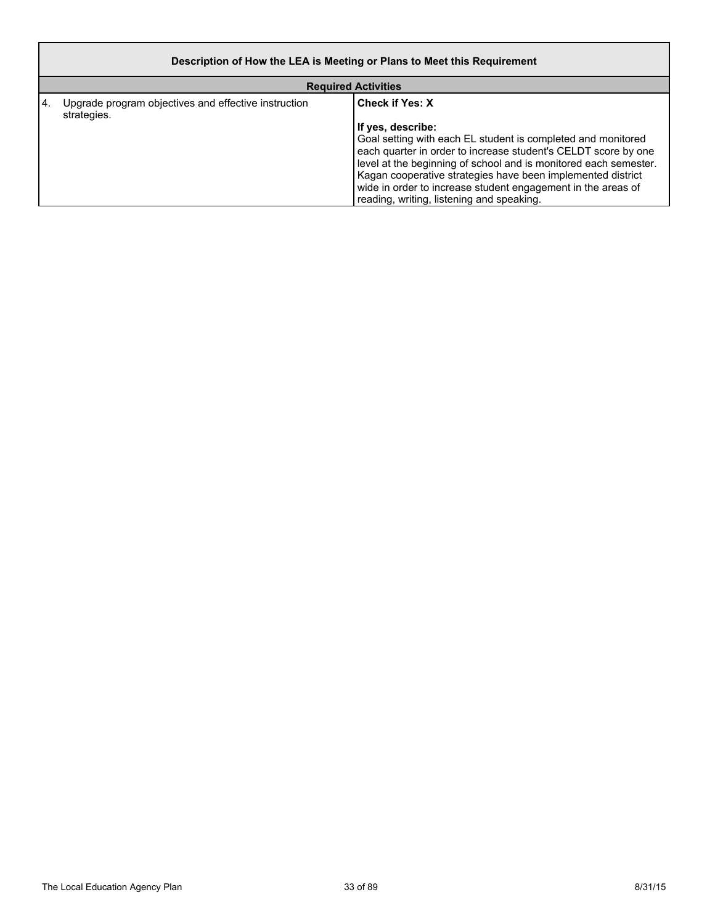|      | Description of How the LEA is Meeting or Plans to Meet this Requirement |                                                                                                                                                                                                                                                                                                                                                                                                                               |  |
|------|-------------------------------------------------------------------------|-------------------------------------------------------------------------------------------------------------------------------------------------------------------------------------------------------------------------------------------------------------------------------------------------------------------------------------------------------------------------------------------------------------------------------|--|
|      | <b>Required Activities</b>                                              |                                                                                                                                                                                                                                                                                                                                                                                                                               |  |
| I 4. | Upgrade program objectives and effective instruction<br>strategies.     | <b>Check if Yes: X</b><br>If yes, describe:<br>Goal setting with each EL student is completed and monitored<br>each quarter in order to increase student's CELDT score by one<br>level at the beginning of school and is monitored each semester.<br>Kagan cooperative strategies have been implemented district<br>wide in order to increase student engagement in the areas of<br>reading, writing, listening and speaking. |  |

r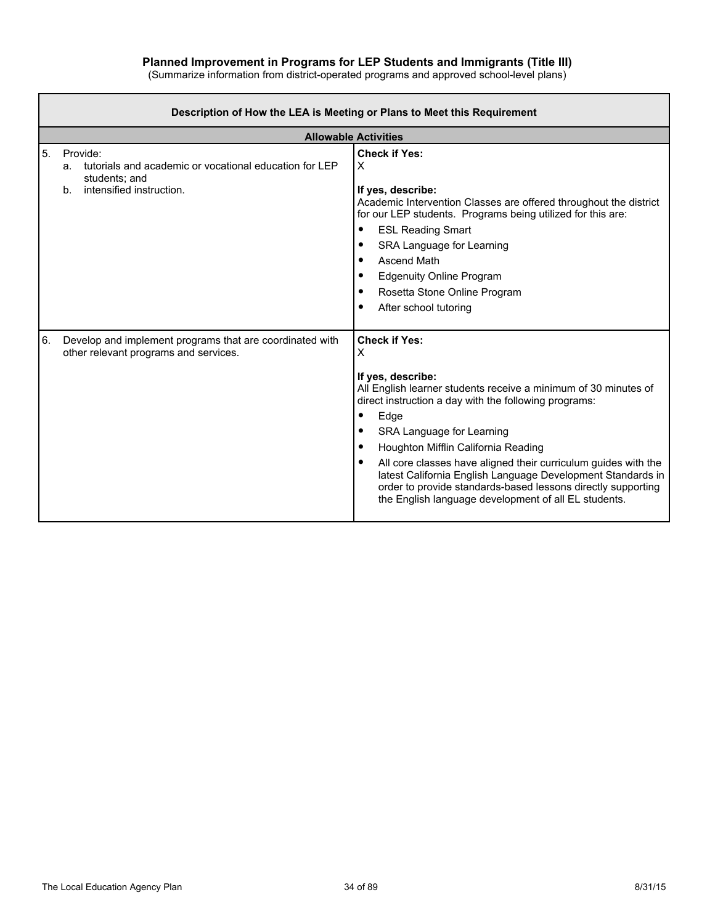|  | (Summarize information from district-operated programs and approved school-level plans) |  |
|--|-----------------------------------------------------------------------------------------|--|
|--|-----------------------------------------------------------------------------------------|--|

| Description of How the LEA is Meeting or Plans to Meet this Requirement |                                                                                                                                         |                                                                                                                                                                                                                                                                                                                                                                                                                                                                                                                                     |  |  |  |
|-------------------------------------------------------------------------|-----------------------------------------------------------------------------------------------------------------------------------------|-------------------------------------------------------------------------------------------------------------------------------------------------------------------------------------------------------------------------------------------------------------------------------------------------------------------------------------------------------------------------------------------------------------------------------------------------------------------------------------------------------------------------------------|--|--|--|
|                                                                         | <b>Allowable Activities</b>                                                                                                             |                                                                                                                                                                                                                                                                                                                                                                                                                                                                                                                                     |  |  |  |
| 5.                                                                      | Provide:<br>tutorials and academic or vocational education for LEP<br>a.<br>students; and<br>intensified instruction.<br>b <sub>1</sub> | <b>Check if Yes:</b><br>Х<br>If yes, describe:<br>Academic Intervention Classes are offered throughout the district<br>for our LEP students. Programs being utilized for this are:<br><b>ESL Reading Smart</b><br>٠<br>SRA Language for Learning<br>٠<br>Ascend Math<br>٠<br><b>Edgenuity Online Program</b><br>٠<br>Rosetta Stone Online Program<br>٠<br>After school tutoring                                                                                                                                                     |  |  |  |
| 6.                                                                      | Develop and implement programs that are coordinated with<br>other relevant programs and services.                                       | <b>Check if Yes:</b><br>х<br>If yes, describe:<br>All English learner students receive a minimum of 30 minutes of<br>direct instruction a day with the following programs:<br>Edge<br>٠<br>SRA Language for Learning<br>٠<br>Houghton Mifflin California Reading<br>٠<br>All core classes have aligned their curriculum guides with the<br>٠<br>latest California English Language Development Standards in<br>order to provide standards-based lessons directly supporting<br>the English language development of all EL students. |  |  |  |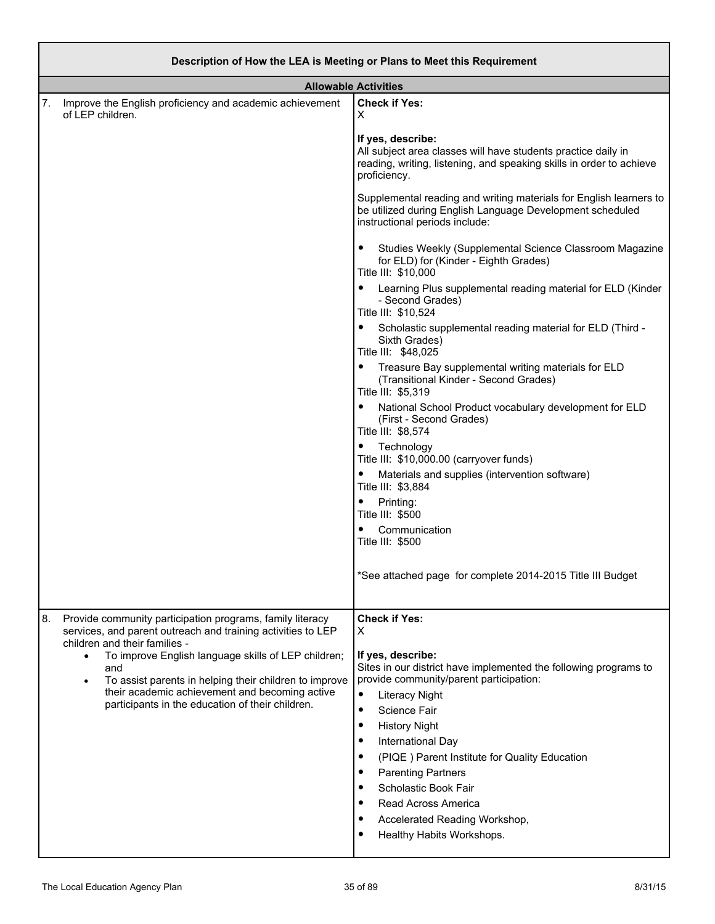| Description of How the LEA is Meeting or Plans to Meet this Requirement |                                                                                                                                                       |                                                                                                                                                                            |
|-------------------------------------------------------------------------|-------------------------------------------------------------------------------------------------------------------------------------------------------|----------------------------------------------------------------------------------------------------------------------------------------------------------------------------|
|                                                                         | <b>Allowable Activities</b>                                                                                                                           |                                                                                                                                                                            |
| of LEP children.                                                        | 7. Improve the English proficiency and academic achievement                                                                                           | <b>Check if Yes:</b><br>X                                                                                                                                                  |
|                                                                         |                                                                                                                                                       | If yes, describe:<br>All subject area classes will have students practice daily in<br>reading, writing, listening, and speaking skills in order to achieve<br>proficiency. |
|                                                                         |                                                                                                                                                       | Supplemental reading and writing materials for English learners to<br>be utilized during English Language Development scheduled<br>instructional periods include:          |
|                                                                         |                                                                                                                                                       | Studies Weekly (Supplemental Science Classroom Magazine<br>for ELD) for (Kinder - Eighth Grades)<br>Title III: \$10,000                                                    |
|                                                                         |                                                                                                                                                       | Learning Plus supplemental reading material for ELD (Kinder<br>$\bullet$<br>- Second Grades)<br>Title III: \$10,524                                                        |
|                                                                         |                                                                                                                                                       | Scholastic supplemental reading material for ELD (Third -<br>$\bullet$<br>Sixth Grades)<br>Title III: \$48,025                                                             |
|                                                                         |                                                                                                                                                       | Treasure Bay supplemental writing materials for ELD<br>(Transitional Kinder - Second Grades)<br>Title III: \$5,319                                                         |
|                                                                         |                                                                                                                                                       | National School Product vocabulary development for ELD<br>$\bullet$<br>(First - Second Grades)<br>Title III: \$8,574                                                       |
|                                                                         |                                                                                                                                                       | • Technology<br>Title III: \$10,000.00 (carryover funds)                                                                                                                   |
|                                                                         |                                                                                                                                                       | Materials and supplies (intervention software)<br>Title III: \$3,884                                                                                                       |
|                                                                         |                                                                                                                                                       | Printing:<br>Title III: \$500                                                                                                                                              |
|                                                                         |                                                                                                                                                       | Communication<br>Title III: \$500                                                                                                                                          |
|                                                                         |                                                                                                                                                       | *See attached page for complete 2014-2015 Title III Budget                                                                                                                 |
| 8.                                                                      | Provide community participation programs, family literacy<br>services, and parent outreach and training activities to LEP                             | <b>Check if Yes:</b><br>Х                                                                                                                                                  |
| $\bullet$<br>٠                                                          | children and their families -<br>To improve English language skills of LEP children;<br>and<br>To assist parents in helping their children to improve | If yes, describe:<br>Sites in our district have implemented the following programs to<br>provide community/parent participation:                                           |
|                                                                         | their academic achievement and becoming active<br>participants in the education of their children.                                                    | $\bullet$<br><b>Literacy Night</b><br>Science Fair<br>$\bullet$                                                                                                            |
|                                                                         | <b>History Night</b><br>٠                                                                                                                             |                                                                                                                                                                            |
|                                                                         |                                                                                                                                                       | International Day<br>٠                                                                                                                                                     |
|                                                                         |                                                                                                                                                       | (PIQE) Parent Institute for Quality Education<br>٠<br><b>Parenting Partners</b><br>٠                                                                                       |
|                                                                         |                                                                                                                                                       | Scholastic Book Fair<br>٠                                                                                                                                                  |
|                                                                         |                                                                                                                                                       | Read Across America<br>٠                                                                                                                                                   |
|                                                                         |                                                                                                                                                       | Accelerated Reading Workshop,<br>٠<br>Healthy Habits Workshops.                                                                                                            |
|                                                                         |                                                                                                                                                       |                                                                                                                                                                            |

┙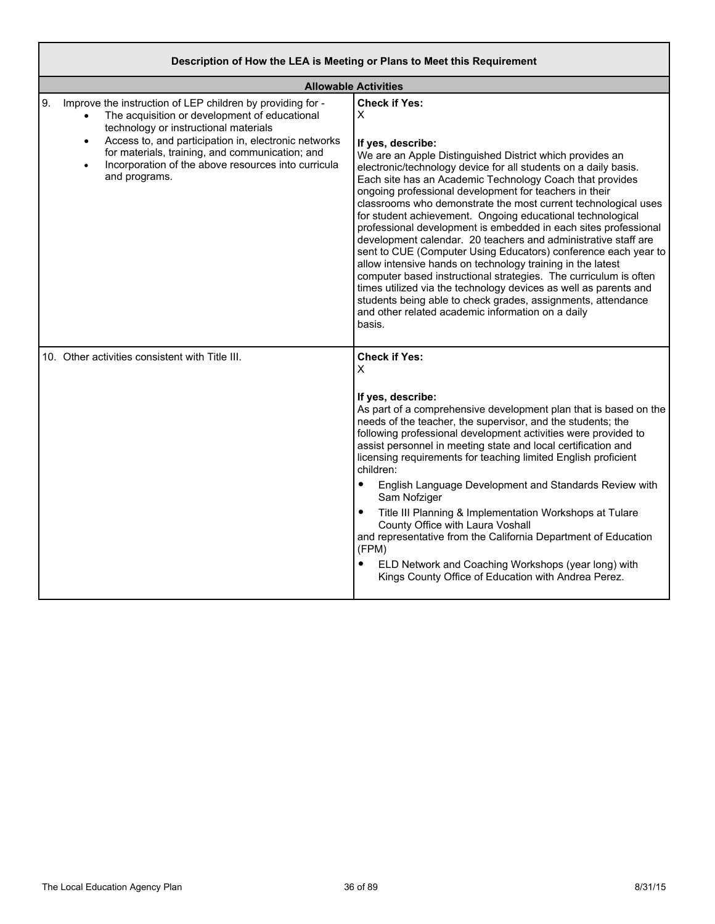| Description of How the LEA is Meeting or Plans to Meet this Requirement                                                                                                                                                                                                                                                                                                 |                                                                                                                                                                                                                                                                                                                                                                                                                                                                                                                                                                                                                                                                                                                                                                                                                                                                                                                                                                                 |  |
|-------------------------------------------------------------------------------------------------------------------------------------------------------------------------------------------------------------------------------------------------------------------------------------------------------------------------------------------------------------------------|---------------------------------------------------------------------------------------------------------------------------------------------------------------------------------------------------------------------------------------------------------------------------------------------------------------------------------------------------------------------------------------------------------------------------------------------------------------------------------------------------------------------------------------------------------------------------------------------------------------------------------------------------------------------------------------------------------------------------------------------------------------------------------------------------------------------------------------------------------------------------------------------------------------------------------------------------------------------------------|--|
| <b>Allowable Activities</b>                                                                                                                                                                                                                                                                                                                                             |                                                                                                                                                                                                                                                                                                                                                                                                                                                                                                                                                                                                                                                                                                                                                                                                                                                                                                                                                                                 |  |
| 9.<br>Improve the instruction of LEP children by providing for -<br>The acquisition or development of educational<br>technology or instructional materials<br>Access to, and participation in, electronic networks<br>$\bullet$<br>for materials, training, and communication; and<br>Incorporation of the above resources into curricula<br>$\bullet$<br>and programs. | <b>Check if Yes:</b><br>X<br>If yes, describe:<br>We are an Apple Distinguished District which provides an<br>electronic/technology device for all students on a daily basis.<br>Each site has an Academic Technology Coach that provides<br>ongoing professional development for teachers in their<br>classrooms who demonstrate the most current technological uses<br>for student achievement. Ongoing educational technological<br>professional development is embedded in each sites professional<br>development calendar. 20 teachers and administrative staff are<br>sent to CUE (Computer Using Educators) conference each year to<br>allow intensive hands on technology training in the latest<br>computer based instructional strategies. The curriculum is often<br>times utilized via the technology devices as well as parents and<br>students being able to check grades, assignments, attendance<br>and other related academic information on a daily<br>basis. |  |
| 10. Other activities consistent with Title III.                                                                                                                                                                                                                                                                                                                         | <b>Check if Yes:</b><br>X<br>If yes, describe:<br>As part of a comprehensive development plan that is based on the<br>needs of the teacher, the supervisor, and the students; the<br>following professional development activities were provided to<br>assist personnel in meeting state and local certification and<br>licensing requirements for teaching limited English proficient<br>children:<br>$\bullet$<br>English Language Development and Standards Review with<br>Sam Nofziger<br>Title III Planning & Implementation Workshops at Tulare<br>$\bullet$<br>County Office with Laura Voshall<br>and representative from the California Department of Education<br>(FPM)<br>$\bullet$<br>ELD Network and Coaching Workshops (year long) with<br>Kings County Office of Education with Andrea Perez.                                                                                                                                                                    |  |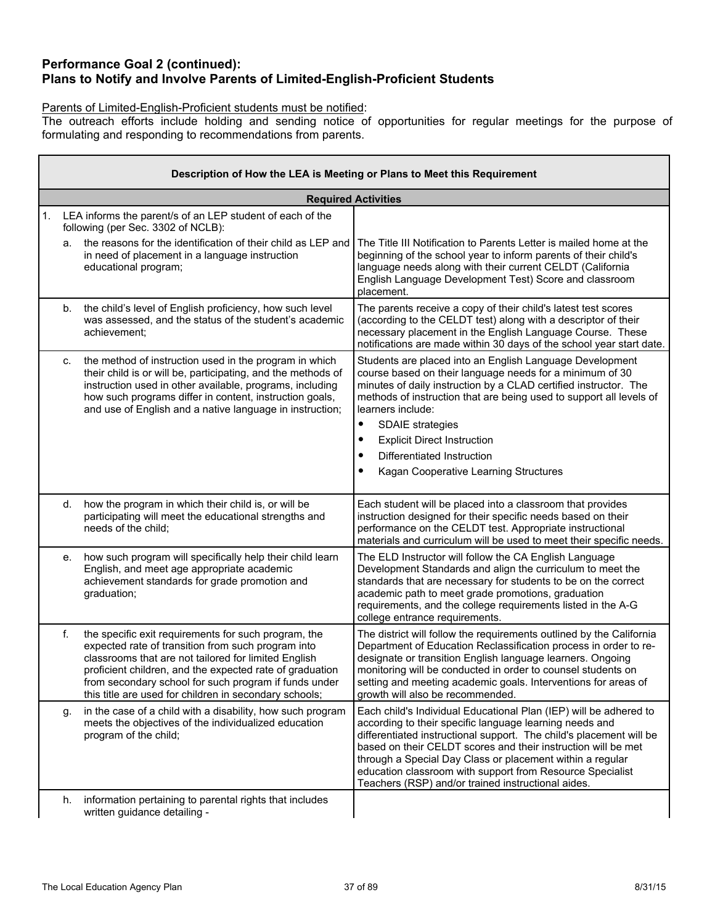## **Performance Goal 2 (continued): Plans to Notify and Involve Parents of Limited-English-Proficient Students**

### Parents of Limited-English-Proficient students must be notified:

The outreach efforts include holding and sending notice of opportunities for regular meetings for the purpose of formulating and responding to recommendations from parents.

|    | Description of How the LEA is Meeting or Plans to Meet this Requirement |                                                                                                                                                                                                                                                                                                                                                   |                                                                                                                                                                                                                                                                                                                                                                                                                                                          |  |  |  |
|----|-------------------------------------------------------------------------|---------------------------------------------------------------------------------------------------------------------------------------------------------------------------------------------------------------------------------------------------------------------------------------------------------------------------------------------------|----------------------------------------------------------------------------------------------------------------------------------------------------------------------------------------------------------------------------------------------------------------------------------------------------------------------------------------------------------------------------------------------------------------------------------------------------------|--|--|--|
|    |                                                                         |                                                                                                                                                                                                                                                                                                                                                   | <b>Required Activities</b>                                                                                                                                                                                                                                                                                                                                                                                                                               |  |  |  |
| 1. |                                                                         | LEA informs the parent/s of an LEP student of each of the<br>following (per Sec. 3302 of NCLB):                                                                                                                                                                                                                                                   |                                                                                                                                                                                                                                                                                                                                                                                                                                                          |  |  |  |
|    | a.                                                                      | the reasons for the identification of their child as LEP and<br>in need of placement in a language instruction<br>educational program;                                                                                                                                                                                                            | The Title III Notification to Parents Letter is mailed home at the<br>beginning of the school year to inform parents of their child's<br>language needs along with their current CELDT (California<br>English Language Development Test) Score and classroom<br>placement.                                                                                                                                                                               |  |  |  |
|    | b.                                                                      | the child's level of English proficiency, how such level<br>was assessed, and the status of the student's academic<br>achievement:                                                                                                                                                                                                                | The parents receive a copy of their child's latest test scores<br>(according to the CELDT test) along with a descriptor of their<br>necessary placement in the English Language Course. These<br>notifications are made within 30 days of the school year start date.                                                                                                                                                                                    |  |  |  |
|    | C.                                                                      | the method of instruction used in the program in which<br>their child is or will be, participating, and the methods of<br>instruction used in other available, programs, including<br>how such programs differ in content, instruction goals,<br>and use of English and a native language in instruction;                                         | Students are placed into an English Language Development<br>course based on their language needs for a minimum of 30<br>minutes of daily instruction by a CLAD certified instructor. The<br>methods of instruction that are being used to support all levels of<br>learners include:<br>$\bullet$<br><b>SDAIE</b> strategies<br><b>Explicit Direct Instruction</b><br>٠<br>Differentiated Instruction<br>٠<br>Kagan Cooperative Learning Structures<br>٠ |  |  |  |
|    | d.                                                                      | how the program in which their child is, or will be<br>participating will meet the educational strengths and<br>needs of the child;                                                                                                                                                                                                               | Each student will be placed into a classroom that provides<br>instruction designed for their specific needs based on their<br>performance on the CELDT test. Appropriate instructional<br>materials and curriculum will be used to meet their specific needs.                                                                                                                                                                                            |  |  |  |
|    | е.                                                                      | how such program will specifically help their child learn<br>English, and meet age appropriate academic<br>achievement standards for grade promotion and<br>graduation;                                                                                                                                                                           | The ELD Instructor will follow the CA English Language<br>Development Standards and align the curriculum to meet the<br>standards that are necessary for students to be on the correct<br>academic path to meet grade promotions, graduation<br>requirements, and the college requirements listed in the A-G<br>college entrance requirements.                                                                                                           |  |  |  |
|    | f.                                                                      | the specific exit requirements for such program, the<br>expected rate of transition from such program into<br>classrooms that are not tailored for limited English<br>proficient children, and the expected rate of graduation<br>from secondary school for such program if funds under<br>this title are used for children in secondary schools; | The district will follow the requirements outlined by the California<br>Department of Education Reclassification process in order to re-<br>designate or transition English language learners. Ongoing<br>monitoring will be conducted in order to counsel students on<br>setting and meeting academic goals. Interventions for areas of<br>growth will also be recommended.                                                                             |  |  |  |
|    | g.                                                                      | in the case of a child with a disability, how such program<br>meets the objectives of the individualized education<br>program of the child;                                                                                                                                                                                                       | Each child's Individual Educational Plan (IEP) will be adhered to<br>according to their specific language learning needs and<br>differentiated instructional support. The child's placement will be<br>based on their CELDT scores and their instruction will be met<br>through a Special Day Class or placement within a regular<br>education classroom with support from Resource Specialist<br>Teachers (RSP) and/or trained instructional aides.     |  |  |  |
|    | h.                                                                      | information pertaining to parental rights that includes<br>written guidance detailing -                                                                                                                                                                                                                                                           |                                                                                                                                                                                                                                                                                                                                                                                                                                                          |  |  |  |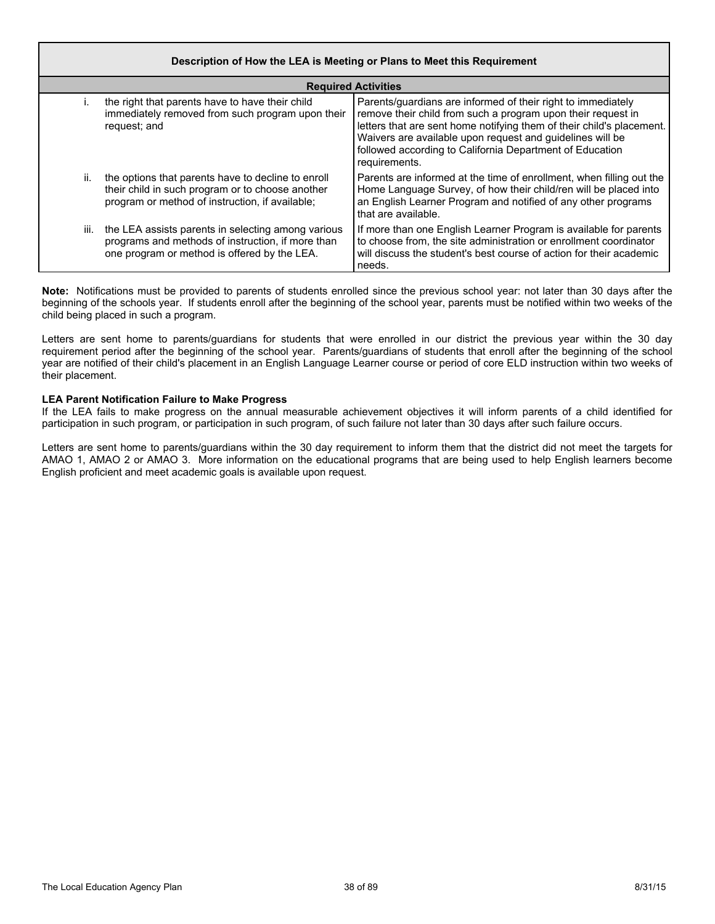|      | Description of How the LEA is Meeting or Plans to Meet this Requirement                                                                                   |                                                                                                                                                                                                                                                                                                                                                 |  |  |  |  |
|------|-----------------------------------------------------------------------------------------------------------------------------------------------------------|-------------------------------------------------------------------------------------------------------------------------------------------------------------------------------------------------------------------------------------------------------------------------------------------------------------------------------------------------|--|--|--|--|
|      | <b>Required Activities</b>                                                                                                                                |                                                                                                                                                                                                                                                                                                                                                 |  |  |  |  |
| İ.   | the right that parents have to have their child<br>immediately removed from such program upon their<br>request; and                                       | Parents/guardians are informed of their right to immediately<br>remove their child from such a program upon their request in<br>letters that are sent home notifying them of their child's placement.<br>Waivers are available upon request and guidelines will be<br>followed according to California Department of Education<br>requirements. |  |  |  |  |
| ii.  | the options that parents have to decline to enroll<br>their child in such program or to choose another<br>program or method of instruction, if available; | Parents are informed at the time of enrollment, when filling out the<br>Home Language Survey, of how their child/ren will be placed into<br>an English Learner Program and notified of any other programs<br>that are available.                                                                                                                |  |  |  |  |
| iii. | the LEA assists parents in selecting among various<br>programs and methods of instruction, if more than<br>one program or method is offered by the LEA.   | If more than one English Learner Program is available for parents<br>to choose from, the site administration or enrollment coordinator<br>will discuss the student's best course of action for their academic<br>needs.                                                                                                                         |  |  |  |  |

**Note:** Notifications must be provided to parents of students enrolled since the previous school year: not later than 30 days after the beginning of the schools year. If students enroll after the beginning of the school year, parents must be notified within two weeks of the child being placed in such a program.

Letters are sent home to parents/guardians for students that were enrolled in our district the previous year within the 30 day requirement period after the beginning of the school year. Parents/guardians of students that enroll after the beginning of the school year are notified of their child's placement in an English Language Learner course or period of core ELD instruction within two weeks of their placement.

#### **LEA Parent Notification Failure to Make Progress**

If the LEA fails to make progress on the annual measurable achievement objectives it will inform parents of a child identified for participation in such program, or participation in such program, of such failure not later than 30 days after such failure occurs.

Letters are sent home to parents/guardians within the 30 day requirement to inform them that the district did not meet the targets for AMAO 1, AMAO 2 or AMAO 3. More information on the educational programs that are being used to help English learners become English proficient and meet academic goals is available upon request.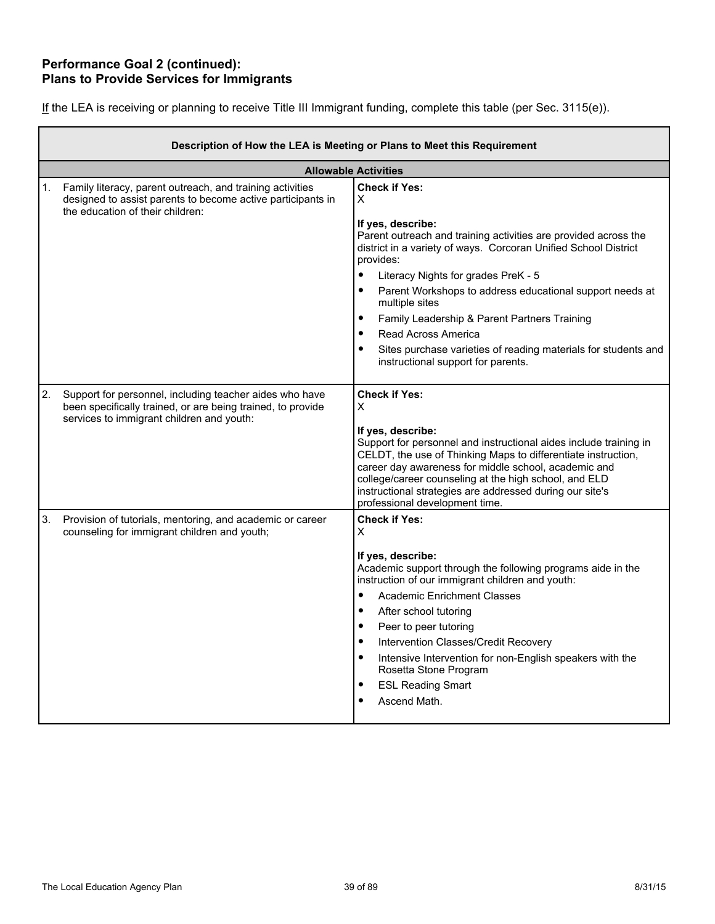## **Performance Goal 2 (continued): Plans to Provide Services for Immigrants**

|  | If the LEA is receiving or planning to receive Title III Immigrant funding, complete this table (per Sec. 3115(e)). |
|--|---------------------------------------------------------------------------------------------------------------------|
|  |                                                                                                                     |

|    | Description of How the LEA is Meeting or Plans to Meet this Requirement                                                                                             |                                                                                                                                                                                                                                                                                                                                                                                                                                                        |  |  |  |  |
|----|---------------------------------------------------------------------------------------------------------------------------------------------------------------------|--------------------------------------------------------------------------------------------------------------------------------------------------------------------------------------------------------------------------------------------------------------------------------------------------------------------------------------------------------------------------------------------------------------------------------------------------------|--|--|--|--|
|    |                                                                                                                                                                     | <b>Allowable Activities</b>                                                                                                                                                                                                                                                                                                                                                                                                                            |  |  |  |  |
|    | 1. Family literacy, parent outreach, and training activities<br>designed to assist parents to become active participants in<br>the education of their children:     | <b>Check if Yes:</b><br>X<br>If yes, describe:<br>Parent outreach and training activities are provided across the                                                                                                                                                                                                                                                                                                                                      |  |  |  |  |
|    |                                                                                                                                                                     | district in a variety of ways. Corcoran Unified School District<br>provides:                                                                                                                                                                                                                                                                                                                                                                           |  |  |  |  |
|    |                                                                                                                                                                     | $\bullet$<br>Literacy Nights for grades PreK - 5                                                                                                                                                                                                                                                                                                                                                                                                       |  |  |  |  |
|    |                                                                                                                                                                     | Parent Workshops to address educational support needs at<br>$\bullet$<br>multiple sites                                                                                                                                                                                                                                                                                                                                                                |  |  |  |  |
|    |                                                                                                                                                                     | $\bullet$<br>Family Leadership & Parent Partners Training                                                                                                                                                                                                                                                                                                                                                                                              |  |  |  |  |
|    |                                                                                                                                                                     | $\bullet$<br>Read Across America                                                                                                                                                                                                                                                                                                                                                                                                                       |  |  |  |  |
|    |                                                                                                                                                                     | $\bullet$<br>Sites purchase varieties of reading materials for students and<br>instructional support for parents.                                                                                                                                                                                                                                                                                                                                      |  |  |  |  |
| 2. | Support for personnel, including teacher aides who have<br>been specifically trained, or are being trained, to provide<br>services to immigrant children and youth: | <b>Check if Yes:</b><br>X<br>If yes, describe:<br>Support for personnel and instructional aides include training in<br>CELDT, the use of Thinking Maps to differentiate instruction,<br>career day awareness for middle school, academic and<br>college/career counseling at the high school, and ELD<br>instructional strategies are addressed during our site's<br>professional development time.                                                    |  |  |  |  |
| 3. | Provision of tutorials, mentoring, and academic or career<br>counseling for immigrant children and youth;                                                           | <b>Check if Yes:</b><br>X                                                                                                                                                                                                                                                                                                                                                                                                                              |  |  |  |  |
|    |                                                                                                                                                                     | If yes, describe:<br>Academic support through the following programs aide in the<br>instruction of our immigrant children and youth:<br>$\bullet$<br><b>Academic Enrichment Classes</b><br>$\bullet$<br>After school tutoring<br>$\bullet$<br>Peer to peer tutoring<br>$\bullet$<br>Intervention Classes/Credit Recovery<br>Intensive Intervention for non-English speakers with the<br>$\bullet$<br>Rosetta Stone Program<br><b>ESL Reading Smart</b> |  |  |  |  |
|    |                                                                                                                                                                     | Ascend Math.                                                                                                                                                                                                                                                                                                                                                                                                                                           |  |  |  |  |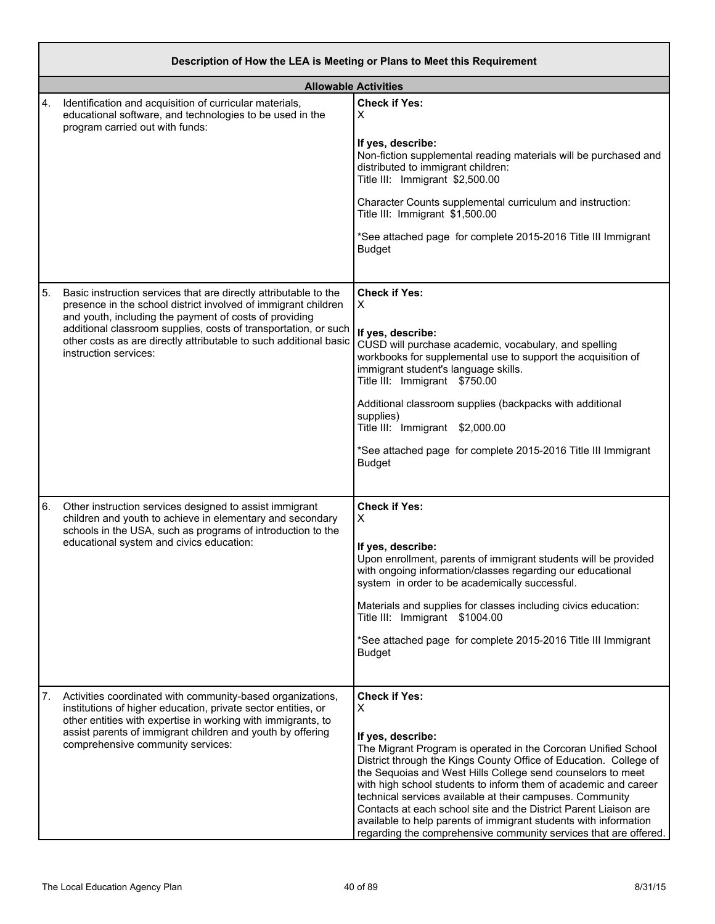|    | Description of How the LEA is Meeting or Plans to Meet this Requirement                                                                                                                                                                                                                        |                                                                                                                                                                                                                                                                                                                                                                                                                                                          |  |  |  |
|----|------------------------------------------------------------------------------------------------------------------------------------------------------------------------------------------------------------------------------------------------------------------------------------------------|----------------------------------------------------------------------------------------------------------------------------------------------------------------------------------------------------------------------------------------------------------------------------------------------------------------------------------------------------------------------------------------------------------------------------------------------------------|--|--|--|
|    |                                                                                                                                                                                                                                                                                                | <b>Allowable Activities</b>                                                                                                                                                                                                                                                                                                                                                                                                                              |  |  |  |
| 4. | Identification and acquisition of curricular materials,<br>educational software, and technologies to be used in the<br>program carried out with funds:                                                                                                                                         | <b>Check if Yes:</b><br>х                                                                                                                                                                                                                                                                                                                                                                                                                                |  |  |  |
|    |                                                                                                                                                                                                                                                                                                | If yes, describe:<br>Non-fiction supplemental reading materials will be purchased and<br>distributed to immigrant children:<br>Title III: Immigrant \$2,500.00                                                                                                                                                                                                                                                                                           |  |  |  |
|    |                                                                                                                                                                                                                                                                                                | Character Counts supplemental curriculum and instruction:<br>Title III: Immigrant \$1,500.00                                                                                                                                                                                                                                                                                                                                                             |  |  |  |
|    |                                                                                                                                                                                                                                                                                                | *See attached page for complete 2015-2016 Title III Immigrant<br><b>Budget</b>                                                                                                                                                                                                                                                                                                                                                                           |  |  |  |
| 5. | Basic instruction services that are directly attributable to the<br>presence in the school district involved of immigrant children<br>and youth, including the payment of costs of providing<br>additional classroom supplies, costs of transportation, or such                                | <b>Check if Yes:</b><br>X                                                                                                                                                                                                                                                                                                                                                                                                                                |  |  |  |
|    | other costs as are directly attributable to such additional basic<br>instruction services:                                                                                                                                                                                                     | If yes, describe:<br>CUSD will purchase academic, vocabulary, and spelling<br>workbooks for supplemental use to support the acquisition of<br>immigrant student's language skills.<br>Title III: Immigrant \$750.00                                                                                                                                                                                                                                      |  |  |  |
|    |                                                                                                                                                                                                                                                                                                | Additional classroom supplies (backpacks with additional<br>supplies)<br>Title III: Immigrant \$2,000.00                                                                                                                                                                                                                                                                                                                                                 |  |  |  |
|    |                                                                                                                                                                                                                                                                                                | *See attached page for complete 2015-2016 Title III Immigrant<br><b>Budget</b>                                                                                                                                                                                                                                                                                                                                                                           |  |  |  |
| 6. | Other instruction services designed to assist immigrant<br>children and youth to achieve in elementary and secondary<br>schools in the USA, such as programs of introduction to the                                                                                                            | <b>Check if Yes:</b><br>х                                                                                                                                                                                                                                                                                                                                                                                                                                |  |  |  |
|    | educational system and civics education:                                                                                                                                                                                                                                                       | If yes, describe:<br>Upon enrollment, parents of immigrant students will be provided<br>with ongoing information/classes regarding our educational<br>system in order to be academically successful.                                                                                                                                                                                                                                                     |  |  |  |
|    |                                                                                                                                                                                                                                                                                                | Materials and supplies for classes including civics education:<br>Title III: Immigrant \$1004.00                                                                                                                                                                                                                                                                                                                                                         |  |  |  |
|    |                                                                                                                                                                                                                                                                                                | *See attached page for complete 2015-2016 Title III Immigrant<br><b>Budget</b>                                                                                                                                                                                                                                                                                                                                                                           |  |  |  |
| 7. | Activities coordinated with community-based organizations,<br>institutions of higher education, private sector entities, or<br>other entities with expertise in working with immigrants, to<br>assist parents of immigrant children and youth by offering<br>comprehensive community services: | <b>Check if Yes:</b><br>X<br>If yes, describe:<br>The Migrant Program is operated in the Corcoran Unified School<br>District through the Kings County Office of Education. College of<br>the Sequoias and West Hills College send counselors to meet<br>with high school students to inform them of academic and career<br>technical services available at their campuses. Community<br>Contacts at each school site and the District Parent Liaison are |  |  |  |
|    |                                                                                                                                                                                                                                                                                                | available to help parents of immigrant students with information<br>regarding the comprehensive community services that are offered.                                                                                                                                                                                                                                                                                                                     |  |  |  |

r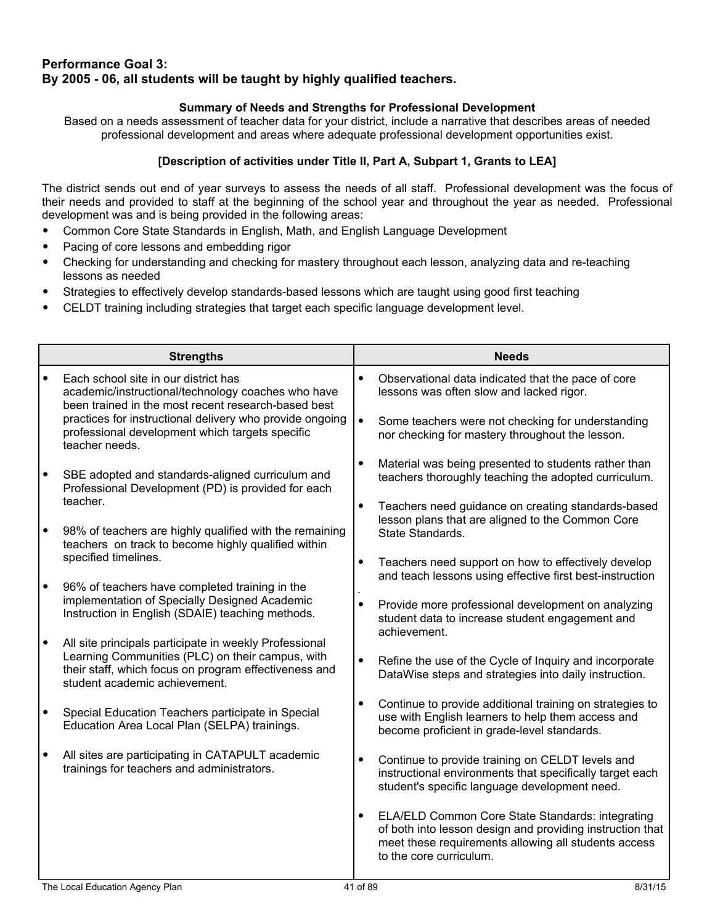## **Performance Goal 3: By 2005 - 06, all students will be taught by highly qualified teachers.**

## **Summary of Needs and Strengths for Professional Development**

Based on a needs assessment of teacher data for your district, include a narrative that describes areas of needed professional development and areas where adequate professional development opportunities exist.

## **[Description of activities under Title II, Part A, Subpart 1, Grants to LEA]**

The district sends out end of year surveys to assess the needs of all staff. Professional development was the focus of their needs and provided to staff at the beginning of the school year and throughout the year as needed. Professional development was and is being provided in the following areas:

- Common Core State Standards in English, Math, and English Language Development
- Pacing of core lessons and embedding rigor
- Checking for understanding and checking for mastery throughout each lesson, analyzing data and re-teaching lessons as needed
- Strategies to effectively develop standards-based lessons which are taught using good first teaching
- CELDT training including strategies that target each specific language development level.

| <b>Strengths</b>                                                                                                                                                                                     |           | <b>Needs</b>                                                                                                                                                                                     |
|------------------------------------------------------------------------------------------------------------------------------------------------------------------------------------------------------|-----------|--------------------------------------------------------------------------------------------------------------------------------------------------------------------------------------------------|
| Each school site in our district has<br>academic/instructional/technology coaches who have<br>been trained in the most recent research-based best                                                    | $\bullet$ | Observational data indicated that the pace of core<br>lessons was often slow and lacked rigor.                                                                                                   |
| practices for instructional delivery who provide ongoing<br>professional development which targets specific<br>teacher needs.                                                                        | $\bullet$ | Some teachers were not checking for understanding<br>nor checking for mastery throughout the lesson.                                                                                             |
| SBE adopted and standards-aligned curriculum and<br>Professional Development (PD) is provided for each                                                                                               |           | Material was being presented to students rather than<br>teachers thoroughly teaching the adopted curriculum.                                                                                     |
| teacher.<br>98% of teachers are highly qualified with the remaining<br>teachers on track to become highly qualified within                                                                           |           | Teachers need guidance on creating standards-based<br>lesson plans that are aligned to the Common Core<br>State Standards.                                                                       |
| specified timelines.                                                                                                                                                                                 |           | Teachers need support on how to effectively develop<br>and teach lessons using effective first best-instruction                                                                                  |
| 96% of teachers have completed training in the<br>implementation of Specially Designed Academic<br>Instruction in English (SDAIE) teaching methods.                                                  |           | Provide more professional development on analyzing<br>student data to increase student engagement and<br>achievement.                                                                            |
| All site principals participate in weekly Professional<br>Learning Communities (PLC) on their campus, with<br>their staff, which focus on program effectiveness and<br>student academic achievement. | $\bullet$ | Refine the use of the Cycle of Inquiry and incorporate<br>DataWise steps and strategies into daily instruction.                                                                                  |
| Special Education Teachers participate in Special<br>Education Area Local Plan (SELPA) trainings.                                                                                                    |           | Continue to provide additional training on strategies to<br>use with English learners to help them access and<br>become proficient in grade-level standards.                                     |
| All sites are participating in CATAPULT academic<br>trainings for teachers and administrators.                                                                                                       | $\bullet$ | Continue to provide training on CELDT levels and<br>instructional environments that specifically target each<br>student's specific language development need.                                    |
|                                                                                                                                                                                                      |           | ELA/ELD Common Core State Standards: integrating<br>of both into lesson design and providing instruction that<br>meet these requirements allowing all students access<br>to the core curriculum. |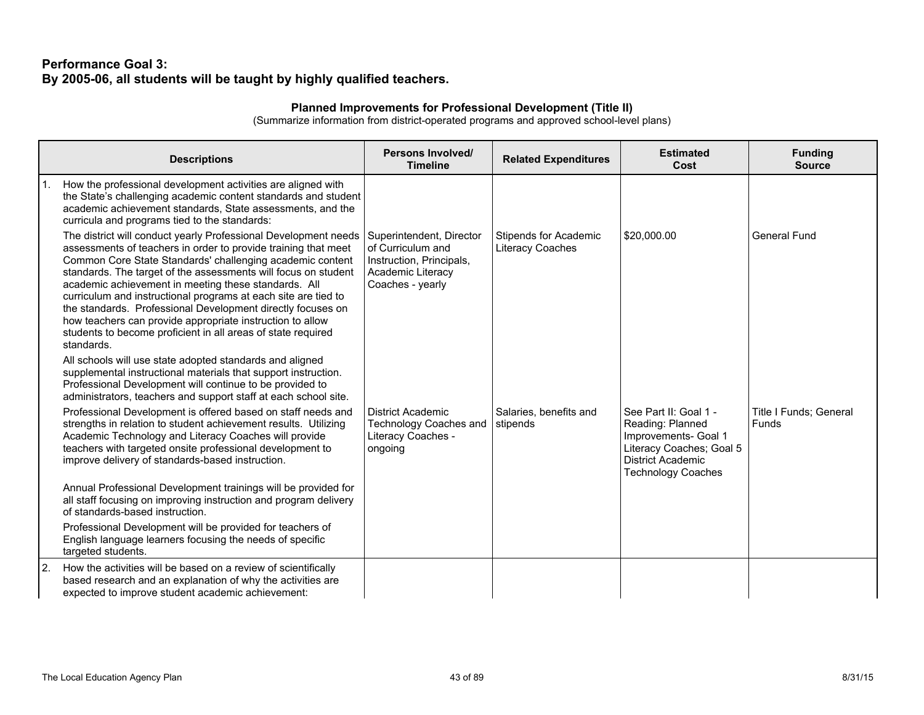## **Performance Goal 3: By 2005-06, all students will be taught by highly qualified teachers.**

### **Planned Improvements for Professional Development (Title II)**

(Summarize information from district-operated programs and approved school-level plans)

|    | <b>Descriptions</b>                                                                                                                                                                                                                                                                                                                                                                                                                                                                                                                                                                                  | Persons Involved/<br><b>Timeline</b>                                                                               | <b>Related Expenditures</b>                      | <b>Estimated</b><br>Cost                                                                                                                               | <b>Funding</b><br><b>Source</b> |
|----|------------------------------------------------------------------------------------------------------------------------------------------------------------------------------------------------------------------------------------------------------------------------------------------------------------------------------------------------------------------------------------------------------------------------------------------------------------------------------------------------------------------------------------------------------------------------------------------------------|--------------------------------------------------------------------------------------------------------------------|--------------------------------------------------|--------------------------------------------------------------------------------------------------------------------------------------------------------|---------------------------------|
|    | How the professional development activities are aligned with<br>the State's challenging academic content standards and student<br>academic achievement standards, State assessments, and the<br>curricula and programs tied to the standards:                                                                                                                                                                                                                                                                                                                                                        |                                                                                                                    |                                                  |                                                                                                                                                        |                                 |
|    | The district will conduct yearly Professional Development needs<br>assessments of teachers in order to provide training that meet<br>Common Core State Standards' challenging academic content<br>standards. The target of the assessments will focus on student<br>academic achievement in meeting these standards. All<br>curriculum and instructional programs at each site are tied to<br>the standards. Professional Development directly focuses on<br>how teachers can provide appropriate instruction to allow<br>students to become proficient in all areas of state required<br>standards. | Superintendent, Director<br>of Curriculum and<br>Instruction, Principals,<br>Academic Literacy<br>Coaches - yearly | <b>Stipends for Academic</b><br>Literacy Coaches | \$20,000.00                                                                                                                                            | <b>General Fund</b>             |
|    | All schools will use state adopted standards and aligned<br>supplemental instructional materials that support instruction.<br>Professional Development will continue to be provided to<br>administrators, teachers and support staff at each school site.                                                                                                                                                                                                                                                                                                                                            |                                                                                                                    |                                                  |                                                                                                                                                        |                                 |
|    | Professional Development is offered based on staff needs and<br>strengths in relation to student achievement results. Utilizing<br>Academic Technology and Literacy Coaches will provide<br>teachers with targeted onsite professional development to<br>improve delivery of standards-based instruction.                                                                                                                                                                                                                                                                                            | <b>District Academic</b><br><b>Technology Coaches and</b><br>Literacy Coaches -<br>ongoing                         | Salaries, benefits and<br>stipends               | See Part II: Goal 1 -<br>Reading: Planned<br>Improvements- Goal 1<br>Literacy Coaches; Goal 5<br><b>District Academic</b><br><b>Technology Coaches</b> | Title I Funds; General<br>Funds |
|    | Annual Professional Development trainings will be provided for<br>all staff focusing on improving instruction and program delivery<br>of standards-based instruction.                                                                                                                                                                                                                                                                                                                                                                                                                                |                                                                                                                    |                                                  |                                                                                                                                                        |                                 |
|    | Professional Development will be provided for teachers of<br>English language learners focusing the needs of specific<br>targeted students.                                                                                                                                                                                                                                                                                                                                                                                                                                                          |                                                                                                                    |                                                  |                                                                                                                                                        |                                 |
| 2. | How the activities will be based on a review of scientifically<br>based research and an explanation of why the activities are<br>expected to improve student academic achievement:                                                                                                                                                                                                                                                                                                                                                                                                                   |                                                                                                                    |                                                  |                                                                                                                                                        |                                 |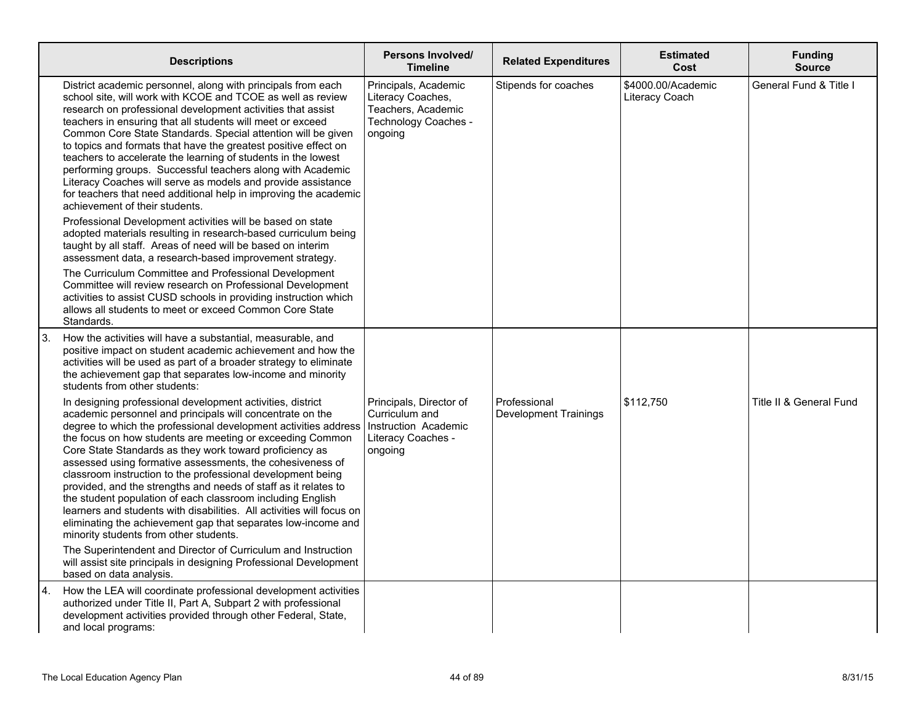|    | <b>Descriptions</b>                                                                                                                                                                                                                                                                                                                                                                                                                                                                                                                                                                                                                                                                                                                                                                                                                                                                                                                                                                                                                                                                                                                                   | Persons Involved/<br><b>Timeline</b>                                                               | <b>Related Expenditures</b>                  | <b>Estimated</b><br>Cost             | <b>Funding</b><br><b>Source</b> |
|----|-------------------------------------------------------------------------------------------------------------------------------------------------------------------------------------------------------------------------------------------------------------------------------------------------------------------------------------------------------------------------------------------------------------------------------------------------------------------------------------------------------------------------------------------------------------------------------------------------------------------------------------------------------------------------------------------------------------------------------------------------------------------------------------------------------------------------------------------------------------------------------------------------------------------------------------------------------------------------------------------------------------------------------------------------------------------------------------------------------------------------------------------------------|----------------------------------------------------------------------------------------------------|----------------------------------------------|--------------------------------------|---------------------------------|
|    | District academic personnel, along with principals from each<br>school site, will work with KCOE and TCOE as well as review<br>research on professional development activities that assist<br>teachers in ensuring that all students will meet or exceed<br>Common Core State Standards. Special attention will be given<br>to topics and formats that have the greatest positive effect on<br>teachers to accelerate the learning of students in the lowest<br>performing groups. Successful teachers along with Academic<br>Literacy Coaches will serve as models and provide assistance<br>for teachers that need additional help in improving the academic<br>achievement of their students.<br>Professional Development activities will be based on state<br>adopted materials resulting in research-based curriculum being<br>taught by all staff. Areas of need will be based on interim<br>assessment data, a research-based improvement strategy.<br>The Curriculum Committee and Professional Development<br>Committee will review research on Professional Development<br>activities to assist CUSD schools in providing instruction which | Principals, Academic<br>Literacy Coaches,<br>Teachers, Academic<br>Technology Coaches -<br>ongoing | Stipends for coaches                         | \$4000.00/Academic<br>Literacy Coach | General Fund & Title I          |
|    | allows all students to meet or exceed Common Core State<br>Standards.                                                                                                                                                                                                                                                                                                                                                                                                                                                                                                                                                                                                                                                                                                                                                                                                                                                                                                                                                                                                                                                                                 |                                                                                                    |                                              |                                      |                                 |
| 3. | How the activities will have a substantial, measurable, and<br>positive impact on student academic achievement and how the<br>activities will be used as part of a broader strategy to eliminate<br>the achievement gap that separates low-income and minority<br>students from other students:                                                                                                                                                                                                                                                                                                                                                                                                                                                                                                                                                                                                                                                                                                                                                                                                                                                       |                                                                                                    |                                              |                                      |                                 |
|    | In designing professional development activities, district<br>academic personnel and principals will concentrate on the<br>degree to which the professional development activities address<br>the focus on how students are meeting or exceeding Common<br>Core State Standards as they work toward proficiency as<br>assessed using formative assessments, the cohesiveness of<br>classroom instruction to the professional development being<br>provided, and the strengths and needs of staff as it relates to<br>the student population of each classroom including English<br>learners and students with disabilities. All activities will focus on<br>eliminating the achievement gap that separates low-income and<br>minority students from other students.                                                                                                                                                                                                                                                                                                                                                                                   | Principals, Director of<br>Curriculum and<br>Instruction Academic<br>Literacy Coaches -<br>ongoing | Professional<br><b>Development Trainings</b> | \$112,750                            | Title II & General Fund         |
|    | The Superintendent and Director of Curriculum and Instruction<br>will assist site principals in designing Professional Development<br>based on data analysis.                                                                                                                                                                                                                                                                                                                                                                                                                                                                                                                                                                                                                                                                                                                                                                                                                                                                                                                                                                                         |                                                                                                    |                                              |                                      |                                 |
| 4. | How the LEA will coordinate professional development activities<br>authorized under Title II, Part A, Subpart 2 with professional<br>development activities provided through other Federal, State,<br>and local programs:                                                                                                                                                                                                                                                                                                                                                                                                                                                                                                                                                                                                                                                                                                                                                                                                                                                                                                                             |                                                                                                    |                                              |                                      |                                 |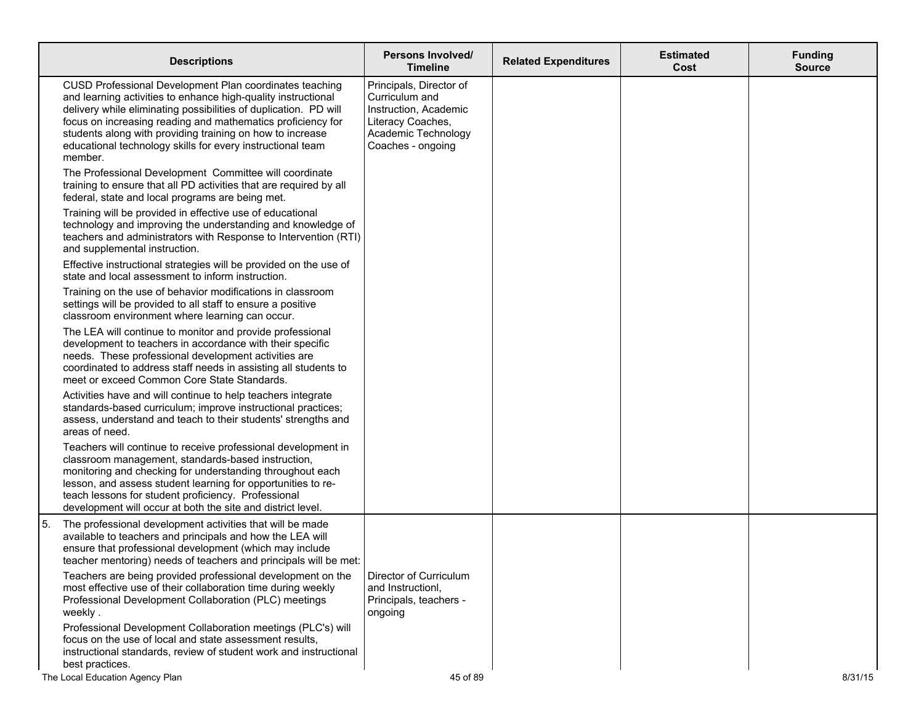|    | <b>Descriptions</b>                                                                                                                                                                                                                                                                                                                                                                               | Persons Involved/<br><b>Timeline</b>                                                                                                | <b>Related Expenditures</b> | <b>Estimated</b><br>Cost | <b>Funding</b><br><b>Source</b> |
|----|---------------------------------------------------------------------------------------------------------------------------------------------------------------------------------------------------------------------------------------------------------------------------------------------------------------------------------------------------------------------------------------------------|-------------------------------------------------------------------------------------------------------------------------------------|-----------------------------|--------------------------|---------------------------------|
|    | CUSD Professional Development Plan coordinates teaching<br>and learning activities to enhance high-quality instructional<br>delivery while eliminating possibilities of duplication. PD will<br>focus on increasing reading and mathematics proficiency for<br>students along with providing training on how to increase<br>educational technology skills for every instructional team<br>member. | Principals, Director of<br>Curriculum and<br>Instruction, Academic<br>Literacy Coaches,<br>Academic Technology<br>Coaches - ongoing |                             |                          |                                 |
|    | The Professional Development Committee will coordinate<br>training to ensure that all PD activities that are required by all<br>federal, state and local programs are being met.                                                                                                                                                                                                                  |                                                                                                                                     |                             |                          |                                 |
|    | Training will be provided in effective use of educational<br>technology and improving the understanding and knowledge of<br>teachers and administrators with Response to Intervention (RTI)<br>and supplemental instruction.                                                                                                                                                                      |                                                                                                                                     |                             |                          |                                 |
|    | Effective instructional strategies will be provided on the use of<br>state and local assessment to inform instruction.                                                                                                                                                                                                                                                                            |                                                                                                                                     |                             |                          |                                 |
|    | Training on the use of behavior modifications in classroom<br>settings will be provided to all staff to ensure a positive<br>classroom environment where learning can occur.                                                                                                                                                                                                                      |                                                                                                                                     |                             |                          |                                 |
|    | The LEA will continue to monitor and provide professional<br>development to teachers in accordance with their specific<br>needs. These professional development activities are<br>coordinated to address staff needs in assisting all students to<br>meet or exceed Common Core State Standards.                                                                                                  |                                                                                                                                     |                             |                          |                                 |
|    | Activities have and will continue to help teachers integrate<br>standards-based curriculum; improve instructional practices;<br>assess, understand and teach to their students' strengths and<br>areas of need.                                                                                                                                                                                   |                                                                                                                                     |                             |                          |                                 |
|    | Teachers will continue to receive professional development in<br>classroom management, standards-based instruction,<br>monitoring and checking for understanding throughout each<br>lesson, and assess student learning for opportunities to re-<br>teach lessons for student proficiency. Professional<br>development will occur at both the site and district level.                            |                                                                                                                                     |                             |                          |                                 |
| 5. | The professional development activities that will be made<br>available to teachers and principals and how the LEA will<br>ensure that professional development (which may include<br>teacher mentoring) needs of teachers and principals will be met:                                                                                                                                             |                                                                                                                                     |                             |                          |                                 |
|    | Teachers are being provided professional development on the<br>most effective use of their collaboration time during weekly<br>Professional Development Collaboration (PLC) meetings<br>weekly.                                                                                                                                                                                                   | Director of Curriculum<br>and Instructionl.<br>Principals, teachers -<br>ongoing                                                    |                             |                          |                                 |
|    | Professional Development Collaboration meetings (PLC's) will<br>focus on the use of local and state assessment results,<br>instructional standards, review of student work and instructional<br>best practices.                                                                                                                                                                                   |                                                                                                                                     |                             |                          |                                 |
|    | The Local Education Agency Plan                                                                                                                                                                                                                                                                                                                                                                   | 45 of 89                                                                                                                            |                             |                          | 8/31/15                         |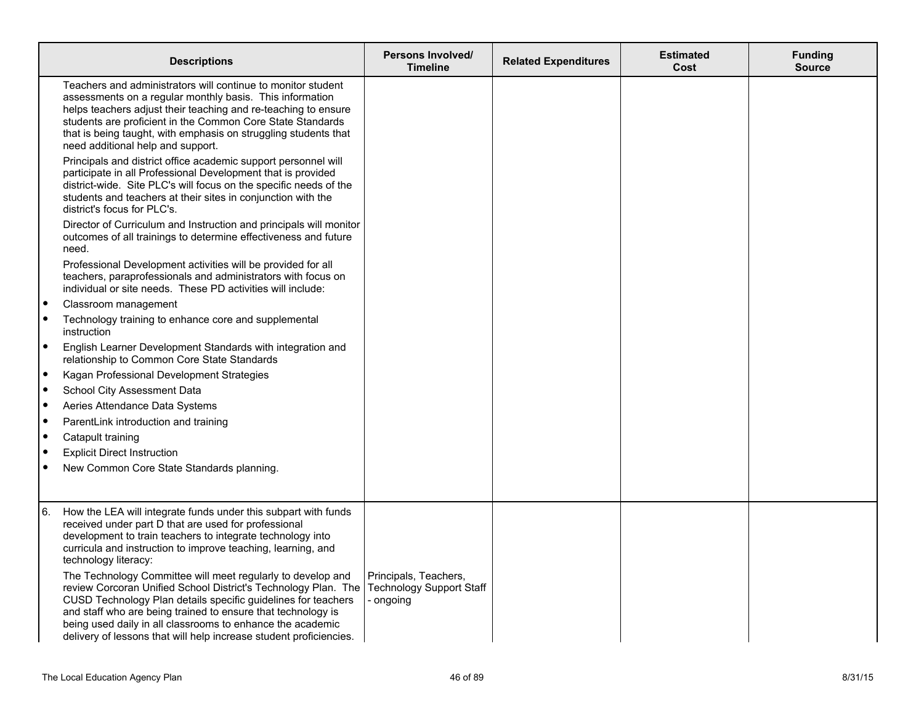|           | <b>Descriptions</b>                                                                                                                                                                                                                                                                                                                                                                                                                    | Persons Involved/<br><b>Timeline</b> | <b>Related Expenditures</b> | <b>Estimated</b><br>Cost | <b>Funding</b><br><b>Source</b> |
|-----------|----------------------------------------------------------------------------------------------------------------------------------------------------------------------------------------------------------------------------------------------------------------------------------------------------------------------------------------------------------------------------------------------------------------------------------------|--------------------------------------|-----------------------------|--------------------------|---------------------------------|
|           | Teachers and administrators will continue to monitor student<br>assessments on a regular monthly basis. This information<br>helps teachers adjust their teaching and re-teaching to ensure<br>students are proficient in the Common Core State Standards<br>that is being taught, with emphasis on struggling students that<br>need additional help and support.                                                                       |                                      |                             |                          |                                 |
|           | Principals and district office academic support personnel will<br>participate in all Professional Development that is provided<br>district-wide. Site PLC's will focus on the specific needs of the<br>students and teachers at their sites in conjunction with the<br>district's focus for PLC's.                                                                                                                                     |                                      |                             |                          |                                 |
|           | Director of Curriculum and Instruction and principals will monitor<br>outcomes of all trainings to determine effectiveness and future<br>need.                                                                                                                                                                                                                                                                                         |                                      |                             |                          |                                 |
|           | Professional Development activities will be provided for all<br>teachers, paraprofessionals and administrators with focus on<br>individual or site needs. These PD activities will include:                                                                                                                                                                                                                                            |                                      |                             |                          |                                 |
| $\bullet$ | Classroom management                                                                                                                                                                                                                                                                                                                                                                                                                   |                                      |                             |                          |                                 |
|           | Technology training to enhance core and supplemental<br>instruction                                                                                                                                                                                                                                                                                                                                                                    |                                      |                             |                          |                                 |
| $\bullet$ | English Learner Development Standards with integration and<br>relationship to Common Core State Standards                                                                                                                                                                                                                                                                                                                              |                                      |                             |                          |                                 |
| $\bullet$ | Kagan Professional Development Strategies                                                                                                                                                                                                                                                                                                                                                                                              |                                      |                             |                          |                                 |
|           | School City Assessment Data                                                                                                                                                                                                                                                                                                                                                                                                            |                                      |                             |                          |                                 |
|           | Aeries Attendance Data Systems                                                                                                                                                                                                                                                                                                                                                                                                         |                                      |                             |                          |                                 |
|           | ParentLink introduction and training                                                                                                                                                                                                                                                                                                                                                                                                   |                                      |                             |                          |                                 |
|           | Catapult training                                                                                                                                                                                                                                                                                                                                                                                                                      |                                      |                             |                          |                                 |
|           | <b>Explicit Direct Instruction</b>                                                                                                                                                                                                                                                                                                                                                                                                     |                                      |                             |                          |                                 |
|           | New Common Core State Standards planning.                                                                                                                                                                                                                                                                                                                                                                                              |                                      |                             |                          |                                 |
| 6.        | How the LEA will integrate funds under this subpart with funds<br>received under part D that are used for professional<br>development to train teachers to integrate technology into<br>curricula and instruction to improve teaching, learning, and<br>technology literacy:<br>The Technology Committee will meet regularly to develop and<br>review Corcoran Unified School District's Technology Plan. The Technology Support Staff | Principals, Teachers,                |                             |                          |                                 |
|           | CUSD Technology Plan details specific guidelines for teachers<br>and staff who are being trained to ensure that technology is<br>being used daily in all classrooms to enhance the academic<br>delivery of lessons that will help increase student proficiencies.                                                                                                                                                                      | - ongoing                            |                             |                          |                                 |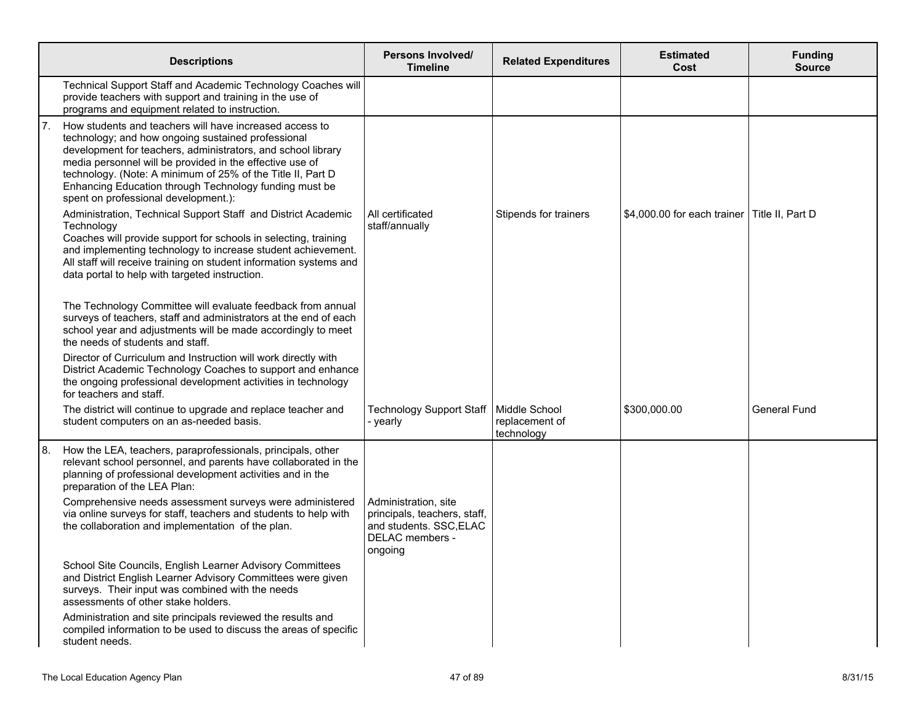|      | <b>Descriptions</b>                                                                                                                                                                                                                                                                                                                                                                                                                                                                                                                                                                                                                                                                                                                                  | Persons Involved/<br><b>Timeline</b>                                                                          | <b>Related Expenditures</b>                   | <b>Estimated</b><br>Cost    | <b>Funding</b><br><b>Source</b> |
|------|------------------------------------------------------------------------------------------------------------------------------------------------------------------------------------------------------------------------------------------------------------------------------------------------------------------------------------------------------------------------------------------------------------------------------------------------------------------------------------------------------------------------------------------------------------------------------------------------------------------------------------------------------------------------------------------------------------------------------------------------------|---------------------------------------------------------------------------------------------------------------|-----------------------------------------------|-----------------------------|---------------------------------|
|      | Technical Support Staff and Academic Technology Coaches will<br>provide teachers with support and training in the use of<br>programs and equipment related to instruction.                                                                                                                                                                                                                                                                                                                                                                                                                                                                                                                                                                           |                                                                                                               |                                               |                             |                                 |
| 17.  | How students and teachers will have increased access to<br>technology; and how ongoing sustained professional<br>development for teachers, administrators, and school library<br>media personnel will be provided in the effective use of<br>technology. (Note: A minimum of 25% of the Title II, Part D<br>Enhancing Education through Technology funding must be<br>spent on professional development.):<br>Administration, Technical Support Staff and District Academic<br>Technology<br>Coaches will provide support for schools in selecting, training<br>and implementing technology to increase student achievement.<br>All staff will receive training on student information systems and<br>data portal to help with targeted instruction. | All certificated<br>staff/annually                                                                            | Stipends for trainers                         | \$4,000.00 for each trainer | Title II, Part D                |
|      | The Technology Committee will evaluate feedback from annual<br>surveys of teachers, staff and administrators at the end of each<br>school year and adjustments will be made accordingly to meet<br>the needs of students and staff.<br>Director of Curriculum and Instruction will work directly with                                                                                                                                                                                                                                                                                                                                                                                                                                                |                                                                                                               |                                               |                             |                                 |
|      | District Academic Technology Coaches to support and enhance<br>the ongoing professional development activities in technology<br>for teachers and staff.                                                                                                                                                                                                                                                                                                                                                                                                                                                                                                                                                                                              |                                                                                                               |                                               |                             |                                 |
|      | The district will continue to upgrade and replace teacher and<br>student computers on an as-needed basis.                                                                                                                                                                                                                                                                                                                                                                                                                                                                                                                                                                                                                                            | <b>Technology Support Staff</b><br>- yearly                                                                   | Middle School<br>replacement of<br>technology | \$300,000.00                | General Fund                    |
| l 8. | How the LEA, teachers, paraprofessionals, principals, other<br>relevant school personnel, and parents have collaborated in the<br>planning of professional development activities and in the<br>preparation of the LEA Plan:                                                                                                                                                                                                                                                                                                                                                                                                                                                                                                                         |                                                                                                               |                                               |                             |                                 |
|      | Comprehensive needs assessment surveys were administered<br>via online surveys for staff, teachers and students to help with<br>the collaboration and implementation of the plan.                                                                                                                                                                                                                                                                                                                                                                                                                                                                                                                                                                    | Administration, site<br>principals, teachers, staff,<br>and students. SSC, ELAC<br>DELAC members -<br>ongoing |                                               |                             |                                 |
|      | School Site Councils, English Learner Advisory Committees<br>and District English Learner Advisory Committees were given<br>surveys. Their input was combined with the needs<br>assessments of other stake holders.                                                                                                                                                                                                                                                                                                                                                                                                                                                                                                                                  |                                                                                                               |                                               |                             |                                 |
|      | Administration and site principals reviewed the results and<br>compiled information to be used to discuss the areas of specific<br>student needs.                                                                                                                                                                                                                                                                                                                                                                                                                                                                                                                                                                                                    |                                                                                                               |                                               |                             |                                 |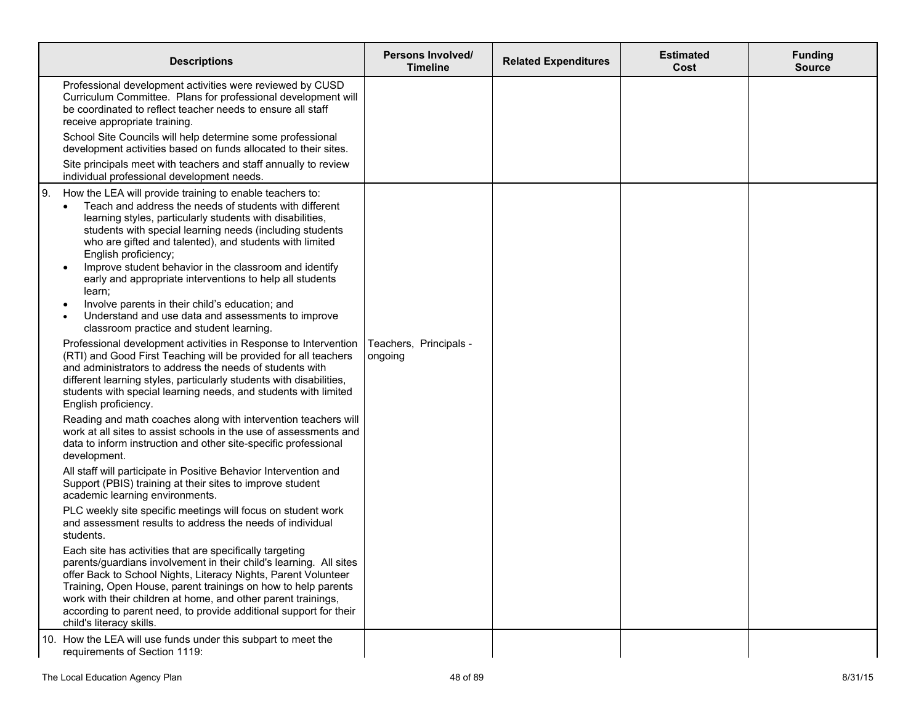| <b>Descriptions</b>                                                                                                                                                                                                                                                                                                                                                                                                                                                                                                                                                                                                                                                                                                           | <b>Persons Involved/</b><br><b>Timeline</b> | <b>Related Expenditures</b> | <b>Estimated</b><br>Cost | <b>Funding</b><br>Source |
|-------------------------------------------------------------------------------------------------------------------------------------------------------------------------------------------------------------------------------------------------------------------------------------------------------------------------------------------------------------------------------------------------------------------------------------------------------------------------------------------------------------------------------------------------------------------------------------------------------------------------------------------------------------------------------------------------------------------------------|---------------------------------------------|-----------------------------|--------------------------|--------------------------|
| Professional development activities were reviewed by CUSD<br>Curriculum Committee. Plans for professional development will<br>be coordinated to reflect teacher needs to ensure all staff<br>receive appropriate training.<br>School Site Councils will help determine some professional<br>development activities based on funds allocated to their sites.                                                                                                                                                                                                                                                                                                                                                                   |                                             |                             |                          |                          |
| Site principals meet with teachers and staff annually to review<br>individual professional development needs.                                                                                                                                                                                                                                                                                                                                                                                                                                                                                                                                                                                                                 |                                             |                             |                          |                          |
| How the LEA will provide training to enable teachers to:<br>l 9.<br>Teach and address the needs of students with different<br>$\bullet$<br>learning styles, particularly students with disabilities,<br>students with special learning needs (including students<br>who are gifted and talented), and students with limited<br>English proficiency;<br>Improve student behavior in the classroom and identify<br>$\bullet$<br>early and appropriate interventions to help all students<br>learn;<br>Involve parents in their child's education; and<br>٠<br>Understand and use data and assessments to improve<br>classroom practice and student learning.<br>Professional development activities in Response to Intervention | Teachers, Principals -                      |                             |                          |                          |
| (RTI) and Good First Teaching will be provided for all teachers<br>and administrators to address the needs of students with<br>different learning styles, particularly students with disabilities,<br>students with special learning needs, and students with limited<br>English proficiency.                                                                                                                                                                                                                                                                                                                                                                                                                                 | ongoing                                     |                             |                          |                          |
| Reading and math coaches along with intervention teachers will<br>work at all sites to assist schools in the use of assessments and<br>data to inform instruction and other site-specific professional<br>development.                                                                                                                                                                                                                                                                                                                                                                                                                                                                                                        |                                             |                             |                          |                          |
| All staff will participate in Positive Behavior Intervention and<br>Support (PBIS) training at their sites to improve student<br>academic learning environments.                                                                                                                                                                                                                                                                                                                                                                                                                                                                                                                                                              |                                             |                             |                          |                          |
| PLC weekly site specific meetings will focus on student work<br>and assessment results to address the needs of individual<br>students.                                                                                                                                                                                                                                                                                                                                                                                                                                                                                                                                                                                        |                                             |                             |                          |                          |
| Each site has activities that are specifically targeting<br>parents/guardians involvement in their child's learning. All sites<br>offer Back to School Nights, Literacy Nights, Parent Volunteer<br>Training, Open House, parent trainings on how to help parents<br>work with their children at home, and other parent trainings,<br>according to parent need, to provide additional support for their<br>child's literacy skills.                                                                                                                                                                                                                                                                                           |                                             |                             |                          |                          |
| 10. How the LEA will use funds under this subpart to meet the<br>requirements of Section 1119:                                                                                                                                                                                                                                                                                                                                                                                                                                                                                                                                                                                                                                |                                             |                             |                          |                          |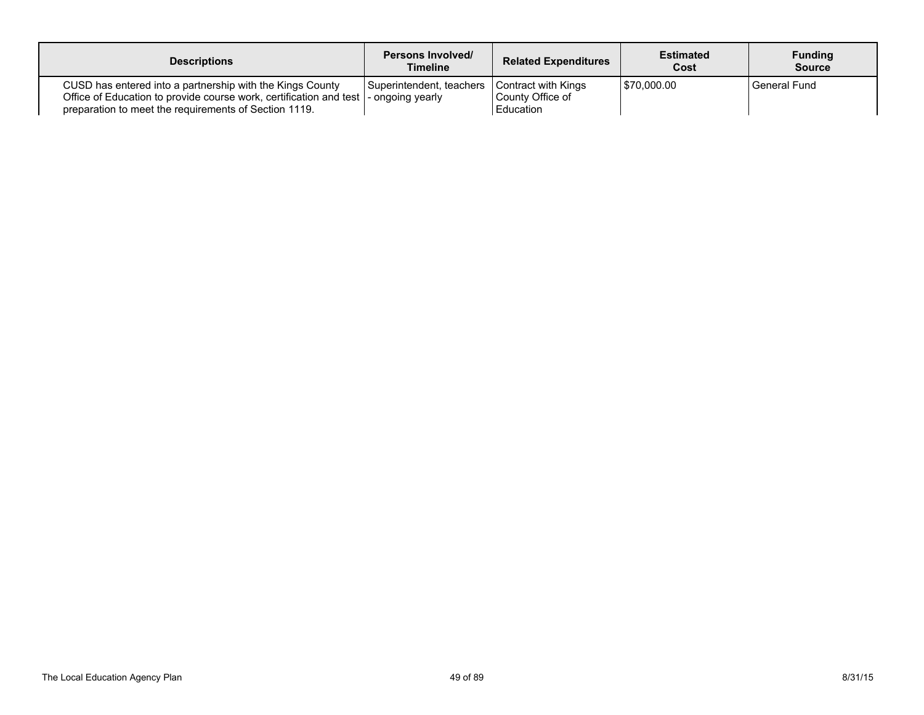| <b>Descriptions</b>                                                                                                                                                                      | <b>Persons Involved/</b><br>Timeline       | <b>Related Expenditures</b>                          | <b>Estimated</b><br>Cost | <b>Funding</b><br><b>Source</b> |
|------------------------------------------------------------------------------------------------------------------------------------------------------------------------------------------|--------------------------------------------|------------------------------------------------------|--------------------------|---------------------------------|
| CUSD has entered into a partnership with the Kings County<br>Office of Education to provide course work, certification and test<br>preparation to meet the requirements of Section 1119. | Superintendent, teachers<br>ongoing yearly | Contract with Kings<br>County Office of<br>Education | 570.000.00               | General Fund                    |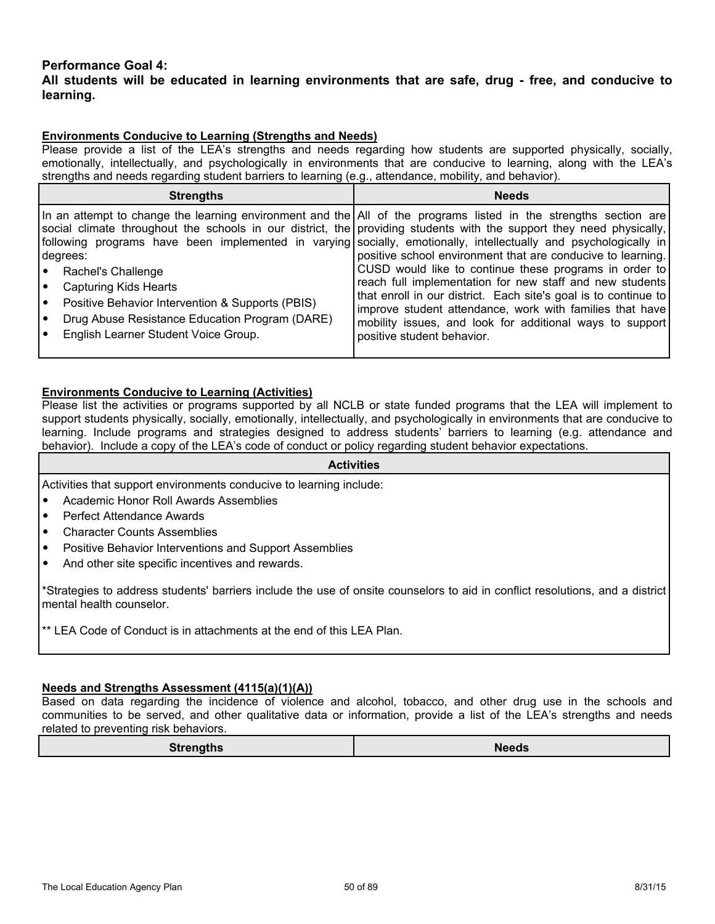## **Performance Goal 4:**

## **All students will be educated in learning environments that are safe, drug - free, and conducive to learning.**

### **Environments Conducive to Learning (Strengths and Needs)**

Please provide a list of the LEA's strengths and needs regarding how students are supported physically, socially, emotionally, intellectually, and psychologically in environments that are conducive to learning, along with the LEA's strengths and needs regarding student barriers to learning (e.g., attendance, mobility, and behavior).

| <b>Strengths</b>                                                                                                                                                                                                   | <b>Needs</b>                                                                                                                                                                                                                                                                                                                                                                                                                                                                                                                                                                                                                                                                                                                                                                 |
|--------------------------------------------------------------------------------------------------------------------------------------------------------------------------------------------------------------------|------------------------------------------------------------------------------------------------------------------------------------------------------------------------------------------------------------------------------------------------------------------------------------------------------------------------------------------------------------------------------------------------------------------------------------------------------------------------------------------------------------------------------------------------------------------------------------------------------------------------------------------------------------------------------------------------------------------------------------------------------------------------------|
| degrees:<br>Rachel's Challenge<br><b>Capturing Kids Hearts</b><br>Positive Behavior Intervention & Supports (PBIS)<br>Drug Abuse Resistance Education Program (DARE)<br>∣•<br>English Learner Student Voice Group. | In an attempt to change the learning environment and the All of the programs listed in the strengths section are<br>social climate throughout the schools in our district, the providing students with the support they need physically,<br>  following programs have been implemented in varying socially, emotionally, intellectually and psychologically in<br>positive school environment that are conducive to learning.<br>CUSD would like to continue these programs in order to<br>reach full implementation for new staff and new students<br>that enroll in our district. Each site's goal is to continue to<br>improve student attendance, work with families that have<br>mobility issues, and look for additional ways to support<br>positive student behavior. |

### **Environments Conducive to Learning (Activities)**

Please list the activities or programs supported by all NCLB or state funded programs that the LEA will implement to support students physically, socially, emotionally, intellectually, and psychologically in environments that are conducive to learning. Include programs and strategies designed to address students' barriers to learning (e.g. attendance and behavior). Include a copy of the LEA's code of conduct or policy regarding student behavior expectations.

#### **Activities**

Activities that support environments conducive to learning include:

- Academic Honor Roll Awards Assemblies
- Perfect Attendance Awards
- Character Counts Assemblies
- Positive Behavior Interventions and Support Assemblies
- And other site specific incentives and rewards.

\*Strategies to address students' barriers include the use of onsite counselors to aid in conflict resolutions, and a district mental health counselor.

\*\* LEA Code of Conduct is in attachments at the end of this LEA Plan.

#### **Needs and Strengths Assessment (4115(a)(1)(A))**

Based on data regarding the incidence of violence and alcohol, tobacco, and other drug use in the schools and communities to be served, and other qualitative data or information, provide a list of the LEA's strengths and needs related to preventing risk behaviors.

| <b>Strengths</b> | <b>Needs</b> |
|------------------|--------------|
|------------------|--------------|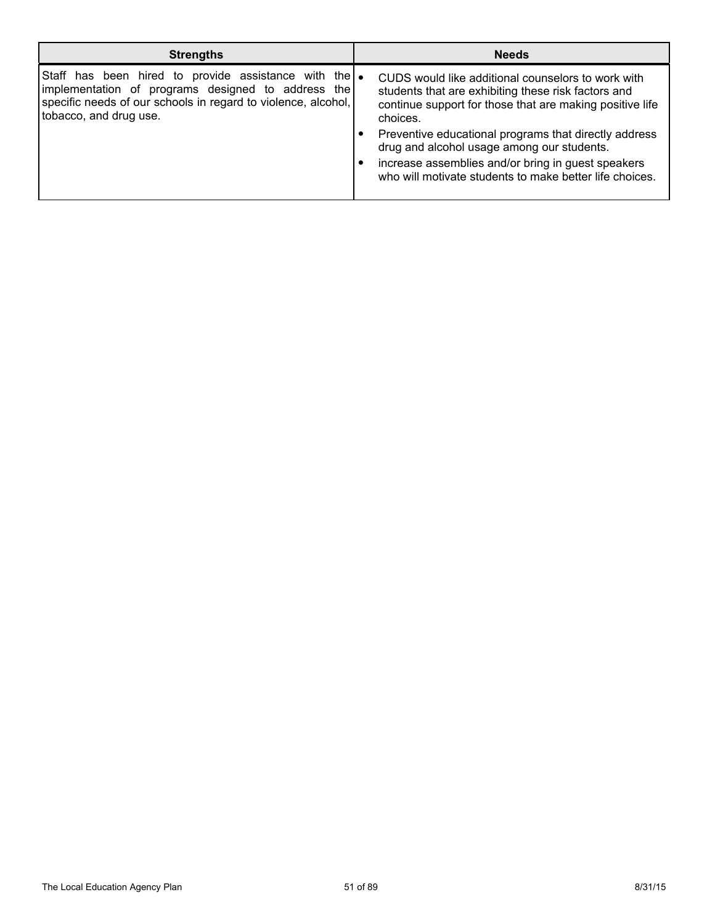| <b>Strengths</b>                                                                                                                                                                                               | <b>Needs</b>                                                                                                                                                                                                                                                                                                                                                                                              |
|----------------------------------------------------------------------------------------------------------------------------------------------------------------------------------------------------------------|-----------------------------------------------------------------------------------------------------------------------------------------------------------------------------------------------------------------------------------------------------------------------------------------------------------------------------------------------------------------------------------------------------------|
| Staff has been hired to provide assistance with the $\bullet$<br>implementation of programs designed to address the<br>specific needs of our schools in regard to violence, alcohol,<br>tobacco, and drug use. | CUDS would like additional counselors to work with<br>students that are exhibiting these risk factors and<br>continue support for those that are making positive life<br>choices.<br>Preventive educational programs that directly address<br>drug and alcohol usage among our students.<br>increase assemblies and/or bring in guest speakers<br>who will motivate students to make better life choices. |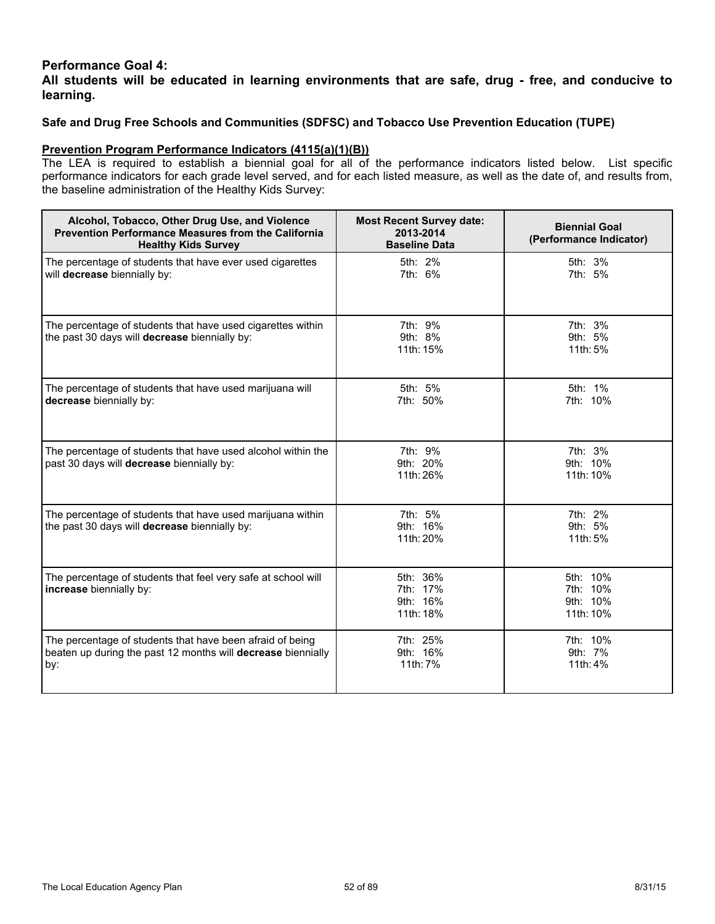## **Performance Goal 4:**

**All students will be educated in learning environments that are safe, drug - free, and conducive to learning.**

## **Safe and Drug Free Schools and Communities (SDFSC) and Tobacco Use Prevention Education (TUPE)**

### **Prevention Program Performance Indicators (4115(a)(1)(B))**

The LEA is required to establish a biennial goal for all of the performance indicators listed below. List specific performance indicators for each grade level served, and for each listed measure, as well as the date of, and results from, the baseline administration of the Healthy Kids Survey:

| Alcohol, Tobacco, Other Drug Use, and Violence<br><b>Prevention Performance Measures from the California</b><br><b>Healthy Kids Survey</b> | <b>Most Recent Survey date:</b><br>2013-2014<br><b>Baseline Data</b> | <b>Biennial Goal</b><br>(Performance Indicator) |
|--------------------------------------------------------------------------------------------------------------------------------------------|----------------------------------------------------------------------|-------------------------------------------------|
| The percentage of students that have ever used cigarettes<br>will decrease biennially by:                                                  | 5th: 2%<br>7th: 6%                                                   | 5th: 3%<br>7th: 5%                              |
| The percentage of students that have used cigarettes within<br>the past 30 days will decrease biennially by:                               | 7th: 9%<br>9th: 8%<br>11th: 15%                                      | 7th: 3%<br>9th: 5%<br>11th: 5%                  |
| The percentage of students that have used marijuana will<br>decrease biennially by:                                                        | 5th: 5%<br>7th: 50%                                                  | 5th: 1%<br>7th: 10%                             |
| The percentage of students that have used alcohol within the<br>past 30 days will decrease biennially by:                                  | 7th: 9%<br>9th: 20%<br>11th: 26%                                     | 7th: 3%<br>9th: 10%<br>11th: 10%                |
| The percentage of students that have used marijuana within<br>the past 30 days will decrease biennially by:                                | 7th: 5%<br>9th: 16%<br>11th: 20%                                     | 7th: 2%<br>9th: 5%<br>11th: 5%                  |
| The percentage of students that feel very safe at school will<br>increase biennially by:                                                   | 5th: 36%<br>7th: 17%<br>9th: 16%<br>11th: 18%                        | 5th: 10%<br>7th: 10%<br>9th: 10%<br>11th: 10%   |
| The percentage of students that have been afraid of being<br>beaten up during the past 12 months will decrease biennially<br>by:           | 7th: 25%<br>9th: 16%<br>11th: 7%                                     | 7th: 10%<br>9th: 7%<br>11th: 4%                 |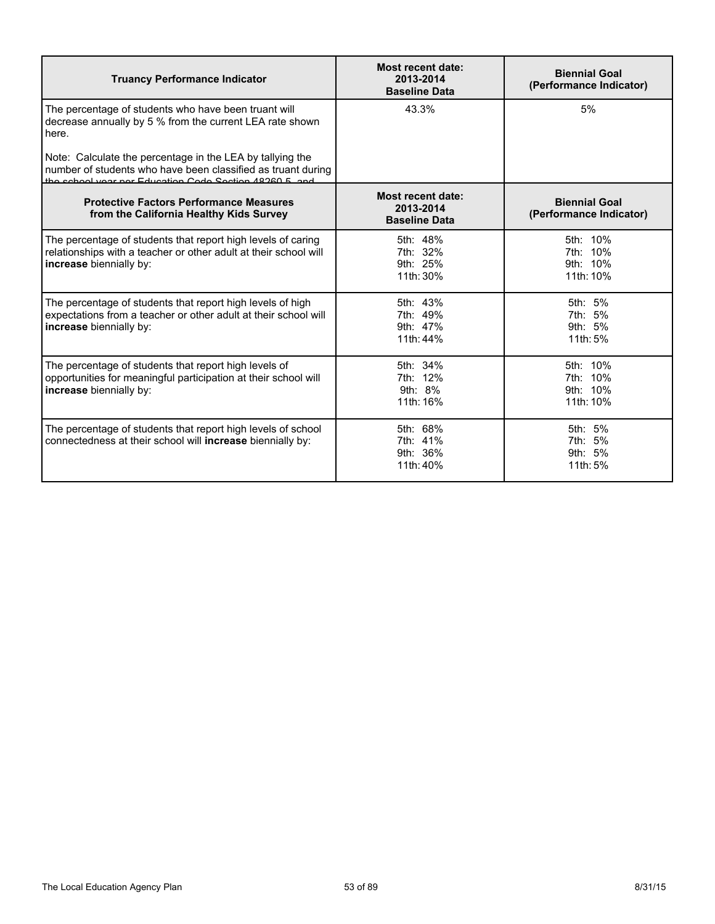| <b>Truancy Performance Indicator</b>                                                                                                                                                | <b>Most recent date:</b><br>2013-2014<br><b>Baseline Data</b> | <b>Biennial Goal</b><br>(Performance Indicator) |
|-------------------------------------------------------------------------------------------------------------------------------------------------------------------------------------|---------------------------------------------------------------|-------------------------------------------------|
| The percentage of students who have been truant will<br>decrease annually by 5 % from the current LEA rate shown<br>here.                                                           | 43.3%                                                         | 5%                                              |
| Note: Calculate the percentage in the LEA by tallying the<br>number of students who have been classified as truant during<br>the school year ner Education Code Section 48260 5 and |                                                               |                                                 |
| <b>Protective Factors Performance Measures</b><br>from the California Healthy Kids Survey                                                                                           | Most recent date:<br>2013-2014<br><b>Baseline Data</b>        | <b>Biennial Goal</b><br>(Performance Indicator) |
| The percentage of students that report high levels of caring<br>relationships with a teacher or other adult at their school will<br>increase biennially by:                         | 5th: 48%<br>7th: 32%<br>9th: 25%<br>11th: 30%                 | 5th: 10%<br>7th: 10%<br>9th: 10%<br>11th: 10%   |
| The percentage of students that report high levels of high<br>expectations from a teacher or other adult at their school will<br>increase biennially by:                            | 5th: 43%<br>7th: 49%<br>9th: 47%<br>11th: 44%                 | 5th: 5%<br>7th: 5%<br>9th: 5%<br>11th: 5%       |
| The percentage of students that report high levels of<br>opportunities for meaningful participation at their school will<br>increase biennially by:                                 | 5th: 34%<br>7th: 12%<br>9th: 8%<br>11th: 16%                  | 5th: 10%<br>7th: 10%<br>9th: 10%<br>11th: 10%   |
| The percentage of students that report high levels of school<br>connectedness at their school will increase biennially by:                                                          | 5th: 68%<br>7th: 41%<br>9th: 36%<br>11th: 40%                 | 5th: 5%<br>7th: 5%<br>9th: 5%<br>11th: 5%       |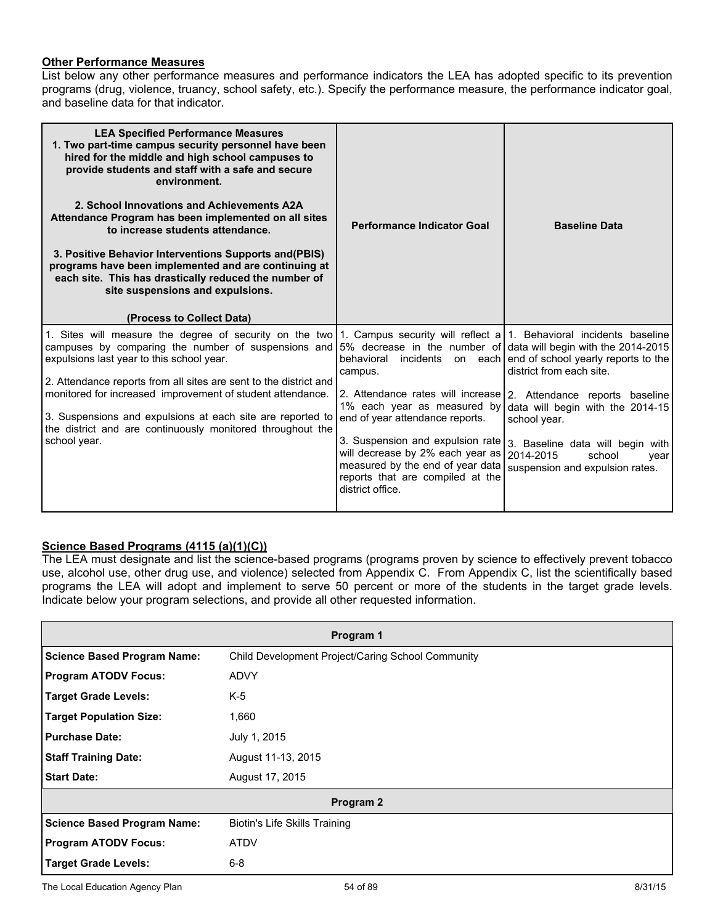#### **Other Performance Measures**

List below any other performance measures and performance indicators the LEA has adopted specific to its prevention programs (drug, violence, truancy, school safety, etc.). Specify the performance measure, the performance indicator goal, and baseline data for that indicator.

| hired for the middle and high school campuses to<br>provide students and staff with a safe and secure<br>environment.<br>2. School Innovations and Achievements A2A<br>Attendance Program has been implemented on all sites<br>to increase students attendance.<br>3. Positive Behavior Interventions Supports and (PBIS)<br>programs have been implemented and are continuing at<br>each site. This has drastically reduced the number of<br>site suspensions and expulsions.<br>(Process to Collect Data)                                                                                                     | <b>Performance Indicator Goal</b>                                                                                                                                                      | <b>Baseline Data</b>                                                                                                                                                                                                                                                                                                         |
|-----------------------------------------------------------------------------------------------------------------------------------------------------------------------------------------------------------------------------------------------------------------------------------------------------------------------------------------------------------------------------------------------------------------------------------------------------------------------------------------------------------------------------------------------------------------------------------------------------------------|----------------------------------------------------------------------------------------------------------------------------------------------------------------------------------------|------------------------------------------------------------------------------------------------------------------------------------------------------------------------------------------------------------------------------------------------------------------------------------------------------------------------------|
| 1. Sites will measure the degree of security on the two 1. Campus security will reflect a 1. Behavioral incidents baseline<br>campuses by comparing the number of suspensions and 5% decrease in the number of data will begin with the 2014-2015<br>expulsions last year to this school year.<br>2. Attendance reports from all sites are sent to the district and<br>monitored for increased improvement of student attendance.<br>3. Suspensions and expulsions at each site are reported to   end of year attendance reports.<br>the district and are continuously monitored throughout the<br>school year. | campus.<br>1% each year as measured by<br>3. Suspension and expulsion rate<br>will decrease by 2% each year as<br>measured by the end of year data<br>reports that are compiled at the | behavioral incidents on each end of school yearly reports to the<br>district from each site.<br>2. Attendance rates will increase   2. Attendance reports baseline<br>data will begin with the 2014-15<br>school year.<br>3. Baseline data will begin with<br>2014-2015<br>school<br>year<br>suspension and expulsion rates. |

## **Science Based Programs (4115 (a)(1)(C))**

The LEA must designate and list the science-based programs (programs proven by science to effectively prevent tobacco use, alcohol use, other drug use, and violence) selected from Appendix C. From Appendix C, list the scientifically based programs the LEA will adopt and implement to serve 50 percent or more of the students in the target grade levels. Indicate below your program selections, and provide all other requested information.

| Program 1                          |                                                   |  |
|------------------------------------|---------------------------------------------------|--|
| <b>Science Based Program Name:</b> | Child Development Project/Caring School Community |  |
| <b>Program ATODV Focus:</b>        | <b>ADVY</b>                                       |  |
| <b>Target Grade Levels:</b>        | $K-5$                                             |  |
| <b>Target Population Size:</b>     | 1,660                                             |  |
| <b>Purchase Date:</b>              | July 1, 2015                                      |  |
| <b>Staff Training Date:</b>        | August 11-13, 2015                                |  |
| <b>Start Date:</b>                 | August 17, 2015                                   |  |
|                                    | Program 2                                         |  |
| <b>Science Based Program Name:</b> | Biotin's Life Skills Training                     |  |
| <b>Program ATODV Focus:</b>        | <b>ATDV</b>                                       |  |
| <b>Target Grade Levels:</b>        | $6 - 8$                                           |  |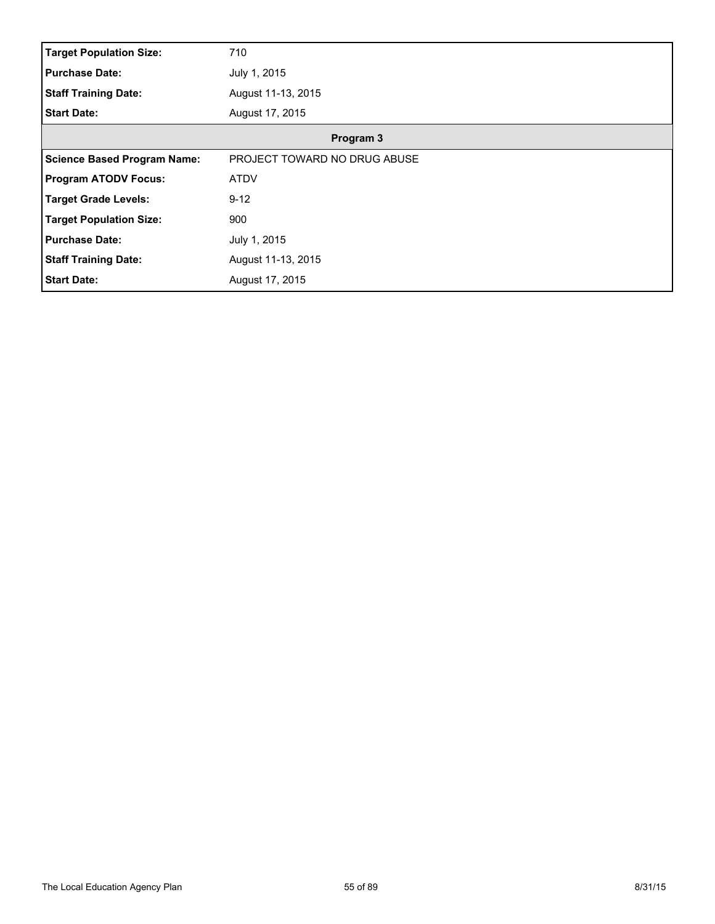| <b>Target Population Size:</b>     | 710                          |
|------------------------------------|------------------------------|
| <b>Purchase Date:</b>              | July 1, 2015                 |
| <b>Staff Training Date:</b>        | August 11-13, 2015           |
| <b>Start Date:</b>                 | August 17, 2015              |
|                                    | Program 3                    |
| <b>Science Based Program Name:</b> | PROJECT TOWARD NO DRUG ABUSE |
| <b>Program ATODV Focus:</b>        | <b>ATDV</b>                  |
| <b>Target Grade Levels:</b>        | $9 - 12$                     |
| <b>Target Population Size:</b>     | 900                          |
| <b>Purchase Date:</b>              | July 1, 2015                 |
| <b>Staff Training Date:</b>        | August 11-13, 2015           |
| <b>Start Date:</b>                 | August 17, 2015              |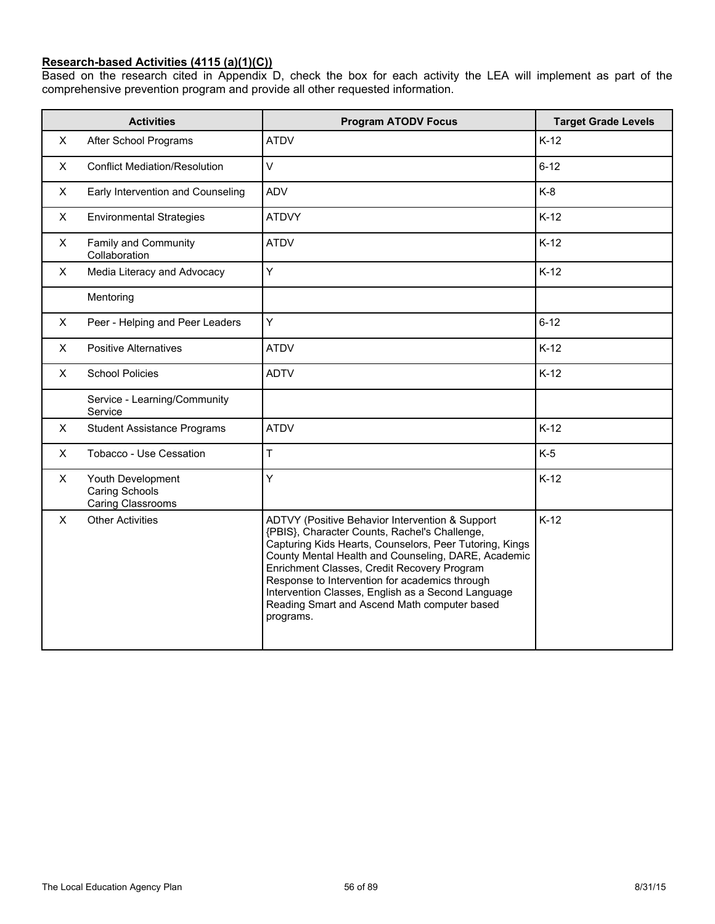#### **Research-based Activities (4115 (a)(1)(C))**

Based on the research cited in Appendix D, check the box for each activity the LEA will implement as part of the comprehensive prevention program and provide all other requested information.

|   | <b>Activities</b>                                               | <b>Program ATODV Focus</b>                                                                                                                                                                                                                                                                                                                                                                                                             | <b>Target Grade Levels</b> |
|---|-----------------------------------------------------------------|----------------------------------------------------------------------------------------------------------------------------------------------------------------------------------------------------------------------------------------------------------------------------------------------------------------------------------------------------------------------------------------------------------------------------------------|----------------------------|
| X | After School Programs                                           | <b>ATDV</b>                                                                                                                                                                                                                                                                                                                                                                                                                            | $K-12$                     |
| X | <b>Conflict Mediation/Resolution</b>                            | V                                                                                                                                                                                                                                                                                                                                                                                                                                      | $6 - 12$                   |
| X | Early Intervention and Counseling                               | <b>ADV</b>                                                                                                                                                                                                                                                                                                                                                                                                                             | $K-8$                      |
| X | <b>Environmental Strategies</b>                                 | <b>ATDVY</b>                                                                                                                                                                                                                                                                                                                                                                                                                           | $K-12$                     |
| X | Family and Community<br>Collaboration                           | <b>ATDV</b>                                                                                                                                                                                                                                                                                                                                                                                                                            | $K-12$                     |
| X | Media Literacy and Advocacy                                     | Y                                                                                                                                                                                                                                                                                                                                                                                                                                      | $K-12$                     |
|   | Mentoring                                                       |                                                                                                                                                                                                                                                                                                                                                                                                                                        |                            |
| X | Peer - Helping and Peer Leaders                                 | Ý                                                                                                                                                                                                                                                                                                                                                                                                                                      | $6 - 12$                   |
| X | <b>Positive Alternatives</b>                                    | <b>ATDV</b>                                                                                                                                                                                                                                                                                                                                                                                                                            | $K-12$                     |
| X | <b>School Policies</b>                                          | <b>ADTV</b>                                                                                                                                                                                                                                                                                                                                                                                                                            | $K-12$                     |
|   | Service - Learning/Community<br>Service                         |                                                                                                                                                                                                                                                                                                                                                                                                                                        |                            |
| X | <b>Student Assistance Programs</b>                              | <b>ATDV</b>                                                                                                                                                                                                                                                                                                                                                                                                                            | $K-12$                     |
| X | Tobacco - Use Cessation                                         | T                                                                                                                                                                                                                                                                                                                                                                                                                                      | $K-5$                      |
| X | Youth Development<br><b>Caring Schools</b><br>Caring Classrooms | Ÿ                                                                                                                                                                                                                                                                                                                                                                                                                                      | $K-12$                     |
| X | <b>Other Activities</b>                                         | ADTVY (Positive Behavior Intervention & Support<br>{PBIS}, Character Counts, Rachel's Challenge,<br>Capturing Kids Hearts, Counselors, Peer Tutoring, Kings<br>County Mental Health and Counseling, DARE, Academic<br>Enrichment Classes, Credit Recovery Program<br>Response to Intervention for academics through<br>Intervention Classes, English as a Second Language<br>Reading Smart and Ascend Math computer based<br>programs. | $K-12$                     |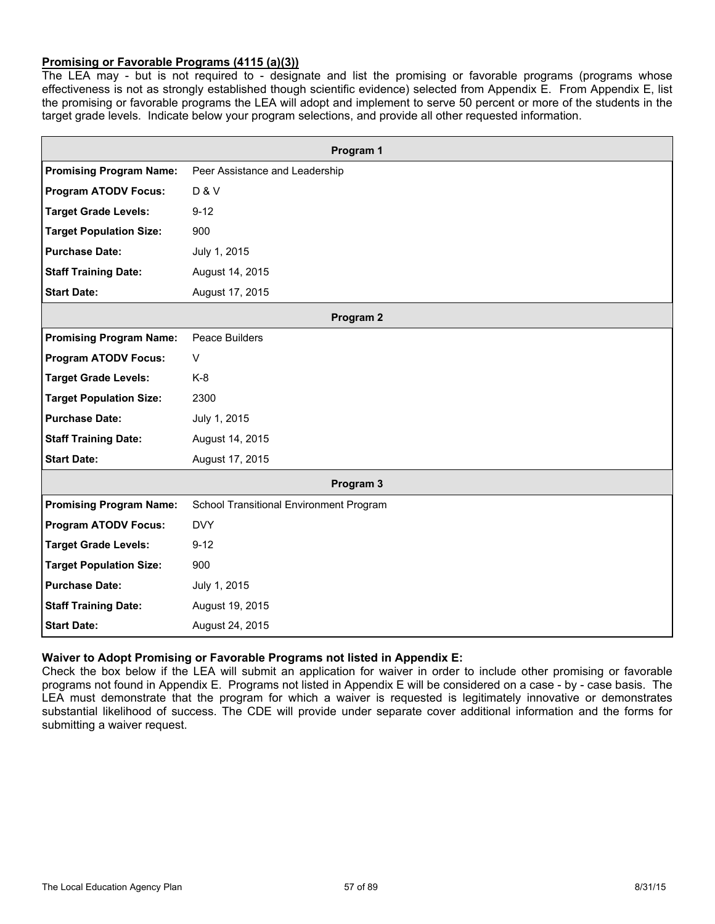### **Promising or Favorable Programs (4115 (a)(3))**

The LEA may - but is not required to - designate and list the promising or favorable programs (programs whose effectiveness is not as strongly established though scientific evidence) selected from Appendix E. From Appendix E, list the promising or favorable programs the LEA will adopt and implement to serve 50 percent or more of the students in the target grade levels. Indicate below your program selections, and provide all other requested information.

|                                | Program 1                               |  |
|--------------------------------|-----------------------------------------|--|
| <b>Promising Program Name:</b> | Peer Assistance and Leadership          |  |
| <b>Program ATODV Focus:</b>    | <b>D &amp; V</b>                        |  |
| <b>Target Grade Levels:</b>    | $9 - 12$                                |  |
| <b>Target Population Size:</b> | 900                                     |  |
| <b>Purchase Date:</b>          | July 1, 2015                            |  |
| <b>Staff Training Date:</b>    | August 14, 2015                         |  |
| <b>Start Date:</b>             | August 17, 2015                         |  |
|                                | Program 2                               |  |
| <b>Promising Program Name:</b> | Peace Builders                          |  |
| <b>Program ATODV Focus:</b>    | $\vee$                                  |  |
| <b>Target Grade Levels:</b>    | K-8                                     |  |
| <b>Target Population Size:</b> | 2300                                    |  |
| <b>Purchase Date:</b>          | July 1, 2015                            |  |
| <b>Staff Training Date:</b>    | August 14, 2015                         |  |
| <b>Start Date:</b>             | August 17, 2015                         |  |
|                                | Program 3                               |  |
| <b>Promising Program Name:</b> | School Transitional Environment Program |  |
| <b>Program ATODV Focus:</b>    | <b>DVY</b>                              |  |
| <b>Target Grade Levels:</b>    | $9 - 12$                                |  |
| <b>Target Population Size:</b> | 900                                     |  |
| <b>Purchase Date:</b>          | July 1, 2015                            |  |
| <b>Staff Training Date:</b>    | August 19, 2015                         |  |
| <b>Start Date:</b>             | August 24, 2015                         |  |

#### **Waiver to Adopt Promising or Favorable Programs not listed in Appendix E:**

Check the box below if the LEA will submit an application for waiver in order to include other promising or favorable programs not found in Appendix E. Programs not listed in Appendix E will be considered on a case - by - case basis. The LEA must demonstrate that the program for which a waiver is requested is legitimately innovative or demonstrates substantial likelihood of success. The CDE will provide under separate cover additional information and the forms for submitting a waiver request.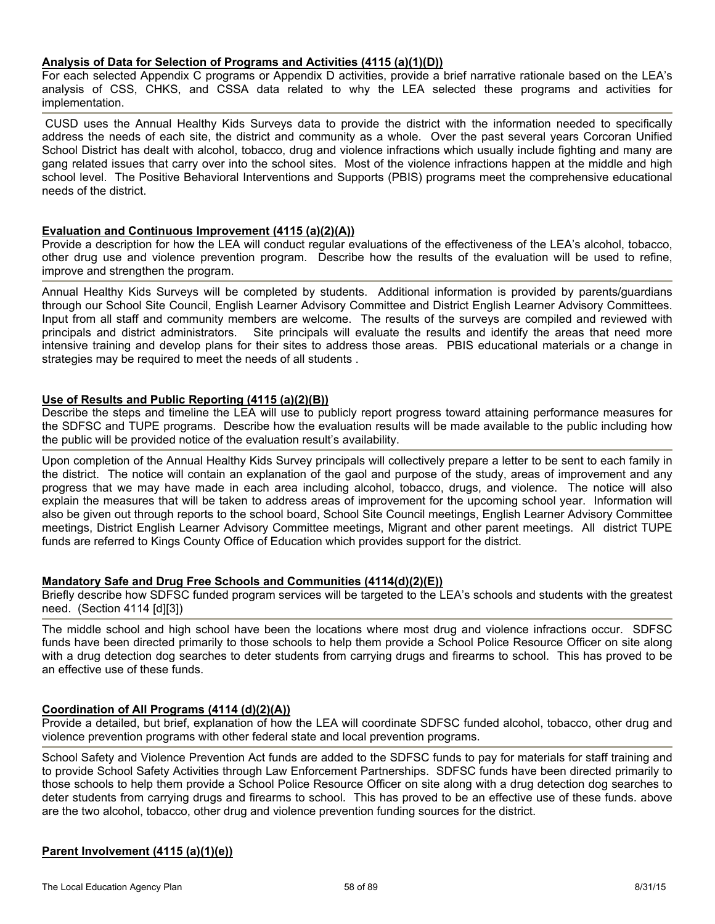#### **Analysis of Data for Selection of Programs and Activities (4115 (a)(1)(D))**

For each selected Appendix C programs or Appendix D activities, provide a brief narrative rationale based on the LEA's analysis of CSS, CHKS, and CSSA data related to why the LEA selected these programs and activities for implementation.

CUSD uses the Annual Healthy Kids Surveys data to provide the district with the information needed to specifically address the needs of each site, the district and community as a whole. Over the past several years Corcoran Unified School District has dealt with alcohol, tobacco, drug and violence infractions which usually include fighting and many are gang related issues that carry over into the school sites. Most of the violence infractions happen at the middle and high school level. The Positive Behavioral Interventions and Supports (PBIS) programs meet the comprehensive educational needs of the district.

#### **Evaluation and Continuous Improvement (4115 (a)(2)(A))**

Provide a description for how the LEA will conduct regular evaluations of the effectiveness of the LEA's alcohol, tobacco, other drug use and violence prevention program. Describe how the results of the evaluation will be used to refine, improve and strengthen the program.

Annual Healthy Kids Surveys will be completed by students. Additional information is provided by parents/guardians through our School Site Council, English Learner Advisory Committee and District English Learner Advisory Committees. Input from all staff and community members are welcome. The results of the surveys are compiled and reviewed with principals and district administrators. Site principals will evaluate the results and identify the areas that need more intensive training and develop plans for their sites to address those areas. PBIS educational materials or a change in strategies may be required to meet the needs of all students .

#### **Use of Results and Public Reporting (4115 (a)(2)(B))**

Describe the steps and timeline the LEA will use to publicly report progress toward attaining performance measures for the SDFSC and TUPE programs. Describe how the evaluation results will be made available to the public including how the public will be provided notice of the evaluation result's availability.

Upon completion of the Annual Healthy Kids Survey principals will collectively prepare a letter to be sent to each family in the district. The notice will contain an explanation of the gaol and purpose of the study, areas of improvement and any progress that we may have made in each area including alcohol, tobacco, drugs, and violence. The notice will also explain the measures that will be taken to address areas of improvement for the upcoming school year. Information will also be given out through reports to the school board, School Site Council meetings, English Learner Advisory Committee meetings, District English Learner Advisory Committee meetings, Migrant and other parent meetings. All district TUPE funds are referred to Kings County Office of Education which provides support for the district.

#### **Mandatory Safe and Drug Free Schools and Communities (4114(d)(2)(E))**

Briefly describe how SDFSC funded program services will be targeted to the LEA's schools and students with the greatest need. (Section 4114 [d][3])

The middle school and high school have been the locations where most drug and violence infractions occur. SDFSC funds have been directed primarily to those schools to help them provide a School Police Resource Officer on site along with a drug detection dog searches to deter students from carrying drugs and firearms to school. This has proved to be an effective use of these funds.

#### **Coordination of All Programs (4114 (d)(2)(A))**

Provide a detailed, but brief, explanation of how the LEA will coordinate SDFSC funded alcohol, tobacco, other drug and violence prevention programs with other federal state and local prevention programs.

School Safety and Violence Prevention Act funds are added to the SDFSC funds to pay for materials for staff training and to provide School Safety Activities through Law Enforcement Partnerships. SDFSC funds have been directed primarily to those schools to help them provide a School Police Resource Officer on site along with a drug detection dog searches to deter students from carrying drugs and firearms to school. This has proved to be an effective use of these funds. above are the two alcohol, tobacco, other drug and violence prevention funding sources for the district.

#### **Parent Involvement (4115 (a)(1)(e))**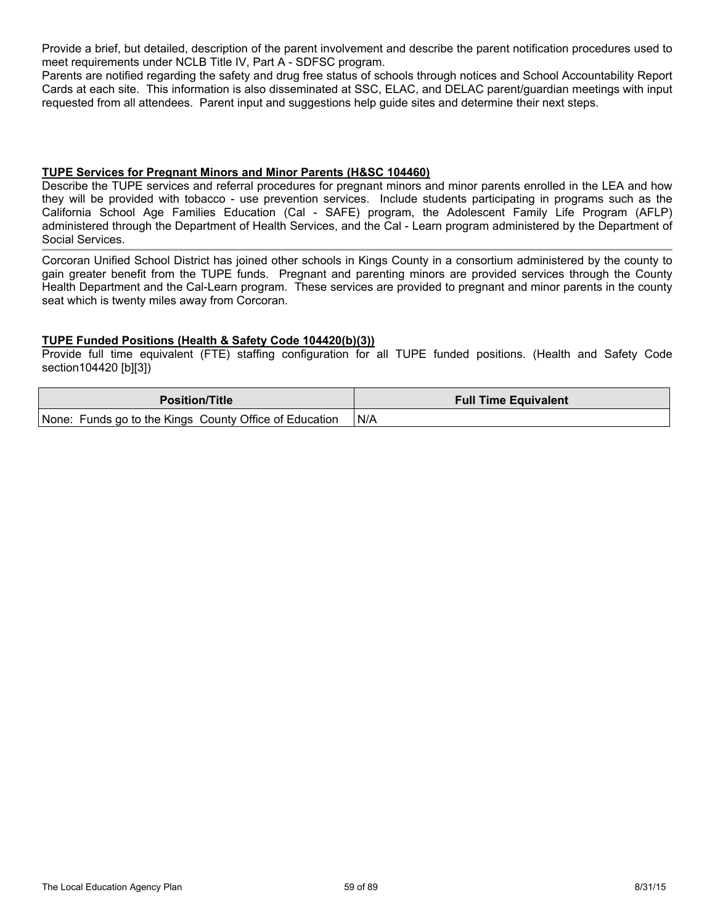Provide a brief, but detailed, description of the parent involvement and describe the parent notification procedures used to meet requirements under NCLB Title IV, Part A - SDFSC program.

Parents are notified regarding the safety and drug free status of schools through notices and School Accountability Report Cards at each site. This information is also disseminated at SSC, ELAC, and DELAC parent/guardian meetings with input requested from all attendees. Parent input and suggestions help guide sites and determine their next steps.

#### **TUPE Services for Pregnant Minors and Minor Parents (H&SC 104460)**

Describe the TUPE services and referral procedures for pregnant minors and minor parents enrolled in the LEA and how they will be provided with tobacco - use prevention services. Include students participating in programs such as the California School Age Families Education (Cal - SAFE) program, the Adolescent Family Life Program (AFLP) administered through the Department of Health Services, and the Cal - Learn program administered by the Department of Social Services.

Corcoran Unified School District has joined other schools in Kings County in a consortium administered by the county to gain greater benefit from the TUPE funds. Pregnant and parenting minors are provided services through the County Health Department and the Cal-Learn program. These services are provided to pregnant and minor parents in the county seat which is twenty miles away from Corcoran.

#### **TUPE Funded Positions (Health & Safety Code 104420(b)(3))**

Provide full time equivalent (FTE) staffing configuration for all TUPE funded positions. (Health and Safety Code section104420 [b][3])

| <b>Position/Title</b>                                  | <b>Full Time Equivalent</b> |
|--------------------------------------------------------|-----------------------------|
| None: Funds go to the Kings County Office of Education | ! N/A                       |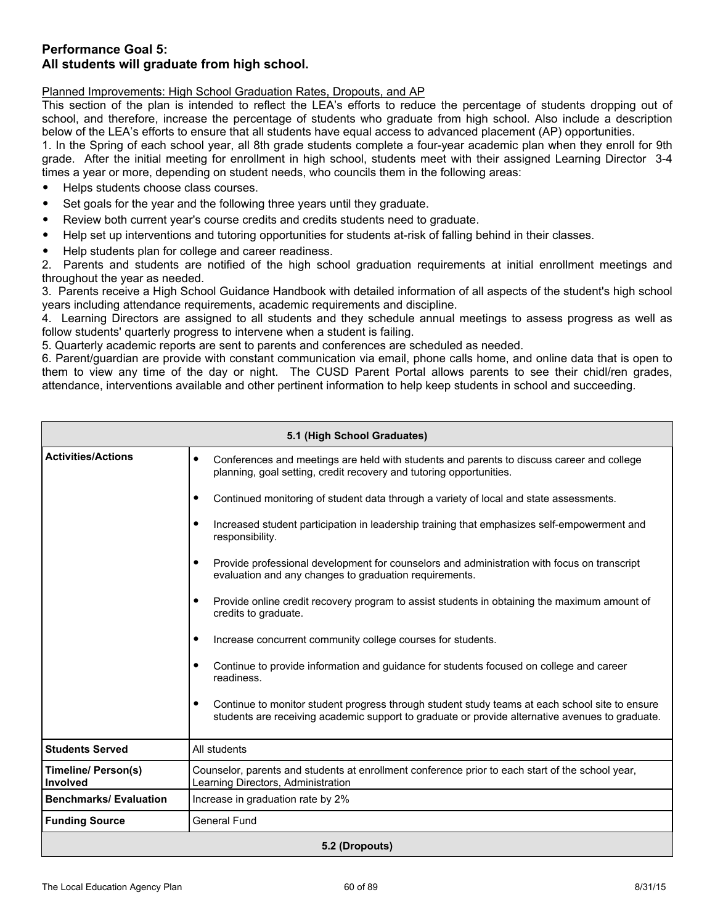## **Performance Goal 5: All students will graduate from high school.**

Planned Improvements: High School Graduation Rates, Dropouts, and AP

This section of the plan is intended to reflect the LEA's efforts to reduce the percentage of students dropping out of school, and therefore, increase the percentage of students who graduate from high school. Also include a description below of the LEA's efforts to ensure that all students have equal access to advanced placement (AP) opportunities.

1. In the Spring of each school year, all 8th grade students complete a four-year academic plan when they enroll for 9th grade. After the initial meeting for enrollment in high school, students meet with their assigned Learning Director 3-4 times a year or more, depending on student needs, who councils them in the following areas:

- Helps students choose class courses.
- Set goals for the year and the following three years until they graduate.
- Review both current year's course credits and credits students need to graduate.
- Help set up interventions and tutoring opportunities for students at-risk of falling behind in their classes.
- Help students plan for college and career readiness.

2. Parents and students are notified of the high school graduation requirements at initial enrollment meetings and throughout the year as needed.

3. Parents receive a High School Guidance Handbook with detailed information of all aspects of the student's high school years including attendance requirements, academic requirements and discipline.

4. Learning Directors are assigned to all students and they schedule annual meetings to assess progress as well as follow students' quarterly progress to intervene when a student is failing.

5. Quarterly academic reports are sent to parents and conferences are scheduled as needed.

6. Parent/guardian are provide with constant communication via email, phone calls home, and online data that is open to them to view any time of the day or night. The CUSD Parent Portal allows parents to see their chidl/ren grades, attendance, interventions available and other pertinent information to help keep students in school and succeeding.

| 5.1 (High School Graduates)            |                                                                                                                                                                                                                |  |  |
|----------------------------------------|----------------------------------------------------------------------------------------------------------------------------------------------------------------------------------------------------------------|--|--|
| <b>Activities/Actions</b>              | $\bullet$<br>Conferences and meetings are held with students and parents to discuss career and college<br>planning, goal setting, credit recovery and tutoring opportunities.                                  |  |  |
|                                        | Continued monitoring of student data through a variety of local and state assessments.<br>٠                                                                                                                    |  |  |
|                                        | Increased student participation in leadership training that emphasizes self-empowerment and<br>$\bullet$<br>responsibility.                                                                                    |  |  |
|                                        | Provide professional development for counselors and administration with focus on transcript<br>٠<br>evaluation and any changes to graduation requirements.                                                     |  |  |
|                                        | Provide online credit recovery program to assist students in obtaining the maximum amount of<br>credits to graduate.                                                                                           |  |  |
|                                        | Increase concurrent community college courses for students.<br>$\bullet$                                                                                                                                       |  |  |
|                                        | Continue to provide information and guidance for students focused on college and career<br>٠<br>readiness.                                                                                                     |  |  |
|                                        | Continue to monitor student progress through student study teams at each school site to ensure<br>$\bullet$<br>students are receiving academic support to graduate or provide alternative avenues to graduate. |  |  |
| <b>Students Served</b>                 | All students                                                                                                                                                                                                   |  |  |
| <b>Timeline/ Person(s)</b><br>Involved | Counselor, parents and students at enrollment conference prior to each start of the school year,<br>Learning Directors, Administration                                                                         |  |  |
| <b>Benchmarks/Evaluation</b>           | Increase in graduation rate by 2%                                                                                                                                                                              |  |  |
| <b>Funding Source</b>                  | <b>General Fund</b>                                                                                                                                                                                            |  |  |
| 5.2 (Dropouts)                         |                                                                                                                                                                                                                |  |  |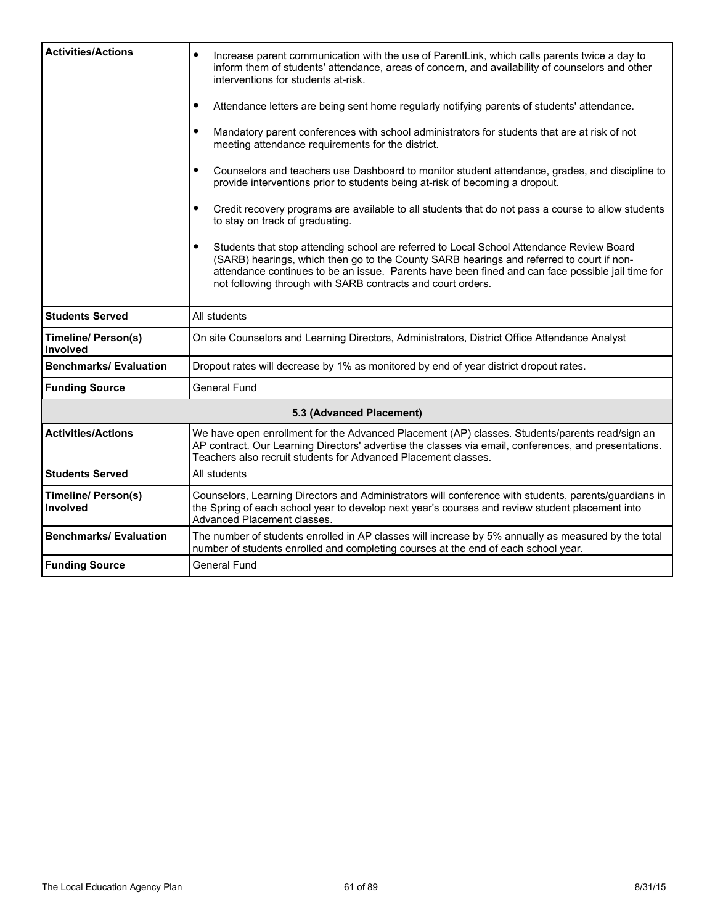| <b>Activities/Actions</b>                     | Increase parent communication with the use of ParentLink, which calls parents twice a day to<br>$\bullet$<br>inform them of students' attendance, areas of concern, and availability of counselors and other<br>interventions for students at-risk.                                                                                                                  |  |
|-----------------------------------------------|----------------------------------------------------------------------------------------------------------------------------------------------------------------------------------------------------------------------------------------------------------------------------------------------------------------------------------------------------------------------|--|
|                                               | Attendance letters are being sent home regularly notifying parents of students' attendance.<br>٠                                                                                                                                                                                                                                                                     |  |
|                                               | Mandatory parent conferences with school administrators for students that are at risk of not<br>$\bullet$<br>meeting attendance requirements for the district.                                                                                                                                                                                                       |  |
|                                               | Counselors and teachers use Dashboard to monitor student attendance, grades, and discipline to<br>٠<br>provide interventions prior to students being at-risk of becoming a dropout.                                                                                                                                                                                  |  |
|                                               | Credit recovery programs are available to all students that do not pass a course to allow students<br>$\bullet$<br>to stay on track of graduating.                                                                                                                                                                                                                   |  |
|                                               | Students that stop attending school are referred to Local School Attendance Review Board<br>$\bullet$<br>(SARB) hearings, which then go to the County SARB hearings and referred to court if non-<br>attendance continues to be an issue. Parents have been fined and can face possible jail time for<br>not following through with SARB contracts and court orders. |  |
| <b>Students Served</b>                        | All students                                                                                                                                                                                                                                                                                                                                                         |  |
| <b>Timeline/ Person(s)</b><br><b>Involved</b> | On site Counselors and Learning Directors, Administrators, District Office Attendance Analyst                                                                                                                                                                                                                                                                        |  |
| <b>Benchmarks/Evaluation</b>                  | Dropout rates will decrease by 1% as monitored by end of year district dropout rates.                                                                                                                                                                                                                                                                                |  |
| <b>Funding Source</b>                         | <b>General Fund</b>                                                                                                                                                                                                                                                                                                                                                  |  |
|                                               | 5.3 (Advanced Placement)                                                                                                                                                                                                                                                                                                                                             |  |
| <b>Activities/Actions</b>                     | We have open enrollment for the Advanced Placement (AP) classes. Students/parents read/sign an<br>AP contract. Our Learning Directors' advertise the classes via email, conferences, and presentations.<br>Teachers also recruit students for Advanced Placement classes.                                                                                            |  |
| <b>Students Served</b>                        | All students                                                                                                                                                                                                                                                                                                                                                         |  |
| <b>Timeline/ Person(s)</b><br>Involved        | Counselors, Learning Directors and Administrators will conference with students, parents/guardians in<br>the Spring of each school year to develop next year's courses and review student placement into<br>Advanced Placement classes.                                                                                                                              |  |
| <b>Benchmarks/Evaluation</b>                  | The number of students enrolled in AP classes will increase by 5% annually as measured by the total<br>number of students enrolled and completing courses at the end of each school year.                                                                                                                                                                            |  |
| <b>Funding Source</b>                         | <b>General Fund</b>                                                                                                                                                                                                                                                                                                                                                  |  |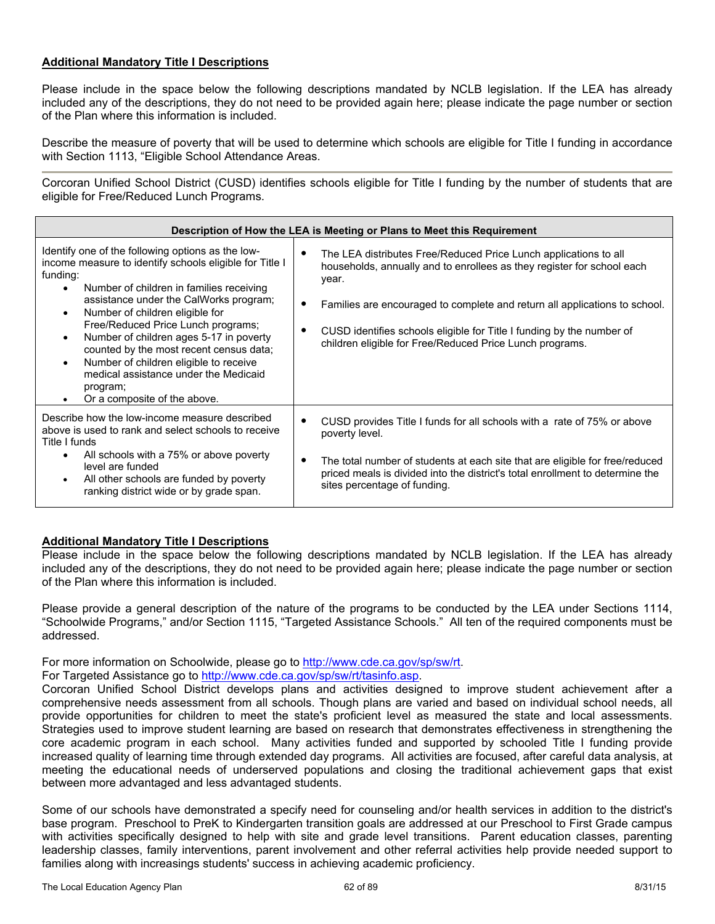### **Additional Mandatory Title I Descriptions**

Please include in the space below the following descriptions mandated by NCLB legislation. If the LEA has already included any of the descriptions, they do not need to be provided again here; please indicate the page number or section of the Plan where this information is included.

Describe the measure of poverty that will be used to determine which schools are eligible for Title I funding in accordance with Section 1113, "Eligible School Attendance Areas.

Corcoran Unified School District (CUSD) identifies schools eligible for Title I funding by the number of students that are eligible for Free/Reduced Lunch Programs.

| Description of How the LEA is Meeting or Plans to Meet this Requirement                                                                                                                                                                                                                                                                                                                                                                                                                                                                                          |                                                                                                                                                                                                                                                                                                                                                                             |  |  |  |
|------------------------------------------------------------------------------------------------------------------------------------------------------------------------------------------------------------------------------------------------------------------------------------------------------------------------------------------------------------------------------------------------------------------------------------------------------------------------------------------------------------------------------------------------------------------|-----------------------------------------------------------------------------------------------------------------------------------------------------------------------------------------------------------------------------------------------------------------------------------------------------------------------------------------------------------------------------|--|--|--|
| Identify one of the following options as the low-<br>income measure to identify schools eligible for Title I<br>funding:<br>Number of children in families receiving<br>$\bullet$<br>assistance under the CalWorks program;<br>Number of children eligible for<br>$\bullet$<br>Free/Reduced Price Lunch programs;<br>Number of children ages 5-17 in poverty<br>$\bullet$<br>counted by the most recent census data;<br>Number of children eligible to receive<br>$\bullet$<br>medical assistance under the Medicaid<br>program;<br>Or a composite of the above. | The LEA distributes Free/Reduced Price Lunch applications to all<br>households, annually and to enrollees as they register for school each<br>year.<br>Families are encouraged to complete and return all applications to school.<br>CUSD identifies schools eligible for Title I funding by the number of<br>٠<br>children eligible for Free/Reduced Price Lunch programs. |  |  |  |
| Describe how the low-income measure described<br>above is used to rank and select schools to receive<br>Title I funds<br>All schools with a 75% or above poverty<br>level are funded<br>All other schools are funded by poverty<br>ranking district wide or by grade span.                                                                                                                                                                                                                                                                                       | CUSD provides Title I funds for all schools with a rate of 75% or above<br>poverty level.<br>The total number of students at each site that are eligible for free/reduced<br>priced meals is divided into the district's total enrollment to determine the<br>sites percentage of funding.                                                                                  |  |  |  |

## **Additional Mandatory Title I Descriptions**

Please include in the space below the following descriptions mandated by NCLB legislation. If the LEA has already included any of the descriptions, they do not need to be provided again here; please indicate the page number or section of the Plan where this information is included.

Please provide a general description of the nature of the programs to be conducted by the LEA under Sections 1114, "Schoolwide Programs," and/or Section 1115, "Targeted Assistance Schools." All ten of the required components must be addressed.

For more information on Schoolwide, please go to http://www.cde.ca.gov/sp/sw/rt.

For Targeted Assistance go to http://www.cde.ca.gov/sp/sw/rt/tasinfo.asp.

Corcoran Unified School District develops plans and activities designed to improve student achievement after a comprehensive needs assessment from all schools. Though plans are varied and based on individual school needs, all provide opportunities for children to meet the state's proficient level as measured the state and local assessments. Strategies used to improve student learning are based on research that demonstrates effectiveness in strengthening the core academic program in each school. Many activities funded and supported by schooled Title I funding provide increased quality of learning time through extended day programs. All activities are focused, after careful data analysis, at meeting the educational needs of underserved populations and closing the traditional achievement gaps that exist between more advantaged and less advantaged students.

Some of our schools have demonstrated a specify need for counseling and/or health services in addition to the district's base program. Preschool to PreK to Kindergarten transition goals are addressed at our Preschool to First Grade campus with activities specifically designed to help with site and grade level transitions. Parent education classes, parenting leadership classes, family interventions, parent involvement and other referral activities help provide needed support to families along with increasings students' success in achieving academic proficiency.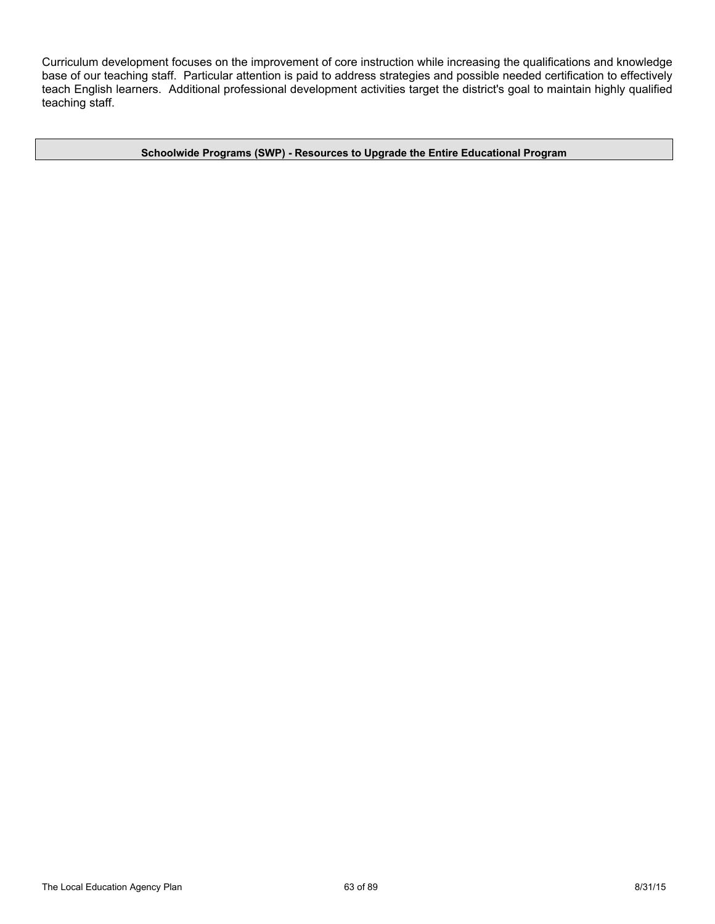Curriculum development focuses on the improvement of core instruction while increasing the qualifications and knowledge base of our teaching staff. Particular attention is paid to address strategies and possible needed certification to effectively teach English learners. Additional professional development activities target the district's goal to maintain highly qualified teaching staff.

**Schoolwide Programs (SWP) - Resources to Upgrade the Entire Educational Program**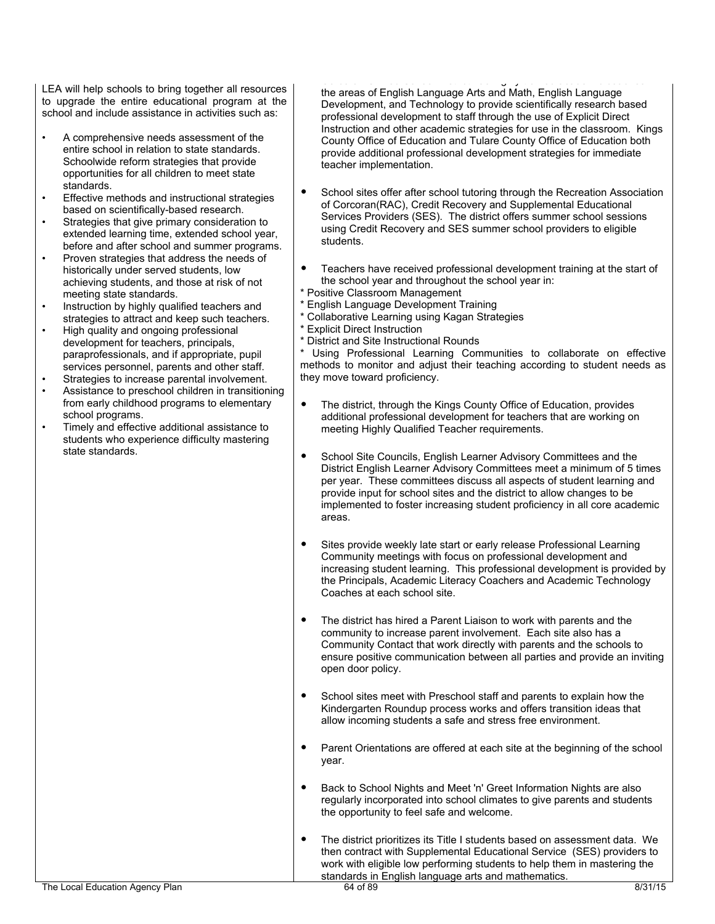LEA will help schools to bring together all resources to upgrade the entire educational program at the school and include assistance in activities such as:

- A comprehensive needs assessment of the entire school in relation to state standards. Schoolwide reform strategies that provide opportunities for all children to meet state standards.
- Effective methods and instructional strategies based on scientifically-based research.
- Strategies that give primary consideration to extended learning time, extended school year, before and after school and summer programs.
- Proven strategies that address the needs of historically under served students, low achieving students, and those at risk of not meeting state standards.
- Instruction by highly qualified teachers and strategies to attract and keep such teachers.
- High quality and ongoing professional development for teachers, principals, paraprofessionals, and if appropriate, pupil services personnel, parents and other staff.
- Strategies to increase parental involvement.
- Assistance to preschool children in transitioning from early childhood programs to elementary school programs.
- Timely and effective additional assistance to students who experience difficulty mastering state standards.

 $\mathcal{L}(\mathcal{L}(\mathcal{L}(\mathcal{L}(\mathcal{L}(\mathcal{L}(\mathcal{L}(\mathcal{L}(\mathcal{L}(\mathcal{L}(\mathcal{L}(\mathcal{L}(\mathcal{L}(\mathcal{L}(\mathcal{L}(\mathcal{L}(\mathcal{L}(\mathcal{L}(\mathcal{L}(\mathcal{L}(\mathcal{L}(\mathcal{L}(\mathcal{L}(\mathcal{L}(\mathcal{L}(\mathcal{L}(\mathcal{L}(\mathcal{L}(\mathcal{L}(\mathcal{L}(\mathcal{L}(\mathcal{L}(\mathcal{L}(\mathcal{L}(\mathcal{L}(\mathcal{L}(\mathcal{$ the areas of English Language Arts and Math, English Language Development, and Technology to provide scientifically research based professional development to staff through the use of Explicit Direct Instruction and other academic strategies for use in the classroom. Kings County Office of Education and Tulare County Office of Education both provide additional professional development strategies for immediate teacher implementation.

- School sites offer after school tutoring through the Recreation Association of Corcoran(RAC), Credit Recovery and Supplemental Educational Services Providers (SES). The district offers summer school sessions using Credit Recovery and SES summer school providers to eligible students.
- Teachers have received professional development training at the start of the school year and throughout the school year in:
- \* Positive Classroom Management
- \* English Language Development Training
- \* Collaborative Learning using Kagan Strategies
- \* Explicit Direct Instruction
- \* District and Site Instructional Rounds

Using Professional Learning Communities to collaborate on effective methods to monitor and adjust their teaching according to student needs as they move toward proficiency.

- The district, through the Kings County Office of Education, provides additional professional development for teachers that are working on meeting Highly Qualified Teacher requirements.
- School Site Councils, English Learner Advisory Committees and the District English Learner Advisory Committees meet a minimum of 5 times per year. These committees discuss all aspects of student learning and provide input for school sites and the district to allow changes to be implemented to foster increasing student proficiency in all core academic areas.
- Sites provide weekly late start or early release Professional Learning Community meetings with focus on professional development and increasing student learning. This professional development is provided by the Principals, Academic Literacy Coachers and Academic Technology Coaches at each school site.
- The district has hired a Parent Liaison to work with parents and the community to increase parent involvement. Each site also has a Community Contact that work directly with parents and the schools to ensure positive communication between all parties and provide an inviting open door policy.
- School sites meet with Preschool staff and parents to explain how the Kindergarten Roundup process works and offers transition ideas that allow incoming students a safe and stress free environment.
- Parent Orientations are offered at each site at the beginning of the school year.
- Back to School Nights and Meet 'n' Greet Information Nights are also regularly incorporated into school climates to give parents and students the opportunity to feel safe and welcome.
- The district prioritizes its Title I students based on assessment data. We then contract with Supplemental Educational Service (SES) providers to work with eligible low performing students to help them in mastering the standards in English language arts and mathematics.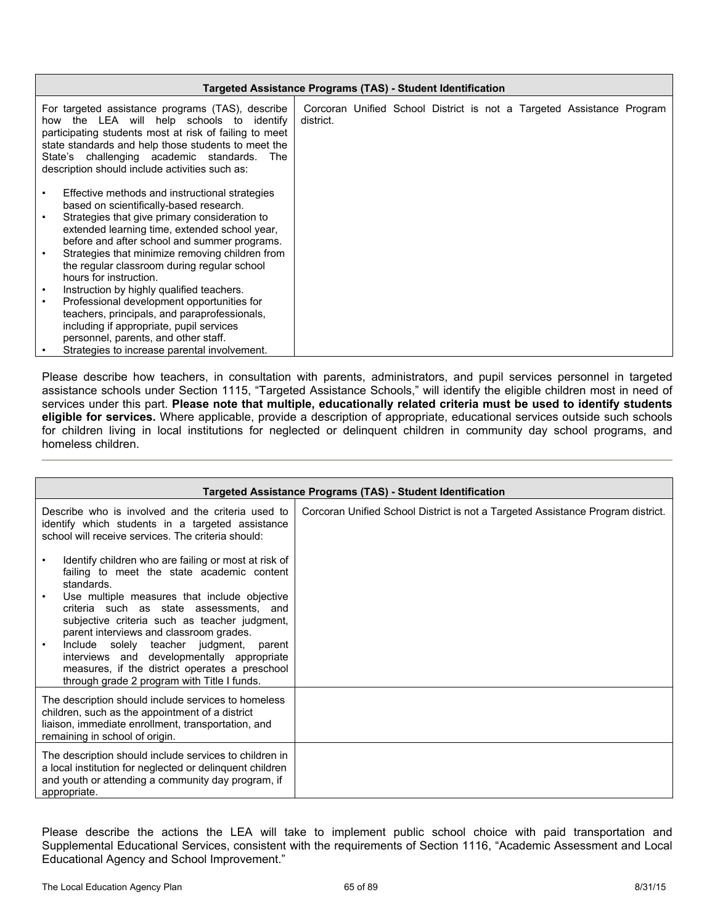| Targeted Assistance Programs (TAS) - Student Identification                                                                                                                                                                                                                                                                                                             |                                                                                    |  |  |  |  |  |
|-------------------------------------------------------------------------------------------------------------------------------------------------------------------------------------------------------------------------------------------------------------------------------------------------------------------------------------------------------------------------|------------------------------------------------------------------------------------|--|--|--|--|--|
| For targeted assistance programs (TAS), describe<br>how the LEA will help schools to identify<br>participating students most at risk of failing to meet<br>state standards and help those students to meet the<br>State's challenging academic standards.<br>The<br>description should include activities such as:                                                      | Corcoran Unified School District is not a Targeted Assistance Program<br>district. |  |  |  |  |  |
| Effective methods and instructional strategies<br>based on scientifically-based research.<br>Strategies that give primary consideration to<br>extended learning time, extended school year,<br>before and after school and summer programs.<br>Strategies that minimize removing children from<br>the regular classroom during regular school<br>hours for instruction. |                                                                                    |  |  |  |  |  |
| Instruction by highly qualified teachers.<br>Professional development opportunities for                                                                                                                                                                                                                                                                                 |                                                                                    |  |  |  |  |  |
| teachers, principals, and paraprofessionals,<br>including if appropriate, pupil services<br>personnel, parents, and other staff.<br>Strategies to increase parental involvement.                                                                                                                                                                                        |                                                                                    |  |  |  |  |  |

Please describe how teachers, in consultation with parents, administrators, and pupil services personnel in targeted assistance schools under Section 1115, "Targeted Assistance Schools," will identify the eligible children most in need of services under this part. **Please note that multiple, educationally related criteria must be used to identify students eligible for services.** Where applicable, provide a description of appropriate, educational services outside such schools for children living in local institutions for neglected or delinquent children in community day school programs, and homeless children.

| Targeted Assistance Programs (TAS) - Student Identification                                                                                                                                                                                                                                                                                                                                                                                                                                       |                                                                                 |  |  |
|---------------------------------------------------------------------------------------------------------------------------------------------------------------------------------------------------------------------------------------------------------------------------------------------------------------------------------------------------------------------------------------------------------------------------------------------------------------------------------------------------|---------------------------------------------------------------------------------|--|--|
| Describe who is involved and the criteria used to<br>identify which students in a targeted assistance<br>school will receive services. The criteria should:                                                                                                                                                                                                                                                                                                                                       | Corcoran Unified School District is not a Targeted Assistance Program district. |  |  |
| Identify children who are failing or most at risk of<br>failing to meet the state academic content<br>standards.<br>Use multiple measures that include objective<br>criteria such as state assessments, and<br>subjective criteria such as teacher judgment,<br>parent interviews and classroom grades.<br>Include solely teacher judgment, parent<br>interviews and developmentally appropriate<br>measures, if the district operates a preschool<br>through grade 2 program with Title I funds. |                                                                                 |  |  |
| The description should include services to homeless<br>children, such as the appointment of a district<br>liaison, immediate enrollment, transportation, and<br>remaining in school of origin.                                                                                                                                                                                                                                                                                                    |                                                                                 |  |  |
| The description should include services to children in<br>a local institution for neglected or delinquent children<br>and youth or attending a community day program, if<br>appropriate.                                                                                                                                                                                                                                                                                                          |                                                                                 |  |  |

Please describe the actions the LEA will take to implement public school choice with paid transportation and Supplemental Educational Services, consistent with the requirements of Section 1116, "Academic Assessment and Local Educational Agency and School Improvement."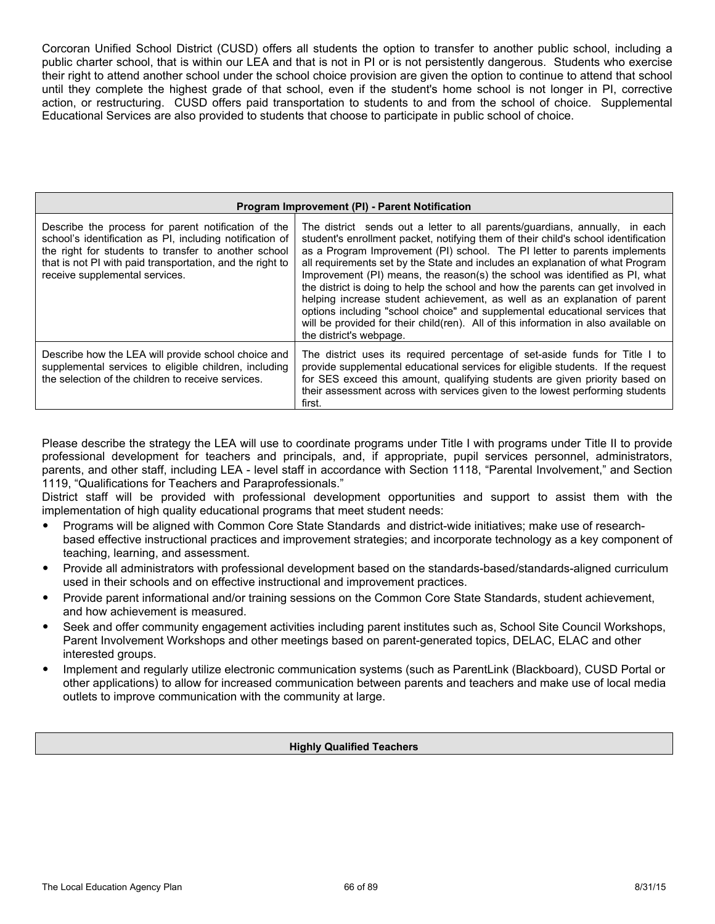Corcoran Unified School District (CUSD) offers all students the option to transfer to another public school, including a public charter school, that is within our LEA and that is not in PI or is not persistently dangerous. Students who exercise their right to attend another school under the school choice provision are given the option to continue to attend that school until they complete the highest grade of that school, even if the student's home school is not longer in PI, corrective action, or restructuring. CUSD offers paid transportation to students to and from the school of choice. Supplemental Educational Services are also provided to students that choose to participate in public school of choice.

| Program Improvement (PI) - Parent Notification                                                                                                                                                                                                                         |                                                                                                                                                                                                                                                                                                                                                                                                                                                                                                                                                                                                                                                                                                                                                                                   |  |
|------------------------------------------------------------------------------------------------------------------------------------------------------------------------------------------------------------------------------------------------------------------------|-----------------------------------------------------------------------------------------------------------------------------------------------------------------------------------------------------------------------------------------------------------------------------------------------------------------------------------------------------------------------------------------------------------------------------------------------------------------------------------------------------------------------------------------------------------------------------------------------------------------------------------------------------------------------------------------------------------------------------------------------------------------------------------|--|
| Describe the process for parent notification of the<br>school's identification as PI, including notification of<br>the right for students to transfer to another school<br>that is not PI with paid transportation, and the right to<br>receive supplemental services. | The district sends out a letter to all parents/quardians, annually, in each<br>student's enrollment packet, notifying them of their child's school identification<br>as a Program Improvement (PI) school. The PI letter to parents implements<br>all requirements set by the State and includes an explanation of what Program<br>Improvement (PI) means, the reason(s) the school was identified as PI, what<br>the district is doing to help the school and how the parents can get involved in<br>helping increase student achievement, as well as an explanation of parent<br>options including "school choice" and supplemental educational services that<br>will be provided for their child(ren). All of this information in also available on<br>the district's webpage. |  |
| Describe how the LEA will provide school choice and<br>supplemental services to eligible children, including<br>the selection of the children to receive services.                                                                                                     | The district uses its required percentage of set-aside funds for Title I to<br>provide supplemental educational services for eligible students. If the request<br>for SES exceed this amount, qualifying students are given priority based on<br>their assessment across with services given to the lowest performing students<br>first.                                                                                                                                                                                                                                                                                                                                                                                                                                          |  |

Please describe the strategy the LEA will use to coordinate programs under Title I with programs under Title II to provide professional development for teachers and principals, and, if appropriate, pupil services personnel, administrators, parents, and other staff, including LEA - level staff in accordance with Section 1118, "Parental Involvement," and Section 1119, "Qualifications for Teachers and Paraprofessionals."

District staff will be provided with professional development opportunities and support to assist them with the implementation of high quality educational programs that meet student needs:

- Programs will be aligned with Common Core State Standards and district-wide initiatives; make use of researchbased effective instructional practices and improvement strategies; and incorporate technology as a key component of teaching, learning, and assessment.
- Provide all administrators with professional development based on the standards-based/standards-aligned curriculum used in their schools and on effective instructional and improvement practices.
- Provide parent informational and/or training sessions on the Common Core State Standards, student achievement, and how achievement is measured.
- Seek and offer community engagement activities including parent institutes such as, School Site Council Workshops, Parent Involvement Workshops and other meetings based on parent-generated topics, DELAC, ELAC and other interested groups.
- Implement and regularly utilize electronic communication systems (such as ParentLink (Blackboard), CUSD Portal or other applications) to allow for increased communication between parents and teachers and make use of local media outlets to improve communication with the community at large.

#### **Highly Qualified Teachers**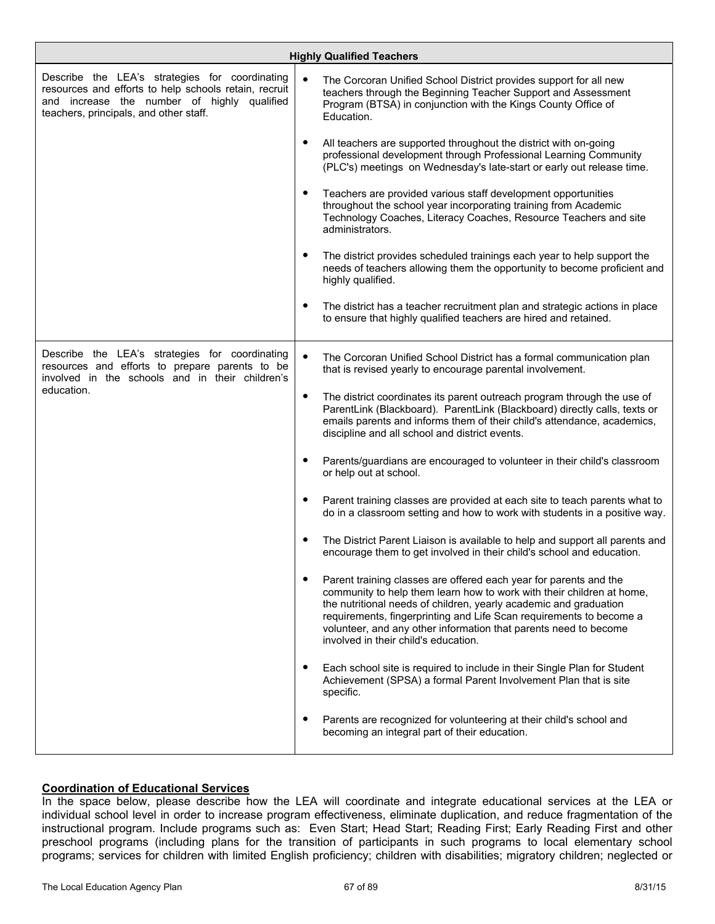| <b>Highly Qualified Teachers</b>                                                                                                                                                                 |                                                                                                                                                                                                                                                                                                                                                                                                         |  |
|--------------------------------------------------------------------------------------------------------------------------------------------------------------------------------------------------|---------------------------------------------------------------------------------------------------------------------------------------------------------------------------------------------------------------------------------------------------------------------------------------------------------------------------------------------------------------------------------------------------------|--|
| Describe the LEA's strategies for coordinating<br>resources and efforts to help schools retain, recruit<br>and increase the number of highly qualified<br>teachers, principals, and other staff. | The Corcoran Unified School District provides support for all new<br>teachers through the Beginning Teacher Support and Assessment<br>Program (BTSA) in conjunction with the Kings County Office of<br>Education.                                                                                                                                                                                       |  |
|                                                                                                                                                                                                  | All teachers are supported throughout the district with on-going<br>$\bullet$<br>professional development through Professional Learning Community<br>(PLC's) meetings on Wednesday's late-start or early out release time.                                                                                                                                                                              |  |
|                                                                                                                                                                                                  | Teachers are provided various staff development opportunities<br>$\bullet$<br>throughout the school year incorporating training from Academic<br>Technology Coaches, Literacy Coaches, Resource Teachers and site<br>administrators.                                                                                                                                                                    |  |
|                                                                                                                                                                                                  | The district provides scheduled trainings each year to help support the<br>$\bullet$<br>needs of teachers allowing them the opportunity to become proficient and<br>highly qualified.                                                                                                                                                                                                                   |  |
|                                                                                                                                                                                                  | The district has a teacher recruitment plan and strategic actions in place<br>٠<br>to ensure that highly qualified teachers are hired and retained.                                                                                                                                                                                                                                                     |  |
| Describe the LEA's strategies for coordinating<br>resources and efforts to prepare parents to be<br>involved in the schools and in their children's<br>education.                                | $\bullet$<br>The Corcoran Unified School District has a formal communication plan<br>that is revised yearly to encourage parental involvement.                                                                                                                                                                                                                                                          |  |
|                                                                                                                                                                                                  | The district coordinates its parent outreach program through the use of<br>$\bullet$<br>ParentLink (Blackboard). ParentLink (Blackboard) directly calls, texts or<br>emails parents and informs them of their child's attendance, academics,<br>discipline and all school and district events.                                                                                                          |  |
|                                                                                                                                                                                                  | Parents/guardians are encouraged to volunteer in their child's classroom<br>٠<br>or help out at school.                                                                                                                                                                                                                                                                                                 |  |
|                                                                                                                                                                                                  | Parent training classes are provided at each site to teach parents what to<br>$\bullet$<br>do in a classroom setting and how to work with students in a positive way.                                                                                                                                                                                                                                   |  |
|                                                                                                                                                                                                  | The District Parent Liaison is available to help and support all parents and<br>encourage them to get involved in their child's school and education.                                                                                                                                                                                                                                                   |  |
|                                                                                                                                                                                                  | Parent training classes are offered each year for parents and the<br>٠<br>community to help them learn how to work with their children at home,<br>the nutritional needs of children, yearly academic and graduation<br>requirements, fingerprinting and Life Scan requirements to become a<br>volunteer, and any other information that parents need to become<br>involved in their child's education. |  |
|                                                                                                                                                                                                  | Each school site is required to include in their Single Plan for Student<br>٠<br>Achievement (SPSA) a formal Parent Involvement Plan that is site<br>specific.                                                                                                                                                                                                                                          |  |
|                                                                                                                                                                                                  | Parents are recognized for volunteering at their child's school and<br>$\bullet$<br>becoming an integral part of their education.                                                                                                                                                                                                                                                                       |  |

## **Coordination of Educational Services**

In the space below, please describe how the LEA will coordinate and integrate educational services at the LEA or individual school level in order to increase program effectiveness, eliminate duplication, and reduce fragmentation of the instructional program. Include programs such as: Even Start; Head Start; Reading First; Early Reading First and other preschool programs (including plans for the transition of participants in such programs to local elementary school programs; services for children with limited English proficiency; children with disabilities; migratory children; neglected or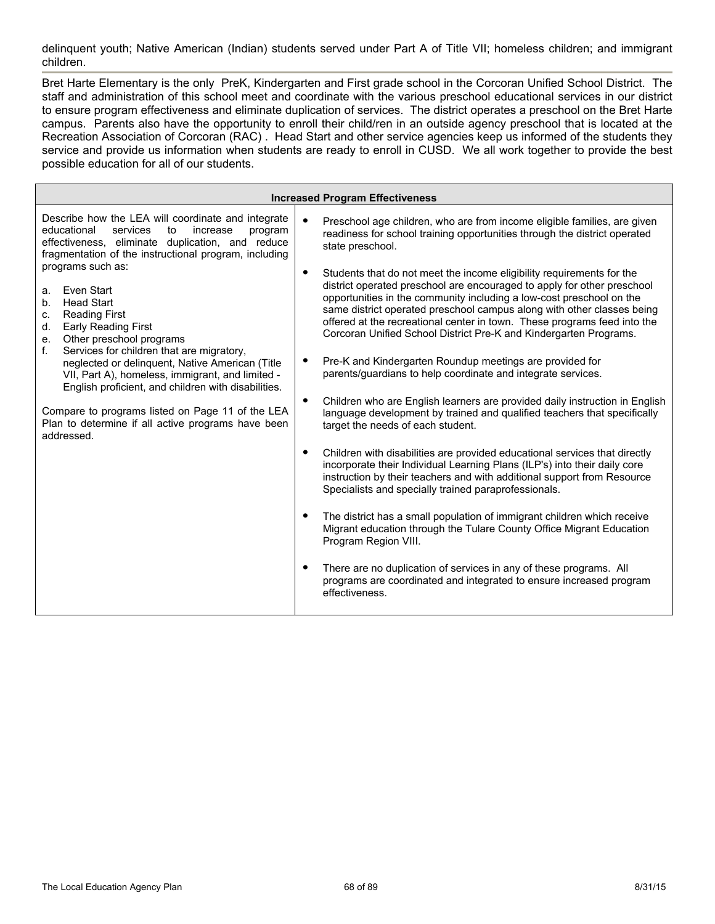delinquent youth; Native American (Indian) students served under Part A of Title VII; homeless children; and immigrant children.

Bret Harte Elementary is the only PreK, Kindergarten and First grade school in the Corcoran Unified School District. The staff and administration of this school meet and coordinate with the various preschool educational services in our district to ensure program effectiveness and eliminate duplication of services. The district operates a preschool on the Bret Harte campus. Parents also have the opportunity to enroll their child/ren in an outside agency preschool that is located at the Recreation Association of Corcoran (RAC) . Head Start and other service agencies keep us informed of the students they service and provide us information when students are ready to enroll in CUSD. We all work together to provide the best possible education for all of our students.

| <b>Increased Program Effectiveness</b>                                                                                                                                                                                                                                                                                                                                                                                                                                                                                                                                                                                                                                                                                                   |                                                                                                                                                                                                                                                                                                                                                                                                                                                                                                                                                                                                                                                                                                                                                                                                                                                                                                                                                                                                                                                                                                                                                                                                                                                                                                                                                                                                                                                                                                                                                                                                                                                                                         |  |
|------------------------------------------------------------------------------------------------------------------------------------------------------------------------------------------------------------------------------------------------------------------------------------------------------------------------------------------------------------------------------------------------------------------------------------------------------------------------------------------------------------------------------------------------------------------------------------------------------------------------------------------------------------------------------------------------------------------------------------------|-----------------------------------------------------------------------------------------------------------------------------------------------------------------------------------------------------------------------------------------------------------------------------------------------------------------------------------------------------------------------------------------------------------------------------------------------------------------------------------------------------------------------------------------------------------------------------------------------------------------------------------------------------------------------------------------------------------------------------------------------------------------------------------------------------------------------------------------------------------------------------------------------------------------------------------------------------------------------------------------------------------------------------------------------------------------------------------------------------------------------------------------------------------------------------------------------------------------------------------------------------------------------------------------------------------------------------------------------------------------------------------------------------------------------------------------------------------------------------------------------------------------------------------------------------------------------------------------------------------------------------------------------------------------------------------------|--|
| Describe how the LEA will coordinate and integrate<br>educational<br>services<br>to<br>increase<br>program<br>effectiveness, eliminate duplication, and reduce<br>fragmentation of the instructional program, including<br>programs such as:<br>Even Start<br>a.<br><b>Head Start</b><br>b.<br><b>Reading First</b><br>c.<br><b>Early Reading First</b><br>d.<br>Other preschool programs<br>e.<br>f.<br>Services for children that are migratory,<br>neglected or delinquent, Native American (Title<br>VII, Part A), homeless, immigrant, and limited -<br>English proficient, and children with disabilities.<br>Compare to programs listed on Page 11 of the LEA<br>Plan to determine if all active programs have been<br>addressed. | $\bullet$<br>Preschool age children, who are from income eligible families, are given<br>readiness for school training opportunities through the district operated<br>state preschool.<br>$\bullet$<br>Students that do not meet the income eligibility requirements for the<br>district operated preschool are encouraged to apply for other preschool<br>opportunities in the community including a low-cost preschool on the<br>same district operated preschool campus along with other classes being<br>offered at the recreational center in town. These programs feed into the<br>Corcoran Unified School District Pre-K and Kindergarten Programs.<br>Pre-K and Kindergarten Roundup meetings are provided for<br>٠<br>parents/guardians to help coordinate and integrate services.<br>Children who are English learners are provided daily instruction in English<br>$\bullet$<br>language development by trained and qualified teachers that specifically<br>target the needs of each student.<br>Children with disabilities are provided educational services that directly<br>$\bullet$<br>incorporate their Individual Learning Plans (ILP's) into their daily core<br>instruction by their teachers and with additional support from Resource<br>Specialists and specially trained paraprofessionals.<br>The district has a small population of immigrant children which receive<br>$\bullet$<br>Migrant education through the Tulare County Office Migrant Education<br>Program Region VIII.<br>There are no duplication of services in any of these programs. All<br>$\bullet$<br>programs are coordinated and integrated to ensure increased program<br>effectiveness. |  |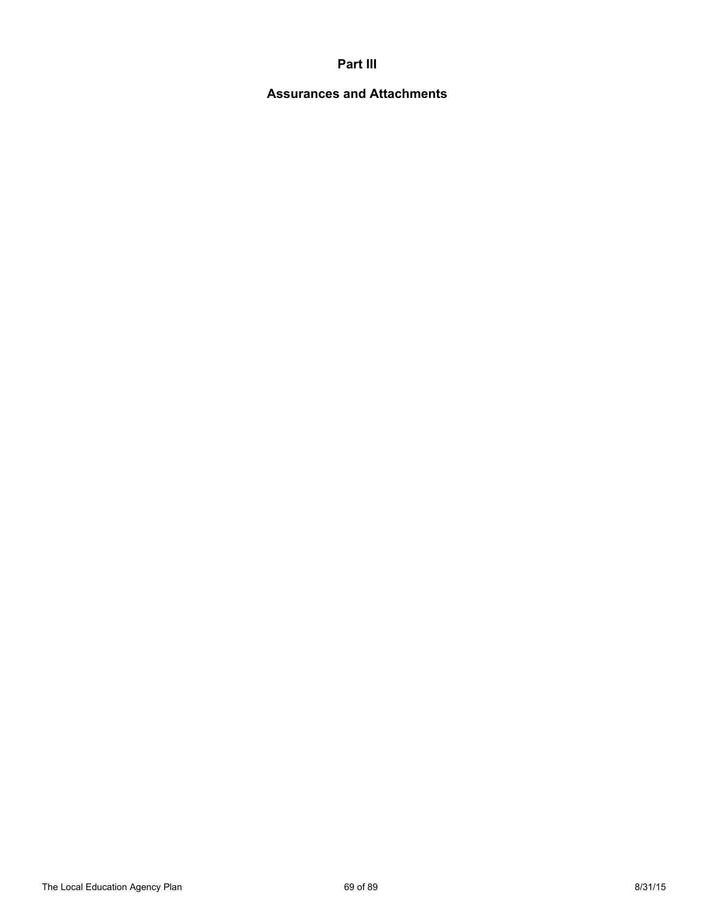## **Part III**

# **Assurances and Attachments**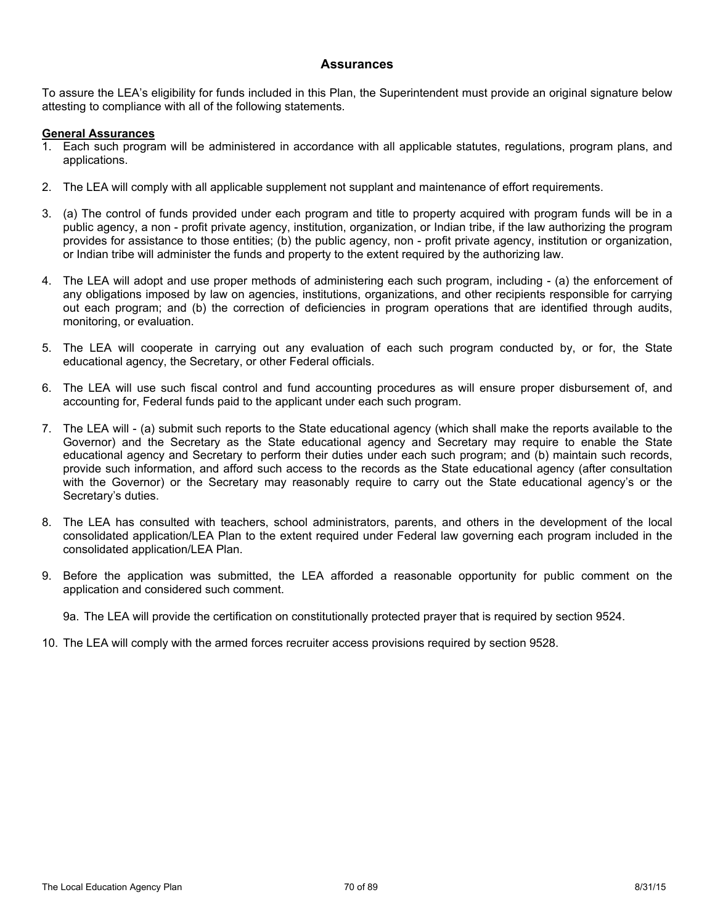#### **Assurances**

To assure the LEA's eligibility for funds included in this Plan, the Superintendent must provide an original signature below attesting to compliance with all of the following statements.

#### **General Assurances**

- 1. Each such program will be administered in accordance with all applicable statutes, regulations, program plans, and applications.
- 2. The LEA will comply with all applicable supplement not supplant and maintenance of effort requirements.
- 3. (a) The control of funds provided under each program and title to property acquired with program funds will be in a public agency, a non - profit private agency, institution, organization, or Indian tribe, if the law authorizing the program provides for assistance to those entities; (b) the public agency, non - profit private agency, institution or organization, or Indian tribe will administer the funds and property to the extent required by the authorizing law.
- 4. The LEA will adopt and use proper methods of administering each such program, including (a) the enforcement of any obligations imposed by law on agencies, institutions, organizations, and other recipients responsible for carrying out each program; and (b) the correction of deficiencies in program operations that are identified through audits, monitoring, or evaluation.
- 5. The LEA will cooperate in carrying out any evaluation of each such program conducted by, or for, the State educational agency, the Secretary, or other Federal officials.
- 6. The LEA will use such fiscal control and fund accounting procedures as will ensure proper disbursement of, and accounting for, Federal funds paid to the applicant under each such program.
- 7. The LEA will (a) submit such reports to the State educational agency (which shall make the reports available to the Governor) and the Secretary as the State educational agency and Secretary may require to enable the State educational agency and Secretary to perform their duties under each such program; and (b) maintain such records, provide such information, and afford such access to the records as the State educational agency (after consultation with the Governor) or the Secretary may reasonably require to carry out the State educational agency's or the Secretary's duties.
- 8. The LEA has consulted with teachers, school administrators, parents, and others in the development of the local consolidated application/LEA Plan to the extent required under Federal law governing each program included in the consolidated application/LEA Plan.
- 9. Before the application was submitted, the LEA afforded a reasonable opportunity for public comment on the application and considered such comment.

9a. The LEA will provide the certification on constitutionally protected prayer that is required by section 9524.

10. The LEA will comply with the armed forces recruiter access provisions required by section 9528.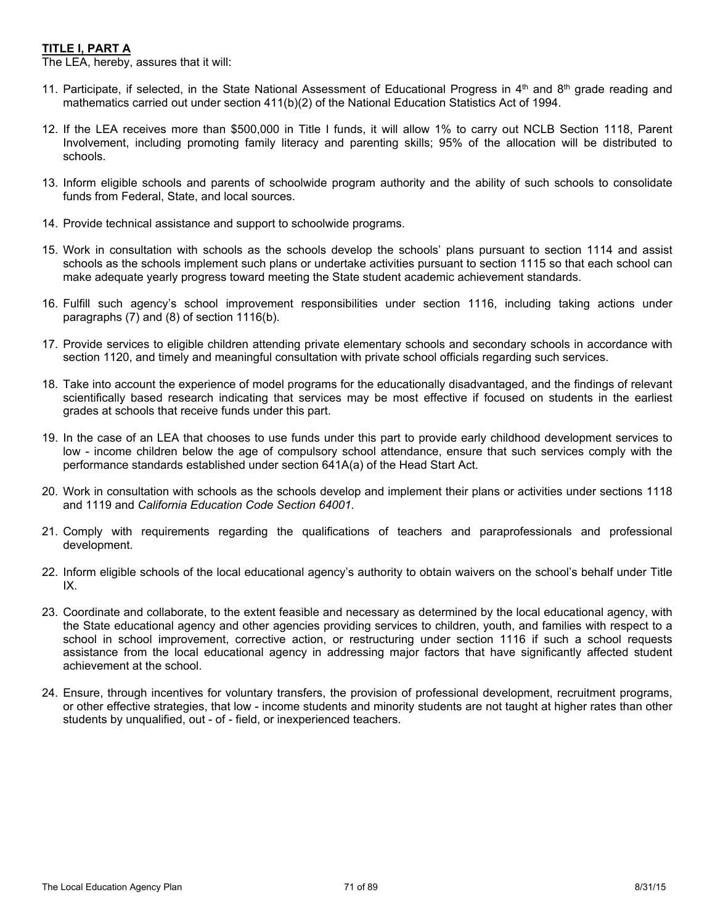## **TITLE I, PART A**

The LEA, hereby, assures that it will:

- 11. Participate, if selected, in the State National Assessment of Educational Progress in  $4<sup>th</sup>$  and  $8<sup>th</sup>$  grade reading and mathematics carried out under section 411(b)(2) of the National Education Statistics Act of 1994.
- 12. If the LEA receives more than \$500,000 in Title I funds, it will allow 1% to carry out NCLB Section 1118, Parent Involvement, including promoting family literacy and parenting skills; 95% of the allocation will be distributed to schools.
- 13. Inform eligible schools and parents of schoolwide program authority and the ability of such schools to consolidate funds from Federal, State, and local sources.
- 14. Provide technical assistance and support to schoolwide programs.
- 15. Work in consultation with schools as the schools develop the schools' plans pursuant to section 1114 and assist schools as the schools implement such plans or undertake activities pursuant to section 1115 so that each school can make adequate yearly progress toward meeting the State student academic achievement standards.
- 16. Fulfill such agency's school improvement responsibilities under section 1116, including taking actions under paragraphs (7) and (8) of section 1116(b).
- 17. Provide services to eligible children attending private elementary schools and secondary schools in accordance with section 1120, and timely and meaningful consultation with private school officials regarding such services.
- 18. Take into account the experience of model programs for the educationally disadvantaged, and the findings of relevant scientifically based research indicating that services may be most effective if focused on students in the earliest grades at schools that receive funds under this part.
- 19. In the case of an LEA that chooses to use funds under this part to provide early childhood development services to low - income children below the age of compulsory school attendance, ensure that such services comply with the performance standards established under section 641A(a) of the Head Start Act.
- 20. Work in consultation with schools as the schools develop and implement their plans or activities under sections 1118 and 1119 and *California Education Code Section 64001.*
- 21. Comply with requirements regarding the qualifications of teachers and paraprofessionals and professional development.
- 22. Inform eligible schools of the local educational agency's authority to obtain waivers on the school's behalf under Title IX.
- 23. Coordinate and collaborate, to the extent feasible and necessary as determined by the local educational agency, with the State educational agency and other agencies providing services to children, youth, and families with respect to a school in school improvement, corrective action, or restructuring under section 1116 if such a school requests assistance from the local educational agency in addressing major factors that have significantly affected student achievement at the school.
- 24. Ensure, through incentives for voluntary transfers, the provision of professional development, recruitment programs, or other effective strategies, that low - income students and minority students are not taught at higher rates than other students by unqualified, out - of - field, or inexperienced teachers.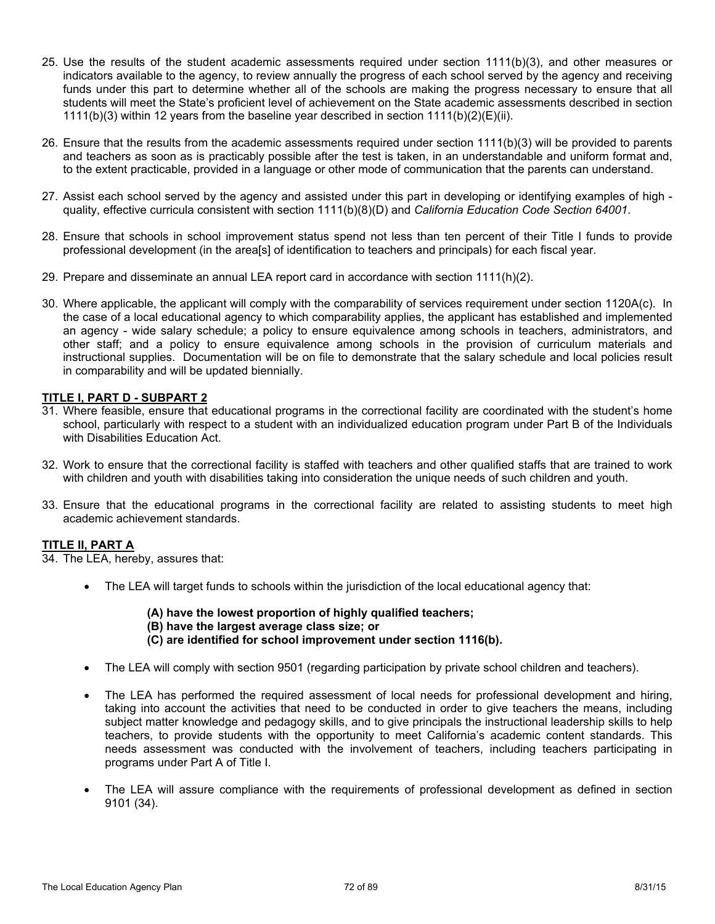- 25. Use the results of the student academic assessments required under section 1111(b)(3), and other measures or indicators available to the agency, to review annually the progress of each school served by the agency and receiving funds under this part to determine whether all of the schools are making the progress necessary to ensure that all students will meet the State's proficient level of achievement on the State academic assessments described in section 1111(b)(3) within 12 years from the baseline year described in section 1111(b)(2)(E)(ii).
- 26. Ensure that the results from the academic assessments required under section 1111(b)(3) will be provided to parents and teachers as soon as is practicably possible after the test is taken, in an understandable and uniform format and, to the extent practicable, provided in a language or other mode of communication that the parents can understand.
- 27. Assist each school served by the agency and assisted under this part in developing or identifying examples of high quality, effective curricula consistent with section 1111(b)(8)(D) and *California Education Code Section 64001*.
- 28. Ensure that schools in school improvement status spend not less than ten percent of their Title I funds to provide professional development (in the area[s] of identification to teachers and principals) for each fiscal year.
- 29. Prepare and disseminate an annual LEA report card in accordance with section 1111(h)(2).
- 30. Where applicable, the applicant will comply with the comparability of services requirement under section 1120A(c). In the case of a local educational agency to which comparability applies, the applicant has established and implemented an agency - wide salary schedule; a policy to ensure equivalence among schools in teachers, administrators, and other staff; and a policy to ensure equivalence among schools in the provision of curriculum materials and instructional supplies. Documentation will be on file to demonstrate that the salary schedule and local policies result in comparability and will be updated biennially.

#### **TITLE I, PART D - SUBPART 2**

- 31. Where feasible, ensure that educational programs in the correctional facility are coordinated with the student's home school, particularly with respect to a student with an individualized education program under Part B of the Individuals with Disabilities Education Act.
- 32. Work to ensure that the correctional facility is staffed with teachers and other qualified staffs that are trained to work with children and youth with disabilities taking into consideration the unique needs of such children and youth.
- 33. Ensure that the educational programs in the correctional facility are related to assisting students to meet high academic achievement standards.

#### **TITLE II, PART A**

34. The LEA, hereby, assures that:

- The LEA will target funds to schools within the jurisdiction of the local educational agency that:
	- **(A) have the lowest proportion of highly qualified teachers;**
	- **(B) have the largest average class size; or**
	- **(C) are identified for school improvement under section 1116(b).**
- The LEA will comply with section 9501 (regarding participation by private school children and teachers).
- The LEA has performed the required assessment of local needs for professional development and hiring, taking into account the activities that need to be conducted in order to give teachers the means, including subject matter knowledge and pedagogy skills, and to give principals the instructional leadership skills to help teachers, to provide students with the opportunity to meet California's academic content standards. This needs assessment was conducted with the involvement of teachers, including teachers participating in programs under Part A of Title I.
- The LEA will assure compliance with the requirements of professional development as defined in section 9101 (34).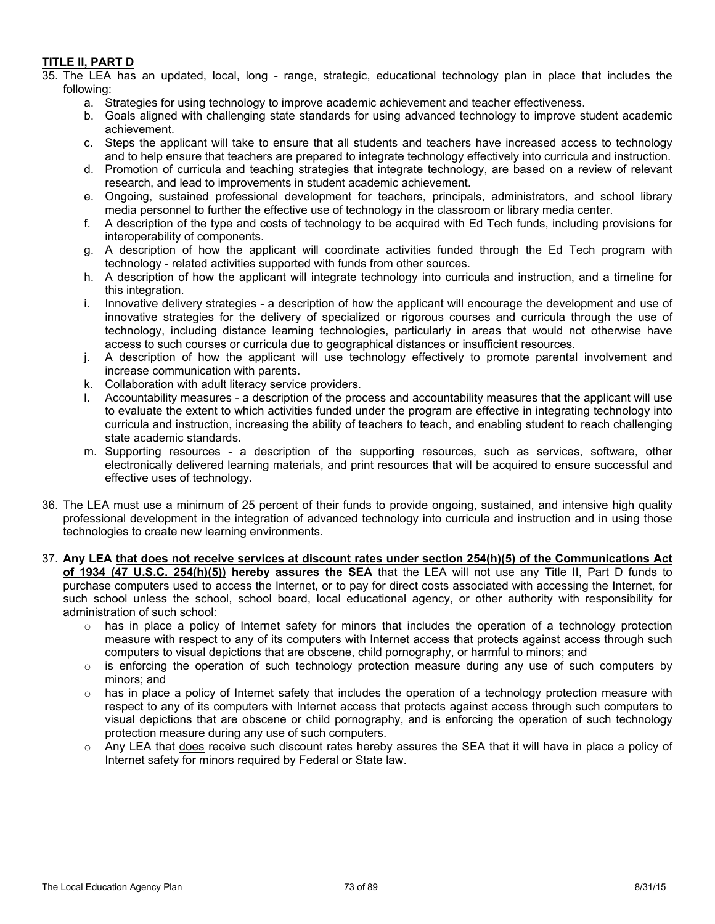## **TITLE II, PART D**

35. The LEA has an updated, local, long - range, strategic, educational technology plan in place that includes the following:

- a. Strategies for using technology to improve academic achievement and teacher effectiveness.
- b. Goals aligned with challenging state standards for using advanced technology to improve student academic achievement.
- c. Steps the applicant will take to ensure that all students and teachers have increased access to technology and to help ensure that teachers are prepared to integrate technology effectively into curricula and instruction.
- d. Promotion of curricula and teaching strategies that integrate technology, are based on a review of relevant research, and lead to improvements in student academic achievement.
- e. Ongoing, sustained professional development for teachers, principals, administrators, and school library media personnel to further the effective use of technology in the classroom or library media center.
- f. A description of the type and costs of technology to be acquired with Ed Tech funds, including provisions for interoperability of components.
- g. A description of how the applicant will coordinate activities funded through the Ed Tech program with technology - related activities supported with funds from other sources.
- h. A description of how the applicant will integrate technology into curricula and instruction, and a timeline for this integration.
- i. Innovative delivery strategies a description of how the applicant will encourage the development and use of innovative strategies for the delivery of specialized or rigorous courses and curricula through the use of technology, including distance learning technologies, particularly in areas that would not otherwise have access to such courses or curricula due to geographical distances or insufficient resources.
- j. A description of how the applicant will use technology effectively to promote parental involvement and increase communication with parents.
- k. Collaboration with adult literacy service providers.
- l. Accountability measures a description of the process and accountability measures that the applicant will use to evaluate the extent to which activities funded under the program are effective in integrating technology into curricula and instruction, increasing the ability of teachers to teach, and enabling student to reach challenging state academic standards.
- m. Supporting resources a description of the supporting resources, such as services, software, other electronically delivered learning materials, and print resources that will be acquired to ensure successful and effective uses of technology.
- 36. The LEA must use a minimum of 25 percent of their funds to provide ongoing, sustained, and intensive high quality professional development in the integration of advanced technology into curricula and instruction and in using those technologies to create new learning environments.
- 37. Any LEA that does not receive services at discount rates under section 254(h)(5) of the Communications Act **of 1934 (47 U.S.C. 254(h)(5)) hereby assures the SEA** that the LEA will not use any Title II, Part D funds to purchase computers used to access the Internet, or to pay for direct costs associated with accessing the Internet, for such school unless the school, school board, local educational agency, or other authority with responsibility for administration of such school:
	- has in place a policy of Internet safety for minors that includes the operation of a technology protection measure with respect to any of its computers with Internet access that protects against access through such computers to visual depictions that are obscene, child pornography, or harmful to minors; and
	- $\circ$  is enforcing the operation of such technology protection measure during any use of such computers by minors; and
	- $\circ$  has in place a policy of Internet safety that includes the operation of a technology protection measure with respect to any of its computers with Internet access that protects against access through such computers to visual depictions that are obscene or child pornography, and is enforcing the operation of such technology protection measure during any use of such computers.
	- $\circ$  Any LEA that does receive such discount rates hereby assures the SEA that it will have in place a policy of Internet safety for minors required by Federal or State law.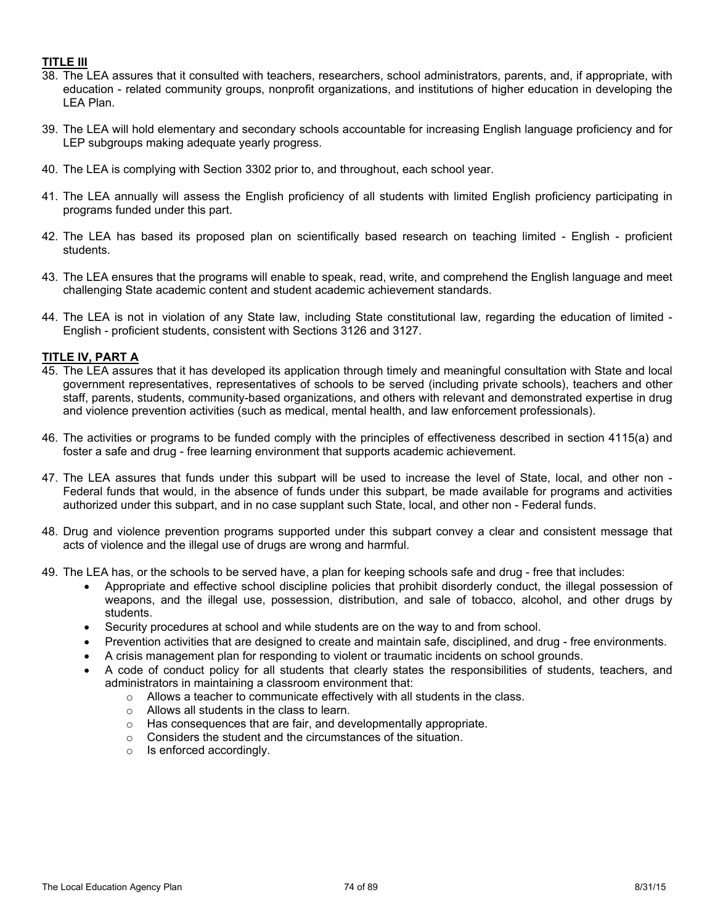### **TITLE III**

- 38. The LEA assures that it consulted with teachers, researchers, school administrators, parents, and, if appropriate, with education - related community groups, nonprofit organizations, and institutions of higher education in developing the LEA Plan.
- 39. The LEA will hold elementary and secondary schools accountable for increasing English language proficiency and for LEP subgroups making adequate yearly progress.
- 40. The LEA is complying with Section 3302 prior to, and throughout, each school year.
- 41. The LEA annually will assess the English proficiency of all students with limited English proficiency participating in programs funded under this part.
- 42. The LEA has based its proposed plan on scientifically based research on teaching limited English proficient students.
- 43. The LEA ensures that the programs will enable to speak, read, write, and comprehend the English language and meet challenging State academic content and student academic achievement standards.
- 44. The LEA is not in violation of any State law, including State constitutional law, regarding the education of limited English - proficient students, consistent with Sections 3126 and 3127.

## **TITLE IV, PART A**

- 45. The LEA assures that it has developed its application through timely and meaningful consultation with State and local government representatives, representatives of schools to be served (including private schools), teachers and other staff, parents, students, community-based organizations, and others with relevant and demonstrated expertise in drug and violence prevention activities (such as medical, mental health, and law enforcement professionals).
- 46. The activities or programs to be funded comply with the principles of effectiveness described in section 4115(a) and foster a safe and drug - free learning environment that supports academic achievement.
- 47. The LEA assures that funds under this subpart will be used to increase the level of State, local, and other non Federal funds that would, in the absence of funds under this subpart, be made available for programs and activities authorized under this subpart, and in no case supplant such State, local, and other non - Federal funds.
- 48. Drug and violence prevention programs supported under this subpart convey a clear and consistent message that acts of violence and the illegal use of drugs are wrong and harmful.
- 49. The LEA has, or the schools to be served have, a plan for keeping schools safe and drug free that includes:
	- Appropriate and effective school discipline policies that prohibit disorderly conduct, the illegal possession of weapons, and the illegal use, possession, distribution, and sale of tobacco, alcohol, and other drugs by students.
	- Security procedures at school and while students are on the way to and from school.
	- Prevention activities that are designed to create and maintain safe, disciplined, and drug free environments.
	- A crisis management plan for responding to violent or traumatic incidents on school grounds.
	- A code of conduct policy for all students that clearly states the responsibilities of students, teachers, and administrators in maintaining a classroom environment that:
		- o Allows a teacher to communicate effectively with all students in the class.
		- o Allows all students in the class to learn.
		- o Has consequences that are fair, and developmentally appropriate.
		- o Considers the student and the circumstances of the situation.
		- o Is enforced accordingly.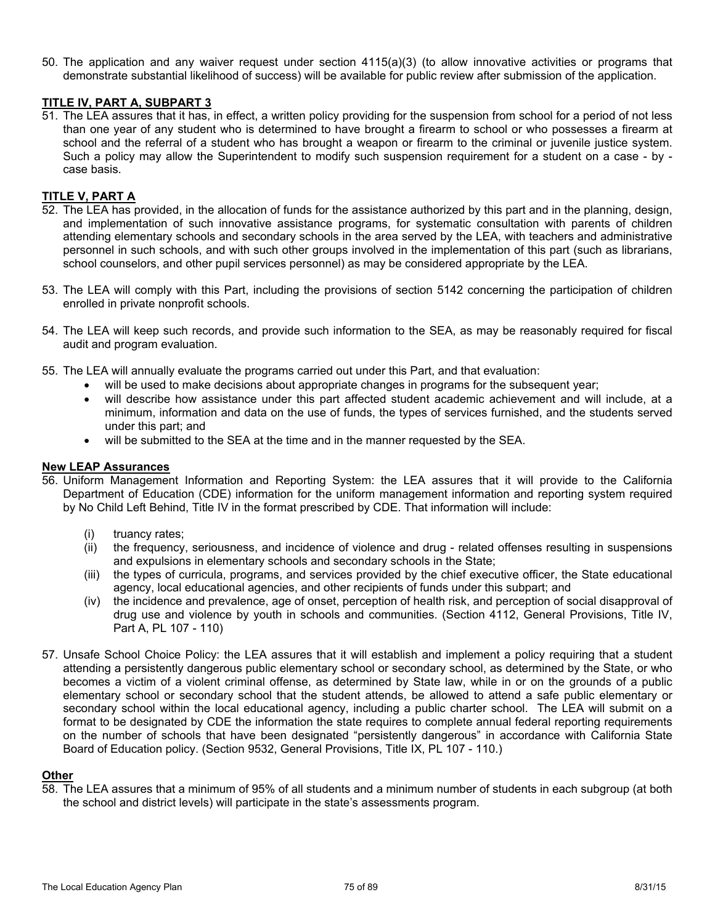50. The application and any waiver request under section 4115(a)(3) (to allow innovative activities or programs that demonstrate substantial likelihood of success) will be available for public review after submission of the application.

## **TITLE IV, PART A, SUBPART 3**

51. The LEA assures that it has, in effect, a written policy providing for the suspension from school for a period of not less than one year of any student who is determined to have brought a firearm to school or who possesses a firearm at school and the referral of a student who has brought a weapon or firearm to the criminal or juvenile justice system. Such a policy may allow the Superintendent to modify such suspension requirement for a student on a case - by case basis.

### **TITLE V, PART A**

- 52. The LEA has provided, in the allocation of funds for the assistance authorized by this part and in the planning, design, and implementation of such innovative assistance programs, for systematic consultation with parents of children attending elementary schools and secondary schools in the area served by the LEA, with teachers and administrative personnel in such schools, and with such other groups involved in the implementation of this part (such as librarians, school counselors, and other pupil services personnel) as may be considered appropriate by the LEA.
- 53. The LEA will comply with this Part, including the provisions of section 5142 concerning the participation of children enrolled in private nonprofit schools.
- 54. The LEA will keep such records, and provide such information to the SEA, as may be reasonably required for fiscal audit and program evaluation.
- 55. The LEA will annually evaluate the programs carried out under this Part, and that evaluation:
	- will be used to make decisions about appropriate changes in programs for the subsequent year;
	- will describe how assistance under this part affected student academic achievement and will include, at a minimum, information and data on the use of funds, the types of services furnished, and the students served under this part; and
	- will be submitted to the SEA at the time and in the manner requested by the SEA.

## **New LEAP Assurances**

- 56. Uniform Management Information and Reporting System: the LEA assures that it will provide to the California Department of Education (CDE) information for the uniform management information and reporting system required by No Child Left Behind, Title IV in the format prescribed by CDE. That information will include:
	- (i) truancy rates;
	- (ii) the frequency, seriousness, and incidence of violence and drug related offenses resulting in suspensions and expulsions in elementary schools and secondary schools in the State;
	- (iii) the types of curricula, programs, and services provided by the chief executive officer, the State educational agency, local educational agencies, and other recipients of funds under this subpart; and
	- (iv) the incidence and prevalence, age of onset, perception of health risk, and perception of social disapproval of drug use and violence by youth in schools and communities. (Section 4112, General Provisions, Title IV, Part A, PL 107 - 110)
- 57. Unsafe School Choice Policy: the LEA assures that it will establish and implement a policy requiring that a student attending a persistently dangerous public elementary school or secondary school, as determined by the State, or who becomes a victim of a violent criminal offense, as determined by State law, while in or on the grounds of a public elementary school or secondary school that the student attends, be allowed to attend a safe public elementary or secondary school within the local educational agency, including a public charter school. The LEA will submit on a format to be designated by CDE the information the state requires to complete annual federal reporting requirements on the number of schools that have been designated "persistently dangerous" in accordance with California State Board of Education policy. (Section 9532, General Provisions, Title IX, PL 107 - 110.)

### **Other**

58. The LEA assures that a minimum of 95% of all students and a minimum number of students in each subgroup (at both the school and district levels) will participate in the state's assessments program.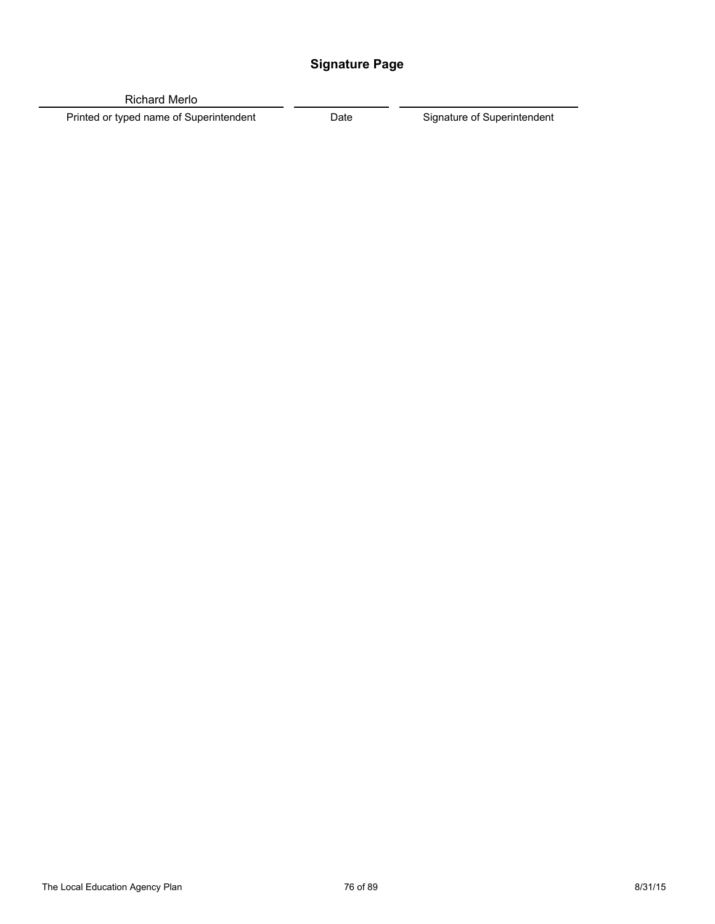# **Signature Page**

Richard Merlo

Printed or typed name of Superintendent **Date** Date Signature of Superintendent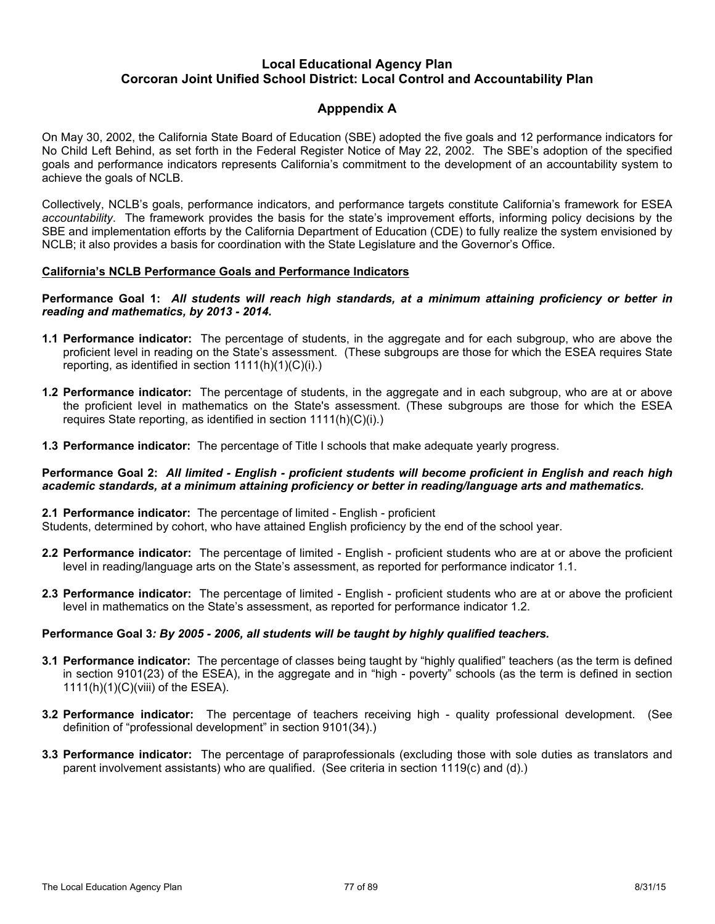# **Apppendix A**

On May 30, 2002, the California State Board of Education (SBE) adopted the five goals and 12 performance indicators for No Child Left Behind, as set forth in the Federal Register Notice of May 22, 2002. The SBE's adoption of the specified goals and performance indicators represents California's commitment to the development of an accountability system to achieve the goals of NCLB.

Collectively, NCLB's goals, performance indicators, and performance targets constitute California's framework for ESEA *accountability*. The framework provides the basis for the state's improvement efforts, informing policy decisions by the SBE and implementation efforts by the California Department of Education (CDE) to fully realize the system envisioned by NCLB; it also provides a basis for coordination with the State Legislature and the Governor's Office.

#### **California's NCLB Performance Goals and Performance Indicators**

#### Performance Goal 1: All students will reach high standards, at a minimum attaining proficiency or better in *reading and mathematics, by 2013 - 2014.*

- **1.1 Performance indicator:** The percentage of students, in the aggregate and for each subgroup, who are above the proficient level in reading on the State's assessment. (These subgroups are those for which the ESEA requires State reporting, as identified in section  $1111(h)(1)(C)(i)$ .
- **1.2 Performance indicator:** The percentage of students, in the aggregate and in each subgroup, who are at or above the proficient level in mathematics on the State's assessment. (These subgroups are those for which the ESEA requires State reporting, as identified in section 1111(h)(C)(i).)
- **1.3 Performance indicator:** The percentage of Title I schools that make adequate yearly progress.

#### Performance Goal 2: All limited - English - proficient students will become proficient in English and reach high *academic standards, at a minimum attaining proficiency or better in reading/language arts and mathematics.*

#### **2.1 Performance indicator:** The percentage of limited - English - proficient

Students, determined by cohort, who have attained English proficiency by the end of the school year.

- **2.2 Performance indicator:** The percentage of limited English proficient students who are at or above the proficient level in reading/language arts on the State's assessment, as reported for performance indicator 1.1.
- **2.3 Performance indicator:** The percentage of limited English proficient students who are at or above the proficient level in mathematics on the State's assessment, as reported for performance indicator 1.2.

### **Performance Goal 3***: By 2005 - 2006, all students will be taught by highly qualified teachers.*

- **3.1 Performance indicator:** The percentage of classes being taught by "highly qualified" teachers (as the term is defined in section 9101(23) of the ESEA), in the aggregate and in "high - poverty" schools (as the term is defined in section 1111(h)(1)(C)(viii) of the ESEA).
- **3.2 Performance indicator:** The percentage of teachers receiving high quality professional development. (See definition of "professional development" in section 9101(34).)
- **3.3 Performance indicator:** The percentage of paraprofessionals (excluding those with sole duties as translators and parent involvement assistants) who are qualified. (See criteria in section 1119(c) and (d).)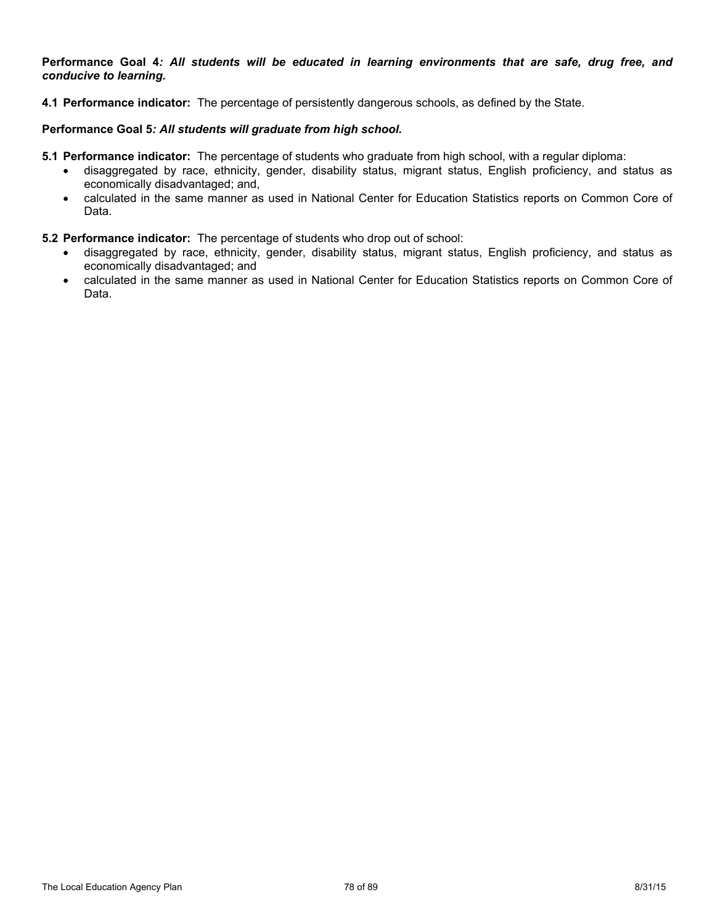Performance Goal 4: All students will be educated in learning environments that are safe, drug free, and *conducive to learning.*

**4.1 Performance indicator:** The percentage of persistently dangerous schools, as defined by the State.

## **Performance Goal 5***: All students will graduate from high school.*

- **5.1 Performance indicator:** The percentage of students who graduate from high school, with a regular diploma:
	- disaggregated by race, ethnicity, gender, disability status, migrant status, English proficiency, and status as economically disadvantaged; and,
	- calculated in the same manner as used in National Center for Education Statistics reports on Common Core of Data.
- **5.2 Performance indicator:** The percentage of students who drop out of school:
	- disaggregated by race, ethnicity, gender, disability status, migrant status, English proficiency, and status as economically disadvantaged; and
	- calculated in the same manner as used in National Center for Education Statistics reports on Common Core of Data.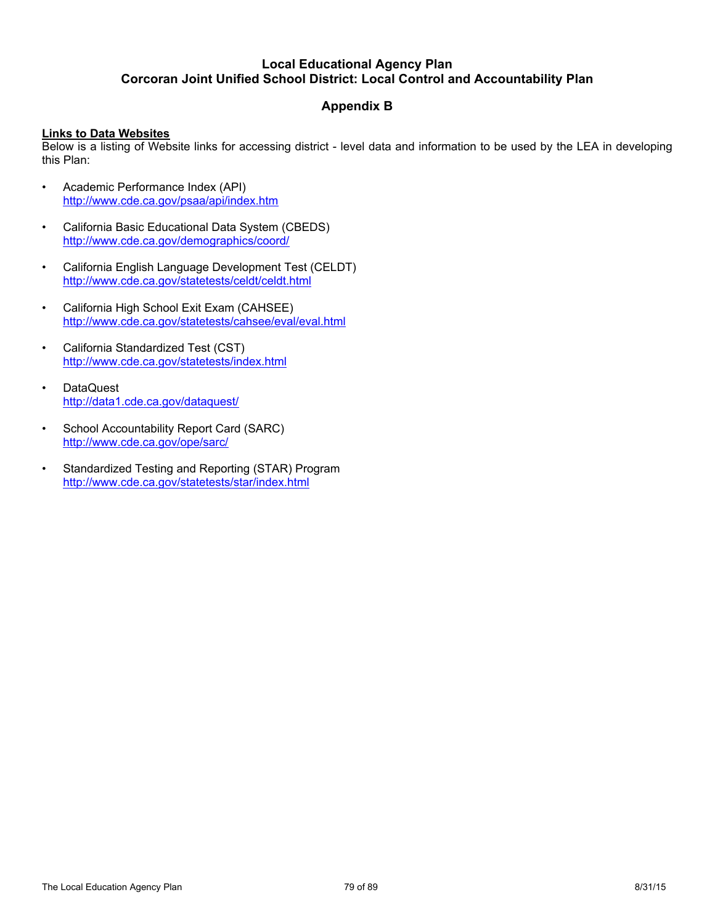# **Appendix B**

## **Links to Data Websites**

Below is a listing of Website links for accessing district - level data and information to be used by the LEA in developing this Plan:

- Academic Performance Index (API) http://www.cde.ca.gov/psaa/api/index.htm
- California Basic Educational Data System (CBEDS) http://www.cde.ca.gov/demographics/coord/
- California English Language Development Test (CELDT) http://www.cde.ca.gov/statetests/celdt/celdt.html
- California High School Exit Exam (CAHSEE) http://www.cde.ca.gov/statetests/cahsee/eval/eval.html
- California Standardized Test (CST) http://www.cde.ca.gov/statetests/index.html
- DataQuest http://data1.cde.ca.gov/dataquest/
- School Accountability Report Card (SARC) http://www.cde.ca.gov/ope/sarc/
- Standardized Testing and Reporting (STAR) Program http://www.cde.ca.gov/statetests/star/index.html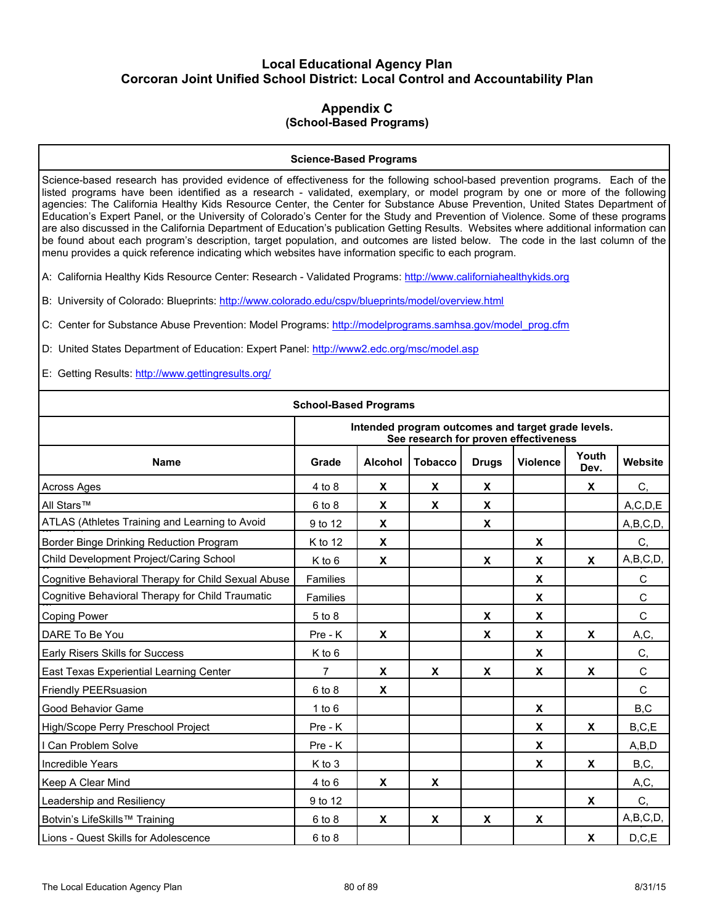## **Appendix C (School-Based Programs)**

#### **Science-Based Programs**

Science-based research has provided evidence of effectiveness for the following school-based prevention programs. Each of the listed programs have been identified as a research - validated, exemplary, or model program by one or more of the following agencies: The California Healthy Kids Resource Center, the Center for Substance Abuse Prevention, United States Department of Education's Expert Panel, or the University of Colorado's Center for the Study and Prevention of Violence. Some of these programs are also discussed in the California Department of Education's publication Getting Results. Websites where additional information can be found about each program's description, target population, and outcomes are listed below. The code in the last column of the menu provides a quick reference indicating which websites have information specific to each program.

A: California Healthy Kids Resource Center: Research - Validated Programs: http://www.californiahealthykids.org

B: University of Colorado: Blueprints: http://www.colorado.edu/cspv/blueprints/model/overview.html

C: Center for Substance Abuse Prevention: Model Programs: http://modelprograms.samhsa.gov/model\_prog.cfm

D: United States Department of Education: Expert Panel: http://www2.edc.org/msc/model.asp

E: Getting Results: http://www.gettingresults.org/

| <b>School-Based Programs</b>                        |                 |                           |                |              |                                                                                             |               |            |  |  |  |  |  |
|-----------------------------------------------------|-----------------|---------------------------|----------------|--------------|---------------------------------------------------------------------------------------------|---------------|------------|--|--|--|--|--|
|                                                     |                 |                           |                |              | Intended program outcomes and target grade levels.<br>See research for proven effectiveness |               |            |  |  |  |  |  |
| <b>Name</b>                                         | Grade           | <b>Alcohol</b>            | <b>Tobacco</b> | <b>Drugs</b> | <b>Violence</b>                                                                             | Youth<br>Dev. | Website    |  |  |  |  |  |
| Across Ages                                         | $4$ to $8$      | $\mathbf{x}$              | X              | X            |                                                                                             | X             | C,         |  |  |  |  |  |
| All Stars™                                          | $6$ to $8$      | X                         | X              | X            |                                                                                             |               | A, C, D, E |  |  |  |  |  |
| ATLAS (Athletes Training and Learning to Avoid      | 9 to 12         | X                         |                | X            |                                                                                             |               | A,B,C,D,   |  |  |  |  |  |
| Border Binge Drinking Reduction Program             | K to 12         | X                         |                |              | X                                                                                           |               | C,         |  |  |  |  |  |
| Child Development Project/Caring School             | $K$ to 6        | X                         |                | X            | X                                                                                           | X             | A,B,C,D,   |  |  |  |  |  |
| Cognitive Behavioral Therapy for Child Sexual Abuse | Families        |                           |                |              | X                                                                                           |               | С          |  |  |  |  |  |
| Cognitive Behavioral Therapy for Child Traumatic    | <b>Families</b> |                           |                |              | X                                                                                           |               | C          |  |  |  |  |  |
| <b>Coping Power</b>                                 | $5$ to $8$      |                           |                | X            | X                                                                                           |               | C          |  |  |  |  |  |
| DARE To Be You                                      | $Pre - K$       | X                         |                | X            | X                                                                                           | X             | A,C,       |  |  |  |  |  |
| Early Risers Skills for Success                     | $K$ to 6        |                           |                |              | X                                                                                           |               | C,         |  |  |  |  |  |
| East Texas Experiential Learning Center             | 7               | X                         | X.             | X            | X                                                                                           | X             | C          |  |  |  |  |  |
| Friendly PEERsuasion                                | $6$ to $8$      | X                         |                |              |                                                                                             |               | C          |  |  |  |  |  |
| Good Behavior Game                                  | 1 to 6          |                           |                |              | X                                                                                           |               | B,C        |  |  |  |  |  |
| High/Scope Perry Preschool Project                  | Pre - K         |                           |                |              | X                                                                                           | $\pmb{\chi}$  | B, C, E    |  |  |  |  |  |
| I Can Problem Solve                                 | $Pre - K$       |                           |                |              | X                                                                                           |               | A,B,D      |  |  |  |  |  |
| Incredible Years                                    | K to 3          |                           |                |              | X                                                                                           | X             | B,C,       |  |  |  |  |  |
| Keep A Clear Mind                                   | 4 to 6          | $\boldsymbol{\mathsf{x}}$ | X              |              |                                                                                             |               | A,C,       |  |  |  |  |  |
| Leadership and Resiliency                           | 9 to 12         |                           |                |              |                                                                                             | X             | C,         |  |  |  |  |  |
| Botvin's LifeSkills™ Training                       | $6$ to $8$      | X                         | X              | X            | X                                                                                           |               | A,B,C,D,   |  |  |  |  |  |
| Lions - Quest Skills for Adolescence                | $6$ to $8$      |                           |                |              |                                                                                             | X             | D, C, E    |  |  |  |  |  |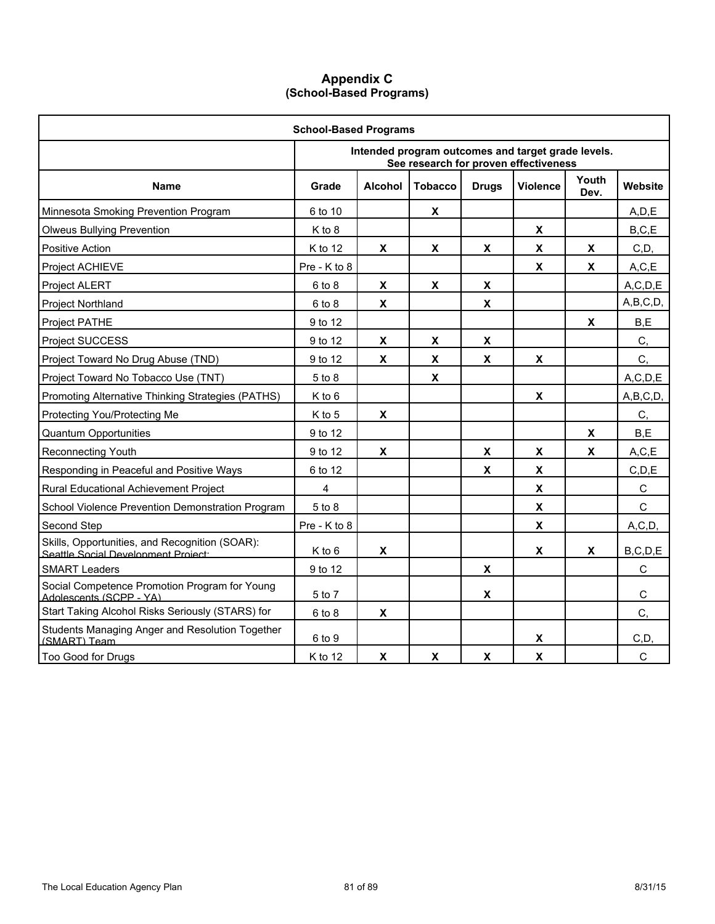# **Appendix C (School-Based Programs)**

| <b>School-Based Programs</b>                                                          |              |                           |                |                           |                                                                                             |               |              |  |  |  |  |
|---------------------------------------------------------------------------------------|--------------|---------------------------|----------------|---------------------------|---------------------------------------------------------------------------------------------|---------------|--------------|--|--|--|--|
|                                                                                       |              |                           |                |                           | Intended program outcomes and target grade levels.<br>See research for proven effectiveness |               |              |  |  |  |  |
| <b>Name</b>                                                                           | Grade        | <b>Alcohol</b>            | <b>Tobacco</b> | <b>Drugs</b>              | <b>Violence</b>                                                                             | Youth<br>Dev. | Website      |  |  |  |  |
| Minnesota Smoking Prevention Program                                                  | 6 to 10      |                           | X              |                           |                                                                                             |               | A, D, E      |  |  |  |  |
| <b>Olweus Bullying Prevention</b>                                                     | K to 8       |                           |                |                           | $\boldsymbol{\mathsf{x}}$                                                                   |               | B, C, E      |  |  |  |  |
| Positive Action                                                                       | K to 12      | X                         | X              | $\pmb{\mathsf{X}}$        | $\mathbf x$                                                                                 | X             | C,D,         |  |  |  |  |
| Project ACHIEVE                                                                       | Pre - K to 8 |                           |                |                           | $\boldsymbol{\mathsf{x}}$                                                                   | X             | A, C, E      |  |  |  |  |
| Project ALERT                                                                         | $6$ to $8$   | X                         | X              | X                         |                                                                                             |               | A, C, D, E   |  |  |  |  |
| Project Northland                                                                     | $6$ to $8$   | $\boldsymbol{\mathsf{X}}$ |                | $\pmb{\mathsf{X}}$        |                                                                                             |               | A,B,C,D,     |  |  |  |  |
| Project PATHE                                                                         | 9 to 12      |                           |                |                           |                                                                                             | X             | B, E         |  |  |  |  |
| <b>Project SUCCESS</b>                                                                | 9 to 12      | $\boldsymbol{\mathsf{x}}$ | $\mathbf{x}$   | $\boldsymbol{\mathsf{x}}$ |                                                                                             |               | C,           |  |  |  |  |
| Project Toward No Drug Abuse (TND)                                                    | 9 to 12      | $\boldsymbol{\mathsf{X}}$ | X              | X                         | X                                                                                           |               | C,           |  |  |  |  |
| Project Toward No Tobacco Use (TNT)                                                   | 5 to 8       |                           | $\mathbf{x}$   |                           |                                                                                             |               | A, C, D, E   |  |  |  |  |
| Promoting Alternative Thinking Strategies (PATHS)                                     | K to 6       |                           |                |                           | X                                                                                           |               | A,B,C,D,     |  |  |  |  |
| Protecting You/Protecting Me                                                          | K to 5       | $\boldsymbol{\mathsf{X}}$ |                |                           |                                                                                             |               | C,           |  |  |  |  |
| <b>Quantum Opportunities</b>                                                          | 9 to 12      |                           |                |                           |                                                                                             | X             | B, E         |  |  |  |  |
| Reconnecting Youth                                                                    | 9 to 12      | X                         |                | X                         | X                                                                                           | X             | A, C, E      |  |  |  |  |
| Responding in Peaceful and Positive Ways                                              | 6 to 12      |                           |                | X                         | X                                                                                           |               | C, D, E      |  |  |  |  |
| Rural Educational Achievement Project                                                 | 4            |                           |                |                           | X                                                                                           |               | C            |  |  |  |  |
| School Violence Prevention Demonstration Program                                      | 5 to 8       |                           |                |                           | X                                                                                           |               | $\mathsf{C}$ |  |  |  |  |
| Second Step                                                                           | Pre - K to 8 |                           |                |                           | $\mathbf x$                                                                                 |               | A, C, D,     |  |  |  |  |
| Skills, Opportunities, and Recognition (SOAR):<br>Seattle Social Development Project: | K to 6       | X                         |                |                           | X                                                                                           | X             | B, C, D, E   |  |  |  |  |
| <b>SMART Leaders</b>                                                                  | 9 to 12      |                           |                | X                         |                                                                                             |               | $\mathsf{C}$ |  |  |  |  |
| Social Competence Promotion Program for Young<br>Adolescents (SCPP - YA)              | 5 to 7       |                           |                | X                         |                                                                                             |               | C            |  |  |  |  |
| Start Taking Alcohol Risks Seriously (STARS) for                                      | $6$ to $8$   | X                         |                |                           |                                                                                             |               | C,           |  |  |  |  |
| Students Managing Anger and Resolution Together<br>(SMART) Team                       | 6 to 9       |                           |                |                           | X                                                                                           |               | C, D,        |  |  |  |  |
| Too Good for Drugs                                                                    | K to 12      | $\boldsymbol{\mathsf{x}}$ | $\mathbf{x}$   | $\boldsymbol{\mathsf{x}}$ | $\boldsymbol{\mathsf{x}}$                                                                   |               | $\mathsf{C}$ |  |  |  |  |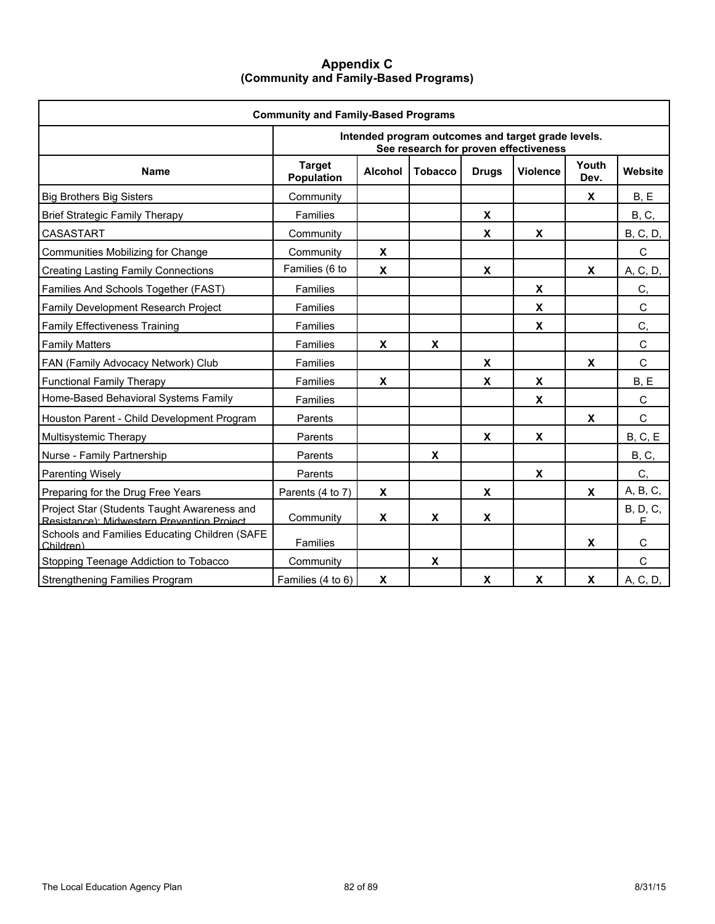## **Appendix C (Community and Family-Based Programs)**

| <b>Community and Family-Based Programs</b>                                                |                             |                |                |                           |                                                                                             |               |                       |  |  |  |  |
|-------------------------------------------------------------------------------------------|-----------------------------|----------------|----------------|---------------------------|---------------------------------------------------------------------------------------------|---------------|-----------------------|--|--|--|--|
|                                                                                           |                             |                |                |                           | Intended program outcomes and target grade levels.<br>See research for proven effectiveness |               |                       |  |  |  |  |
| <b>Name</b>                                                                               | <b>Target</b><br>Population | <b>Alcohol</b> | <b>Tobacco</b> | <b>Drugs</b>              | <b>Violence</b>                                                                             | Youth<br>Dev. | Website               |  |  |  |  |
| <b>Big Brothers Big Sisters</b>                                                           | Community                   |                |                |                           |                                                                                             | X             | B, E                  |  |  |  |  |
| <b>Brief Strategic Family Therapy</b>                                                     | Families                    |                |                | $\boldsymbol{\mathsf{x}}$ |                                                                                             |               | <b>B</b> , C,         |  |  |  |  |
| <b>CASASTART</b>                                                                          | Community                   |                |                | X                         | X                                                                                           |               | <b>B</b> , C, D,      |  |  |  |  |
| Communities Mobilizing for Change                                                         | Community                   | X              |                |                           |                                                                                             |               | $\mathsf C$           |  |  |  |  |
| <b>Creating Lasting Family Connections</b>                                                | Families (6 to              | X              |                | X                         |                                                                                             | X             | A, C, D,              |  |  |  |  |
| Families And Schools Together (FAST)                                                      | <b>Families</b>             |                |                |                           | X                                                                                           |               | C,                    |  |  |  |  |
| Family Development Research Project                                                       | Families                    |                |                |                           | $\mathbf x$                                                                                 |               | $\mathsf{C}$          |  |  |  |  |
| <b>Family Effectiveness Training</b>                                                      | Families                    |                |                |                           | $\boldsymbol{\mathsf{X}}$                                                                   |               | C,                    |  |  |  |  |
| <b>Family Matters</b>                                                                     | Families                    | X              | X              |                           |                                                                                             |               | $\mathsf{C}$          |  |  |  |  |
| FAN (Family Advocacy Network) Club                                                        | Families                    |                |                | X                         |                                                                                             | X             | $\mathsf{C}$          |  |  |  |  |
| <b>Functional Family Therapy</b>                                                          | Families                    | X              |                | X                         | X                                                                                           |               | B, E                  |  |  |  |  |
| Home-Based Behavioral Systems Family                                                      | Families                    |                |                |                           | X                                                                                           |               | C                     |  |  |  |  |
| Houston Parent - Child Development Program                                                | Parents                     |                |                |                           |                                                                                             | X             | $\mathsf{C}$          |  |  |  |  |
| Multisystemic Therapy                                                                     | Parents                     |                |                | $\boldsymbol{\mathsf{x}}$ | X                                                                                           |               | B, C, E               |  |  |  |  |
| Nurse - Family Partnership                                                                | Parents                     |                | X              |                           |                                                                                             |               | <b>B</b> , C,         |  |  |  |  |
| <b>Parenting Wisely</b>                                                                   | Parents                     |                |                |                           | X                                                                                           |               | C,                    |  |  |  |  |
| Preparing for the Drug Free Years                                                         | Parents (4 to 7)            | X              |                | X                         |                                                                                             | X             | A, B, C,              |  |  |  |  |
| Project Star (Students Taught Awareness and<br>Resistance): Midwestern Prevention Project | Community                   | X              | X              | X                         |                                                                                             |               | <b>B</b> , D, C,<br>E |  |  |  |  |
| Schools and Families Educating Children (SAFE<br>Children)                                | Families                    |                |                |                           |                                                                                             | X             | $\mathsf{C}$          |  |  |  |  |
| Stopping Teenage Addiction to Tobacco                                                     | Community                   |                | X              |                           |                                                                                             |               | C                     |  |  |  |  |
| <b>Strengthening Families Program</b>                                                     | Families (4 to 6)           | X              |                | X                         | X                                                                                           | X             | A, C, D,              |  |  |  |  |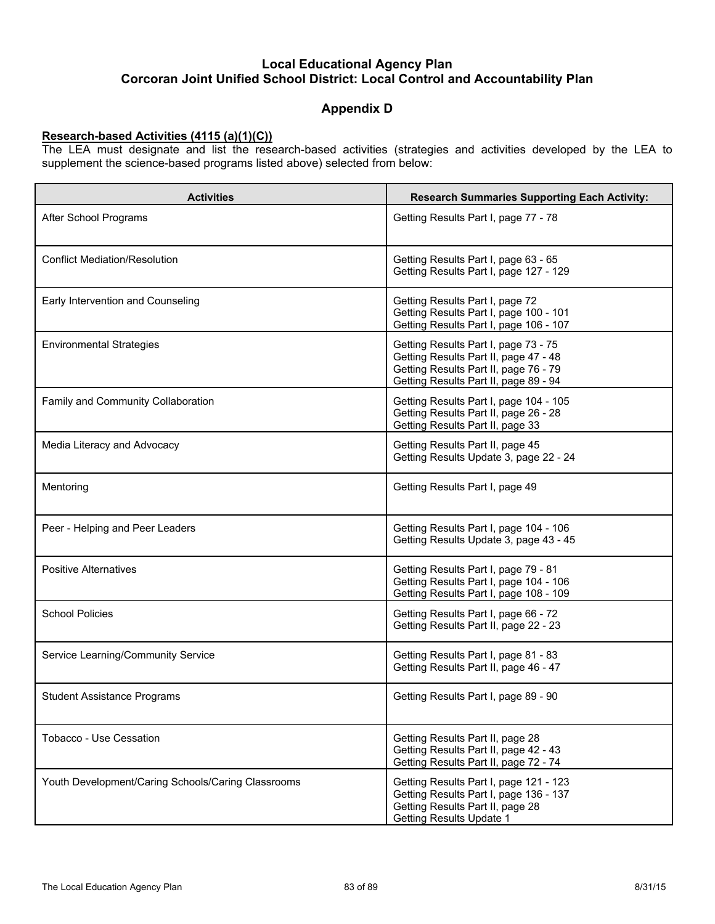# **Appendix D**

## **Research-based Activities (4115 (a)(1)(C))**

The LEA must designate and list the research-based activities (strategies and activities developed by the LEA to supplement the science-based programs listed above) selected from below:

| <b>Activities</b>                                  | <b>Research Summaries Supporting Each Activity:</b>                                                                                                             |  |  |  |  |  |
|----------------------------------------------------|-----------------------------------------------------------------------------------------------------------------------------------------------------------------|--|--|--|--|--|
| After School Programs                              | Getting Results Part I, page 77 - 78                                                                                                                            |  |  |  |  |  |
| <b>Conflict Mediation/Resolution</b>               | Getting Results Part I, page 63 - 65<br>Getting Results Part I, page 127 - 129                                                                                  |  |  |  |  |  |
| Early Intervention and Counseling                  | Getting Results Part I, page 72<br>Getting Results Part I, page 100 - 101<br>Getting Results Part I, page 106 - 107                                             |  |  |  |  |  |
| <b>Environmental Strategies</b>                    | Getting Results Part I, page 73 - 75<br>Getting Results Part II, page 47 - 48<br>Getting Results Part II, page 76 - 79<br>Getting Results Part II, page 89 - 94 |  |  |  |  |  |
| Family and Community Collaboration                 | Getting Results Part I, page 104 - 105<br>Getting Results Part II, page 26 - 28<br>Getting Results Part II, page 33                                             |  |  |  |  |  |
| Media Literacy and Advocacy                        | Getting Results Part II, page 45<br>Getting Results Update 3, page 22 - 24                                                                                      |  |  |  |  |  |
| Mentoring                                          | Getting Results Part I, page 49                                                                                                                                 |  |  |  |  |  |
| Peer - Helping and Peer Leaders                    | Getting Results Part I, page 104 - 106<br>Getting Results Update 3, page 43 - 45                                                                                |  |  |  |  |  |
| <b>Positive Alternatives</b>                       | Getting Results Part I, page 79 - 81<br>Getting Results Part I, page 104 - 106<br>Getting Results Part I, page 108 - 109                                        |  |  |  |  |  |
| <b>School Policies</b>                             | Getting Results Part I, page 66 - 72<br>Getting Results Part II, page 22 - 23                                                                                   |  |  |  |  |  |
| Service Learning/Community Service                 | Getting Results Part I, page 81 - 83<br>Getting Results Part II, page 46 - 47                                                                                   |  |  |  |  |  |
| <b>Student Assistance Programs</b>                 | Getting Results Part I, page 89 - 90                                                                                                                            |  |  |  |  |  |
| Tobacco - Use Cessation                            | Getting Results Part II, page 28<br>Getting Results Part II, page 42 - 43<br>Getting Results Part II, page 72 - 74                                              |  |  |  |  |  |
| Youth Development/Caring Schools/Caring Classrooms | Getting Results Part I, page 121 - 123<br>Getting Results Part I, page 136 - 137<br>Getting Results Part II, page 28<br><b>Getting Results Update 1</b>         |  |  |  |  |  |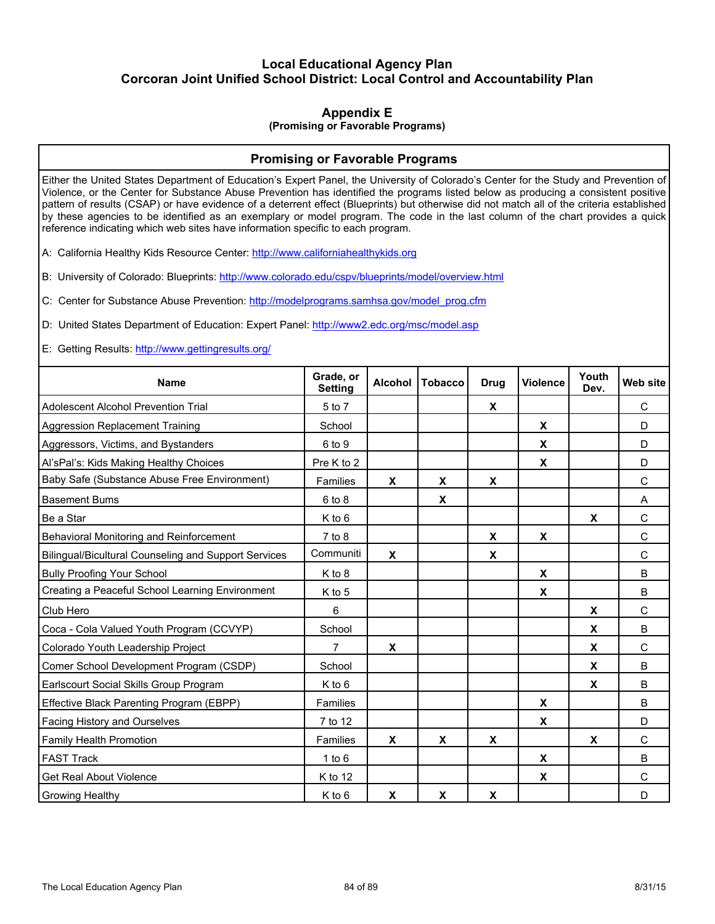# **Appendix E**

#### **(Promising or Favorable Programs)**

## **Promising or Favorable Programs**

Either the United States Department of Education's Expert Panel, the University of Colorado's Center for the Study and Prevention of Violence, or the Center for Substance Abuse Prevention has identified the programs listed below as producing a consistent positive pattern of results (CSAP) or have evidence of a deterrent effect (Blueprints) but otherwise did not match all of the criteria established by these agencies to be identified as an exemplary or model program. The code in the last column of the chart provides a quick reference indicating which web sites have information specific to each program.

A: California Healthy Kids Resource Center: http://www.californiahealthykids.org

B: University of Colorado: Blueprints: http://www.colorado.edu/cspv/blueprints/model/overview.html

C: Center for Substance Abuse Prevention: http://modelprograms.samhsa.gov/model\_prog.cfm

D: United States Department of Education: Expert Panel: http://www2.edc.org/msc/model.asp

E: Getting Results: http://www.gettingresults.org/

| <b>Name</b>                                          | Grade, or<br><b>Setting</b> | <b>Alcohol</b> | <b>Tobacco</b> | <b>Drug</b> | <b>Violence</b> | Youth<br>Dev. | <b>Web site</b> |
|------------------------------------------------------|-----------------------------|----------------|----------------|-------------|-----------------|---------------|-----------------|
| <b>Adolescent Alcohol Prevention Trial</b>           | 5 to 7                      |                |                | X           |                 |               | C               |
| Aggression Replacement Training                      | School                      |                |                |             | X               |               | D               |
| Aggressors, Victims, and Bystanders                  | 6 to 9                      |                |                |             | X               |               | D               |
| Al'sPal's: Kids Making Healthy Choices               | Pre K to 2                  |                |                |             | X               |               | D               |
| Baby Safe (Substance Abuse Free Environment)         | Families                    | X              | X              | X           |                 |               | $\mathsf{C}$    |
| <b>Basement Bums</b>                                 | $6$ to $8$                  |                | X              |             |                 |               | A               |
| Be a Star                                            | $K$ to 6                    |                |                |             |                 | X             | $\mathsf{C}$    |
| Behavioral Monitoring and Reinforcement              | $7$ to $8$                  |                |                | X           | X               |               | C               |
| Bilingual/Bicultural Counseling and Support Services | Communiti                   | $\mathbf x$    |                | X           |                 |               | $\mathsf{C}$    |
| <b>Bully Proofing Your School</b>                    | K to 8                      |                |                |             | X               |               | B               |
| Creating a Peaceful School Learning Environment      | K to 5                      |                |                |             | X               |               | B               |
| Club Hero                                            | 6                           |                |                |             |                 | X             | C               |
| Coca - Cola Valued Youth Program (CCVYP)             | School                      |                |                |             |                 | X             | B               |
| Colorado Youth Leadership Project                    | 7                           | X              |                |             |                 | X             | C               |
| Comer School Development Program (CSDP)              | School                      |                |                |             |                 | X             | B               |
| Earlscourt Social Skills Group Program               | K to 6                      |                |                |             |                 | X             | <sub>B</sub>    |
| Effective Black Parenting Program (EBPP)             | Families                    |                |                |             | X               |               | B               |
| Facing History and Ourselves                         | 7 to 12                     |                |                |             | X               |               | D               |
| Family Health Promotion                              | Families                    | X              | X              | X           |                 | X             | C               |
| <b>FAST Track</b>                                    | 1 to $6$                    |                |                |             | X               |               | B               |
| <b>Get Real About Violence</b>                       | $K$ to 12                   |                |                |             | X               |               | C               |
| Growing Healthy                                      | K to 6                      | X              | X              | X           |                 |               | D               |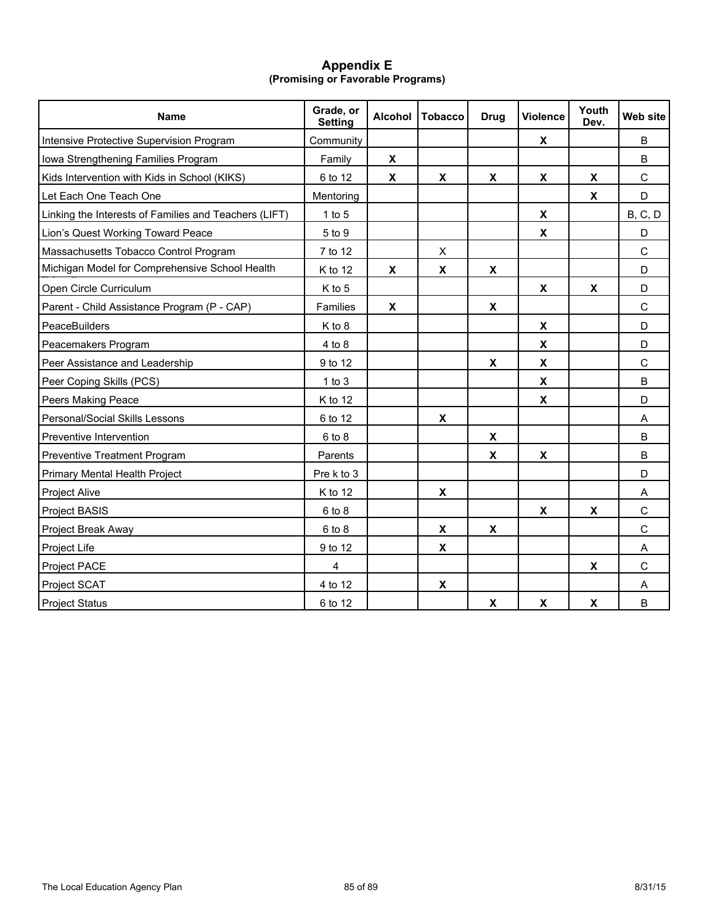## **Appendix E (Promising or Favorable Programs)**

| <b>Name</b>                                           | Grade, or<br><b>Setting</b> | <b>Alcohol</b>     | <b>Tobacco</b>     | <b>Drug</b>               | <b>Violence</b>           | Youth<br>Dev.             | Web site        |
|-------------------------------------------------------|-----------------------------|--------------------|--------------------|---------------------------|---------------------------|---------------------------|-----------------|
| Intensive Protective Supervision Program              | Community                   |                    |                    |                           | X                         |                           | B               |
| Iowa Strengthening Families Program                   | Family                      | X                  |                    |                           |                           |                           | B               |
| Kids Intervention with Kids in School (KIKS)          | 6 to 12                     | X                  | X                  | X                         | X                         | X                         | C               |
| Let Each One Teach One                                | Mentoring                   |                    |                    |                           |                           | $\boldsymbol{\mathsf{X}}$ | D               |
| Linking the Interests of Families and Teachers (LIFT) | $1$ to $5$                  |                    |                    |                           | $\pmb{\mathsf{X}}$        |                           | <b>B</b> , C, D |
| Lion's Quest Working Toward Peace                     | 5 to 9                      |                    |                    |                           | $\boldsymbol{\mathsf{X}}$ |                           | D               |
| Massachusetts Tobacco Control Program                 | 7 to 12                     |                    | X                  |                           |                           |                           | $\mathsf{C}$    |
| Michigan Model for Comprehensive School Health        | K to 12                     | $\pmb{\mathsf{X}}$ | $\pmb{\mathsf{x}}$ | $\pmb{\mathsf{X}}$        |                           |                           | D               |
| Open Circle Curriculum                                | K to 5                      |                    |                    |                           | $\boldsymbol{\mathsf{X}}$ | $\pmb{\mathsf{X}}$        | D               |
| Parent - Child Assistance Program (P - CAP)           | Families                    | X                  |                    | X                         |                           |                           | $\mathsf{C}$    |
| PeaceBuilders                                         | K to 8                      |                    |                    |                           | $\boldsymbol{\mathsf{X}}$ |                           | D               |
| Peacemakers Program                                   | 4 to 8                      |                    |                    |                           | $\pmb{\mathsf{X}}$        |                           | D               |
| Peer Assistance and Leadership                        | 9 to 12                     |                    |                    | $\boldsymbol{\mathsf{X}}$ | $\pmb{\mathsf{X}}$        |                           | $\mathsf C$     |
| Peer Coping Skills (PCS)                              | $1$ to $3$                  |                    |                    |                           | $\pmb{\chi}$              |                           | B               |
| Peers Making Peace                                    | K to 12                     |                    |                    |                           | $\pmb{\mathsf{X}}$        |                           | D               |
| Personal/Social Skills Lessons                        | 6 to 12                     |                    | X                  |                           |                           |                           | Α               |
| Preventive Intervention                               | $6$ to $8$                  |                    |                    | X                         |                           |                           | B               |
| Preventive Treatment Program                          | Parents                     |                    |                    | X                         | X                         |                           | B               |
| Primary Mental Health Project                         | Pre k to 3                  |                    |                    |                           |                           |                           | D               |
| Project Alive                                         | $K$ to 12                   |                    | X                  |                           |                           |                           | A               |
| <b>Project BASIS</b>                                  | 6 to 8                      |                    |                    |                           | X                         | $\pmb{\chi}$              | $\mathsf{C}$    |
| Project Break Away                                    | 6 to 8                      |                    | X                  | X                         |                           |                           | $\mathbf C$     |
| Project Life                                          | 9 to 12                     |                    | X                  |                           |                           |                           | A               |
| Project PACE                                          | 4                           |                    |                    |                           |                           | X                         | $\mathsf C$     |
| Project SCAT                                          | 4 to 12                     |                    | $\pmb{\mathsf{x}}$ |                           |                           |                           | A               |
| <b>Project Status</b>                                 | 6 to 12                     |                    |                    | $\pmb{\mathsf{x}}$        | $\pmb{\chi}$              | $\pmb{\mathsf{X}}$        | B               |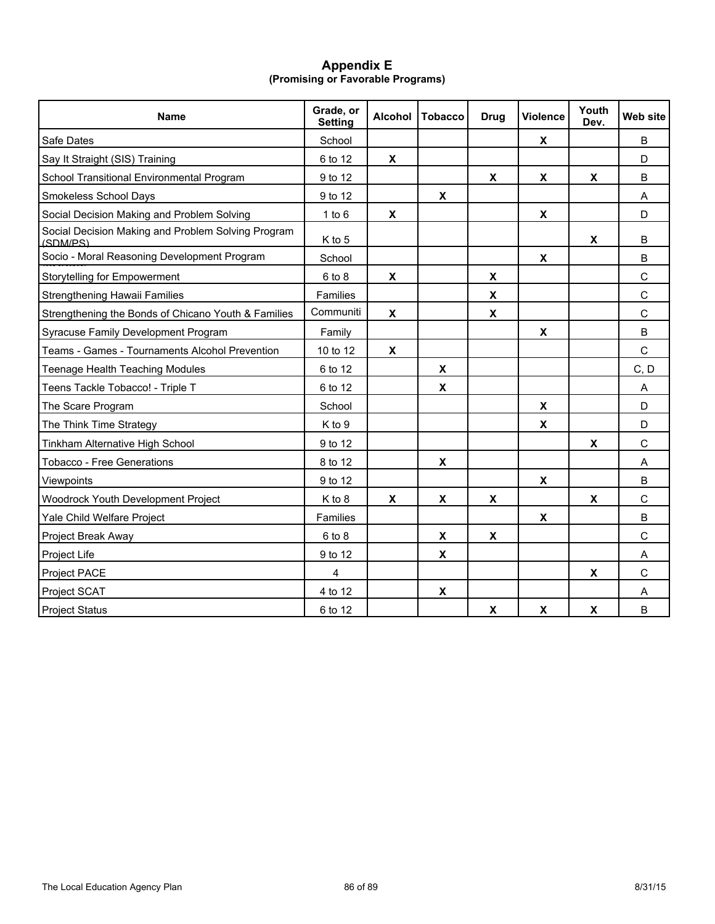## **Appendix E (Promising or Favorable Programs)**

| <b>Name</b>                                                    | Grade, or<br><b>Setting</b> | <b>Alcohol</b>            | <b>Tobacco</b>     | <b>Drug</b>               | <b>Violence</b>    | Youth<br>Dev.      | Web site     |
|----------------------------------------------------------------|-----------------------------|---------------------------|--------------------|---------------------------|--------------------|--------------------|--------------|
| Safe Dates                                                     | School                      |                           |                    |                           | X                  |                    | B            |
| Say It Straight (SIS) Training                                 | 6 to 12                     | $\boldsymbol{\mathsf{x}}$ |                    |                           |                    |                    | D            |
| School Transitional Environmental Program                      | 9 to 12                     |                           |                    | $\boldsymbol{\mathsf{X}}$ | X                  | $\pmb{\mathsf{X}}$ | B            |
| Smokeless School Days                                          | 9 to 12                     |                           | X                  |                           |                    |                    | A            |
| Social Decision Making and Problem Solving                     | $1$ to $6$                  | $\pmb{\chi}$              |                    |                           | $\pmb{\chi}$       |                    | D            |
| Social Decision Making and Problem Solving Program<br>(SDM/PS) | K to 5                      |                           |                    |                           |                    | X                  | B            |
| Socio - Moral Reasoning Development Program                    | School                      |                           |                    |                           | $\pmb{\mathsf{X}}$ |                    | B            |
| Storytelling for Empowerment                                   | 6 to 8                      | X                         |                    | X                         |                    |                    | C            |
| Strengthening Hawaii Families                                  | Families                    |                           |                    | $\boldsymbol{\mathsf{x}}$ |                    |                    | $\mathsf{C}$ |
| Strengthening the Bonds of Chicano Youth & Families            | Communiti                   | X                         |                    | $\pmb{\mathsf{X}}$        |                    |                    | $\mathsf{C}$ |
| Syracuse Family Development Program                            | Family                      |                           |                    |                           | X                  |                    | B            |
| Teams - Games - Tournaments Alcohol Prevention                 | 10 to 12                    | $\boldsymbol{\mathsf{X}}$ |                    |                           |                    |                    | $\mathsf{C}$ |
| Teenage Health Teaching Modules                                | 6 to 12                     |                           | X                  |                           |                    |                    | C, D         |
| Teens Tackle Tobacco! - Triple T                               | 6 to 12                     |                           | X                  |                           |                    |                    | A            |
| The Scare Program                                              | School                      |                           |                    |                           | X                  |                    | D            |
| The Think Time Strategy                                        | K to 9                      |                           |                    |                           | $\pmb{\mathsf{x}}$ |                    | D            |
| Tinkham Alternative High School                                | 9 to 12                     |                           |                    |                           |                    | $\pmb{\chi}$       | $\mathsf{C}$ |
| <b>Tobacco - Free Generations</b>                              | 8 to 12                     |                           | X                  |                           |                    |                    | A            |
| Viewpoints                                                     | 9 to 12                     |                           |                    |                           | $\pmb{\mathsf{x}}$ |                    | B            |
| Woodrock Youth Development Project                             | K to 8                      | X                         | $\pmb{\chi}$       | $\pmb{\mathsf{X}}$        |                    | $\pmb{\chi}$       | $\mathsf{C}$ |
| Yale Child Welfare Project                                     | Families                    |                           |                    |                           | X                  |                    | $\sf B$      |
| Project Break Away                                             | 6 to 8                      |                           | $\pmb{\mathsf{x}}$ | X                         |                    |                    | $\mathsf{C}$ |
| Project Life                                                   | 9 to 12                     |                           | $\pmb{\mathsf{X}}$ |                           |                    |                    | A            |
| Project PACE                                                   | 4                           |                           |                    |                           |                    | X                  | $\mathsf{C}$ |
| Project SCAT                                                   | 4 to 12                     |                           | $\pmb{\chi}$       |                           |                    |                    | A            |
| <b>Project Status</b>                                          | 6 to 12                     |                           |                    | $\pmb{\chi}$              | $\pmb{\chi}$       | $\pmb{\mathsf{x}}$ | $\sf B$      |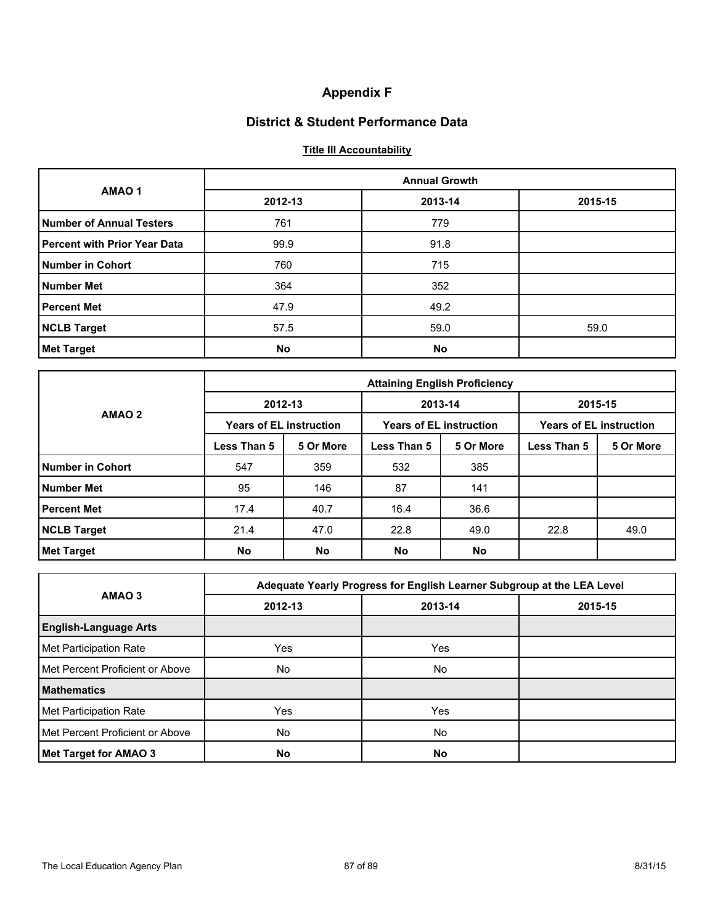# **Appendix F**

# **District & Student Performance Data**

# **Title III Accountability**

|                                     |         | <b>Annual Growth</b> |         |  |  |  |  |  |  |
|-------------------------------------|---------|----------------------|---------|--|--|--|--|--|--|
| AMAO <sub>1</sub>                   | 2012-13 | 2013-14              | 2015-15 |  |  |  |  |  |  |
| <b>Number of Annual Testers</b>     | 761     | 779                  |         |  |  |  |  |  |  |
| <b>Percent with Prior Year Data</b> | 99.9    | 91.8                 |         |  |  |  |  |  |  |
| <b>Number in Cohort</b>             | 760     | 715                  |         |  |  |  |  |  |  |
| <b>Number Met</b>                   | 364     | 352                  |         |  |  |  |  |  |  |
| <b>Percent Met</b>                  | 47.9    | 49.2                 |         |  |  |  |  |  |  |
| <b>NCLB Target</b>                  | 57.5    | 59.0                 | 59.0    |  |  |  |  |  |  |
| <b>Met Target</b>                   | No      | <b>No</b>            |         |  |  |  |  |  |  |

|                    | <b>Attaining English Proficiency</b> |                                |                                |           |                                |           |  |  |  |  |
|--------------------|--------------------------------------|--------------------------------|--------------------------------|-----------|--------------------------------|-----------|--|--|--|--|
|                    |                                      | 2012-13                        | 2013-14                        |           | 2015-15                        |           |  |  |  |  |
| AMAO <sub>2</sub>  |                                      | <b>Years of EL instruction</b> | <b>Years of EL instruction</b> |           | <b>Years of EL instruction</b> |           |  |  |  |  |
|                    | Less Than 5                          | 5 Or More                      | Less Than 5                    | 5 Or More | Less Than 5                    | 5 Or More |  |  |  |  |
| Number in Cohort   | 547                                  | 359                            | 532                            | 385       |                                |           |  |  |  |  |
| <b>Number Met</b>  | 95                                   | 146                            | 87                             | 141       |                                |           |  |  |  |  |
| <b>Percent Met</b> | 17.4                                 | 40.7                           | 16.4                           | 36.6      |                                |           |  |  |  |  |
| <b>NCLB Target</b> | 21.4                                 | 47.0                           | 22.8                           | 49.0      | 22.8                           | 49.0      |  |  |  |  |
| <b>Met Target</b>  | No                                   | <b>No</b>                      | <b>No</b>                      | No        |                                |           |  |  |  |  |

|                                 |            | Adequate Yearly Progress for English Learner Subgroup at the LEA Level |         |  |  |  |  |  |  |
|---------------------------------|------------|------------------------------------------------------------------------|---------|--|--|--|--|--|--|
| AMAO 3                          | 2012-13    | 2013-14                                                                | 2015-15 |  |  |  |  |  |  |
| <b>English-Language Arts</b>    |            |                                                                        |         |  |  |  |  |  |  |
| Met Participation Rate          | <b>Yes</b> | Yes                                                                    |         |  |  |  |  |  |  |
| Met Percent Proficient or Above | No.        | No                                                                     |         |  |  |  |  |  |  |
| <b>Mathematics</b>              |            |                                                                        |         |  |  |  |  |  |  |
| Met Participation Rate          | <b>Yes</b> | Yes                                                                    |         |  |  |  |  |  |  |
| Met Percent Proficient or Above | No.        | No                                                                     |         |  |  |  |  |  |  |
| Met Target for AMAO 3           | No         | <b>No</b>                                                              |         |  |  |  |  |  |  |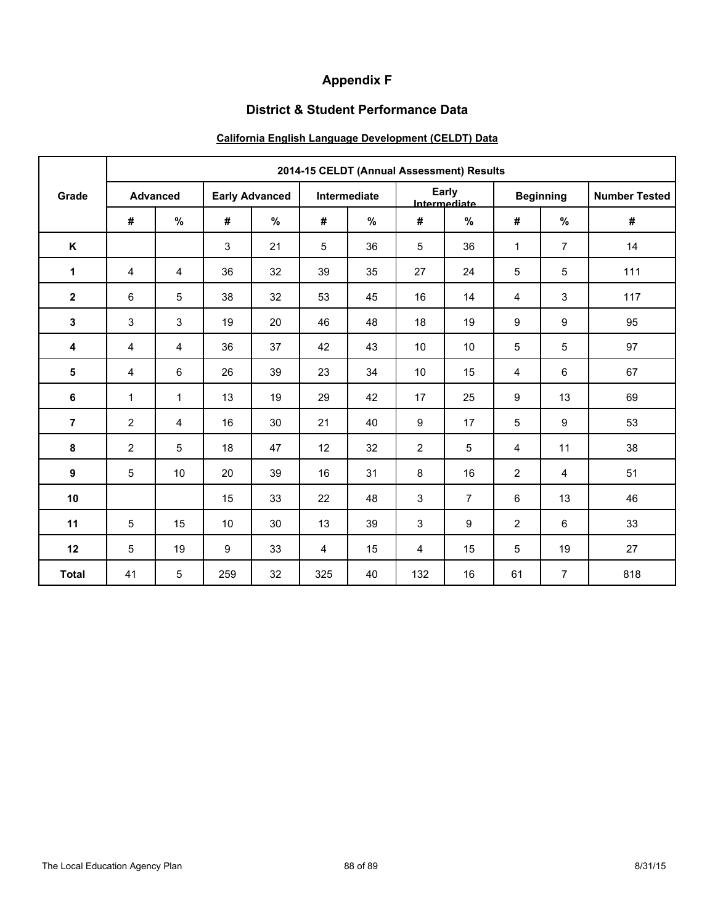# **Appendix F**

# **District & Student Performance Data**

# **California English Language Development (CELDT) Data**

|                |                |                 |                       |      |            |              |                | 2014-15 CELDT (Annual Assessment) Results |                  |                |                      |  |
|----------------|----------------|-----------------|-----------------------|------|------------|--------------|----------------|-------------------------------------------|------------------|----------------|----------------------|--|
| Grade          |                | <b>Advanced</b> | <b>Early Advanced</b> |      |            | Intermediate |                | Early<br>Intermediate                     | <b>Beginning</b> |                | <b>Number Tested</b> |  |
|                | #              | $\%$            | #                     | $\%$ | $\pmb{\#}$ | %            | #              | %                                         | $\pmb{\#}$       | $\%$           | #                    |  |
| K              |                |                 | 3                     | 21   | 5          | 36           | 5              | 36                                        | $\mathbf{1}$     | $\overline{7}$ | 14                   |  |
| $\mathbf{1}$   | 4              | $\overline{4}$  | 36                    | 32   | 39         | 35           | 27             | 24                                        | 5                | 5              | 111                  |  |
| $\mathbf{2}$   | 6              | 5               | 38                    | 32   | 53         | 45           | 16             | 14                                        | $\overline{4}$   | 3              | 117                  |  |
| 3              | 3              | 3               | 19                    | 20   | 46         | 48           | 18             | 19                                        | 9                | 9              | 95                   |  |
| 4              | 4              | 4               | 36                    | 37   | 42         | 43           | 10             | 10                                        | 5                | 5              | 97                   |  |
| 5              | 4              | 6               | 26                    | 39   | 23         | 34           | 10             | 15                                        | 4                | 6              | 67                   |  |
| 6              | $\mathbf{1}$   | $\mathbf{1}$    | 13                    | 19   | 29         | 42           | 17             | 25                                        | 9                | 13             | 69                   |  |
| $\overline{7}$ | $\overline{2}$ | $\overline{4}$  | 16                    | 30   | 21         | 40           | 9              | 17                                        | 5                | 9              | 53                   |  |
| 8              | $\overline{2}$ | 5               | 18                    | 47   | 12         | 32           | $\overline{2}$ | 5                                         | $\overline{4}$   | 11             | 38                   |  |
| 9              | 5              | 10              | 20                    | 39   | 16         | 31           | 8              | 16                                        | $\overline{2}$   | 4              | 51                   |  |
| 10             |                |                 | 15                    | 33   | 22         | 48           | 3              | $\overline{7}$                            | 6                | 13             | 46                   |  |
| 11             | 5              | 15              | 10                    | 30   | 13         | 39           | 3              | 9                                         | 2                | $\,6\,$        | 33                   |  |
| 12             | 5              | 19              | 9                     | 33   | 4          | 15           | 4              | 15                                        | 5                | 19             | 27                   |  |
| <b>Total</b>   | 41             | 5               | 259                   | 32   | 325        | 40           | 132            | 16                                        | 61               | $\overline{7}$ | 818                  |  |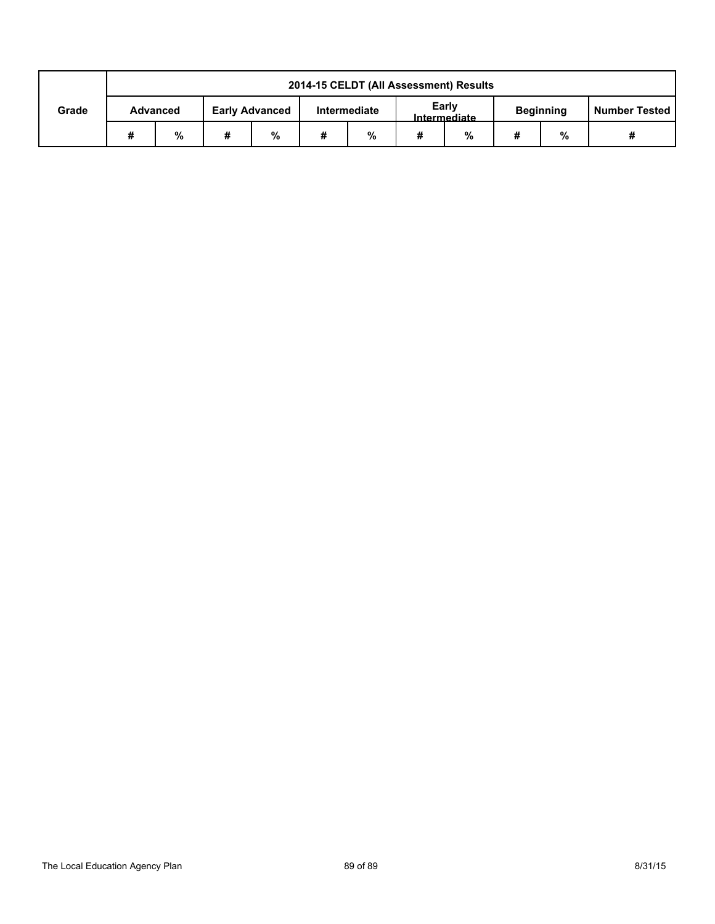|       | 2014-15 CELDT (All Assessment) Results |                 |   |                       |                                       |   |             |  |   |                  |                      |
|-------|----------------------------------------|-----------------|---|-----------------------|---------------------------------------|---|-------------|--|---|------------------|----------------------|
| Grade |                                        | <b>Advanced</b> |   | <b>Early Advanced</b> | Early<br>Intermediate<br>Intermediate |   |             |  |   | <b>Beginning</b> | <b>Number Tested</b> |
|       | #                                      | %               | # | %                     | #                                     | % | %<br>#<br># |  | % |                  |                      |